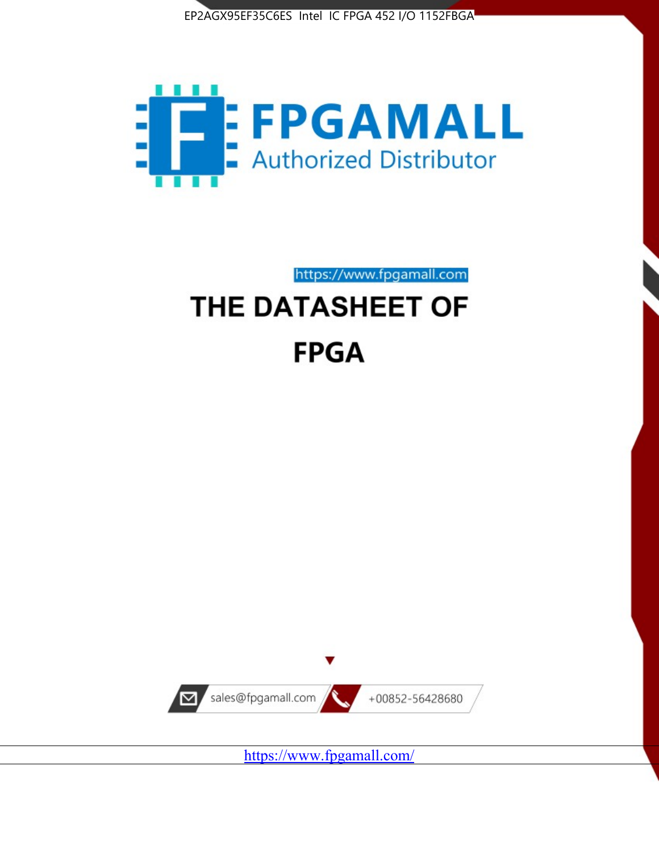



https://www.fpgamall.com

# THE DATASHEET OF **FPGA**



<https://www.fpgamall.com/>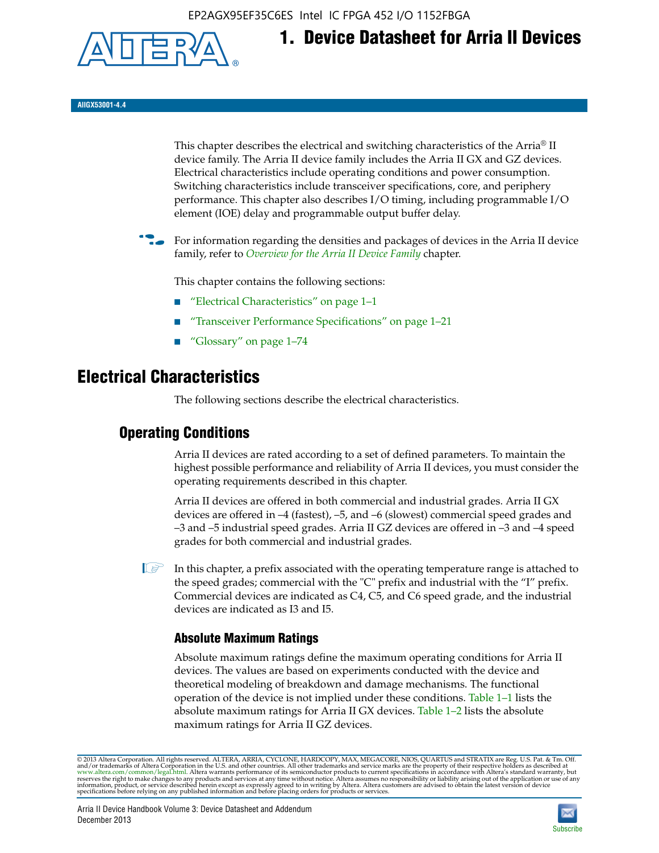EP2AGX95EF35C6ES Intel IC FPGA 452 I/O 1152FBGA



**AIIGX53001-4.4**

This chapter describes the electrical and switching characteristics of the Arria® II device family. The Arria II device family includes the Arria II GX and GZ devices. Electrical characteristics include operating conditions and power consumption. Switching characteristics include transceiver specifications, core, and periphery performance. This chapter also describes I/O timing, including programmable I/O element (IOE) delay and programmable output buffer delay.

**1. Device Datasheet for Arria II Devices**

For information regarding the densities and packages of devices in the Arria II device family, refer to *[Overview for the Arria II Device Family](http://www.altera.com/literature/hb/arria-ii-gx/aiigx_51001.pdf)* chapter.

This chapter contains the following sections:

- *"Electrical Characteristics"* on page 1–1
- "Transceiver Performance Specifications" on page 1–21
- "Glossary" on page 1–74

# **Electrical Characteristics**

The following sections describe the electrical characteristics.

# **Operating Conditions**

Arria II devices are rated according to a set of defined parameters. To maintain the highest possible performance and reliability of Arria II devices, you must consider the operating requirements described in this chapter.

Arria II devices are offered in both commercial and industrial grades. Arria II GX devices are offered in –4 (fastest), –5, and –6 (slowest) commercial speed grades and –3 and –5 industrial speed grades. Arria II GZ devices are offered in –3 and –4 speed grades for both commercial and industrial grades.

 $\Box$  In this chapter, a prefix associated with the operating temperature range is attached to the speed grades; commercial with the "C" prefix and industrial with the "I" prefix. Commercial devices are indicated as C4, C5, and C6 speed grade, and the industrial devices are indicated as I3 and I5.

# **Absolute Maximum Ratings**

Absolute maximum ratings define the maximum operating conditions for Arria II devices. The values are based on experiments conducted with the device and theoretical modeling of breakdown and damage mechanisms. The functional operation of the device is not implied under these conditions. Table 1–1 lists the absolute maximum ratings for Arria II GX devices. Table 1–2 lists the absolute maximum ratings for Arria II GZ devices.

© 2013 Altera Corporation. All rights reserved. ALTERA, ARRIA, CYCLONE, HARDCOPY, MAX, MEGACORE, NIOS, QUARTUS and STRATIX are Reg. U.S. Pat. & Tm. Off. [and/or trademarks of Altera Corporat](http://www.altera.com/common/legal.html)ion in the U.S. and other countri

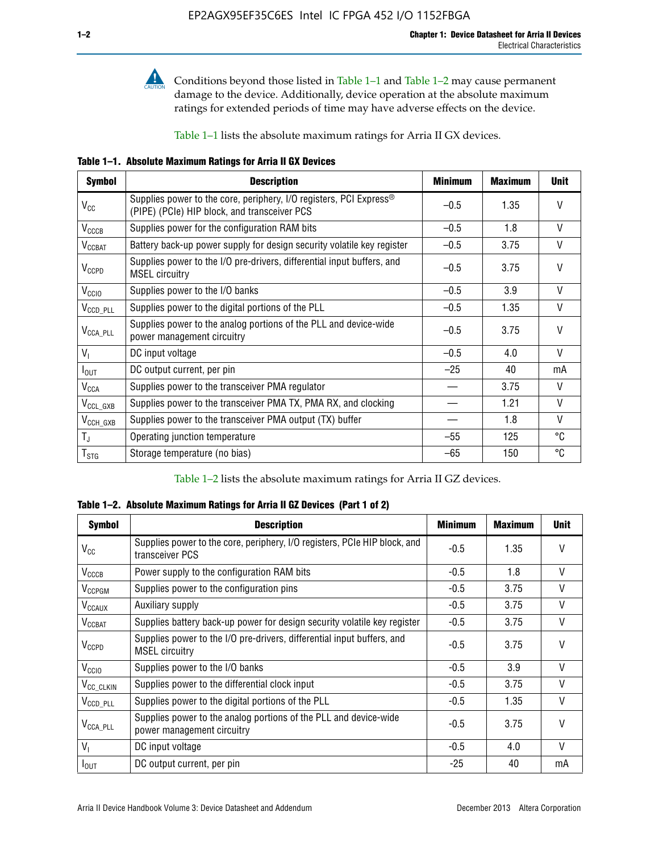

Conditions beyond those listed in Table  $1-1$  and Table  $1-2$  may cause permanent damage to the device. Additionally, device operation at the absolute maximum ratings for extended periods of time may have adverse effects on the device.

Table 1–1 lists the absolute maximum ratings for Arria II GX devices.

**Table 1–1. Absolute Maximum Ratings for Arria II GX Devices** 

| <b>Symbol</b>         | <b>Description</b>                                                                                                 | <b>Minimum</b> | <b>Maximum</b> | <b>Unit</b>  |
|-----------------------|--------------------------------------------------------------------------------------------------------------------|----------------|----------------|--------------|
| $V_{CC}$              | Supplies power to the core, periphery, I/O registers, PCI Express®<br>(PIPE) (PCIe) HIP block, and transceiver PCS | $-0.5$         | 1.35           | $\vee$       |
| $V_{CCCB}$            | Supplies power for the configuration RAM bits                                                                      | $-0.5$         | 1.8            | V            |
| $V_{\text{CCBAT}}$    | Battery back-up power supply for design security volatile key register                                             | $-0.5$         | 3.75           | V            |
| $V_{CCPD}$            | Supplies power to the I/O pre-drivers, differential input buffers, and<br><b>MSEL circuitry</b>                    | $-0.5$         | 3.75           | $\vee$       |
| V <sub>CCIO</sub>     | Supplies power to the I/O banks                                                                                    | $-0.5$         | 3.9            | $\mathsf{V}$ |
| $V_{\text{CCD\_PLL}}$ | Supplies power to the digital portions of the PLL                                                                  | $-0.5$         | 1.35           | V            |
| $V_{\text{CCA\_PLL}}$ | Supplies power to the analog portions of the PLL and device-wide<br>power management circuitry                     | $-0.5$         | 3.75           | $\mathsf{V}$ |
| $V_{1}$               | DC input voltage                                                                                                   | $-0.5$         | 4.0            | V            |
| $I_{\text{OUT}}$      | DC output current, per pin                                                                                         | $-25$          | 40             | mA           |
| $V_{\text{CCA}}$      | Supplies power to the transceiver PMA regulator                                                                    |                | 3.75           | V            |
| $V_{CCL_GXB}$         | Supplies power to the transceiver PMA TX, PMA RX, and clocking                                                     |                | 1.21           | $\vee$       |
| $V_{\text{CCH_GXB}}$  | Supplies power to the transceiver PMA output (TX) buffer                                                           |                | 1.8            | V            |
| $T_{\rm J}$           | Operating junction temperature                                                                                     | $-55$          | 125            | °C           |
| $T_{\tt STG}$         | Storage temperature (no bias)                                                                                      | -65            | 150            | ℃            |

Table 1–2 lists the absolute maximum ratings for Arria II GZ devices.

**Table 1–2. Absolute Maximum Ratings for Arria II GZ Devices (Part 1 of 2)**

| <b>Symbol</b>            | <b>Description</b>                                                                              | <b>Minimum</b> | <b>Maximum</b> | <b>Unit</b>  |
|--------------------------|-------------------------------------------------------------------------------------------------|----------------|----------------|--------------|
| $V_{CC}$                 | Supplies power to the core, periphery, I/O registers, PCIe HIP block, and<br>transceiver PCS    | -0.5           | 1.35           | $\mathsf{V}$ |
| $V_{CCCB}$               | Power supply to the configuration RAM bits                                                      | $-0.5$         | 1.8            | $\vee$       |
| V <sub>CCPGM</sub>       | Supplies power to the configuration pins                                                        | $-0.5$         | 3.75           | $\vee$       |
| <b>V<sub>CCAUX</sub></b> | Auxiliary supply                                                                                | $-0.5$         | 3.75           | $\vee$       |
| $V_{\text{CGBAT}}$       | Supplies battery back-up power for design security volatile key register                        | -0.5           | 3.75           | V            |
| $V_{CCPD}$               | Supplies power to the I/O pre-drivers, differential input buffers, and<br><b>MSEL circuitry</b> | -0.5           | 3.75           | $\mathsf{V}$ |
| V <sub>CCIO</sub>        | Supplies power to the I/O banks                                                                 | $-0.5$         | 3.9            | $\mathsf{V}$ |
| $V_{\rm CC\_CLKIN}$      | Supplies power to the differential clock input                                                  | $-0.5$         | 3.75           | $\vee$       |
| $V_{\text{CCD\_PLL}}$    | Supplies power to the digital portions of the PLL                                               | $-0.5$         | 1.35           | V            |
| $V_{\text{CCA\_PLL}}$    | Supplies power to the analog portions of the PLL and device-wide<br>power management circuitry  | $-0.5$         | 3.75           | $\mathsf{V}$ |
| V <sub>1</sub>           | DC input voltage                                                                                | $-0.5$         | 4.0            | $\vee$       |
| $I_{\text{OUT}}$         | DC output current, per pin                                                                      | $-25$          | 40             | mA           |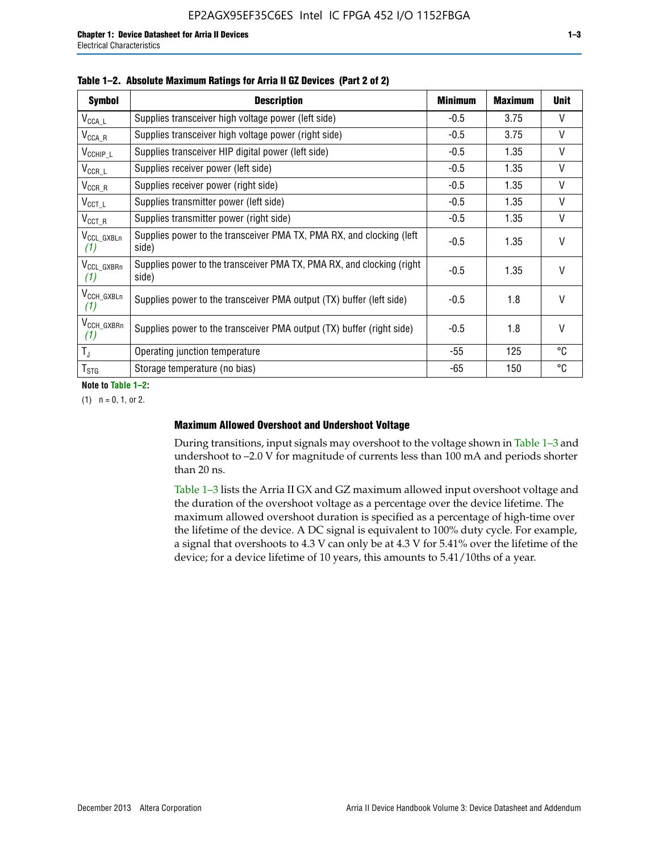| <b>Symbol</b>                  | <b>Description</b>                                                              | <b>Minimum</b> | Maximum | <b>Unit</b> |
|--------------------------------|---------------------------------------------------------------------------------|----------------|---------|-------------|
| $V_{\texttt{CCA}\_\textsf{L}}$ | Supplies transceiver high voltage power (left side)                             | $-0.5$         | 3.75    | $\vee$      |
| $V_{\mathsf{CCA}\_\mathsf{R}}$ | Supplies transceiver high voltage power (right side)                            | $-0.5$         | 3.75    | V           |
| $V_{CCHIP\_L}$                 | Supplies transceiver HIP digital power (left side)                              | $-0.5$         | 1.35    | V           |
| $V_{CCR\_L}$                   | Supplies receiver power (left side)                                             | $-0.5$         | 1.35    | V           |
| $V_{CCR\_R}$                   | Supplies receiver power (right side)                                            | $-0.5$         | 1.35    | V           |
| $V_{CCT\_L}$                   | Supplies transmitter power (left side)                                          | $-0.5$         | 1.35    | V           |
| $V_{CCT_R}$                    | Supplies transmitter power (right side)                                         | $-0.5$         | 1.35    | V           |
| V <sub>CCL</sub> GXBLn<br>(1)  | Supplies power to the transceiver PMA TX, PMA RX, and clocking (left<br>side)   | $-0.5$         | 1.35    | $\vee$      |
| V <sub>CCL_GXBRn</sub><br>(1)  | Supplies power to the transceiver PMA TX, PMA RX, and clocking (right)<br>side) | $-0.5$         | 1.35    | $\vee$      |
| V <sub>CCH_GXBLn</sub><br>(1)  | Supplies power to the transceiver PMA output (TX) buffer (left side)            | $-0.5$         | 1.8     | $\vee$      |
| V <sub>CCH_GXBRn</sub><br>(1)  | Supplies power to the transceiver PMA output (TX) buffer (right side)           | $-0.5$         | 1.8     | $\vee$      |
| $T_{\rm J}$                    | Operating junction temperature                                                  | -55            | 125     | °C          |
| $T_{\text{STG}}$               | Storage temperature (no bias)                                                   | -65            | 150     | °C          |

|  |  | Table 1-2. Absolute Maximum Ratings for Arria II GZ Devices (Part 2 of 2) |  |  |  |
|--|--|---------------------------------------------------------------------------|--|--|--|
|--|--|---------------------------------------------------------------------------|--|--|--|

**Note to Table 1–2:**

 $(1)$   $n = 0, 1,$  or 2.

#### **Maximum Allowed Overshoot and Undershoot Voltage**

During transitions, input signals may overshoot to the voltage shown in Table 1–3 and undershoot to –2.0 V for magnitude of currents less than 100 mA and periods shorter than 20 ns.

Table 1–3 lists the Arria II GX and GZ maximum allowed input overshoot voltage and the duration of the overshoot voltage as a percentage over the device lifetime. The maximum allowed overshoot duration is specified as a percentage of high-time over the lifetime of the device. A DC signal is equivalent to 100% duty cycle. For example, a signal that overshoots to 4.3 V can only be at 4.3 V for 5.41% over the lifetime of the device; for a device lifetime of 10 years, this amounts to 5.41/10ths of a year.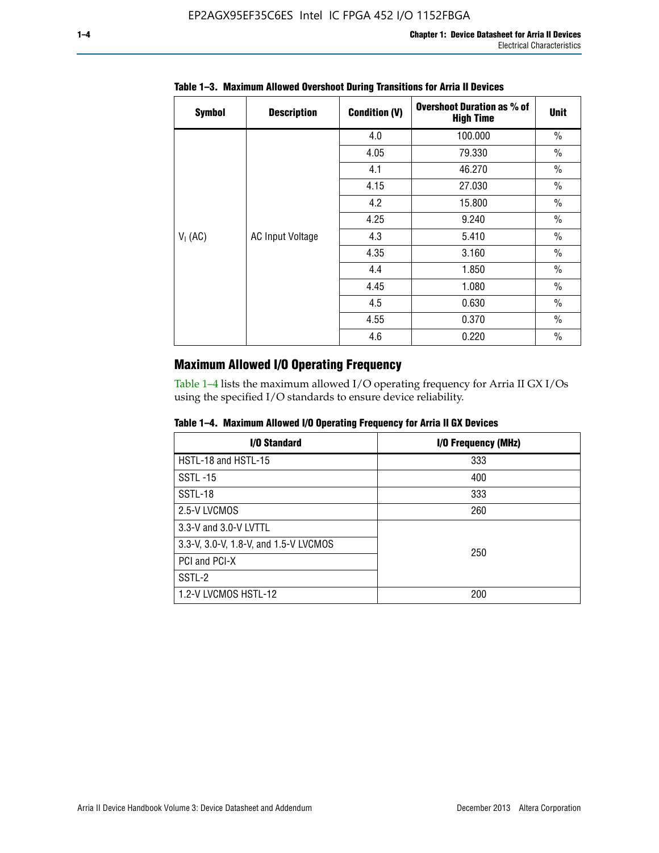| <b>Symbol</b> | <b>Description</b>      | <b>Condition (V)</b> | <b>Overshoot Duration as % of</b><br><b>High Time</b> | <b>Unit</b>   |
|---------------|-------------------------|----------------------|-------------------------------------------------------|---------------|
|               |                         | 4.0                  | 100.000                                               | $\frac{0}{0}$ |
|               |                         | 4.05                 | 79.330                                                | $\frac{0}{0}$ |
|               |                         | 4.1                  | 46.270                                                | $\frac{0}{0}$ |
|               |                         | 4.15                 | 27.030                                                | $\frac{0}{0}$ |
|               | <b>AC Input Voltage</b> | 4.2                  | 15.800                                                | $\frac{0}{0}$ |
|               |                         | 4.25                 | 9.240                                                 | $\frac{0}{0}$ |
| $V_1$ (AC)    |                         | 4.3                  | 5.410                                                 | $\frac{0}{0}$ |
|               |                         | 4.35                 | 3.160                                                 | $\frac{0}{0}$ |
|               |                         | 4.4                  | 1.850                                                 | $\frac{0}{0}$ |
|               |                         | 4.45                 | 1.080                                                 | $\frac{0}{0}$ |
|               |                         | 4.5                  | 0.630                                                 | $\frac{0}{0}$ |
|               |                         | 4.55                 | 0.370                                                 | $\frac{0}{0}$ |
|               |                         | 4.6                  | 0.220                                                 | $\frac{0}{0}$ |

# **Table 1–3. Maximum Allowed Overshoot During Transitions for Arria II Devices**

# **Maximum Allowed I/O Operating Frequency**

Table 1–4 lists the maximum allowed I/O operating frequency for Arria II GX I/Os using the specified I/O standards to ensure device reliability.

|  |  |  | Table 1–4. Maximum Allowed I/O Operating Frequency for Arria II GX Devices |
|--|--|--|----------------------------------------------------------------------------|
|--|--|--|----------------------------------------------------------------------------|

| <b>I/O Standard</b>                   | I/O Frequency (MHz) |
|---------------------------------------|---------------------|
| HSTL-18 and HSTL-15                   | 333                 |
| <b>SSTL-15</b>                        | 400                 |
| SSTL-18                               | 333                 |
| 2.5-V LVCMOS                          | 260                 |
| 3.3-V and 3.0-V LVTTL                 |                     |
| 3.3-V, 3.0-V, 1.8-V, and 1.5-V LVCMOS | 250                 |
| PCI and PCI-X                         |                     |
| SSTL-2                                |                     |
| 1.2-V LVCMOS HSTL-12                  | 200                 |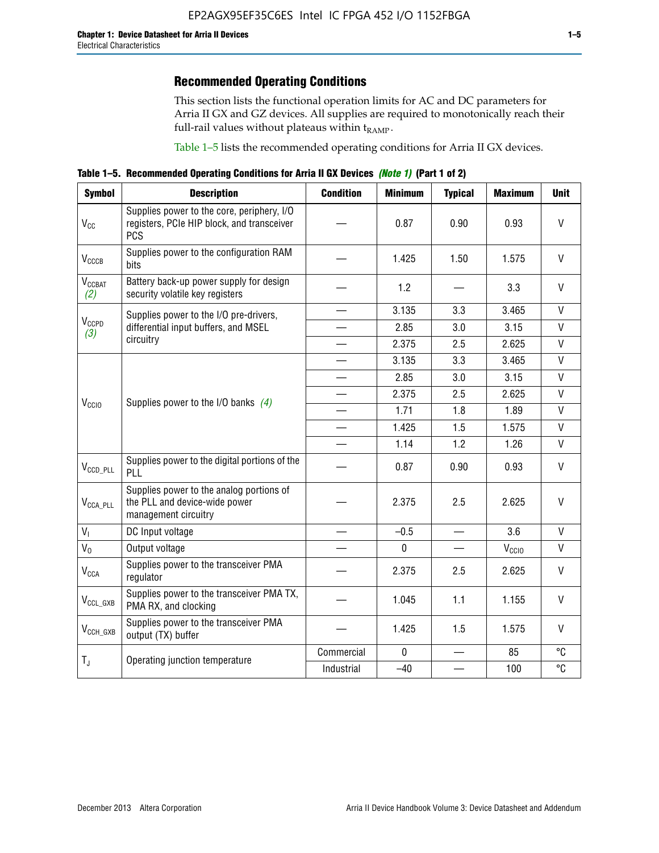# **Recommended Operating Conditions**

This section lists the functional operation limits for AC and DC parameters for Arria II GX and GZ devices. All supplies are required to monotonically reach their full-rail values without plateaus within  $t_{RAMP}$ .

Table 1–5 lists the recommended operating conditions for Arria II GX devices.

**Table 1–5. Recommended Operating Conditions for Arria II GX Devices** *(Note 1)* **(Part 1 of 2)**

| <b>Symbol</b>             | <b>Description</b>                                                                                     | <b>Condition</b>         | <b>Minimum</b> | <b>Typical</b>           | <b>Maximum</b>    | <b>Unit</b>  |
|---------------------------|--------------------------------------------------------------------------------------------------------|--------------------------|----------------|--------------------------|-------------------|--------------|
| $V_{CC}$                  | Supplies power to the core, periphery, I/O<br>registers, PCIe HIP block, and transceiver<br><b>PCS</b> |                          | 0.87           | 0.90                     | 0.93              | $\vee$       |
| $V_{CCCB}$                | Supplies power to the configuration RAM<br>bits                                                        |                          | 1.425          | 1.50                     | 1.575             | $\mathsf{V}$ |
| $V_{\text{CGBAT}}$<br>(2) | Battery back-up power supply for design<br>security volatile key registers                             |                          | 1.2            |                          | 3.3               | $\vee$       |
|                           | Supplies power to the I/O pre-drivers,                                                                 |                          | 3.135          | 3.3                      | 3.465             | $\mathsf{V}$ |
| $V_{CCPD}$<br>(3)         | differential input buffers, and MSEL                                                                   |                          | 2.85           | 3.0                      | 3.15              | V            |
|                           | circuitry                                                                                              | $\overline{\phantom{a}}$ | 2.375          | 2.5                      | 2.625             | $\mathsf{V}$ |
|                           |                                                                                                        |                          | 3.135          | 3.3                      | 3.465             | $\mathsf{V}$ |
|                           | Supplies power to the I/O banks $(4)$                                                                  |                          | 2.85           | 3.0                      | 3.15              | $\mathsf{V}$ |
| V <sub>CCIO</sub>         |                                                                                                        | $\overline{\phantom{a}}$ | 2.375          | 2.5                      | 2.625             | $\mathsf{V}$ |
|                           |                                                                                                        | $\overline{\phantom{a}}$ | 1.71           | 1.8                      | 1.89              | $\mathsf{V}$ |
|                           |                                                                                                        |                          | 1.425          | 1.5                      | 1.575             | V            |
|                           |                                                                                                        |                          | 1.14           | 1.2                      | 1.26              | $\mathsf{V}$ |
| $V_{\text{CCD\_PLL}}$     | Supplies power to the digital portions of the<br>PLL                                                   |                          | 0.87           | 0.90                     | 0.93              | $\mathsf{V}$ |
| $V_{\text{CCA\_PLL}}$     | Supplies power to the analog portions of<br>the PLL and device-wide power<br>management circuitry      |                          | 2.375          | 2.5                      | 2.625             | $\mathsf{V}$ |
| $V_{I}$                   | DC Input voltage                                                                                       |                          | $-0.5$         | $\overline{\phantom{a}}$ | 3.6               | $\mathsf{V}$ |
| $V_0$                     | Output voltage                                                                                         |                          | $\mathbf 0$    |                          | V <sub>CCIO</sub> | V            |
| $V_{CCA}$                 | Supplies power to the transceiver PMA<br>regulator                                                     |                          | 2.375          | 2.5                      | 2.625             | V            |
| $V_{CCL_GXB}$             | Supplies power to the transceiver PMA TX,<br>PMA RX, and clocking                                      |                          | 1.045          | 1.1                      | 1.155             | $\vee$       |
| $V_{\text{CCH_GXB}}$      | Supplies power to the transceiver PMA<br>output (TX) buffer                                            |                          | 1.425          | 1.5                      | 1.575             | V            |
| $T_{J}$                   | Operating junction temperature                                                                         | Commercial               | $\mathbf 0$    |                          | 85                | °C           |
|                           |                                                                                                        | Industrial               | $-40$          |                          | 100               | °C           |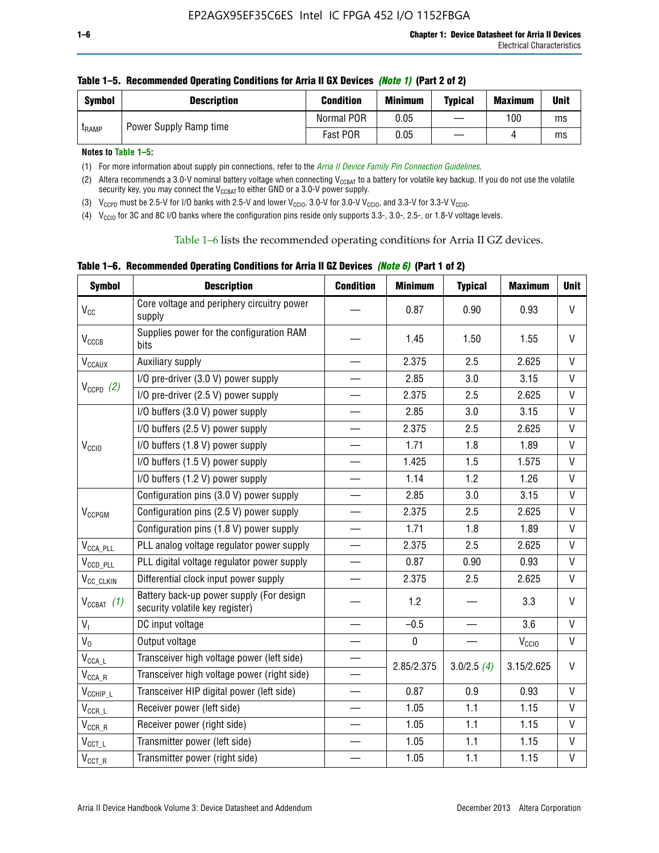| <b>Symbol</b> | <b>Description</b>     | <b>Condition</b> | <b>Minimum</b> | <b>Typical</b> | <b>Maximum</b> | <b>Unit</b> |
|---------------|------------------------|------------------|----------------|----------------|----------------|-------------|
| <b>LRAMP</b>  | Power Supply Ramp time | Normal POR       | 0.05           |                | 100            | ms          |
|               |                        | Fast POR         | 0.05           |                |                | ms          |

#### **Table 1–5. Recommended Operating Conditions for Arria II GX Devices** *(Note 1)* **(Part 2 of 2)**

**Notes to Table 1–5:** 

(1) For more information about supply pin connections, refer to the *[Arria II Device Family Pin Connection Guidelines](http://www.altera.com/literature/dp/arria-ii-gx/PCG-01007.pdf)*.

(2) Altera recommends a 3.0-V nominal battery voltage when connecting V<sub>CCBAT</sub> to a battery for volatile key backup. If you do not use the volatile security key, you may connect the  $V_{\text{CCBAT}}$  to either GND or a 3.0-V power supply.

(3)  $V_{CCPD}$  must be 2.5-V for I/O banks with 2.5-V and lower  $V_{CCIO}$ , 3.0-V for 3.0-V  $V_{CCIO}$ , and 3.3-V for 3.3-V  $V_{CCIO}$ .

(4)  $V_{\text{CCIO}}$  for 3C and 8C I/O banks where the configuration pins reside only supports 3.3-, 3.0-, 2.5-, or 1.8-V voltage levels.

Table 1–6 lists the recommended operating conditions for Arria II GZ devices.

**Table 1–6. Recommended Operating Conditions for Arria II GZ Devices** *(Note 6)* **(Part 1 of 2)**

| <b>Symbol</b>                           | <b>Description</b>                                                          | <b>Condition</b>         | <b>Minimum</b> | <b>Typical</b>           | <b>Maximum</b>    | <b>Unit</b>  |
|-----------------------------------------|-----------------------------------------------------------------------------|--------------------------|----------------|--------------------------|-------------------|--------------|
| $V_{CC}$                                | Core voltage and periphery circuitry power<br>supply                        |                          | 0.87           | 0.90                     | 0.93              | $\vee$       |
| $V_{CCCB}$                              | Supplies power for the configuration RAM<br>bits                            |                          | 1.45           | 1.50                     | 1.55              | V            |
| $\mathsf{V}_{\texttt{CCAUX}}$           | Auxiliary supply                                                            |                          | 2.375          | 2.5                      | 2.625             | V            |
|                                         | I/O pre-driver (3.0 V) power supply                                         |                          | 2.85           | 3.0                      | 3.15              | V            |
| $V_{CCPD}$ (2)                          | I/O pre-driver (2.5 V) power supply                                         |                          | 2.375          | 2.5                      | 2.625             | V            |
|                                         | I/O buffers (3.0 V) power supply                                            |                          | 2.85           | 3.0                      | 3.15              | V            |
|                                         | I/O buffers (2.5 V) power supply                                            | $\overline{\phantom{0}}$ | 2.375          | 2.5                      | 2.625             | $\mathsf{V}$ |
| V <sub>CCIO</sub>                       | I/O buffers (1.8 V) power supply                                            |                          | 1.71           | 1.8                      | 1.89              | V            |
|                                         | I/O buffers (1.5 V) power supply                                            |                          | 1.425          | 1.5                      | 1.575             | V            |
|                                         | I/O buffers (1.2 V) power supply                                            |                          | 1.14           | 1.2                      | 1.26              | $\vee$       |
|                                         | Configuration pins (3.0 V) power supply                                     |                          | 2.85           | 3.0                      | 3.15              | $\vee$       |
| V <sub>CCPGM</sub>                      | Configuration pins (2.5 V) power supply                                     | $\overline{\phantom{0}}$ | 2.375          | 2.5                      | 2.625             | V            |
|                                         | Configuration pins (1.8 V) power supply                                     |                          | 1.71           | 1.8                      | 1.89              | $\mathsf{V}$ |
| $V_{\text{CCA\_PLL}}$                   | PLL analog voltage regulator power supply                                   | $\overline{\phantom{0}}$ | 2.375          | 2.5                      | 2.625             | V            |
| $V_{CCD\_PLL}$                          | PLL digital voltage regulator power supply                                  |                          | 0.87           | 0.90                     | 0.93              | V            |
| V <sub>CC_CLKIN</sub>                   | Differential clock input power supply                                       | $\overline{\phantom{0}}$ | 2.375          | 2.5                      | 2.625             | $\mathsf{V}$ |
| $V_{CCBAT}$ (1)                         | Battery back-up power supply (For design<br>security volatile key register) |                          | 1.2            |                          | 3.3               | $\vee$       |
| $V_{I}$                                 | DC input voltage                                                            |                          | $-0.5$         | $\overline{\phantom{0}}$ | 3.6               | V            |
| $V_0$                                   | Output voltage                                                              |                          | $\pmb{0}$      |                          | V <sub>CCIO</sub> | $\mathsf{V}$ |
| $\mathsf{V}_{\mathsf{CCA}\_\mathsf{L}}$ | Transceiver high voltage power (left side)                                  |                          | 2.85/2.375     |                          | 3.15/2.625        | V            |
| $\mathsf{V}_{\mathsf{CCA\_R}}$          | Transceiver high voltage power (right side)                                 |                          |                | 3.0/2.5(4)               |                   |              |
| $V_{CCHIP\_L}$                          | Transceiver HIP digital power (left side)                                   | $\overline{\phantom{0}}$ | 0.87           | 0.9                      | 0.93              | V            |
| $V_{CCR\_L}$                            | Receiver power (left side)                                                  |                          | 1.05           | 1.1                      | 1.15              | $\mathsf{V}$ |
| $\mathsf{V}_{\mathsf{CCR\_R}}$          | Receiver power (right side)                                                 |                          | 1.05           | 1.1                      | 1.15              | $\mathsf{V}$ |
| $\mathsf{V}_{\mathsf{CCT\_L}}$          | Transmitter power (left side)                                               |                          | 1.05           | 1.1                      | 1.15              | $\mathsf{V}$ |
| $V_{CCT\_R}$                            | Transmitter power (right side)                                              |                          | 1.05           | 1.1                      | 1.15              | $\mathsf{V}$ |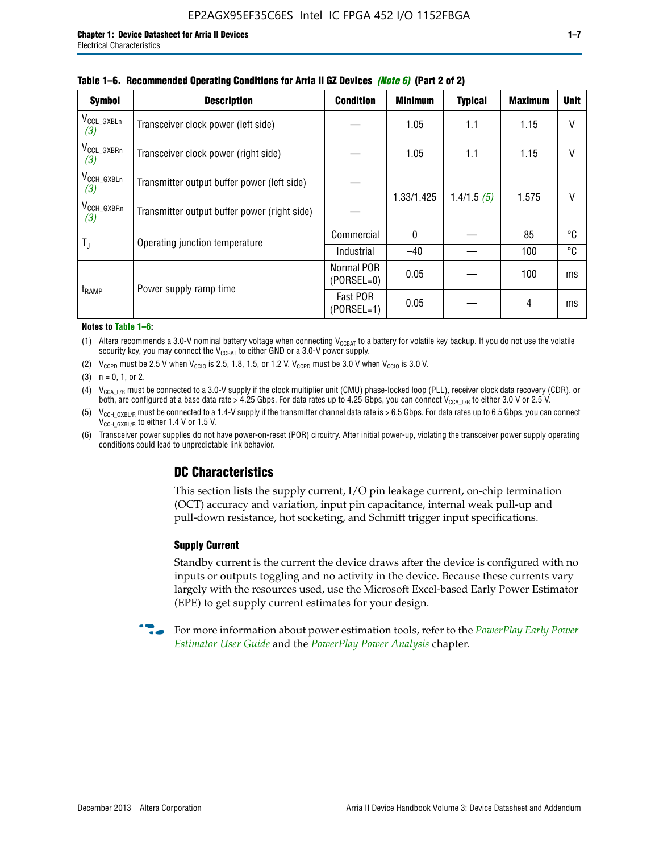| <b>Symbol</b>                 | <b>Description</b>                           | <b>Condition</b>           | <b>Minimum</b> | <b>Typical</b> | <b>Maximum</b> | <b>Unit</b> |
|-------------------------------|----------------------------------------------|----------------------------|----------------|----------------|----------------|-------------|
| $V_{CCL_GXBLn}$<br>(3)        | Transceiver clock power (left side)          |                            | 1.05           | 1.1            | 1.15           | V           |
| V <sub>CCL_GXBRn</sub><br>(3) | Transceiver clock power (right side)         |                            | 1.05           | 1.1            | 1.15           |             |
| V <sub>CCH_GXBLn</sub><br>(3) | Transmitter output buffer power (left side)  |                            | 1.33/1.425     | 1.4/1.5(5)     | 1.575          |             |
| V <sub>CCH_GXBRn</sub><br>(3) | Transmitter output buffer power (right side) |                            |                |                |                |             |
| $T_{\rm J}$                   | Operating junction temperature               | Commercial                 | 0              |                | 85             | ℃           |
|                               |                                              | Industrial                 | $-40$          |                | 100            | °C          |
| t <sub>RAMP</sub>             | Power supply ramp time                       | Normal POR<br>$(PORSEL=0)$ | 0.05           |                | 100            | ms          |
|                               |                                              | Fast POR<br>$(PORSEL=1)$   | 0.05           |                | 4              | ms          |

#### **Table 1–6. Recommended Operating Conditions for Arria II GZ Devices** *(Note 6)* **(Part 2 of 2)**

#### **Notes to Table 1–6:**

(1) Altera recommends a 3.0-V nominal battery voltage when connecting  $V_{CCBAT}$  to a battery for volatile key backup. If you do not use the volatile security key, you may connect the  $V_{\text{CCBAT}}$  to either GND or a 3.0-V power supply.

(2)  $V_{CCPD}$  must be 2.5 V when  $V_{CCIO}$  is 2.5, 1.8, 1.5, or 1.2 V.  $V_{CCPD}$  must be 3.0 V when  $V_{CCIO}$  is 3.0 V.

(3)  $n = 0, 1, or 2$ .

(4)  $V_{CCA~LR}$  must be connected to a 3.0-V supply if the clock multiplier unit (CMU) phase-locked loop (PLL), receiver clock data recovery (CDR), or both, are configured at a base data rate > 4.25 Gbps. For data rates up to 4.25 Gbps, you can connect V<sub>CCA L/R</sub> to either 3.0 V or 2.5 V.

- (5)  $V_{\text{CCH\_GXBL/R}}$  must be connected to a 1.4-V supply if the transmitter channel data rate is > 6.5 Gbps. For data rates up to 6.5 Gbps, you can connect V<sub>CCH\_GXBL/R</sub> to either 1.4 V or 1.5 V.
- (6) Transceiver power supplies do not have power-on-reset (POR) circuitry. After initial power-up, violating the transceiver power supply operating conditions could lead to unpredictable link behavior.

# **DC Characteristics**

This section lists the supply current, I/O pin leakage current, on-chip termination (OCT) accuracy and variation, input pin capacitance, internal weak pull-up and pull-down resistance, hot socketing, and Schmitt trigger input specifications.

### **Supply Current**

Standby current is the current the device draws after the device is configured with no inputs or outputs toggling and no activity in the device. Because these currents vary largely with the resources used, use the Microsoft Excel-based Early Power Estimator (EPE) to get supply current estimates for your design.

**For more information about power estimation tools, refer to the** *PowerPlay Early Power* **<b>Formation** *[Estimator User Guide](http://www.altera.com/literature/ug/ug_epe.pdf
)* and the *[PowerPlay Power Analysis](http://www.altera.com/literature/hb/qts/qts_qii53013.pdf)* chapter.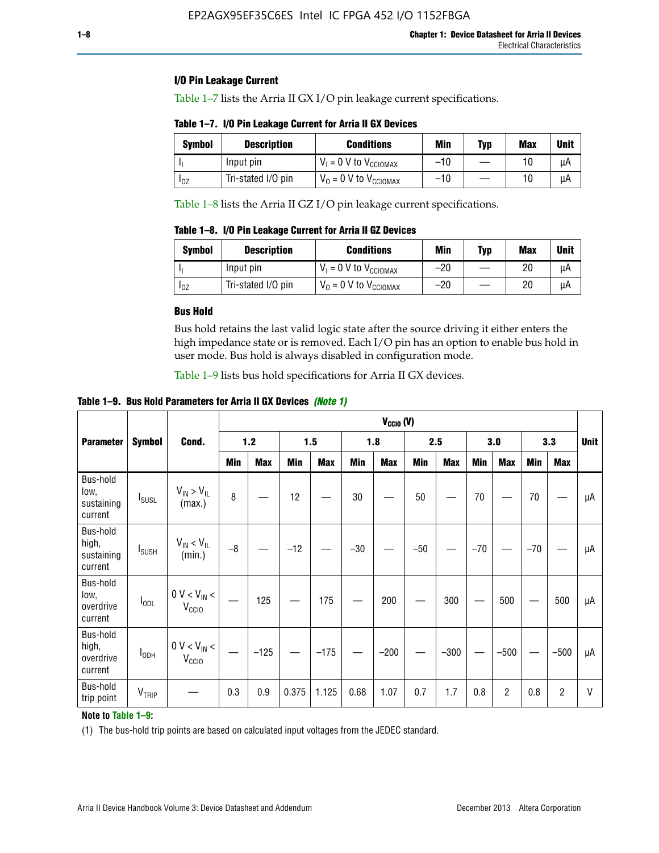### **I/O Pin Leakage Current**

Table 1–7 lists the Arria II GX I/O pin leakage current specifications.

# **Table 1–7. I/O Pin Leakage Current for Arria II GX Devices**

| Symbol   | <b>Description</b> | <b>Conditions</b>                   | <b>Min</b> | <b>Typ</b> | <b>Max</b> | <b>Unit</b> |
|----------|--------------------|-------------------------------------|------------|------------|------------|-------------|
|          | Input pin          | $V_1 = 0$ V to $V_{\text{CCIOMAX}}$ | $-10$      |            |            | uА          |
| $I_{0Z}$ | Tri-stated I/O pin | $V_0 = 0$ V to $V_{\text{CCIOMAX}}$ | $-10$      |            | 10         | uА          |

Table 1–8 lists the Arria II GZ I/O pin leakage current specifications.

**Table 1–8. I/O Pin Leakage Current for Arria II GZ Devices**

| Symbol | <b>Description</b> | <b>Conditions</b>                   | Min   | Typ | Max | Unit |
|--------|--------------------|-------------------------------------|-------|-----|-----|------|
|        | Input pin          | $V_1 = 0$ V to $V_{\text{CCIOMAX}}$ | $-20$ |     | 20  | uА   |
| 10Z    | Tri-stated I/O pin | $V_0 = 0$ V to $V_{\text{CCIOMAX}}$ | $-20$ |     | 20  | μA   |

### **Bus Hold**

Bus hold retains the last valid logic state after the source driving it either enters the high impedance state or is removed. Each I/O pin has an option to enable bus hold in user mode. Bus hold is always disabled in configuration mode.

Table 1–9 lists bus hold specifications for Arria II GX devices.

**Table 1–9. Bus Hold Parameters for Arria II GX Devices** *(Note 1)*

|                                            |                          |                                       |      | $V_{CClO}$ (V) |       |            |       |            |       |            |       |                |       |                |              |
|--------------------------------------------|--------------------------|---------------------------------------|------|----------------|-------|------------|-------|------------|-------|------------|-------|----------------|-------|----------------|--------------|
| <b>Parameter</b>                           | <b>Symbol</b>            | Cond.                                 |      | $1.2$          |       | 1.5        |       | 1.8        |       | 2.5        |       | 3.0            |       | 3.3            | <b>Unit</b>  |
|                                            |                          |                                       | Min  | <b>Max</b>     | Min   | <b>Max</b> | Min   | <b>Max</b> | Min   | <b>Max</b> | Min   | <b>Max</b>     | Min   | <b>Max</b>     |              |
| Bus-hold<br>low,<br>sustaining<br>current  | <b>I</b> <sub>SUSL</sub> | $V_{IN}$ > $V_{IL}$<br>(max.)         | 8    |                | 12    |            | 30    |            | 50    |            | 70    |                | 70    |                | μA           |
| Bus-hold<br>high,<br>sustaining<br>current | <b>I</b> <sub>SUSH</sub> | $V_{IN}$ < $V_{IL}$<br>(min.)         | $-8$ |                | $-12$ |            | $-30$ |            | $-50$ |            | $-70$ |                | $-70$ |                | μA           |
| Bus-hold<br>low,<br>overdrive<br>current   | $I_{ODL}$                | $0 V < V_{IN} <$<br>V <sub>CCIO</sub> |      | 125            |       | 175        |       | 200        |       | 300        |       | 500            |       | 500            | μA           |
| Bus-hold<br>high,<br>overdrive<br>current  | $I_{ODH}$                | $0 V < V_{IN}$ <<br>V <sub>CCIO</sub> |      | $-125$         |       | $-175$     |       | $-200$     |       | $-300$     |       | $-500$         |       | $-500$         | μA           |
| Bus-hold<br>trip point                     | V <sub>TRIP</sub>        |                                       | 0.3  | 0.9            | 0.375 | 1.125      | 0.68  | 1.07       | 0.7   | 1.7        | 0.8   | $\overline{c}$ | 0.8   | $\overline{c}$ | $\mathsf{V}$ |

### **Note to Table 1–9:**

(1) The bus-hold trip points are based on calculated input voltages from the JEDEC standard.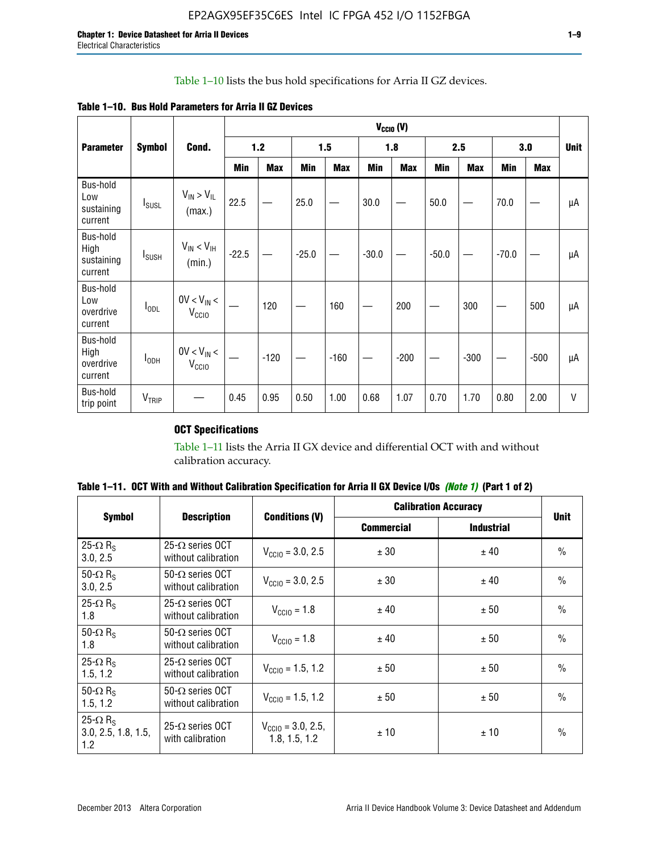# Table 1–10 lists the bus hold specifications for Arria II GZ devices.

**Table 1–10. Bus Hold Parameters for Arria II GZ Devices**

|                                           |                          |                                      |         | $V_{\text{CCIO}}(V)$ |         |            |         |            |         |            |         |            |             |
|-------------------------------------------|--------------------------|--------------------------------------|---------|----------------------|---------|------------|---------|------------|---------|------------|---------|------------|-------------|
| <b>Parameter</b>                          | <b>Symbol</b>            | Cond.                                |         | 1.2                  |         | 1.5        |         | 1.8        |         | 2.5        |         | 3.0        | <b>Unit</b> |
|                                           |                          |                                      | Min     | <b>Max</b>           | Min     | <b>Max</b> | Min     | <b>Max</b> | Min     | <b>Max</b> | Min     | <b>Max</b> |             |
| Bus-hold<br>Low<br>sustaining<br>current  | $I_{SUSL}$               | $V_{IN} > V_{IL}$<br>(max.)          | 22.5    |                      | 25.0    |            | 30.0    |            | 50.0    |            | 70.0    |            | μA          |
| Bus-hold<br>High<br>sustaining<br>current | <b>I</b> <sub>SUSH</sub> | $V_{IN}$ < $V_{IH}$<br>(min.)        | $-22.5$ |                      | $-25.0$ |            | $-30.0$ |            | $-50.0$ |            | $-70.0$ |            | μA          |
| Bus-hold<br>Low<br>overdrive<br>current   | $I_{ODL}$                | $0V < V_{IN}$<br>V <sub>CCIO</sub>   |         | 120                  |         | 160        |         | 200        |         | 300        |         | 500        | μA          |
| Bus-hold<br>High<br>overdrive<br>current  | I <sub>ODH</sub>         | $0V < V_{IN} <$<br>V <sub>CCIO</sub> |         | $-120$               |         | $-160$     |         | $-200$     |         | $-300$     |         | $-500$     | μA          |
| Bus-hold<br>trip point                    | V <sub>TRIP</sub>        |                                      | 0.45    | 0.95                 | 0.50    | 1.00       | 0.68    | 1.07       | 0.70    | 1.70       | 0.80    | 2.00       | $\vee$      |

# **OCT Specifications**

Table 1–11 lists the Arria II GX device and differential OCT with and without calibration accuracy.

| Table 1–11. OCT With and Without Calibration Specification for Arria II GX Device I/Os (Note 1) (Part 1 of 2) |  |  |  |  |  |
|---------------------------------------------------------------------------------------------------------------|--|--|--|--|--|
|---------------------------------------------------------------------------------------------------------------|--|--|--|--|--|

|                                                           |                                                 |                                                | <b>Calibration Accuracy</b> |                   |               |
|-----------------------------------------------------------|-------------------------------------------------|------------------------------------------------|-----------------------------|-------------------|---------------|
| <b>Symbol</b>                                             | <b>Description</b>                              | <b>Conditions (V)</b>                          | <b>Commercial</b>           | <b>Industrial</b> | <b>Unit</b>   |
| 25- $\Omega$ R <sub>S</sub><br>3.0, 2.5                   | 25- $\Omega$ series OCT<br>without calibration  | $V_{\text{CC10}} = 3.0, 2.5$                   | ± 30                        | ± 40              | $\frac{0}{0}$ |
| 50- $\Omega$ R <sub>s</sub><br>3.0, 2.5                   | $50-\Omega$ series OCT<br>without calibration   | $V_{\text{CC10}} = 3.0, 2.5$                   | ± 30                        | ± 40              | $\frac{0}{0}$ |
| 25- $\Omega$ R <sub>S</sub><br>1.8                        | 25- $\Omega$ series OCT<br>without calibration  | $V_{\text{CCI0}} = 1.8$                        | ± 40                        | ± 50              | $\frac{0}{0}$ |
| 50- $\Omega$ R <sub>S</sub><br>1.8                        | 50- $\Omega$ series OCT<br>without calibration  | $V_{\text{CC10}} = 1.8$                        | ± 40                        | ± 50              | $\frac{0}{0}$ |
| 25- $\Omega$ R <sub>s</sub><br>1.5, 1.2                   | 25- $\Omega$ series OCT<br>without calibration  | $V_{CCD} = 1.5, 1.2$                           | ± 50                        | ± 50              | $\frac{0}{0}$ |
| 50- $\Omega$ R <sub>s</sub><br>1.5, 1.2                   | $50 - \Omega$ series OCT<br>without calibration | $V_{\text{CC10}} = 1.5, 1.2$                   | ± 50                        | ± 50              | $\frac{0}{0}$ |
| 25- $\Omega$ R <sub>S</sub><br>3.0, 2.5, 1.8, 1.5,<br>1.2 | 25- $\Omega$ series OCT<br>with calibration     | $V_{\text{CGI0}} = 3.0, 2.5,$<br>1.8, 1.5, 1.2 | ±10                         | ±10               | $\frac{0}{0}$ |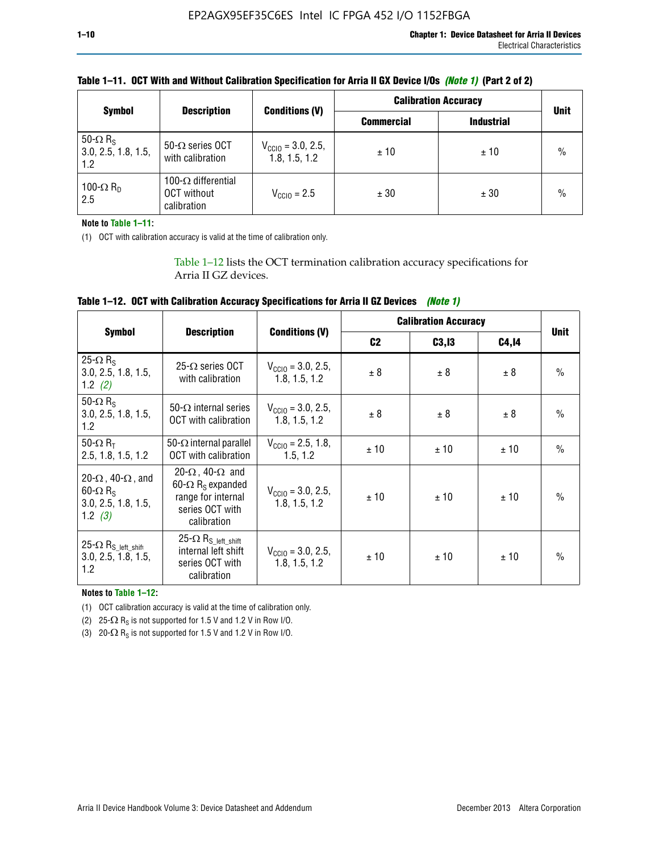|                                                           |                                                          |                                                | <b>Calibration Accuracy</b> | <b>Unit</b>       |               |
|-----------------------------------------------------------|----------------------------------------------------------|------------------------------------------------|-----------------------------|-------------------|---------------|
| <b>Symbol</b>                                             | <b>Description</b>                                       | <b>Conditions (V)</b>                          | <b>Commercial</b>           | <b>Industrial</b> |               |
| 50- $\Omega$ R <sub>S</sub><br>3.0, 2.5, 1.8, 1.5,<br>1.2 | 50- $\Omega$ series OCT<br>with calibration              | $V_{\text{CCIO}} = 3.0, 2.5,$<br>1.8, 1.5, 1.2 | ±10                         | ± 10              | $\frac{0}{0}$ |
| 100- $\Omega$ R <sub>D</sub><br>2.5                       | 100- $\Omega$ differential<br>OCT without<br>calibration | $V_{\text{CCIQ}} = 2.5$                        | ± 30                        | ± 30              | $\%$          |

# **Table 1–11. OCT With and Without Calibration Specification for Arria II GX Device I/Os** *(Note 1)* **(Part 2 of 2)**

**Note to Table 1–11:**

(1) OCT with calibration accuracy is valid at the time of calibration only.

Table 1–12 lists the OCT termination calibration accuracy specifications for Arria II GZ devices.

| Table 1–12. OCT with Calibration Accuracy Specifications for Arria II GZ Devices (Note 1) |  |  |  |
|-------------------------------------------------------------------------------------------|--|--|--|
|-------------------------------------------------------------------------------------------|--|--|--|

|                                                                                                       |                                                                                                                                 |                                                | <b>Calibration Accuracy</b> | <b>Unit</b> |       |               |
|-------------------------------------------------------------------------------------------------------|---------------------------------------------------------------------------------------------------------------------------------|------------------------------------------------|-----------------------------|-------------|-------|---------------|
| <b>Symbol</b>                                                                                         | <b>Description</b>                                                                                                              | <b>Conditions (V)</b>                          | C <sub>2</sub>              | C3, I3      | C4,14 |               |
| 25- $\Omega$ R <sub>s</sub><br>3.0, 2.5, 1.8, 1.5,<br>1.2 $(2)$                                       | $25-\Omega$ series OCT<br>with calibration                                                                                      | $V_{CGI0} = 3.0, 2.5,$<br>1.8, 1.5, 1.2        | ± 8                         | ± 8         | ± 8   | $\frac{0}{0}$ |
| 50- $\Omega$ R <sub>s</sub><br>3.0, 2.5, 1.8, 1.5,<br>1.2                                             | 50- $\Omega$ internal series<br>OCT with calibration                                                                            | $V_{\text{CC10}} = 3.0, 2.5,$<br>1.8, 1.5, 1.2 | ± 8                         | ± 8         | ± 8   | $\frac{0}{0}$ |
| 50- $\Omega$ R <sub>T</sub><br>2.5, 1.8, 1.5, 1.2                                                     | 50- $\Omega$ internal parallel<br><b>OCT</b> with calibration                                                                   | $V_{\text{CC10}} = 2.5, 1.8,$<br>1.5.1.2       | ± 10                        | ± 10        | ± 10  | $\frac{0}{0}$ |
| 20- $\Omega$ , 40- $\Omega$ , and<br>$60 - \Omega$ R <sub>S</sub><br>3.0, 2.5, 1.8, 1.5,<br>1.2 $(3)$ | 20- $\Omega$ , 40- $\Omega$ and<br>60- $\Omega$ R <sub>s</sub> expanded<br>range for internal<br>series OCT with<br>calibration | $V_{\text{CC10}} = 3.0, 2.5,$<br>1.8, 1.5, 1.2 | ± 10                        | ± 10        | ± 10  | $\frac{0}{0}$ |
| 25- $\Omega$ R <sub>S</sub> left_shift<br>3.0, 2.5, 1.8, 1.5,<br>1.2                                  | $25-\Omega R_{S\_left\_shift}$<br>internal left shift<br>series OCT with<br>calibration                                         | $V_{\text{CC10}} = 3.0, 2.5,$<br>1.8, 1.5, 1.2 | ± 10                        | ± 10        | ± 10  | $\frac{0}{0}$ |

**Notes to Table 1–12:**

(1) OCT calibration accuracy is valid at the time of calibration only.

(2) 25- $\Omega$  R<sub>S</sub> is not supported for 1.5 V and 1.2 V in Row I/O.

(3)  $20-\Omega$  R<sub>S</sub> is not supported for 1.5 V and 1.2 V in Row I/O.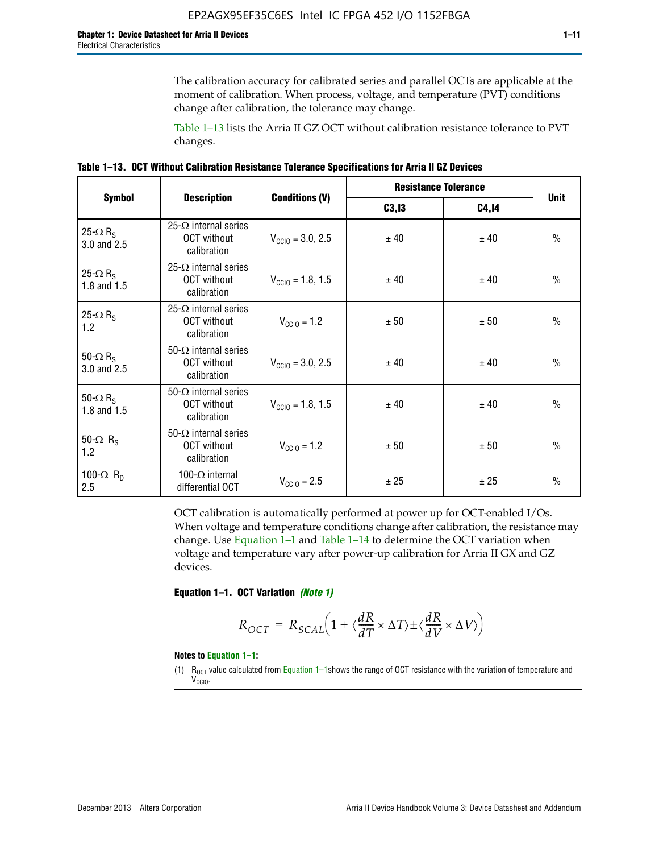The calibration accuracy for calibrated series and parallel OCTs are applicable at the moment of calibration. When process, voltage, and temperature (PVT) conditions change after calibration, the tolerance may change.

Table 1–13 lists the Arria II GZ OCT without calibration resistance tolerance to PVT changes.

|  | Table 1–13. OCT Without Calibration Resistance Tolerance Specifications for Arria II GZ Devices |  |  |  |
|--|-------------------------------------------------------------------------------------------------|--|--|--|
|--|-------------------------------------------------------------------------------------------------|--|--|--|

|                                            |                                                                   |                              | <b>Resistance Tolerance</b> |              |               |
|--------------------------------------------|-------------------------------------------------------------------|------------------------------|-----------------------------|--------------|---------------|
| <b>Symbol</b>                              | <b>Description</b>                                                | <b>Conditions (V)</b>        | C3, I3                      | <b>C4,14</b> | <b>Unit</b>   |
| 25- $\Omega$ R <sub>S</sub><br>3.0 and 2.5 | $25-\Omega$ internal series<br><b>OCT</b> without<br>calibration  | $V_{\text{CC10}} = 3.0, 2.5$ | ± 40                        | ± 40         | $\frac{0}{0}$ |
| 25- $\Omega$ R <sub>S</sub><br>1.8 and 1.5 | 25- $\Omega$ internal series<br><b>OCT</b> without<br>calibration | $V_{CGI0} = 1.8, 1.5$        | ± 40                        | ± 40         | $\frac{0}{0}$ |
| 25- $\Omega$ R <sub>S</sub><br>1.2         | 25- $\Omega$ internal series<br><b>OCT</b> without<br>calibration | $V_{\text{CC10}} = 1.2$      | ± 50                        | ± 50         | $\frac{0}{0}$ |
| 50- $\Omega$ R <sub>S</sub><br>3.0 and 2.5 | $50-\Omega$ internal series<br><b>OCT</b> without<br>calibration  | $V_{\text{CC10}} = 3.0, 2.5$ | ± 40                        | ± 40         | $\frac{0}{0}$ |
| 50- $\Omega$ R <sub>S</sub><br>1.8 and 1.5 | 50- $\Omega$ internal series<br><b>OCT</b> without<br>calibration | $V_{\text{CC10}} = 1.8, 1.5$ | ± 40                        | ± 40         | $\frac{0}{0}$ |
| 50- $\Omega$ R <sub>s</sub><br>1.2         | 50- $\Omega$ internal series<br><b>OCT</b> without<br>calibration | $V_{\text{CC10}} = 1.2$      | ± 50                        | ± 50         | $\frac{0}{0}$ |
| 100- $\Omega$ R <sub>D</sub><br>2.5        | 100- $\Omega$ internal<br>differential OCT                        | $V_{\text{CC10}} = 2.5$      | ± 25                        | ± 25         | $\frac{0}{0}$ |

OCT calibration is automatically performed at power up for OCT-enabled I/Os. When voltage and temperature conditions change after calibration, the resistance may change. Use Equation 1–1 and Table 1–14 to determine the OCT variation when voltage and temperature vary after power-up calibration for Arria II GX and GZ devices.

**Equation 1–1. OCT Variation** *(Note 1)*

$$
R_{OCT} = R_{SCAL} \Big( 1 + \langle \frac{dR}{dT} \times \Delta T \rangle \pm \langle \frac{dR}{dV} \times \Delta V \rangle \Big)
$$

#### **Notes to Equation 1–1:**

(1)  $R_{OCT}$  value calculated from Equation 1–1shows the range of OCT resistance with the variation of temperature and V<sub>CCIO</sub>.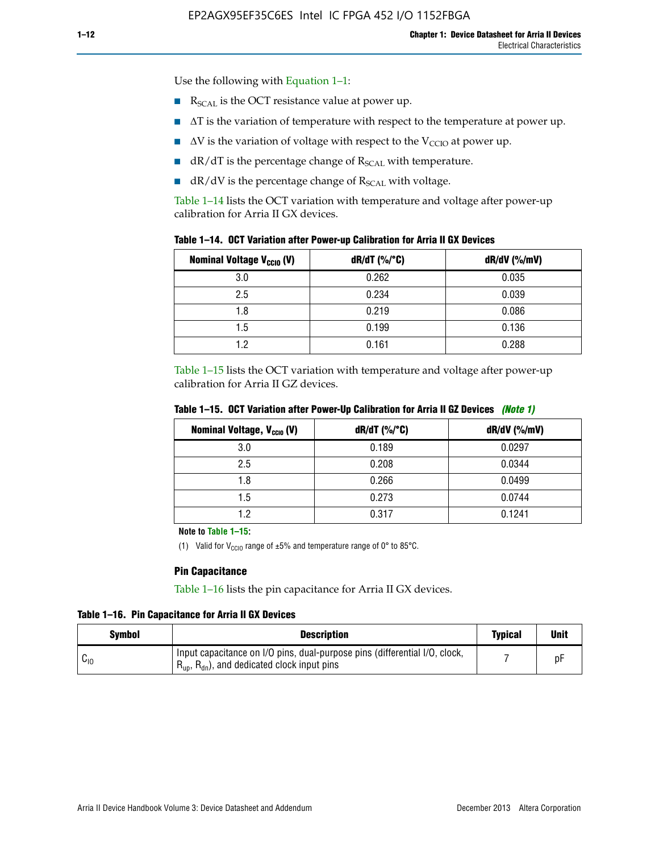$\blacksquare$  R<sub>SCAL</sub> is the OCT resistance value at power up.

Use the following with Equation 1–1:

- $\blacksquare$   $\Delta T$  is the variation of temperature with respect to the temperature at power up.
- $\blacksquare$   $\Delta V$  is the variation of voltage with respect to the V<sub>CCIO</sub> at power up.
- $\blacksquare$  dR/dT is the percentage change of  $R_{\text{SCAL}}$  with temperature.
- $\blacksquare$  dR/dV is the percentage change of R<sub>SCAL</sub> with voltage.

Table 1–14 lists the OCT variation with temperature and voltage after power-up calibration for Arria II GX devices.

|  |  |  |  |  |  |  |  | Table 1–14. OCT Variation after Power-up Calibration for Arria II GX Devices |  |
|--|--|--|--|--|--|--|--|------------------------------------------------------------------------------|--|
|--|--|--|--|--|--|--|--|------------------------------------------------------------------------------|--|

| <b>Nominal Voltage V<sub>CCIO</sub> (V)</b> | $dR/dT$ (%/°C) | $dR/dV$ (%/mV) |
|---------------------------------------------|----------------|----------------|
| 3.0                                         | 0.262          | 0.035          |
| 2.5                                         | 0.234          | 0.039          |
| 1.8                                         | 0.219          | 0.086          |
| 1.5                                         | 0.199          | 0.136          |
| 1.2                                         | 0.161          | 0.288          |

Table 1–15 lists the OCT variation with temperature and voltage after power-up calibration for Arria II GZ devices.

| <b>Nominal Voltage, V<sub>ccio</sub> (V)</b> | $dR/dT$ (%/°C) | dR/dV (%/mV) |
|----------------------------------------------|----------------|--------------|
| 3.0                                          | 0.189          | 0.0297       |
| 2.5                                          | 0.208          | 0.0344       |
| 1.8                                          | 0.266          | 0.0499       |
| 1.5                                          | 0.273          | 0.0744       |
| 19                                           | 0.317          | 0.1241       |

**Table 1–15. OCT Variation after Power-Up Calibration for Arria II GZ Devices** *(Note 1)*

**Note to Table 1–15:**

(1) Valid for V<sub>CCIO</sub> range of  $\pm 5\%$  and temperature range of 0° to 85°C.

#### **Pin Capacitance**

Table 1–16 lists the pin capacitance for Arria II GX devices.

**Table 1–16. Pin Capacitance for Arria II GX Devices**

| Symbol   | <b>Description</b>                                                                                                                               | <b>Typical</b> | <b>Unit</b> |
|----------|--------------------------------------------------------------------------------------------------------------------------------------------------|----------------|-------------|
| $v_{10}$ | Input capacitance on I/O pins, dual-purpose pins (differential I/O, clock,<br>$R_{\text{up}}$ , $R_{\text{dn}}$ , and dedicated clock input pins |                | D۲          |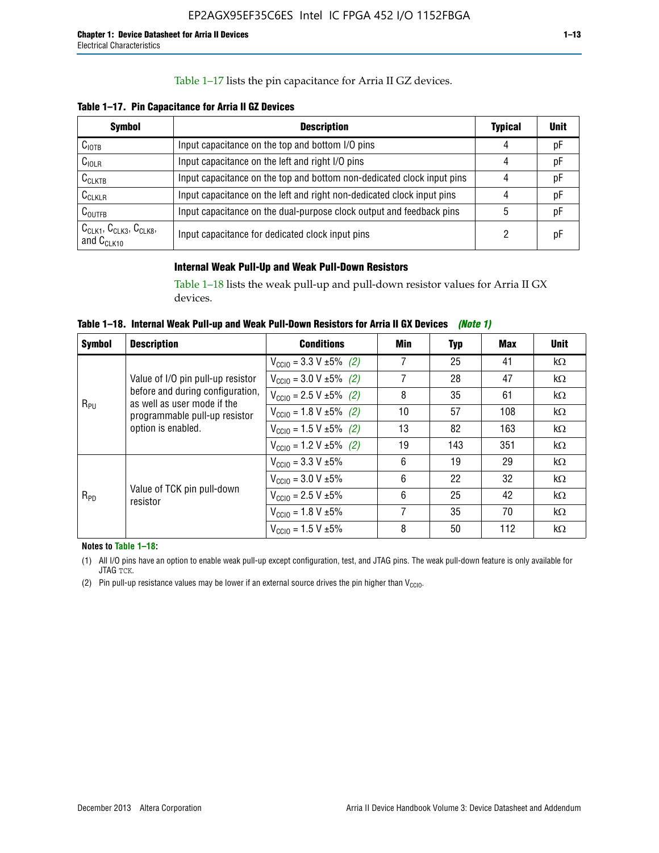### Table 1–17 lists the pin capacitance for Arria II GZ devices.

**Table 1–17. Pin Capacitance for Arria II GZ Devices** 

| <b>Symbol</b>                                    | <b>Description</b>                                                     | <b>Typical</b> | <b>Unit</b> |
|--------------------------------------------------|------------------------------------------------------------------------|----------------|-------------|
| $C_{\text{IOTB}}$                                | Input capacitance on the top and bottom I/O pins                       | 4              | pF          |
| C <sub>IOLR</sub>                                | Input capacitance on the left and right I/O pins                       | 4              | pF          |
| $C_{CLKTB}$                                      | Input capacitance on the top and bottom non-dedicated clock input pins |                | рF          |
| $C_{CLKLR}$                                      | Input capacitance on the left and right non-dedicated clock input pins |                | pF          |
| $C_{\text{OUTFB}}$                               | Input capacitance on the dual-purpose clock output and feedback pins   | 5              | pF          |
| $CCLK1$ , $CCLK3$ , $CCLK8$ ,<br>and $C_{CLK10}$ | Input capacitance for dedicated clock input pins                       |                | рF          |

### **Internal Weak Pull-Up and Weak Pull-Down Resistors**

Table 1–18 lists the weak pull-up and pull-down resistor values for Arria II GX devices.

**Table 1–18. Internal Weak Pull-up and Weak Pull-Down Resistors for Arria II GX Devices** *(Note 1)* 

| <b>Symbol</b> | <b>Description</b>                                              | <b>Conditions</b>                              | Min | Typ | Max | <b>Unit</b> |
|---------------|-----------------------------------------------------------------|------------------------------------------------|-----|-----|-----|-------------|
|               |                                                                 | $V_{\text{CC10}} = 3.3 \text{ V} \pm 5\%$ (2)  | 7   | 25  | 41  | $k\Omega$   |
| $R_{PU}$      | Value of I/O pin pull-up resistor                               | $V_{\text{CC10}} = 3.0 \text{ V} \pm 5\%$ (2)  | 7   | 28  | 47  | $k\Omega$   |
|               | before and during configuration,<br>as well as user mode if the | $V_{\text{CC10}} = 2.5 V \pm 5\% (2)$          | 8   | 35  | 61  | $k\Omega$   |
|               | programmable pull-up resistor<br>option is enabled.             | $V_{\text{CC10}} = 1.8 \text{ V } \pm 5\%$ (2) | 10  | 57  | 108 | $k\Omega$   |
|               |                                                                 | $V_{\text{CC10}} = 1.5 \text{ V} \pm 5\%$ (2)  | 13  | 82  | 163 | $k\Omega$   |
|               |                                                                 | $V_{\text{CC10}} = 1.2 V \pm 5\%$ (2)          | 19  | 143 | 351 | $k\Omega$   |
|               |                                                                 | $V_{\text{CC10}} = 3.3 V \pm 5\%$              | 6   | 19  | 29  | $k\Omega$   |
|               |                                                                 | $V_{\text{CC10}} = 3.0 V \pm 5\%$              | 6   | 22  | 32  | $k\Omega$   |
| $R_{PD}$      | Value of TCK pin pull-down<br>resistor                          | $V_{\text{CC10}} = 2.5 V \pm 5\%$              | 6   | 25  | 42  | $k\Omega$   |
|               |                                                                 | $V_{\text{CC10}} = 1.8 V \pm 5\%$              | 7   | 35  | 70  | kΩ          |
|               |                                                                 | $V_{\text{CC10}} = 1.5 V \pm 5\%$              | 8   | 50  | 112 | $k\Omega$   |

**Notes to Table 1–18:**

(1) All I/O pins have an option to enable weak pull-up except configuration, test, and JTAG pins. The weak pull-down feature is only available for JTAG TCK.

(2) Pin pull-up resistance values may be lower if an external source drives the pin higher than  $V_{\text{CCIO}}$ .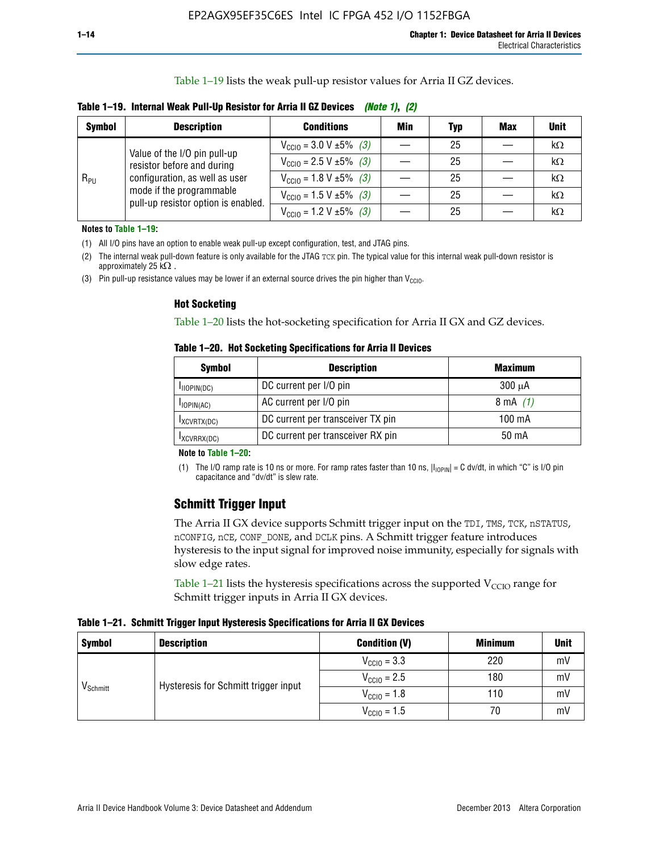Table 1–19 lists the weak pull-up resistor values for Arria II GZ devices.

| Table 1–19. Internal Weak Pull-Up Resistor for Arria II GZ Devices (Note 1), (2) |  |
|----------------------------------------------------------------------------------|--|
|                                                                                  |  |

| <b>Symbol</b> | <b>Description</b>                                                                                                              | <b>Conditions</b>                              | Min | <b>Typ</b> | <b>Max</b> | <b>Unit</b> |
|---------------|---------------------------------------------------------------------------------------------------------------------------------|------------------------------------------------|-----|------------|------------|-------------|
|               | Value of the I/O pin pull-up                                                                                                    | $V_{\text{CC10}} = 3.0 V \pm 5\%$ (3)          |     | 25         |            | kΩ          |
| $R_{PU}$      | resistor before and during<br>configuration, as well as user<br>mode if the programmable<br>pull-up resistor option is enabled. | $V_{\text{CC10}} = 2.5 V \pm 5\%$ (3)          |     | 25         |            | kΩ          |
|               |                                                                                                                                 | $V_{\text{CC10}} = 1.8 \text{ V} \pm 5\%$ (3)  |     | 25         |            | kΩ          |
|               |                                                                                                                                 | $V_{\text{CC10}} = 1.5 \text{ V} \pm 5\%$ (3)  |     | 25         |            | $k\Omega$   |
|               |                                                                                                                                 | $V_{\text{CC10}} = 1.2 \text{ V } \pm 5\%$ (3) |     | 25         |            | kΩ          |

**Notes to Table 1–19:**

(1) All I/O pins have an option to enable weak pull-up except configuration, test, and JTAG pins.

(2) The internal weak pull-down feature is only available for the JTAG TCK pin. The typical value for this internal weak pull-down resistor is approximately 25 k $\Omega$ .

(3) Pin pull-up resistance values may be lower if an external source drives the pin higher than  $V_{\text{CCIO}}$ .

#### **Hot Socketing**

Table 1–20 lists the hot-socketing specification for Arria II GX and GZ devices.

**Table 1–20. Hot Socketing Specifications for Arria II Devices** 

| Symbol        | <b>Description</b>                | <b>Maximum</b> |
|---------------|-----------------------------------|----------------|
| IIOPIN(DC)    | DC current per I/O pin            | $300 \mu A$    |
| $I$ IOPIN(AC) | AC current per I/O pin            | 8 mA $(1)$     |
| IXCVRTX(DC)   | DC current per transceiver TX pin | 100 mA         |
| IXCVRRX(DC)   | DC current per transceiver RX pin | 50 mA          |

#### **Note to Table 1–20:**

(1) The I/O ramp rate is 10 ns or more. For ramp rates faster than 10 ns,  $|I_{10\text{PIN}}| = C$  dv/dt, in which "C" is I/O pin capacitance and "dv/dt" is slew rate.

# **Schmitt Trigger Input**

The Arria II GX device supports Schmitt trigger input on the TDI, TMS, TCK, nSTATUS, nCONFIG, nCE, CONF\_DONE, and DCLK pins. A Schmitt trigger feature introduces hysteresis to the input signal for improved noise immunity, especially for signals with slow edge rates.

Table 1–21 lists the hysteresis specifications across the supported  $V<sub>CCIO</sub>$  range for Schmitt trigger inputs in Arria II GX devices.

**Table 1–21. Schmitt Trigger Input Hysteresis Specifications for Arria II GX Devices**

| <b>Symbol</b>        | <b>Description</b>                   | <b>Condition (V)</b>    | <b>Minimum</b> | <b>Unit</b> |
|----------------------|--------------------------------------|-------------------------|----------------|-------------|
|                      |                                      | $V_{\text{CGI0}} = 3.3$ | 220            | mV          |
|                      | Hysteresis for Schmitt trigger input | $V_{\text{CCIO}} = 2.5$ | 180            | mV          |
| V <sub>Schmitt</sub> |                                      | $V_{\text{CCIO}} = 1.8$ | 110            | mV          |
|                      |                                      | $V_{\text{CCIO}} = 1.5$ | 70             | mV          |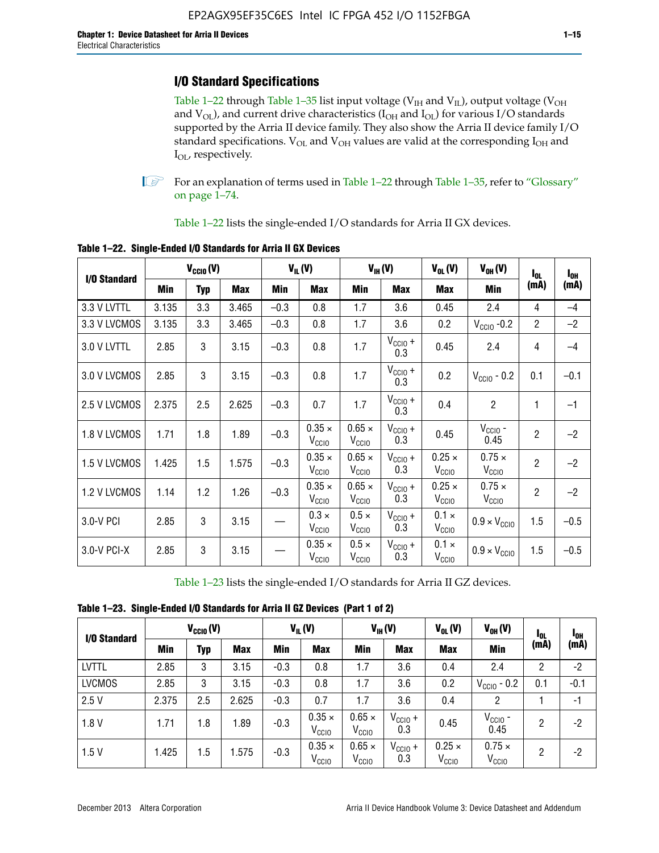# **I/O Standard Specifications**

Table 1–22 through Table 1–35 list input voltage ( $V_{IH}$  and  $V_{IL}$ ), output voltage ( $V_{OH}$ and  $V_{OL}$ ), and current drive characteristics ( $I_{OH}$  and  $I_{OL}$ ) for various I/O standards supported by the Arria II device family. They also show the Arria II device family I/O standard specifications.  $V_{OL}$  and  $V_{OH}$  values are valid at the corresponding  $I_{OH}$  and I<sub>OL</sub>, respectively.

**1.** For an explanation of terms used in Table 1–22 through Table 1–35, refer to "Glossary" on page 1–74.

Table 1–22 lists the single-ended I/O standards for Arria II GX devices.

| I/O Standard | $V_{\text{CCIO}}(V)$ |            | $V_{IL}(V)$ |        | $V_{\text{IH}}(V)$                 |                                    | $V_{OL}(V)$                | $V_{OH} (V)$                       | $I_{0L}$                           | $I_{0H}$       |        |
|--------------|----------------------|------------|-------------|--------|------------------------------------|------------------------------------|----------------------------|------------------------------------|------------------------------------|----------------|--------|
|              | Min                  | <b>Typ</b> | Max         | Min    | <b>Max</b>                         | Min                                | <b>Max</b>                 | <b>Max</b>                         | Min                                | (mA)           | (mA)   |
| 3.3 V LVTTL  | 3.135                | 3.3        | 3.465       | $-0.3$ | 0.8                                | 1.7                                | 3.6                        | 0.45                               | 2.4                                | 4              | $-4$   |
| 3.3 V LVCMOS | 3.135                | 3.3        | 3.465       | $-0.3$ | 0.8                                | 1.7                                | 3.6                        | 0.2                                | $V_{\text{CCIO}}$ -0.2             | $\overline{2}$ | $-2$   |
| 3.0 V LVTTL  | 2.85                 | 3          | 3.15        | $-0.3$ | 0.8                                | 1.7                                | $V_{CCIO} +$<br>0.3        | 0.45                               | 2.4                                | 4              | $-4$   |
| 3.0 V LVCMOS | 2.85                 | 3          | 3.15        | $-0.3$ | 0.8                                | 1.7                                | $V_{\text{CCIO}} +$<br>0.3 | 0.2                                | $V_{\rm CClO}$ - 0.2               | 0.1            | $-0.1$ |
| 2.5 V LVCMOS | 2.375                | 2.5        | 2.625       | $-0.3$ | 0.7                                | 1.7                                | $V_{\text{CCIO}} +$<br>0.3 | 0.4                                | $\overline{2}$                     | 1              | $-1$   |
| 1.8 V LVCMOS | 1.71                 | 1.8        | 1.89        | $-0.3$ | $0.35 \times$<br>$V_{\rm CClO}$    | $0.65 \times$<br>$V_{\rm CClO}$    | $V_{CC10} +$<br>0.3        | 0.45                               | $V_{\text{CCIO}}$ -<br>0.45        | $\overline{2}$ | $-2$   |
| 1.5 V LVCMOS | 1.425                | 1.5        | 1.575       | $-0.3$ | $0.35 \times$<br>V <sub>CCIO</sub> | $0.65 \times$<br>V <sub>CCIO</sub> | $V_{CCIO} +$<br>0.3        | $0.25 \times$<br>V <sub>CCIO</sub> | $0.75 \times$<br>V <sub>CCIO</sub> | $\overline{2}$ | $-2$   |
| 1.2 V LVCMOS | 1.14                 | 1.2        | 1.26        | $-0.3$ | $0.35 \times$<br>V <sub>CCIO</sub> | $0.65 \times$<br>V <sub>CCIO</sub> | $V_{CC10} +$<br>0.3        | $0.25 \times$<br>V <sub>CCIO</sub> | $0.75 \times$<br>V <sub>CCIO</sub> | $\overline{2}$ | $-2$   |
| 3.0-V PCI    | 2.85                 | 3          | 3.15        |        | $0.3 \times$<br>$V_{\rm CClO}$     | $0.5 \times$<br>V <sub>CCIO</sub>  | $V_{CCIO} +$<br>0.3        | $0.1 \times$<br>V <sub>CCIO</sub>  | $0.9 \times V_{\text{CC10}}$       | 1.5            | $-0.5$ |
| 3.0-V PCI-X  | 2.85                 | 3          | 3.15        |        | $0.35 \times$<br>V <sub>CCIO</sub> | $0.5 \times$<br>$V_{\rm CClO}$     | $V_{CCIO} +$<br>0.3        | $0.1 \times$<br>V <sub>CCIO</sub>  | $0.9 \times V_{\text{CC10}}$       | 1.5            | $-0.5$ |

**Table 1–22. Single-Ended I/O Standards for Arria II GX Devices**

Table 1–23 lists the single-ended I/O standards for Arria II GZ devices.

|  |  |  | Table 1-23. Single-Ended I/O Standards for Arria II GZ Devices (Part 1 of 2) |  |
|--|--|--|------------------------------------------------------------------------------|--|
|--|--|--|------------------------------------------------------------------------------|--|

|               | $V_{CCl0}(V)$ |     | $V_{IL}(V)$ |            | $V_{IH} (V)$                       |                                    | $V_{OL}(V)$                | $V_{OH} (V)$                       | <b>I</b> OL                        | <sup>1</sup> OH |        |
|---------------|---------------|-----|-------------|------------|------------------------------------|------------------------------------|----------------------------|------------------------------------|------------------------------------|-----------------|--------|
| I/O Standard  | Min           | Typ | <b>Max</b>  | <b>Min</b> | <b>Max</b>                         | Min                                | <b>Max</b>                 | <b>Max</b>                         | Min                                | (mA)            | (mA)   |
| <b>LVTTL</b>  | 2.85          | 3   | 3.15        | $-0.3$     | 0.8                                | 1.7                                | 3.6                        | 0.4                                | 2.4                                | 2               | $-2$   |
| <b>LVCMOS</b> | 2.85          | 3   | 3.15        | $-0.3$     | 0.8                                | 1.7                                | 3.6                        | 0.2                                | $V_{\text{CCIO}}$ - 0.2            | 0.1             | $-0.1$ |
| 2.5V          | 2.375         | 2.5 | 2.625       | $-0.3$     | 0.7                                | 1.7                                | 3.6                        | 0.4                                | 2                                  |                 | $-1$   |
| 1.8V          | 1.71          | 1.8 | 1.89        | $-0.3$     | $0.35 \times$<br>V <sub>CCIO</sub> | $0.65 \times$<br>$V_{\rm CClO}$    | $V_{\text{CC1O}} +$<br>0.3 | 0.45                               | $V_{CGIO}$ -<br>0.45               | 2               | -2     |
| 1.5V          | 1.425         | 1.5 | .575        | $-0.3$     | $0.35 \times$<br>V <sub>CCIO</sub> | $0.65 \times$<br>V <sub>CCIO</sub> | $V_{\text{CC1O}} +$<br>0.3 | $0.25 \times$<br>V <sub>CCIO</sub> | $0.75 \times$<br>V <sub>CCIO</sub> | 2               | -2     |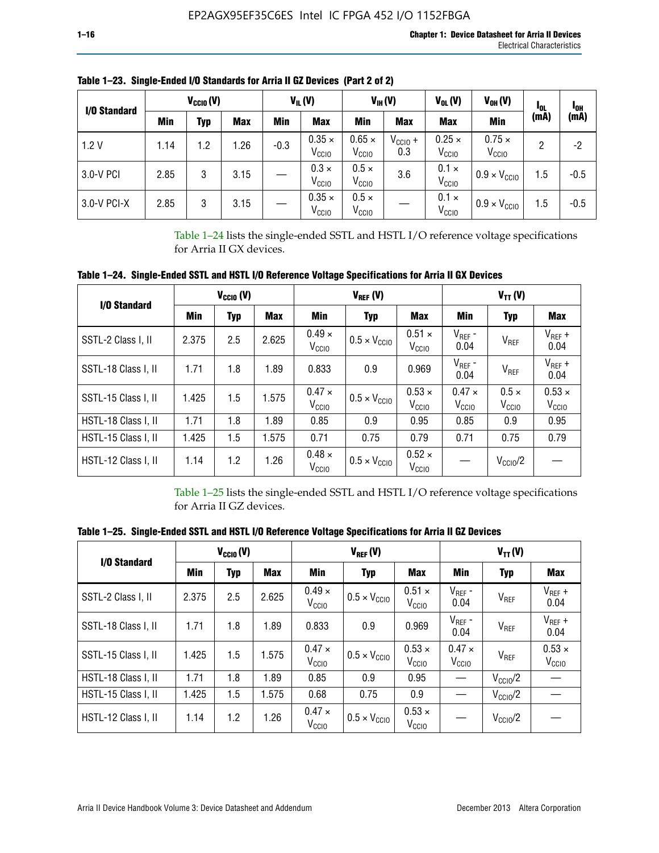| I/O Standard | $V_{CClO}(V)$ |     | $V_{IL}(V)$ |        | $V_{IH} (V)$                       |                                    | $V_{OL}(V)$                | $V_{OH} (V)$                       | <b>I</b> OL                        | <sup>1</sup> OH |        |
|--------------|---------------|-----|-------------|--------|------------------------------------|------------------------------------|----------------------------|------------------------------------|------------------------------------|-----------------|--------|
|              | Min           | Typ | <b>Max</b>  | Min    | <b>Max</b>                         | Min                                | <b>Max</b>                 | <b>Max</b>                         | <b>Min</b>                         | (mA)            | (mA)   |
| 1.2V         | 1.14          | 1.2 | 1.26        | $-0.3$ | $0.35 \times$<br>V <sub>CCIO</sub> | $0.65 \times$<br>V <sub>CCIO</sub> | $V_{\text{CC1O}} +$<br>0.3 | $0.25 \times$<br>V <sub>CCIO</sub> | $0.75 \times$<br>V <sub>CCIO</sub> | 2               | -2     |
| 3.0-V PCI    | 2.85          | 3   | 3.15        |        | $0.3 \times$<br>V <sub>CCIO</sub>  | $0.5 \times$<br>V <sub>CCIO</sub>  | 3.6                        | $0.1 \times$<br>V <sub>CCIO</sub>  | $0.9 \times V_{\text{CC10}}$       | 1.5             | $-0.5$ |
| 3.0-V PCI-X  | 2.85          | 3   | 3.15        |        | $0.35 \times$<br>V <sub>CCIO</sub> | $0.5 \times$<br>V <sub>CCIO</sub>  |                            | $0.1 \times$<br>V <sub>CCIO</sub>  | $0.9 \times V_{\text{CC10}}$       | 1.5             | $-0.5$ |

**Table 1–23. Single-Ended I/O Standards for Arria II GZ Devices (Part 2 of 2)**

Table 1–24 lists the single-ended SSTL and HSTL I/O reference voltage specifications for Arria II GX devices.

**Table 1–24. Single-Ended SSTL and HSTL I/O Reference Voltage Specifications for Arria II GX Devices**

| I/O Standard        |       | $V_{\text{CCIO}}(V)$ |                                            |                                   | $V_{REF}(V)$                 |                                    |                                 | $V_{TT} (V)$                      |                                    |
|---------------------|-------|----------------------|--------------------------------------------|-----------------------------------|------------------------------|------------------------------------|---------------------------------|-----------------------------------|------------------------------------|
|                     | Min   | <b>Typ</b>           | <b>Max</b>                                 | Min                               | <b>Typ</b>                   | Max                                | Min                             | <b>Typ</b>                        | <b>Max</b>                         |
| SSTL-2 Class I, II  | 2.375 | 2.5                  | 2.625                                      | $0.49 \times$<br>V <sub>CCD</sub> | $0.5 \times V_{\text{CCIO}}$ | $0.51 \times$<br>V <sub>CCIO</sub> | $V_{REF}$ -<br>0.04             | $V_{REF}$                         | $V_{REF}$ +<br>0.04                |
| SSTL-18 Class I, II | 1.71  | 1.8                  | 1.89                                       | 0.833                             | 0.9                          | 0.969                              | $V_{REF}$ -<br>0.04             | $V_{REF}$                         | $V_{REF}$ +<br>0.04                |
| SSTL-15 Class I, II | 1.425 | 1.5                  | 1.575                                      | $0.47 \times$<br>V <sub>CCD</sub> | $0.5 \times V_{\text{CC10}}$ | $0.53 \times$<br>V <sub>CCIO</sub> | $0.47 \times$<br>$V_{\rm CClO}$ | $0.5 \times$<br>V <sub>CCIO</sub> | $0.53 \times$<br>V <sub>CCIO</sub> |
| HSTL-18 Class I, II | 1.71  | 1.8                  | 1.89                                       | 0.85                              | 0.9                          | 0.95                               | 0.85                            | 0.9                               | 0.95                               |
| HSTL-15 Class I, II | 1.425 | 1.5                  | 1.575                                      | 0.71                              | 0.75                         | 0.79                               | 0.71                            | 0.75                              | 0.79                               |
| HSTL-12 Class I, II | 1.14  | 1.2                  | $0.48 \times$<br>1.26<br>V <sub>CCIO</sub> |                                   | $0.5 \times V_{\text{CC10}}$ | $0.52 \times$<br>V <sub>CCIO</sub> |                                 | $V_{\text{CClO}}/2$               |                                    |

Table 1–25 lists the single-ended SSTL and HSTL I/O reference voltage specifications for Arria II GZ devices.

**Table 1–25. Single-Ended SSTL and HSTL I/O Reference Voltage Specifications for Arria II GZ Devices** 

| I/O Standard        |       | $V_{\text{CCIO}}(V)$ |            |                                    | $V_{REF}(V)$                 |                                    |                                   | $V_{TT}(V)$         |                                    |
|---------------------|-------|----------------------|------------|------------------------------------|------------------------------|------------------------------------|-----------------------------------|---------------------|------------------------------------|
|                     | Min   | <b>Typ</b>           | <b>Max</b> | Min                                | Typ                          | <b>Max</b>                         | Min                               | Typ                 | Max                                |
| SSTL-2 Class I, II  | 2.375 | 2.5                  | 2.625      | $0.49 \times$<br>V <sub>CCIO</sub> | $0.5 \times V_{\text{CC10}}$ | $0.51 \times$<br>V <sub>CCIO</sub> | $V_{REF}$ -<br>0.04               | V <sub>REF</sub>    | $V_{REF}$ +<br>0.04                |
| SSTL-18 Class I, II | 1.71  | 1.8                  | 1.89       | 0.833                              | 0.9                          | 0.969                              | $V_{REF}$ -<br>0.04               | V <sub>REF</sub>    | $V_{REF}$ +<br>0.04                |
| SSTL-15 Class I, II | 1.425 | 1.5                  | 1.575      | $0.47 \times$<br>V <sub>CCIO</sub> | $0.5 \times V_{\text{CC10}}$ | $0.53 \times$<br>V <sub>CCIO</sub> | $0.47 \times$<br>V <sub>CCD</sub> | V <sub>REF</sub>    | $0.53 \times$<br>V <sub>CCIO</sub> |
| HSTL-18 Class I, II | 1.71  | 1.8                  | 1.89       | 0.85                               | 0.9                          | 0.95                               |                                   | $V_{\text{CC10}}/2$ |                                    |
| HSTL-15 Class I, II | 1.425 | 1.5                  | 1.575      | 0.68                               | 0.75                         | 0.9                                |                                   | $V_{\rm CC10}$ /2   |                                    |
| HSTL-12 Class I, II | 1.14  | 1.2                  | 1.26       | $0.47 \times$<br>V <sub>CCIO</sub> | $0.5 \times V_{\text{CC10}}$ | $0.53 \times$<br>V <sub>CCIO</sub> |                                   | $V_{\text{CC10}}/2$ |                                    |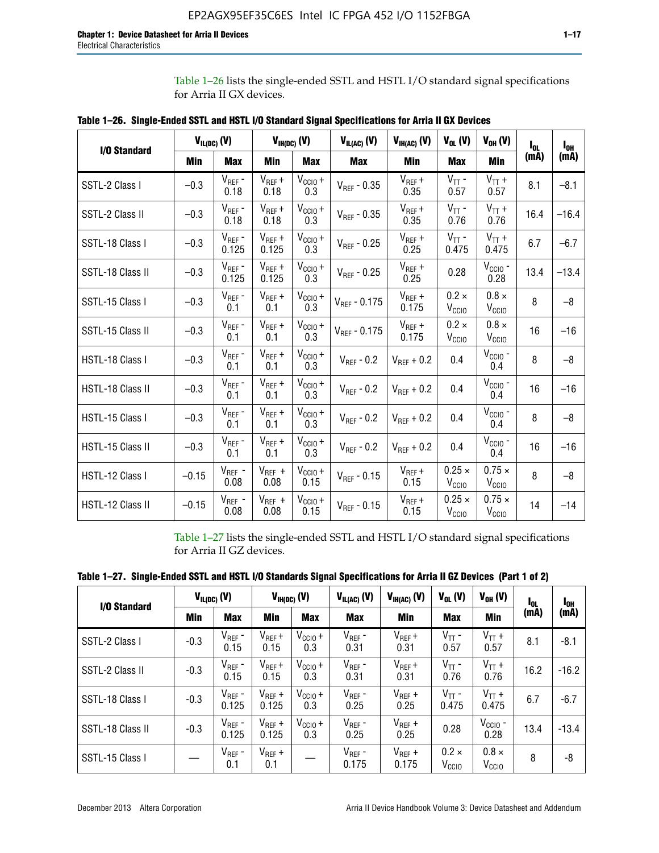Table 1–26 lists the single-ended SSTL and HSTL I/O standard signal specifications for Arria II GX devices.

| <b>I/O Standard</b> | $V_{IL(DC)}(V)$ |                        |                      | $V_{IH(DC)}(V)$             | $V_{IL(AC)}(V)$   | $V_{IH(AC)}$ (V)     | $V_{OL}$ (V)                       | $V_{OH} (V)$                       | l <sub>ol.</sub> | $I_{0H}$ |
|---------------------|-----------------|------------------------|----------------------|-----------------------------|-------------------|----------------------|------------------------------------|------------------------------------|------------------|----------|
|                     | Min             | <b>Max</b>             | Min                  | <b>Max</b>                  | <b>Max</b>        | Min                  | <b>Max</b>                         | <b>Min</b>                         | (mA)             | (mA)     |
| SSTL-2 Class I      | $-0.3$          | $V_{REF}$ -<br>0.18    | $V_{REF} +$<br>0.18  | $V_{\text{CCIO}} +$<br>0.3  | $V_{REF}$ - 0.35  | $V_{REF} +$<br>0.35  | $V_{TT}$ -<br>0.57                 | $V_{TT}$ +<br>0.57                 | 8.1              | $-8.1$   |
| SSTL-2 Class II     | $-0.3$          | $V_{REF}$ -<br>0.18    | $V_{REF} +$<br>0.18  | $V_{CCIO} +$<br>0.3         | $V_{REF} - 0.35$  | $V_{REF} +$<br>0.35  | $V_{TT}$ -<br>0.76                 | $V_{TT}$ +<br>0.76                 | 16.4             | $-16.4$  |
| SSTL-18 Class I     | $-0.3$          | $V_{REF}$ -<br>0.125   | $V_{REF}$ +<br>0.125 | $V_{\text{CC1O}} +$<br>0.3  | $V_{REF}$ - 0.25  | $V_{REF}$ +<br>0.25  | $V_{TT}$ -<br>0.475                | $V_{TT}$ +<br>0.475                | 6.7              | $-6.7$   |
| SSTL-18 Class II    | $-0.3$          | $V_{REF}$ -<br>0.125   | $V_{REF}$ +<br>0.125 | $V_{\text{CCIO}} +$<br>0.3  | $V_{REF}$ - 0.25  | $V_{REF}$ +<br>0.25  | 0.28                               | $V_{CGIO}$ -<br>0.28               | 13.4             | $-13.4$  |
| SSTL-15 Class I     | $-0.3$          | $V_{REF}$ -<br>0.1     | $V_{REF}$ +<br>0.1   | $V_{\text{CCIO}} +$<br>0.3  | $V_{REF}$ - 0.175 | $V_{REF}$ +<br>0.175 | $0.2 \times$<br>V <sub>CCIO</sub>  | $0.8 \times$<br>V <sub>CCIO</sub>  | 8                | $-8$     |
| SSTL-15 Class II    | $-0.3$          | $V_{REF}$ -<br>0.1     | $V_{REF}$ +<br>0.1   | $V_{\text{CCIO}} +$<br>0.3  | $V_{REF} - 0.175$ | $V_{REF}$ +<br>0.175 | $0.2 \times$<br>V <sub>CCIO</sub>  | $0.8 \times$<br>V <sub>CCIO</sub>  | 16               | $-16$    |
| HSTL-18 Class I     | $-0.3$          | $V_{REF}$ -<br>0.1     | $V_{REF}$ +<br>0.1   | $V_{\text{CCIO}} +$<br>0.3  | $V_{REF} - 0.2$   | $V_{REF}$ + 0.2      | 0.4                                | $V_{CGIO}$ -<br>0.4                | 8                | $-8$     |
| HSTL-18 Class II    | $-0.3$          | $V_{REF}$ -<br>0.1     | $V_{REF}$ +<br>0.1   | $V_{\text{CC1O}} +$<br>0.3  | $V_{REF}$ - 0.2   | $V_{REF}$ + 0.2      | 0.4                                | $V_{\text{CCIO}}$ -<br>0.4         | 16               | $-16$    |
| HSTL-15 Class I     | $-0.3$          | $V_{REF}$ -<br>0.1     | $V_{REF}$ +<br>0.1   | $V_{\text{CC1O}} +$<br>0.3  | $V_{REF} - 0.2$   | $V_{REF}$ + 0.2      | 0.4                                | $V_{\text{CCIO}}$ -<br>0.4         | 8                | $-8$     |
| HSTL-15 Class II    | $-0.3$          | $\rm V_{REF}$ -<br>0.1 | $V_{REF}$ +<br>0.1   | $V_{\text{CCIO}} +$<br>0.3  | $V_{REF}$ - 0.2   | $V_{REF}$ + 0.2      | 0.4                                | $V_{CCIO}$ -<br>0.4                | 16               | $-16$    |
| HSTL-12 Class I     | $-0.15$         | $V_{REF}$ -<br>0.08    | $V_{REF}$ +<br>0.08  | $V_{CClO} +$<br>0.15        | $V_{REF} - 0.15$  | $V_{REF} +$<br>0.15  | $0.25 \times$<br>V <sub>CCIO</sub> | $0.75 \times$<br>V <sub>CCIO</sub> | 8                | $-8$     |
| HSTL-12 Class II    | $-0.15$         | $V_{REF}$ -<br>0.08    | $V_{REF}$ +<br>0.08  | $V_{\text{CCIO}} +$<br>0.15 | $V_{REF}$ - 0.15  | $V_{REF} +$<br>0.15  | $0.25 \times$<br>V <sub>CCIO</sub> | $0.75 \times$<br>V <sub>CCIO</sub> | 14               | $-14$    |

**Table 1–26. Single-Ended SSTL and HSTL I/O Standard Signal Specifications for Arria II GX Devices** 

Table 1–27 lists the single-ended SSTL and HSTL I/O standard signal specifications for Arria II GZ devices.

| Table 1–27. Single-Ended SSTL and HSTL I/O Standards Signal Specifications for Arria II GZ Devices (Part 1 of 2) |  |  |  |  |
|------------------------------------------------------------------------------------------------------------------|--|--|--|--|
|                                                                                                                  |  |  |  |  |

| I/O Standard     |        | $V_{IL(DC)}$ (V)     |                      | $V_{IH(DC)}$ (V)           | $V_{IL(AC)}$ (V)     | $V_{IH(AC)}(V)$      | $V_{OL}$ (V)                      | $V_{OH} (V)$                   | l <sub>OL</sub> | 1 <sub>0H</sub> |
|------------------|--------|----------------------|----------------------|----------------------------|----------------------|----------------------|-----------------------------------|--------------------------------|-----------------|-----------------|
|                  | Min    | <b>Max</b>           | <b>Min</b>           | <b>Max</b>                 | <b>Max</b>           | Min                  | <b>Max</b>                        | Min                            | (mA)            | (mA)            |
| SSTL-2 Class I   | $-0.3$ | $V_{REF}$ -<br>0.15  | $V_{REF} +$<br>0.15  | $V_{CCIO} +$<br>0.3        | $V_{REF}$ -<br>0.31  | $V_{REF} +$<br>0.31  | $V_{TT}$ -<br>0.57                | $V_{TT}$ +<br>0.57             | 8.1             | $-8.1$          |
| SSTL-2 Class II  | $-0.3$ | $V_{REF}$ -<br>0.15  | $V_{REF} +$<br>0.15  | $V_{\text{CC1O}} +$<br>0.3 | $V_{REF}$ -<br>0.31  | $V_{REF} +$<br>0.31  | $V_{TT}$ -<br>0.76                | $V_{TT}$ +<br>0.76             | 16.2            | $-16.2$         |
| SSTL-18 Class I  | $-0.3$ | $V_{REF}$ -<br>0.125 | $V_{REF}$ +<br>0.125 | $V_{\text{CC1O}} +$<br>0.3 | $V_{REF}$ -<br>0.25  | $V_{REF}$ +<br>0.25  | $V_{TT}$ -<br>0.475               | $V_{TT}$ +<br>0.475            | 6.7             | $-6.7$          |
| SSTL-18 Class II | $-0.3$ | $V_{REF}$ -<br>0.125 | $V_{REF}$ +<br>0.125 | $V_{\text{CC1O}} +$<br>0.3 | $V_{REF}$ -<br>0.25  | $V_{REF}$ +<br>0.25  | 0.28                              | $V_{\rm CCIO}$ -<br>0.28       | 13.4            | $-13.4$         |
| SSTL-15 Class I  |        | $V_{REF}$ -<br>0.1   | $V_{REF}$ +<br>0.1   |                            | $V_{REF}$ -<br>0.175 | $V_{REF}$ +<br>0.175 | $0.2 \times$<br>V <sub>CCIO</sub> | $0.8 \times$<br>$V_{\rm CClO}$ | 8               | -8              |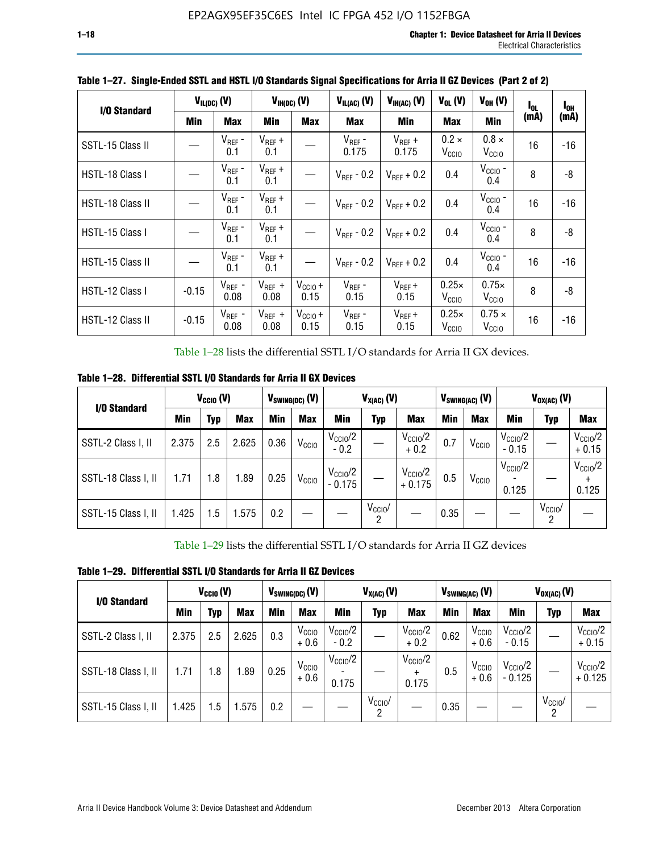| I/O Standard            |            | $V_{IL(DC)}$ (V)    |                     | $V_{IH(DC)}$ (V)     | $V_{IL(AC)}(V)$        | $V_{IH(AC)}(V)$        | $V_{OL}$ (V)                      | $V_{OH} (V)$                       | $I_{0L}$ | $I_{0H}$ |
|-------------------------|------------|---------------------|---------------------|----------------------|------------------------|------------------------|-----------------------------------|------------------------------------|----------|----------|
|                         | <b>Min</b> | <b>Max</b>          | Min                 | <b>Max</b>           | <b>Max</b>             | Min                    | <b>Max</b>                        | Min                                | (mA)     | (mA)     |
| SSTL-15 Class II        |            | $V_{REF}$ -<br>0.1  | $V_{REF}$ +<br>0.1  |                      | $V_{REF}$ -<br>0.175   | $V_{REF}$ +<br>0.175   | $0.2 \times$<br>V <sub>CCIO</sub> | $0.8 \times$<br>V <sub>CCIO</sub>  | 16       | -16      |
| HSTL-18 Class I         |            | $V_{REF}$ -<br>0.1  | $V_{REF}$ +<br>0.1  |                      | $V_{\text{RFF}}$ - 0.2 | $V_{RFF}$ + 0.2        | 0.4                               | $V_{\rm CCIO}$ -<br>0.4            | 8        | -8       |
| <b>HSTL-18 Class II</b> |            | $V_{REF}$ -<br>0.1  | $V_{REF}$ +<br>0.1  |                      | $V_{\text{RFF}}$ - 0.2 | $V_{RFF}$ + 0.2        | 0.4                               | $V_{\text{CCIO}}$ -<br>0.4         | 16       | $-16$    |
| HSTL-15 Class I         |            | $V_{REF}$ -<br>0.1  | $V_{REF}$ +<br>0.1  |                      | $V_{\text{RFF}}$ - 0.2 | $V_{\text{RFF}} + 0.2$ | 0.4                               | $V_{CCIO}$ -<br>0.4                | 8        | -8       |
| HSTL-15 Class II        |            | $V_{REF}$ -<br>0.1  | $V_{REF}$ +<br>0.1  |                      | $V_{\text{RFF}}$ - 0.2 | $V_{RFF}$ + 0.2        | 0.4                               | $VCCIO$ -<br>0.4                   | 16       | $-16$    |
| HSTL-12 Class I         | $-0.15$    | $V_{REF}$ -<br>0.08 | $V_{REF}$ +<br>0.08 | $V_{CCIO} +$<br>0.15 | $V_{REF}$ -<br>0.15    | $V_{REF} +$<br>0.15    | $0.25\times$<br>V <sub>CCIO</sub> | $0.75\times$<br>V <sub>CCIO</sub>  | 8        | -8       |
| HSTL-12 Class II        | $-0.15$    | $V_{REF}$ -<br>0.08 | $V_{REF}$ +<br>0.08 | $V_{CCI0} +$<br>0.15 | $V_{REF}$ -<br>0.15    | $V_{REF} +$<br>0.15    | $0.25\times$<br>V <sub>CCIO</sub> | $0.75 \times$<br>V <sub>CCIO</sub> | 16       | $-16$    |

**Table 1–27. Single-Ended SSTL and HSTL I/O Standards Signal Specifications for Arria II GZ Devices (Part 2 of 2)**

Table 1–28 lists the differential SSTL I/O standards for Arria II GX devices.

**Table 1–28. Differential SSTL I/O Standards for Arria II GX Devices**

| I/O Standard        |       | $V_{\text{CCIO}}(V)$ |            |            | $V_{SWING(DC)}$ (V) |                                 | $V_{X(AC)}(V)$  |                                 |            | $V_{SWING(AC)}$ (V) |                              | $V_{OX(AC)}$ (V) |                                |
|---------------------|-------|----------------------|------------|------------|---------------------|---------------------------------|-----------------|---------------------------------|------------|---------------------|------------------------------|------------------|--------------------------------|
|                     | Min   | Typ                  | <b>Max</b> | <b>Min</b> | <b>Max</b>          | Min                             | Typ             | <b>Max</b>                      | <b>Min</b> | <b>Max</b>          | Min                          | Typ              | <b>Max</b>                     |
| SSTL-2 Class I, II  | 2.375 | 2.5                  | 2.625      | 0.36       | V <sub>CCIO</sub>   | $V_{\text{CC10}}/2$<br>$-0.2$   |                 | $V_{\rm CC10}$ /2<br>$+0.2$     | 0.7        | V <sub>CCIO</sub>   | $V_{\rm CC10}$ /2<br>$-0.15$ |                  | $V_{\text{CCIO}}/2$<br>$+0.15$ |
| SSTL-18 Class I, II | 1.71  | 1.8                  | l.89       | 0.25       | V <sub>CCIO</sub>   | $V_{\text{CCIO}}/2$<br>$-0.175$ |                 | $V_{\text{CC10}}/2$<br>$+0.175$ | 0.5        | V <sub>CCIO</sub>   | $V_{\text{CC10}}/2$<br>0.125 |                  | $V_{\text{CCIO}}/2$<br>0.125   |
| SSTL-15 Class I, II | 1.425 | 1.5                  | .575       | 0.2        |                     |                                 | $V_{CCIO}$<br>2 |                                 | 0.35       |                     |                              | $V_{CCIO}$<br>റ  |                                |

Table 1–29 lists the differential SSTL I/O standards for Arria II GZ devices

**Table 1–29. Differential SSTL I/O Standards for Arria II GZ Devices**

| I/O Standard        |       | $V_{\text{CCIO}}(V)$ |            |      | $V_{SWING(DC)}(V)$          |                               | $V_{X(AC)}(V)$      |                                   |      | $V_{SWING(AC)}$ (V)         |                                | $V_{OX(AC)}(V)$ |                                 |
|---------------------|-------|----------------------|------------|------|-----------------------------|-------------------------------|---------------------|-----------------------------------|------|-----------------------------|--------------------------------|-----------------|---------------------------------|
|                     | Min   | Typ                  | <b>Max</b> | Min  | <b>Max</b>                  | Min                           | Typ                 | <b>Max</b>                        | Min  | <b>Max</b>                  | Min                            | Typ             | <b>Max</b>                      |
| SSTL-2 Class I, II  | 2.375 | 2.5                  | 2.625      | 0.3  | V <sub>CCIO</sub><br>$+0.6$ | $V_{\text{CC1O}}/2$<br>$-0.2$ |                     | $V_{\text{CCIO}}/2$<br>$+0.2$     | 0.62 | V <sub>CCIO</sub><br>$+0.6$ | $V_{\text{CC10}}/2$<br>$-0.15$ |                 | $V_{\text{CC10}}/2$<br>$+0.15$  |
| SSTL-18 Class I, II | 1.71  | 1.8                  | 1.89       | 0.25 | V <sub>CCIO</sub><br>$+0.6$ | $V_{\text{CCIO}}/2$<br>0.175  |                     | $V_{\text{CCIO}}/2$<br>÷<br>0.175 | 0.5  | V <sub>CCIO</sub><br>$+0.6$ | $V_{\text{CC10}}/2$<br>- 0.125 |                 | $V_{\text{CC10}}/2$<br>$+0.125$ |
| SSTL-15 Class I, II | 1.425 | 1.5                  | .575       | 0.2  |                             |                               | $V_{\rm CCIO}$<br>2 |                                   | 0.35 |                             |                                | $V_{CClO}$<br>2 |                                 |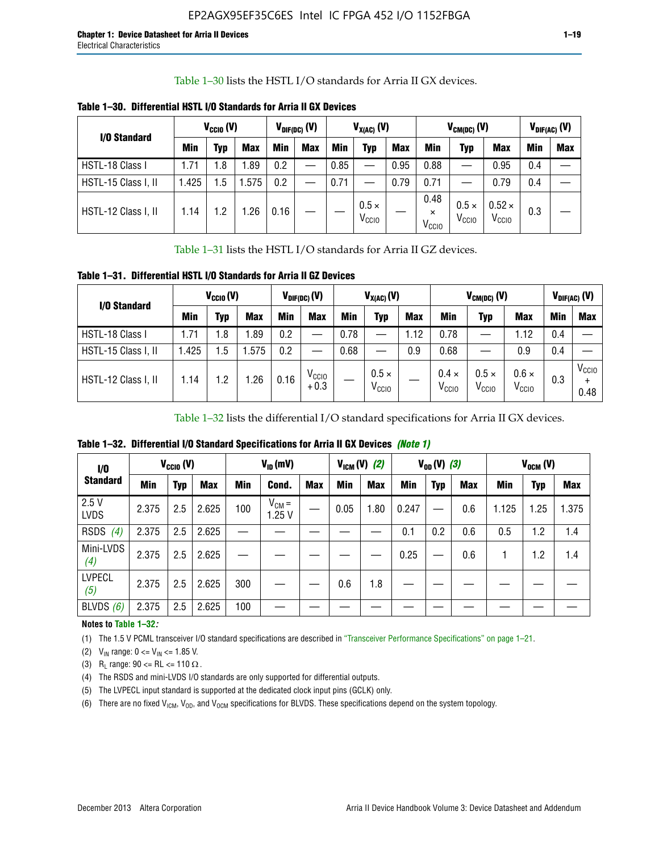Table 1–30 lists the HSTL I/O standards for Arria II GX devices.

| I/O Standard        |            | $V_{CGI0} (V)$ |            |      | $V_{\text{DIF(DC)}}$ (V) |            | $V_{X(AC)}(V)$                    |            |                                       | $V_{CM(DC)}(V)$                   |                                    |     | $V_{DIF(AC)}(V)$ |
|---------------------|------------|----------------|------------|------|--------------------------|------------|-----------------------------------|------------|---------------------------------------|-----------------------------------|------------------------------------|-----|------------------|
|                     | <b>Min</b> | Typ            | <b>Max</b> | Min  | <b>Max</b>               | <b>Min</b> | Typ                               | <b>Max</b> | Min                                   | Typ                               | <b>Max</b>                         | Min | <b>Max</b>       |
| HSTL-18 Class I     | 1.71       | . 8            | .89        | 0.2  | —                        | 0.85       |                                   | 0.95       | 0.88                                  |                                   | 0.95                               | 0.4 |                  |
| HSTL-15 Class I, II | l.425      | .5             | .575       | 0.2  |                          | 0.71       |                                   | 0.79       | 0.71                                  |                                   | 0.79                               | 0.4 |                  |
| HSTL-12 Class I, II | 1.14       | $\cdot$ .2     | .26        | 0.16 |                          |            | $0.5 \times$<br>V <sub>CCIO</sub> |            | 0.48<br>$\times$<br>V <sub>CCIO</sub> | $0.5 \times$<br>V <sub>CCIO</sub> | $0.52 \times$<br>V <sub>CCIO</sub> | 0.3 |                  |

**Table 1–30. Differential HSTL I/O Standards for Arria II GX Devices**

Table 1–31 lists the HSTL I/O standards for Arria II GZ devices.

**Table 1–31. Differential HSTL I/O Standards for Arria II GZ Devices**

| I/O Standard        |       | $V_{\text{CCIO}}(V)$ |            |            | $V_{\text{DIF(DC)}}(V)$     |      | $V_{X(AC)}(V)$                    |            |                                   | $V_{CM(DC)}$ (V)                  |                                   |     | $V_{DIF(AC)}$ (V)         |
|---------------------|-------|----------------------|------------|------------|-----------------------------|------|-----------------------------------|------------|-----------------------------------|-----------------------------------|-----------------------------------|-----|---------------------------|
|                     | Min   | Typ                  | <b>Max</b> | <b>Min</b> | <b>Max</b>                  | Min  | Typ                               | <b>Max</b> | <b>Min</b>                        | Typ                               | <b>Max</b>                        | Min | <b>Max</b>                |
| HSTL-18 Class I     | 71، ا | 1.8                  | .89        | 0.2        | —                           | 0.78 |                                   | 1.12       | 0.78                              |                                   | 1.12                              | 0.4 |                           |
| HSTL-15 Class I, II | .425  | $1.5\,$              | .575       | 0.2        | —                           | 0.68 |                                   | 0.9        | 0.68                              |                                   | 0.9                               | 0.4 |                           |
| HSTL-12 Class I, II | l.14  | 1.2                  | .26        | 0.16       | V <sub>CCIO</sub><br>$+0.3$ |      | $0.5 \times$<br>V <sub>CCIO</sub> |            | $0.4 \times$<br>V <sub>CCIO</sub> | $0.5 \times$<br>V <sub>CCIO</sub> | $0.6 \times$<br>V <sub>CCIO</sub> | 0.3 | V <sub>CCIO</sub><br>0.48 |

Table 1–32 lists the differential I/O standard specifications for Arria II GX devices.

**Table 1–32. Differential I/O Standard Specifications for Arria II GX Devices** *(Note 1)*

| 1/0                  |       | $V_{CGI0} (V)$ |            |     | $V_{ID}$ (mV)       |            |      | $V_{IGM} (V)$ (2) |       | $V_{OD} (V)$ (3) |            |       | $V_{OCM}$ (V) |            |
|----------------------|-------|----------------|------------|-----|---------------------|------------|------|-------------------|-------|------------------|------------|-------|---------------|------------|
| <b>Standard</b>      | Min   | Typ            | <b>Max</b> | Min | Cond.               | <b>Max</b> | Min  | <b>Max</b>        | Min   | <b>Typ</b>       | <b>Max</b> | Min   | Typ           | <b>Max</b> |
| 2.5V<br><b>LVDS</b>  | 2.375 | 2.5            | 2.625      | 100 | $V_{CM} =$<br>1.25V |            | 0.05 | 1.80              | 0.247 |                  | 0.6        | 1.125 | 1.25          | 1.375      |
| <b>RSDS</b><br>(4)   | 2.375 | 2.5            | 2.625      |     |                     |            |      |                   | 0.1   | 0.2              | 0.6        | 0.5   | 1.2           | 1.4        |
| Mini-LVDS<br>(4)     | 2.375 | 2.5            | 2.625      |     |                     |            |      |                   | 0.25  |                  | 0.6        |       | 1.2           | 1.4        |
| <b>LVPECL</b><br>(5) | 2.375 | 2.5            | 2.625      | 300 |                     |            | 0.6  | 1.8               |       |                  |            |       |               |            |
| BLVDS $(6)$          | 2.375 | 2.5            | 2.625      | 100 |                     |            |      |                   |       |                  |            |       |               |            |

### **Notes to Table 1–32***:*

(1) The 1.5 V PCML transceiver I/O standard specifications are described in "Transceiver Performance Specifications" on page 1–21.

(2)  $V_{IN}$  range:  $0 \le V_{IN} \le 1.85$  V.

(3) R<sub>L</sub> range:  $90 \leq R$ L  $\leq 110 \Omega$ .

- (4) The RSDS and mini-LVDS I/O standards are only supported for differential outputs.
- (5) The LVPECL input standard is supported at the dedicated clock input pins (GCLK) only.
- (6) There are no fixed  $V_{ICM}$ ,  $V_{OD}$ , and  $V_{OCM}$  specifications for BLVDS. These specifications depend on the system topology.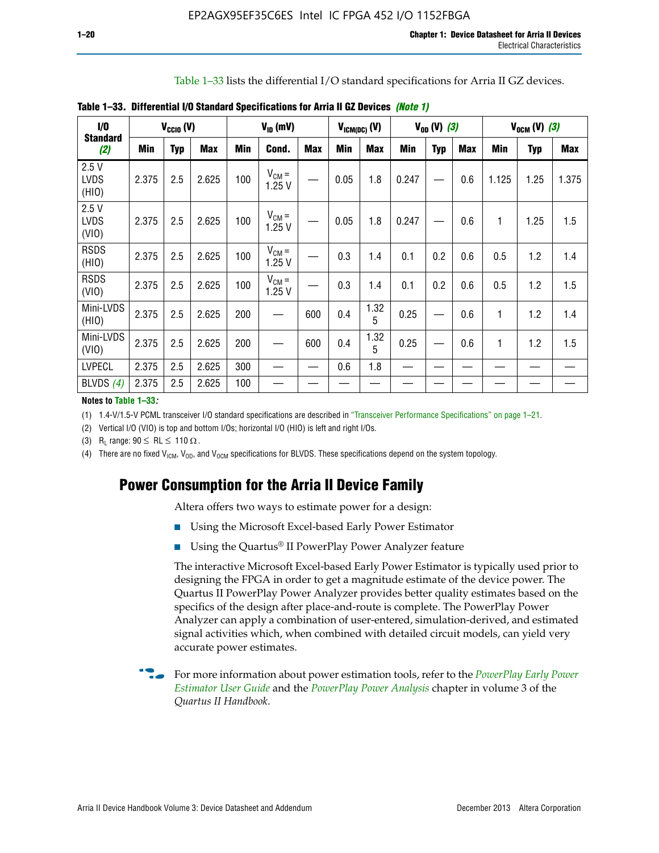Table 1–33 lists the differential I/O standard specifications for Arria II GZ devices.

| 1/0                          |       | $V_{CCl0} (V)$ |            |     | $V_{ID}$ (mV)       |            | $V_{IGM(DC)}$ (V) |            |       | $V_{OD} (V) (3)$ |            |              | $V_{OCM} (V) (3)$ |            |
|------------------------------|-------|----------------|------------|-----|---------------------|------------|-------------------|------------|-------|------------------|------------|--------------|-------------------|------------|
| <b>Standard</b><br>(2)       | Min   | <b>Typ</b>     | <b>Max</b> | Min | Cond.               | <b>Max</b> | Min               | <b>Max</b> | Min   | <b>Typ</b>       | <b>Max</b> | Min          | <b>Typ</b>        | <b>Max</b> |
| 2.5V<br><b>LVDS</b><br>(HIO) | 2.375 | 2.5            | 2.625      | 100 | $V_{CM} =$<br>1.25V |            | 0.05              | 1.8        | 0.247 |                  | 0.6        | 1.125        | 1.25              | 1.375      |
| 2.5V<br><b>LVDS</b><br>(VIO) | 2.375 | 2.5            | 2.625      | 100 | $V_{CM} =$<br>1.25V |            | 0.05              | 1.8        | 0.247 |                  | 0.6        | 1            | 1.25              | 1.5        |
| <b>RSDS</b><br>(HIO)         | 2.375 | 2.5            | 2.625      | 100 | $V_{CM} =$<br>1.25V |            | 0.3               | 1.4        | 0.1   | 0.2              | 0.6        | 0.5          | 1.2               | 1.4        |
| <b>RSDS</b><br>(VIO)         | 2.375 | 2.5            | 2.625      | 100 | $V_{CM} =$<br>1.25V |            | 0.3               | 1.4        | 0.1   | 0.2              | 0.6        | 0.5          | 1.2               | 1.5        |
| Mini-LVDS<br>(HIO)           | 2.375 | 2.5            | 2.625      | 200 |                     | 600        | 0.4               | 1.32<br>5  | 0.25  |                  | 0.6        | $\mathbf{1}$ | 1.2               | 1.4        |
| Mini-LVDS<br>(VIO)           | 2.375 | 2.5            | 2.625      | 200 |                     | 600        | 0.4               | 1.32<br>5  | 0.25  |                  | 0.6        | 1            | 1.2               | 1.5        |
| <b>LVPECL</b>                | 2.375 | 2.5            | 2.625      | 300 |                     |            | 0.6               | 1.8        |       |                  |            |              |                   |            |
| BLVDS $(4)$                  | 2.375 | 2.5            | 2.625      | 100 |                     |            |                   |            |       |                  |            |              |                   |            |

**Table 1–33. Differential I/O Standard Specifications for Arria II GZ Devices** *(Note 1)*

#### **Notes to Table 1–33***:*

(1) 1.4-V/1.5-V PCML transceiver I/O standard specifications are described in "Transceiver Performance Specifications" on page 1–21.

(2) Vertical I/O (VIO) is top and bottom I/Os; horizontal I/O (HIO) is left and right I/Os.

(3) R<sub>l</sub> range:  $90 \leq R L \leq 110 \Omega$ .

(4) There are no fixed  $V_{IGM}$ ,  $V_{OD}$ , and  $V_{OCM}$  specifications for BLVDS. These specifications depend on the system topology.

# **Power Consumption for the Arria II Device Family**

Altera offers two ways to estimate power for a design:

- Using the Microsoft Excel-based Early Power Estimator
- Using the Quartus<sup>®</sup> II PowerPlay Power Analyzer feature

The interactive Microsoft Excel-based Early Power Estimator is typically used prior to designing the FPGA in order to get a magnitude estimate of the device power. The Quartus II PowerPlay Power Analyzer provides better quality estimates based on the specifics of the design after place-and-route is complete. The PowerPlay Power Analyzer can apply a combination of user-entered, simulation-derived, and estimated signal activities which, when combined with detailed circuit models, can yield very accurate power estimates.

f For more information about power estimation tools, refer to the *[PowerPlay Early Power](http://www.altera.com/literature/ug/ug_epe.pdf?GSA_pos=5&WT.oss_r=1&WT.oss=powerplay early power estimator)  [Estimator User Guide](http://www.altera.com/literature/ug/ug_epe.pdf?GSA_pos=5&WT.oss_r=1&WT.oss=powerplay early power estimator)* and the *[PowerPlay Power Analysis](http://www.altera.com/literature/hb/qts/qts_qii53013.pdf)* chapter in volume 3 of the *Quartus II Handbook*.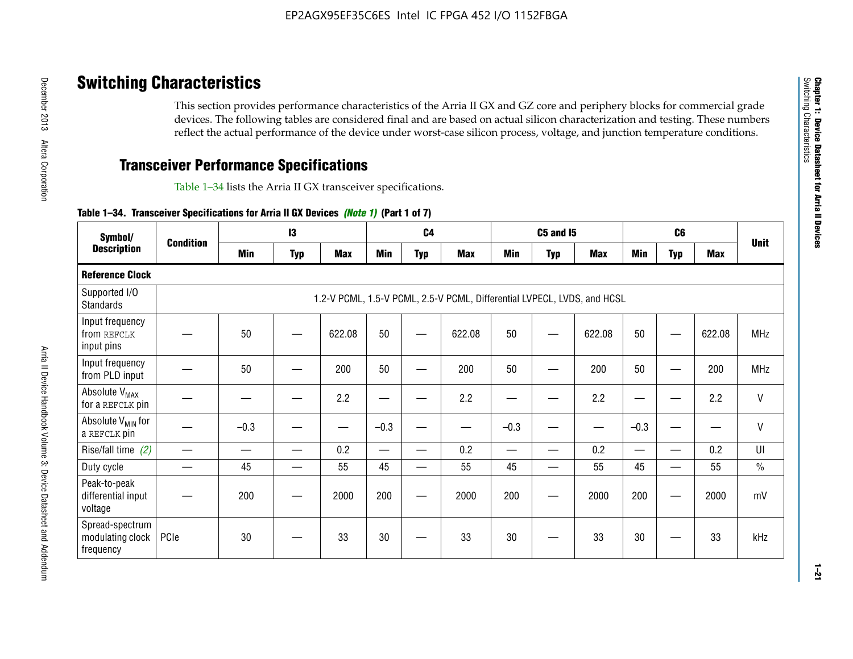# **Switching Characteristics**

This section provides performance characteristics of the Arria II GX and GZ core and periphery blocks for commercial grade devices. The following tables are considered final and are based on actual silicon characterization and testing. These numbers reflect the actual performance of the device under worst-case silicon process, voltage, and junction temperature conditions.

# **Transceiver Performance Specifications**

Table 1–34 lists the Arria II GX transceiver specifications.

### **Table 1–34. Transceiver Specifications for Arria II GX Devices** *(Note 1)* **(Part 1 of 7)**

| Symbol/                                          |                  |            | $\mathbf{13}$ |            |                          | C <sub>4</sub> |                                                                         |                          | <b>C5 and 15</b> |            |                 | C <sub>6</sub> |            |               |
|--------------------------------------------------|------------------|------------|---------------|------------|--------------------------|----------------|-------------------------------------------------------------------------|--------------------------|------------------|------------|-----------------|----------------|------------|---------------|
| <b>Description</b>                               | <b>Condition</b> | <b>Min</b> | <b>Typ</b>    | <b>Max</b> | <b>Min</b>               | <b>Typ</b>     | <b>Max</b>                                                              | <b>Min</b>               | <b>Typ</b>       | <b>Max</b> | <b>Min</b>      | <b>Typ</b>     | <b>Max</b> | <b>Unit</b>   |
| <b>Reference Clock</b>                           |                  |            |               |            |                          |                |                                                                         |                          |                  |            |                 |                |            |               |
| Supported I/O<br><b>Standards</b>                |                  |            |               |            |                          |                | 1.2-V PCML, 1.5-V PCML, 2.5-V PCML, Differential LVPECL, LVDS, and HCSL |                          |                  |            |                 |                |            |               |
| Input frequency<br>from REFCLK<br>input pins     |                  | 50         |               | 622.08     | 50                       |                | 622.08                                                                  | 50                       |                  | 622.08     | 50              |                | 622.08     | <b>MHz</b>    |
| Input frequency<br>from PLD input                |                  | 50         |               | 200        | 50                       |                | 200                                                                     | 50                       |                  | 200        | 50              |                | 200        | <b>MHz</b>    |
| Absolute V <sub>MAX</sub><br>for a REFCLK pin    |                  |            |               | 2.2        | —                        |                | 2.2                                                                     | ٠                        | —                | 2.2        | —               |                | 2.2        | $\mathsf{V}$  |
| Absolute V <sub>MIN</sub> for<br>a REFCLK pin    |                  | $-0.3$     |               |            | $-0.3$                   |                |                                                                         | $-0.3$                   |                  |            | $-0.3$          |                | —<br>——    | $\mathsf{V}$  |
| Rise/fall time (2)                               |                  |            |               | 0.2        | $\overline{\phantom{0}}$ |                | 0.2                                                                     | $\overline{\phantom{0}}$ |                  | 0.2        | $\qquad \qquad$ |                | 0.2        | UI            |
| Duty cycle                                       |                  | 45         |               | 55         | 45                       | —              | 55                                                                      | 45                       | —                | 55         | 45              |                | 55         | $\frac{0}{0}$ |
| Peak-to-peak<br>differential input<br>voltage    |                  | 200        |               | 2000       | 200                      | __             | 2000                                                                    | 200                      | —                | 2000       | 200             |                | 2000       | mV            |
| Spread-spectrum<br>modulating clock<br>frequency | PCIe             | 30         |               | 33         | 30                       |                | 33                                                                      | 30                       |                  | 33         | 30              |                | 33         | kHz           |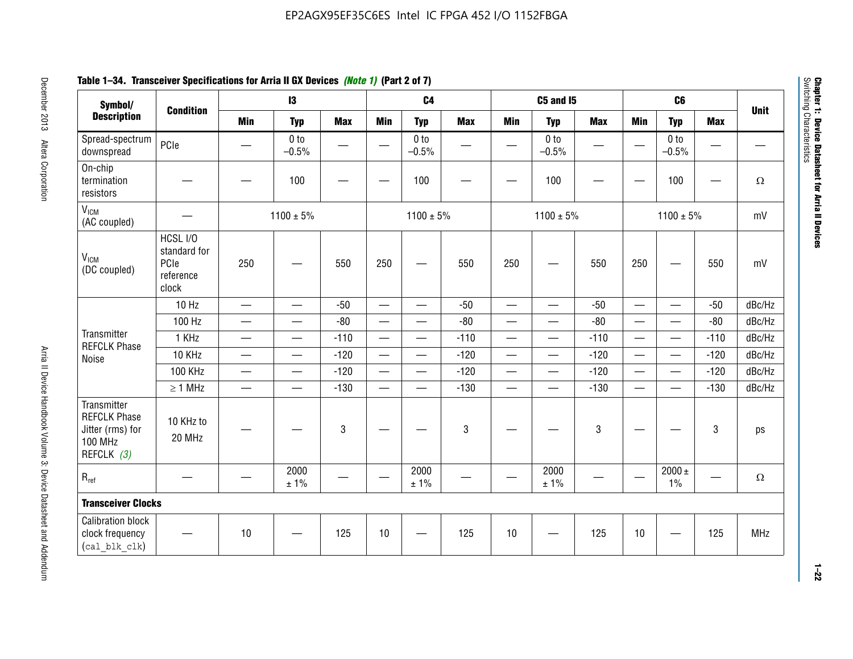# **Table 1–34. Transceiver Specifications for Arria II GX Devices** *(Note 1)* **(Part 2 of 7)**

| Symbol/                                                                                |                                                        |                               | $\mathbf{13}$              |                 |                          | C <sub>4</sub>             |            |                          | C5 and I5                  |            |                          | C <sub>6</sub>             |                          |             |
|----------------------------------------------------------------------------------------|--------------------------------------------------------|-------------------------------|----------------------------|-----------------|--------------------------|----------------------------|------------|--------------------------|----------------------------|------------|--------------------------|----------------------------|--------------------------|-------------|
| <b>Description</b>                                                                     | <b>Condition</b>                                       | <b>Min</b>                    | <b>Typ</b>                 | <b>Max</b>      | <b>Min</b>               | <b>Typ</b>                 | <b>Max</b> | <b>Min</b>               | <b>Typ</b>                 | <b>Max</b> | <b>Min</b>               | <b>Typ</b>                 | <b>Max</b>               | <b>Unit</b> |
| Spread-spectrum<br>downspread                                                          | PCIe                                                   |                               | 0 <sub>to</sub><br>$-0.5%$ | $\qquad \qquad$ |                          | 0 <sub>to</sub><br>$-0.5%$ | —          | —                        | 0 <sub>to</sub><br>$-0.5%$ |            | $\overline{\phantom{0}}$ | 0 <sub>to</sub><br>$-0.5%$ | $\qquad \qquad \qquad$   |             |
| On-chip<br>termination<br>resistors                                                    |                                                        |                               | 100                        |                 |                          | 100                        |            |                          | 100                        |            | —                        | 100                        | $\overline{\phantom{0}}$ | $\Omega$    |
| V <sub>ICM</sub><br>(AC coupled)                                                       |                                                        |                               | $1100 \pm 5\%$             |                 |                          | $1100 \pm 5\%$             |            |                          | $1100 \pm 5\%$             |            |                          | $1100 \pm 5\%$             |                          | mV          |
| V <sub>ICM</sub><br>(DC coupled)                                                       | HCSL I/O<br>standard for<br>PCIe<br>reference<br>clock | 250                           |                            | 550             | 250                      | $\hspace{0.05cm}$          | 550        | 250                      | $\hspace{0.05cm}$          | 550        | 250                      |                            | 550                      | mV          |
|                                                                                        | 10 Hz                                                  | $\overline{\phantom{0}}$      | $\overline{\phantom{0}}$   | $-50$           | $\equiv$                 |                            | $-50$      |                          | $\equiv$                   | $-50$      | $\overline{\phantom{0}}$ |                            | $-50$                    | dBc/Hz      |
|                                                                                        | 100 Hz                                                 | $\overline{\phantom{0}}$      | $\overline{\phantom{0}}$   | $-80$           | $\overline{\phantom{0}}$ | $\overline{\phantom{0}}$   | $-80$      | $\overline{\phantom{0}}$ |                            | $-80$      | $\overline{\phantom{0}}$ | $\overline{\phantom{0}}$   | $-80$                    | dBc/Hz      |
| Transmitter<br><b>REFCLK Phase</b>                                                     | 1 KHz                                                  | $\qquad \qquad$               | $\overline{\phantom{0}}$   | $-110$          |                          | $\hspace{0.05cm}$          | $-110$     | $\overline{\phantom{0}}$ | $\hspace{0.05cm}$          | $-110$     |                          | $\overline{\phantom{0}}$   | $-110$                   | dBc/Hz      |
| Noise                                                                                  | 10 KHz                                                 | $\overbrace{\phantom{aaaaa}}$ | $\equiv$                   | $-120$          |                          |                            | $-120$     | $\qquad \qquad$          |                            | $-120$     | $\overline{\phantom{0}}$ | $\overline{\phantom{0}}$   | $-120$                   | dBc/Hz      |
|                                                                                        | <b>100 KHz</b>                                         | $\qquad \qquad -$             | $\overline{\phantom{0}}$   | $-120$          |                          | —                          | $-120$     | $\overline{\phantom{0}}$ | $\overline{\phantom{0}}$   | $-120$     | $\overline{\phantom{0}}$ | $\overline{\phantom{0}}$   | $-120$                   | dBc/Hz      |
|                                                                                        | $\geq 1$ MHz                                           |                               | $\qquad \qquad$            | $-130$          |                          | $\overline{\phantom{m}}$   | $-130$     | $\overline{\phantom{0}}$ | $\qquad \qquad$            | $-130$     |                          | $\overline{\phantom{0}}$   | $-130$                   | dBc/Hz      |
| Transmitter<br><b>REFCLK Phase</b><br>Jitter (rms) for<br><b>100 MHz</b><br>REFCLK (3) | 10 KHz to<br>20 MHz                                    |                               |                            | 3               |                          |                            | 3          |                          |                            | 3          |                          |                            | 3                        | ps          |
| $R_{ref}$                                                                              |                                                        |                               | 2000<br>± 1%               |                 | $\overline{\phantom{m}}$ | 2000<br>± 1%               |            |                          | 2000<br>$\pm$ 1%           |            |                          | 2000 $\pm$<br>$1\%$        |                          | $\Omega$    |
| <b>Transceiver Clocks</b>                                                              |                                                        |                               |                            |                 |                          |                            |            |                          |                            |            |                          |                            |                          |             |
| <b>Calibration block</b><br>clock frequency<br>(cal blk clk)                           |                                                        | 10                            |                            | 125             | 10                       |                            | 125        | 10                       |                            | 125        | 10                       |                            | 125                      | <b>MHz</b>  |

December 2013 Altera Corporation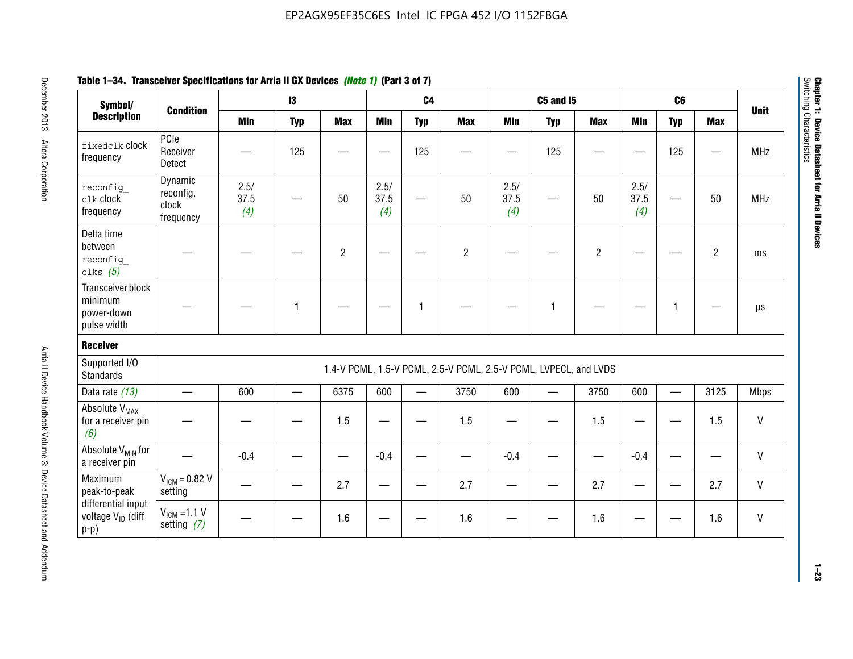| Table 1–34. Transceiver Specifications for Arria II GX Devices <i>(Note 1)</i> (Part 3 of 7) |  |
|----------------------------------------------------------------------------------------------|--|
|----------------------------------------------------------------------------------------------|--|

| Symbol/                                                       |                                            |                     | $\mathbf{13}$ |                |                     | C <sub>4</sub> |                                                                  |                     | <b>C5 and 15</b> |                |                     | C6           |                |              |
|---------------------------------------------------------------|--------------------------------------------|---------------------|---------------|----------------|---------------------|----------------|------------------------------------------------------------------|---------------------|------------------|----------------|---------------------|--------------|----------------|--------------|
| <b>Description</b>                                            | <b>Condition</b>                           | <b>Min</b>          | <b>Typ</b>    | <b>Max</b>     | <b>Min</b>          | <b>Typ</b>     | <b>Max</b>                                                       | <b>Min</b>          | <b>Typ</b>       | <b>Max</b>     | <b>Min</b>          | <b>Typ</b>   | <b>Max</b>     | <b>Unit</b>  |
| fixedclk Clock<br>frequency                                   | PCIe<br>Receiver<br>Detect                 |                     | 125           |                |                     | 125            |                                                                  |                     | 125              |                |                     | 125          |                | <b>MHz</b>   |
| reconfig<br>clk clock<br>frequency                            | Dynamic<br>reconfig.<br>clock<br>frequency | 2.5/<br>37.5<br>(4) |               | 50             | 2.5/<br>37.5<br>(4) | <u>—</u>       | 50                                                               | 2.5/<br>37.5<br>(4) | —                | 50             | 2.5/<br>37.5<br>(4) |              | 50             | <b>MHz</b>   |
| Delta time<br>between<br>reconfig<br>clks $(5)$               |                                            |                     |               | $\overline{c}$ |                     |                | $\overline{2}$                                                   |                     |                  | $\overline{2}$ |                     |              | $\overline{2}$ | ms           |
| Transceiver block<br>minimum<br>power-down<br>pulse width     |                                            |                     | 1             |                |                     | 1              |                                                                  |                     | $\mathbf{1}$     |                |                     | $\mathbf{1}$ |                | $\mu s$      |
| <b>Receiver</b>                                               |                                            |                     |               |                |                     |                |                                                                  |                     |                  |                |                     |              |                |              |
| Supported I/O<br><b>Standards</b>                             |                                            |                     |               |                |                     |                | 1.4-V PCML, 1.5-V PCML, 2.5-V PCML, 2.5-V PCML, LVPECL, and LVDS |                     |                  |                |                     |              |                |              |
| Data rate (13)                                                | $\qquad \qquad$                            | 600                 |               | 6375           | 600                 |                | 3750                                                             | 600                 |                  | 3750           | 600                 | $\equiv$     | 3125           | <b>Mbps</b>  |
| Absolute V <sub>MAX</sub><br>for a receiver pin<br>(6)        |                                            |                     |               | 1.5            | e e                 |                | 1.5                                                              |                     |                  | 1.5            | —                   |              | 1.5            | V            |
| Absolute V <sub>MIN</sub> for<br>a receiver pin               |                                            | $-0.4$              |               |                | $-0.4$              |                |                                                                  | $-0.4$              |                  |                | $-0.4$              |              |                | $\mathsf{V}$ |
| Maximum<br>peak-to-peak                                       | $V_{IGM} = 0.82 V$<br>setting              |                     |               | 2.7            |                     |                | 2.7                                                              |                     |                  | 2.7            |                     |              | 2.7            | V            |
| differential input<br>voltage V <sub>ID</sub> (diff<br>$p-p)$ | $V_{IGM} = 1.1 V$<br>setting $(7)$         |                     |               | 1.6            |                     |                | 1.6                                                              |                     |                  | 1.6            |                     |              | 1.6            | V            |

**Chapter 1: Device Datasheet for Arria II Devices**

Chapter 1: Device Datasheet for Arria II Devices<br>Switching Characteristics

Switching Characteristics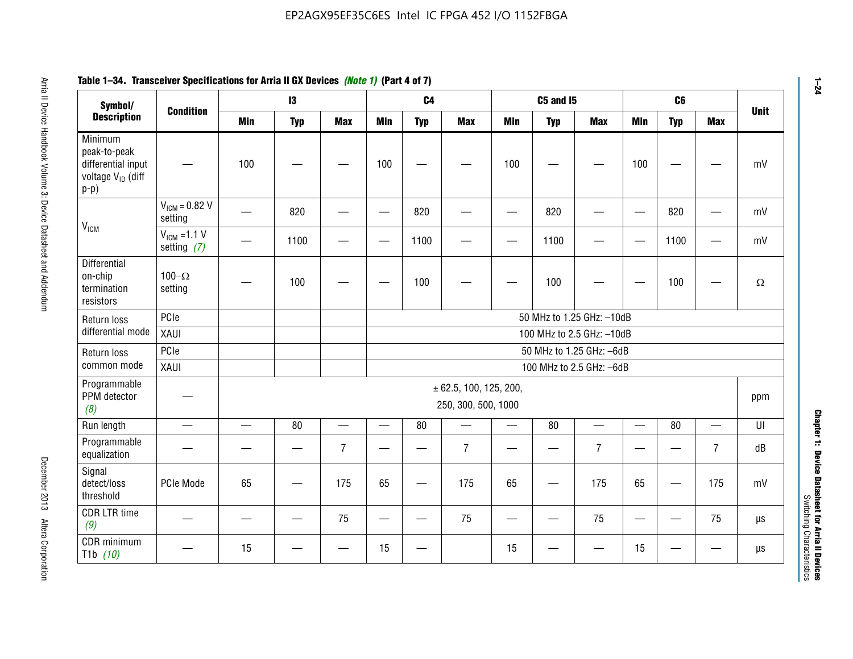| Symbol/                                                                                  | <b>Condition</b>                  |                          | 13         |                          |                          | C <sub>4</sub>           |                                               |            | <b>C5 and I5</b> |                           |                          | C6              |                | <b>Unit</b> |
|------------------------------------------------------------------------------------------|-----------------------------------|--------------------------|------------|--------------------------|--------------------------|--------------------------|-----------------------------------------------|------------|------------------|---------------------------|--------------------------|-----------------|----------------|-------------|
| <b>Description</b>                                                                       |                                   | <b>Min</b>               | <b>Typ</b> | <b>Max</b>               | <b>Min</b>               | <b>Typ</b>               | <b>Max</b>                                    | <b>Min</b> | <b>Typ</b>       | <b>Max</b>                | Min                      | <b>Typ</b>      | <b>Max</b>     |             |
| Minimum<br>peak-to-peak<br>differential input<br>voltage V <sub>ID</sub> (diff<br>$p-p)$ |                                   | 100                      |            |                          | 100                      |                          |                                               | 100        |                  |                           | 100                      |                 |                |             |
| V <sub>ICM</sub>                                                                         | $V_{IGM} = 0.82 V$<br>setting     |                          | 820        |                          |                          | 820                      |                                               |            | 820              |                           | $\overline{\phantom{0}}$ | 820             |                |             |
|                                                                                          | $V_{ICM}$ =1.1 V<br>setting $(7)$ |                          | 1100       |                          | —                        | 1100                     |                                               |            | 1100             |                           |                          | 1100            |                |             |
| Differential<br>on-chip<br>termination<br>resistors                                      | 100 $-\Omega$<br>setting          |                          | 100        |                          |                          | 100                      |                                               |            | 100              |                           |                          | 100             |                |             |
| Return loss                                                                              | PCle                              |                          |            |                          |                          |                          |                                               |            |                  | 50 MHz to 1.25 GHz: -10dB |                          |                 |                |             |
| differential mode                                                                        | XAUI                              |                          |            |                          |                          |                          |                                               |            |                  | 100 MHz to 2.5 GHz: -10dB |                          |                 |                |             |
| Return loss                                                                              | PCIe                              |                          |            |                          |                          |                          |                                               |            |                  | 50 MHz to 1.25 GHz: -6dB  |                          |                 |                |             |
| common mode                                                                              | XAUI                              |                          |            |                          |                          |                          |                                               |            |                  | 100 MHz to 2.5 GHz: -6dB  |                          |                 |                |             |
| Programmable<br>PPM detector<br>(8)                                                      |                                   |                          |            |                          |                          |                          | ± 62.5, 100, 125, 200,<br>250, 300, 500, 1000 |            |                  |                           |                          |                 |                | ppm         |
| Run length                                                                               | $\equiv$                          | $\overline{\phantom{0}}$ | 80         | $\overline{\phantom{0}}$ | —                        | 80                       |                                               | $\equiv$   | 80               | $\overline{\phantom{0}}$  | $\qquad \qquad$          | 80              |                |             |
| Programmable<br>equalization                                                             |                                   |                          |            | $\overline{7}$           |                          |                          | $\overline{7}$                                |            |                  | $\overline{7}$            |                          |                 | $\overline{7}$ |             |
| Signal<br>detect/loss<br>threshold                                                       | PCIe Mode                         | 65                       | —          | 175                      | 65                       | $\overline{\phantom{0}}$ | 175                                           | 65         | —<br>—           | 175                       | 65                       |                 | 175            |             |
| <b>CDR LTR time</b><br>(9)                                                               |                                   |                          |            | 75                       | $\overline{\phantom{0}}$ | —                        | 75                                            | —          |                  | 75                        | $\qquad \qquad$          | $\qquad \qquad$ | 75             |             |
| CDR minimum<br>T <sub>1</sub> b $(10)$                                                   |                                   | 15                       |            |                          | 15                       |                          |                                               | 15         |                  |                           | 15                       |                 |                |             |

# **Table 1–34. Transceiver Specifications for Arria II GX Devices** *(Note 1)* **(Part 4 of 7)**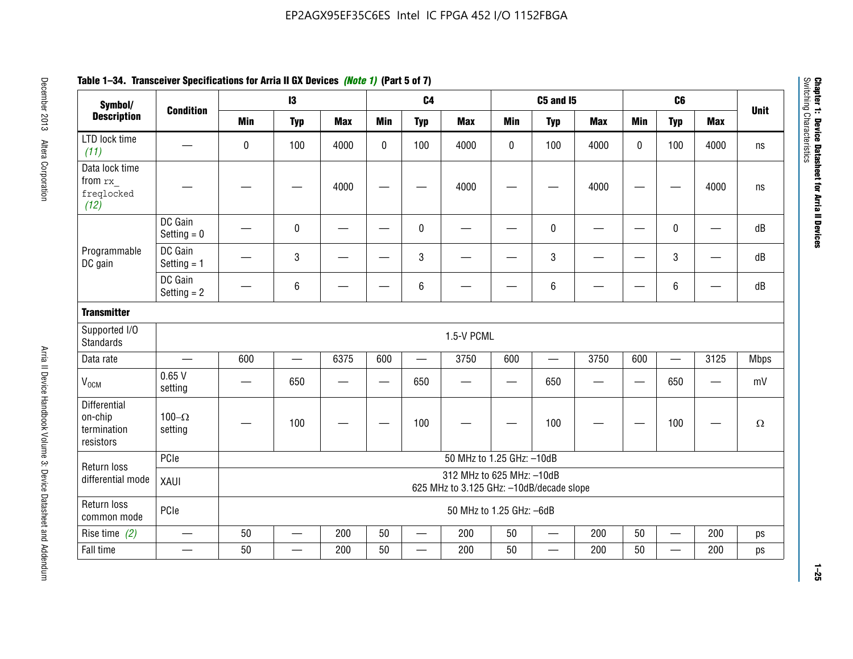| Symbol/                                             |                           |                                                                       | $\mathsf{I}3$ |            |              | C <sub>4</sub> |                           |            | <b>C5 and 15</b>         |            |            | C <sub>6</sub>           |                          |             |
|-----------------------------------------------------|---------------------------|-----------------------------------------------------------------------|---------------|------------|--------------|----------------|---------------------------|------------|--------------------------|------------|------------|--------------------------|--------------------------|-------------|
| <b>Description</b>                                  | <b>Condition</b>          | <b>Min</b>                                                            | <b>Typ</b>    | <b>Max</b> | <b>Min</b>   | <b>Typ</b>     | <b>Max</b>                | <b>Min</b> | <b>Typ</b>               | <b>Max</b> | <b>Min</b> | <b>Typ</b>               | <b>Max</b>               | <b>Unit</b> |
| LTD lock time<br>(11)                               |                           | $\mathbf 0$                                                           | 100           | 4000       | $\mathbf{0}$ | 100            | 4000                      | 0          | 100                      | 4000       | 0          | 100                      | 4000                     | ns          |
| Data lock time<br>from rx<br>freqlocked<br>(12)     |                           |                                                                       |               | 4000       |              |                | 4000                      |            |                          | 4000       |            |                          | 4000                     | ns          |
|                                                     | DC Gain<br>Setting $= 0$  |                                                                       | $\pmb{0}$     |            |              | 0              |                           |            | $\pmb{0}$                |            | <u>—</u>   | 0                        | $\overline{\phantom{0}}$ | dB          |
| Programmable<br>DC gain                             | DC Gain<br>Setting $= 1$  |                                                                       | $\mathbf{3}$  |            |              | 3              |                           |            | $\mathbf{3}$             |            |            | 3                        |                          | dB          |
|                                                     | DC Gain<br>Setting $= 2$  |                                                                       | $\,6\,$       |            |              | 6              |                           |            | $\,6\,$                  |            |            | 6                        |                          | dB          |
| <b>Transmitter</b>                                  |                           |                                                                       |               |            |              |                |                           |            |                          |            |            |                          |                          |             |
| Supported I/O<br><b>Standards</b>                   |                           |                                                                       |               |            |              |                | 1.5-V PCML                |            |                          |            |            |                          |                          |             |
| Data rate                                           |                           | 600                                                                   |               | 6375       | 600          |                | 3750                      | 600        | $\qquad \qquad -$        | 3750       | 600        | $\overline{\phantom{0}}$ | 3125                     | Mbps        |
| $V_{OCM}$                                           | 0.65V<br>setting          |                                                                       | 650           |            |              | 650            |                           |            | 650                      |            |            | 650                      | $\overline{\phantom{0}}$ | mV          |
| Differential<br>on-chip<br>termination<br>resistors | $100 - \Omega$<br>setting |                                                                       | 100           |            |              | 100            |                           |            | 100                      |            |            | 100                      |                          | $\Omega$    |
| Return loss                                         | PCIe                      |                                                                       |               |            |              |                | 50 MHz to 1.25 GHz: -10dB |            |                          |            |            |                          |                          |             |
| differential mode                                   | XAUI                      | 312 MHz to 625 MHz: -10dB<br>625 MHz to 3.125 GHz: -10dB/decade slope |               |            |              |                |                           |            |                          |            |            |                          |                          |             |
| Return loss<br>common mode                          | PCIe                      |                                                                       |               |            |              |                | 50 MHz to 1.25 GHz: -6dB  |            |                          |            |            |                          |                          |             |
| Rise time $(2)$                                     |                           | 50                                                                    |               | 200        | 50           |                | 200                       | 50         | —                        | 200        | 50         | $\overline{\phantom{0}}$ | 200                      | ps          |
| Fall time                                           |                           | 50                                                                    |               | 200        | 50           |                | 200                       | 50         | $\overline{\phantom{0}}$ | 200        | 50         |                          | 200                      | ps          |

# **Table 1–34. Transceiver Specifications for Arria II GX Devices** *(Note 1)* **(Part 5 of 7)**

**Chapter 1: Device Datasheet for Arria II Devices**

Chapter 1: Device Datasheet for Arria II Devices<br>Switching Characteristics

Switching Characteristics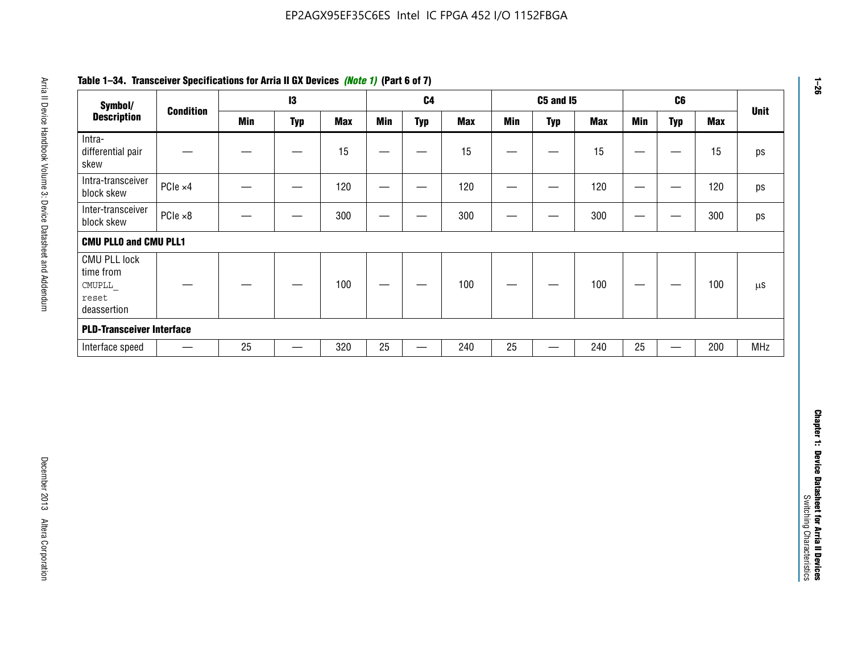| Symbol/                                                            |                  |            | 13                |            |                          | C <sub>4</sub>    |            |                   | <b>C5 and 15</b>                 |            |                                   | C6                               |            | <b>Unit</b>   |
|--------------------------------------------------------------------|------------------|------------|-------------------|------------|--------------------------|-------------------|------------|-------------------|----------------------------------|------------|-----------------------------------|----------------------------------|------------|---------------|
| <b>Description</b>                                                 | <b>Condition</b> | <b>Min</b> | <b>Typ</b>        | <b>Max</b> | <b>Min</b>               | <b>Typ</b>        | <b>Max</b> | <b>Min</b>        | <b>Typ</b>                       | <b>Max</b> | <b>Min</b>                        | <b>Typ</b>                       | <b>Max</b> |               |
| Intra-<br>differential pair<br>skew                                |                  |            |                   | 15         |                          | —                 | 15         | $\qquad \qquad$   | $\qquad \qquad$                  | 15         | $\overbrace{\phantom{123221111}}$ | $\overline{\phantom{m}}$         | 15         |               |
| Intra-transceiver<br>block skew                                    | PCIe ×4          |            | $\hspace{0.05cm}$ | 120        | $\hspace{0.05cm}$        | $\hspace{0.05cm}$ | 120        | $\hspace{0.05cm}$ | $\hspace{0.05cm}$                | 120        |                                   | $\hspace{0.05cm}$                | 120        |               |
| Inter-transceiver<br>block skew                                    | $PCle \times 8$  |            | -                 | 300        |                          | -                 | 300        |                   | -                                | 300        | —                                 | —                                | 300        |               |
| <b>CMU PLLO and CMU PLL1</b>                                       |                  |            |                   |            |                          |                   |            |                   |                                  |            |                                   |                                  |            |               |
| <b>CMU PLL lock</b><br>time from<br>CMUPLL<br>reset<br>deassertion |                  |            |                   | 100        | $\overline{\phantom{m}}$ |                   | 100        |                   |                                  | 100        |                                   | $\overbrace{\phantom{12322111}}$ | 100        | $\mu\text{S}$ |
| <b>PLD-Transceiver Interface</b>                                   |                  |            |                   |            |                          |                   |            |                   |                                  |            |                                   |                                  |            |               |
| Interface speed                                                    |                  | 25         | $\qquad \qquad -$ | 320        | 25                       | $\qquad \qquad$   | 240        | 25                | $\overbrace{\phantom{12322111}}$ | 240        | 25                                | $\overline{\phantom{0}}$         | 200        | <b>MHz</b>    |
|                                                                    |                  |            |                   |            |                          |                   |            |                   |                                  |            |                                   |                                  |            |               |
|                                                                    |                  |            |                   |            |                          |                   |            |                   |                                  |            |                                   |                                  |            |               |
|                                                                    |                  |            |                   |            |                          |                   |            |                   |                                  |            |                                   |                                  |            |               |

# **Table 1–34. Transceiver Specifications for Arria II GX Devices** *(Note 1)* **(Part 6 of 7)**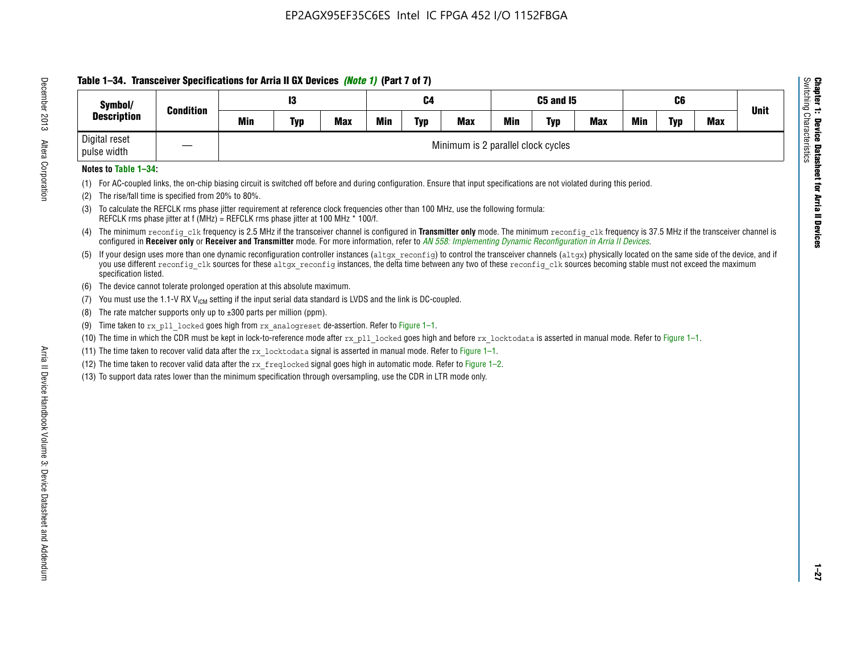# **Table 1–34. Transceiver Specifications for Arria II GX Devices** *(Note 1)* **(Part 7 of 7)**

| Symbol/                      | <b>Condition</b> |     | 13         |            |            | C4         |                                    |            | C5 and I5  |            |            | C6         |            | <b>Unit</b> |
|------------------------------|------------------|-----|------------|------------|------------|------------|------------------------------------|------------|------------|------------|------------|------------|------------|-------------|
| <b>Description</b>           |                  | Min | <b>Typ</b> | <b>Max</b> | <b>Min</b> | <b>Typ</b> | <b>Max</b>                         | <b>Min</b> | <b>Typ</b> | <b>Max</b> | <b>Min</b> | <b>Typ</b> | <b>Max</b> |             |
| Digital reset<br>pulse width |                  |     |            |            |            |            | Minimum is 2 parallel clock cycles |            |            |            |            |            |            |             |

### **Notes to Table 1–34:**

- (1) For AC-coupled links, the on-chip biasing circuit is switched off before and during configuration. Ensure that input specifications are not violated during this period.
- (2) The rise/fall time is specified from 20% to 80%.
- (3) To calculate the REFCLK rms phase jitter requirement at reference clock frequencies other than 100 MHz, use the following formula: REFCLK rms phase jitter at f (MHz) = REFCLK rms phase jitter at 100 MHz \* 100/f.
- (4) The minimum reconfig clk frequency is 2.5 MHz if the transceiver channel is configured in **Transmitter only** mode. The minimum reconfig clk frequency is 37.5 MHz if the transceiver channel is configured in **Receiver only** or **Receiver and Transmitter** mode. For more information, refer to *AN [558: Implementing Dynamic Reconfiguration in Arria II Devices](www.altera.com/literature/hb/arria-ii-gx/an558.pdf)*.
- (5) If your design uses more than one dynamic reconfiguration controller instances (altgx reconfig) to control the transceiver channels (altgx) physically located on the same side of the device, and if you use different reconfig clk sources for these altgx reconfig instances, the delta time between any two of these reconfig clk sources becoming stable must not exceed the maximum specification listed.
- (6) The device cannot tolerate prolonged operation at this absolute maximum.
- (7) You must use the 1.1-V RX  $V_{ICM}$  setting if the input serial data standard is LVDS and the link is DC-coupled.
- (8) The rate matcher supports only up to  $\pm 300$  parts per million (ppm).
- (9) Time taken to rx\_pll\_locked goes high from rx\_analogreset de-assertion. Refer to Figure 1–1.
- (10) The time in which the CDR must be kept in lock-to-reference mode after  $rx$  pll locked goes high and before  $rx$  locktodata is asserted in manual mode. Refer to Figure 1–1.
- (11) The time taken to recover valid data after the  $rx$  locktodata signal is asserted in manual mode. Refer to Figure 1–1.
- (12) The time taken to recover valid data after the  $rx$  freqlocked signal goes high in automatic mode. Refer to Figure 1–2.
- (13) To support data rates lower than the minimum specification through oversampling, use the CDR in LTR mode only.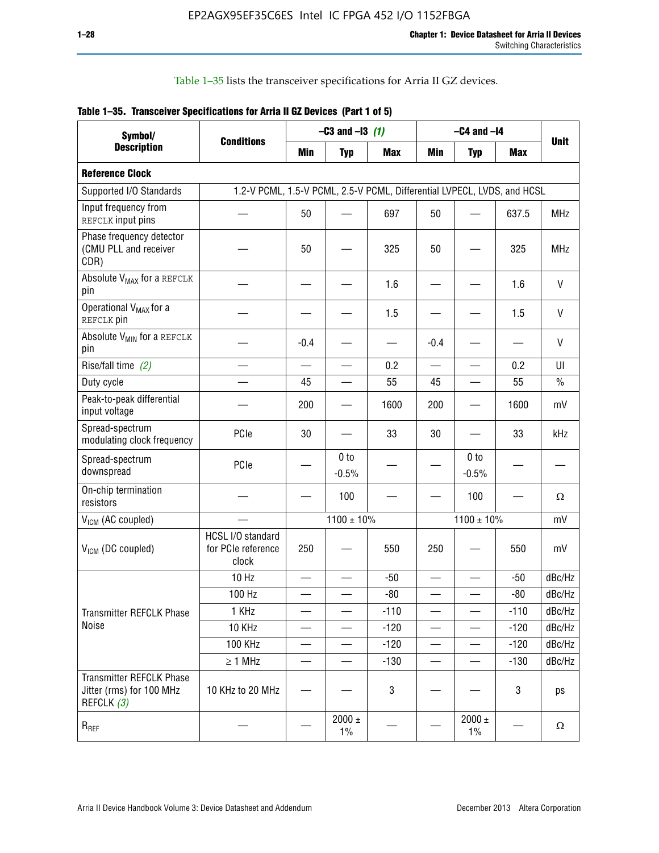Table 1–35 lists the transceiver specifications for Arria II GZ devices.

|  | Table 1-35. Transceiver Specifications for Arria II GZ Devices (Part 1 of 5) |  |
|--|------------------------------------------------------------------------------|--|
|  |                                                                              |  |

| Symbol/                                                                   |                                                                         |                          | $-C3$ and $-13$ (1)        |            |                          | $-C4$ and $-I4$            |            |             |
|---------------------------------------------------------------------------|-------------------------------------------------------------------------|--------------------------|----------------------------|------------|--------------------------|----------------------------|------------|-------------|
| <b>Description</b>                                                        | <b>Conditions</b>                                                       | Min                      | <b>Typ</b>                 | <b>Max</b> | <b>Min</b>               | <b>Typ</b>                 | <b>Max</b> | <b>Unit</b> |
| <b>Reference Clock</b>                                                    |                                                                         |                          |                            |            |                          |                            |            |             |
| Supported I/O Standards                                                   | 1.2-V PCML, 1.5-V PCML, 2.5-V PCML, Differential LVPECL, LVDS, and HCSL |                          |                            |            |                          |                            |            |             |
| Input frequency from<br>REFCLK input pins                                 |                                                                         | 50                       |                            | 697        | 50                       |                            | 637.5      | <b>MHz</b>  |
| Phase frequency detector<br>(CMU PLL and receiver<br>CDR)                 |                                                                         | 50                       |                            | 325        | 50                       |                            | 325        | <b>MHz</b>  |
| Absolute V <sub>MAX</sub> for a REFCLK<br>pin                             |                                                                         |                          |                            | 1.6        |                          |                            | 1.6        | $\vee$      |
| Operational V <sub>MAX</sub> for a<br>REFCLK pin                          |                                                                         |                          |                            | 1.5        |                          |                            | 1.5        | V           |
| Absolute V <sub>MIN</sub> for a REFCLK<br>pin                             |                                                                         | $-0.4$                   |                            |            | $-0.4$                   |                            |            | V           |
| Rise/fall time (2)                                                        |                                                                         | $\overline{\phantom{0}}$ |                            | 0.2        | $\overline{\phantom{0}}$ | $\overline{\phantom{0}}$   | 0.2        | UI          |
| Duty cycle                                                                |                                                                         | 45                       |                            | 55         | 45                       |                            | 55         | $\%$        |
| Peak-to-peak differential<br>input voltage                                |                                                                         | 200                      |                            | 1600       | 200                      |                            | 1600       | mV          |
| Spread-spectrum<br>modulating clock frequency                             | PCIe                                                                    | 30                       |                            | 33         | 30                       |                            | 33         | kHz         |
| Spread-spectrum<br>downspread                                             | PCIe                                                                    |                          | 0 <sub>to</sub><br>$-0.5%$ |            |                          | 0 <sub>to</sub><br>$-0.5%$ |            |             |
| On-chip termination<br>resistors                                          |                                                                         |                          | 100                        |            |                          | 100                        |            | Ω           |
| $V_{IGM}$ (AC coupled)                                                    |                                                                         |                          | $1100 \pm 10\%$            |            |                          | $1100 \pm 10\%$            |            | mV          |
| V <sub>ICM</sub> (DC coupled)                                             | HCSL I/O standard<br>for PCIe reference<br>clock                        | 250                      |                            | 550        | 250                      |                            | 550        | mV          |
|                                                                           | 10 Hz                                                                   | $\overline{\phantom{0}}$ |                            | $-50$      | $\sim$                   |                            | $-50$      | dBc/Hz      |
|                                                                           | 100 Hz                                                                  |                          |                            | $-80$      |                          |                            | $-80$      | dBc/Hz      |
| Transmitter REFCLK Phase                                                  | 1 KHz                                                                   |                          | $\overline{\phantom{0}}$   | $-110$     | $\overline{\phantom{0}}$ | —                          | $-110$     | dBc/Hz      |
| Noise                                                                     | 10 KHz                                                                  |                          |                            | $-120$     |                          |                            | $-120$     | dBc/Hz      |
|                                                                           | <b>100 KHz</b>                                                          |                          |                            | $-120$     | $\overline{\phantom{0}}$ | $\qquad \qquad -$          | $-120$     | dBc/Hz      |
|                                                                           | $\geq 1$ MHz                                                            |                          |                            | $-130$     | $\overline{\phantom{0}}$ | $\overline{\phantom{0}}$   | $-130$     | dBc/Hz      |
| <b>Transmitter REFCLK Phase</b><br>Jitter (rms) for 100 MHz<br>REFCLK (3) | 10 KHz to 20 MHz                                                        |                          |                            | 3          |                          |                            | 3          | ps          |
| $R_{REF}$                                                                 |                                                                         |                          | $2000 \pm$<br>$1\%$        |            |                          | 2000 $\pm$<br>$1\%$        |            | $\Omega$    |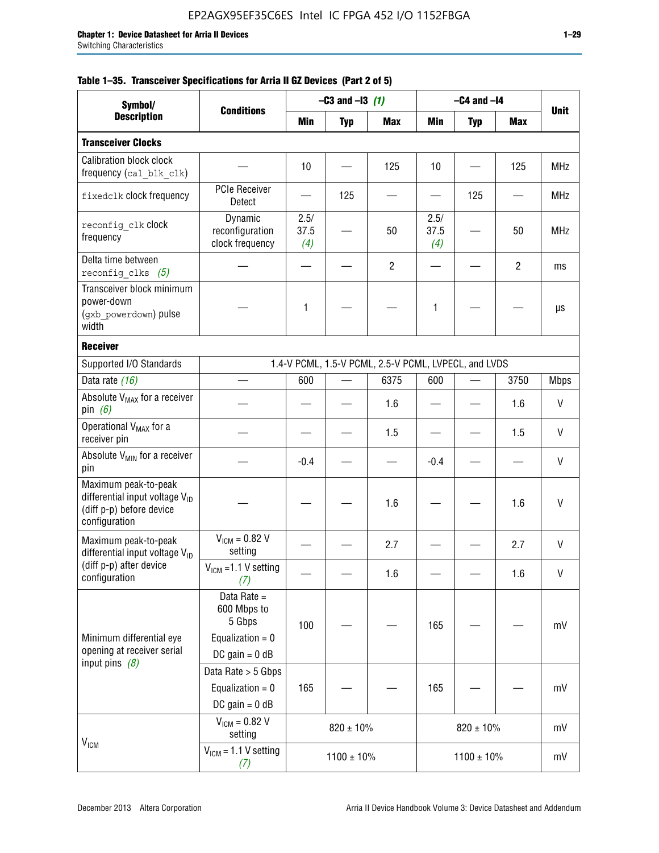|  |  | Table 1–35. Transceiver Specifications for Arria II GZ Devices (Part 2 of 5) |  |  |  |
|--|--|------------------------------------------------------------------------------|--|--|--|
|--|--|------------------------------------------------------------------------------|--|--|--|

| Symbol/                                                                                                         |                                                                                |                     | $-C3$ and $-I3$ (1) |                                                      |                     | $-C4$ and $-I4$ |                |             |
|-----------------------------------------------------------------------------------------------------------------|--------------------------------------------------------------------------------|---------------------|---------------------|------------------------------------------------------|---------------------|-----------------|----------------|-------------|
| <b>Description</b>                                                                                              | <b>Conditions</b>                                                              | Min                 | <b>Typ</b>          | <b>Max</b>                                           | Min                 | <b>Typ</b>      | Max            | <b>Unit</b> |
| <b>Transceiver Clocks</b>                                                                                       |                                                                                |                     |                     |                                                      |                     |                 |                |             |
| <b>Calibration block clock</b><br>frequency (cal_blk_clk)                                                       |                                                                                | 10                  |                     | 125                                                  | 10                  |                 | 125            | <b>MHz</b>  |
| fixedclk clock frequency                                                                                        | <b>PCIe Receiver</b><br>Detect                                                 |                     | 125                 |                                                      |                     | 125             |                | <b>MHz</b>  |
| reconfig clk clock<br>frequency                                                                                 | Dynamic<br>reconfiguration<br>clock frequency                                  | 2.5/<br>37.5<br>(4) |                     | 50                                                   | 2.5/<br>37.5<br>(4) |                 | 50             | <b>MHz</b>  |
| Delta time between<br>reconfig clks $(5)$                                                                       |                                                                                |                     |                     | $\overline{2}$                                       |                     |                 | $\overline{2}$ | ms          |
| Transceiver block minimum<br>power-down<br>(gxb powerdown) pulse<br>width                                       |                                                                                | 1                   |                     |                                                      | 1                   |                 |                | μs          |
| <b>Receiver</b>                                                                                                 |                                                                                |                     |                     |                                                      |                     |                 |                |             |
| Supported I/O Standards                                                                                         |                                                                                |                     |                     | 1.4-V PCML, 1.5-V PCML, 2.5-V PCML, LVPECL, and LVDS |                     |                 |                |             |
| Data rate (16)                                                                                                  |                                                                                | 600                 |                     | 6375                                                 | 600                 |                 | 3750           | <b>Mbps</b> |
| Absolute V <sub>MAX</sub> for a receiver<br>pin $(6)$                                                           |                                                                                |                     |                     | 1.6                                                  |                     |                 | 1.6            | V           |
| Operational V <sub>MAX</sub> for a<br>receiver pin                                                              |                                                                                |                     |                     | 1.5                                                  |                     |                 | 1.5            | V           |
| Absolute V <sub>MIN</sub> for a receiver<br>pin                                                                 |                                                                                | $-0.4$              |                     |                                                      | $-0.4$              |                 |                | V           |
| Maximum peak-to-peak<br>differential input voltage $V_{\text{ID}}$<br>(diff p-p) before device<br>configuration |                                                                                |                     |                     | 1.6                                                  |                     |                 | 1.6            | V           |
| Maximum peak-to-peak<br>differential input voltage V <sub>ID</sub>                                              | $V_{ICM} = 0.82 V$<br>setting                                                  |                     |                     | 2.7                                                  |                     |                 | 2.7            | V           |
| (diff p-p) after device<br>configuration                                                                        | $V_{ICM}$ =1.1 V setting<br>(7)                                                |                     |                     | 1.6                                                  |                     |                 | 1.6            | V           |
| Minimum differential eye<br>opening at receiver serial<br>input pins $(8)$                                      | Data Rate =<br>600 Mbps to<br>5 Gbps<br>Equalization = $0$<br>DC gain = $0$ dB | 100                 |                     |                                                      | 165                 |                 |                | mV          |
|                                                                                                                 | Data Rate > 5 Gbps<br>Equalization = $0$<br>DC gain = $0$ dB                   | 165                 |                     |                                                      | 165                 |                 |                | mV          |
| $V_{IGM}$                                                                                                       | $V_{ICM} = 0.82 V$<br>setting                                                  |                     | $820 \pm 10\%$      |                                                      |                     | $820 \pm 10\%$  |                | mV          |
|                                                                                                                 | $V_{IGM}$ = 1.1 V setting<br>(7)                                               |                     | $1100 \pm 10\%$     |                                                      |                     | $1100 \pm 10\%$ |                | mV          |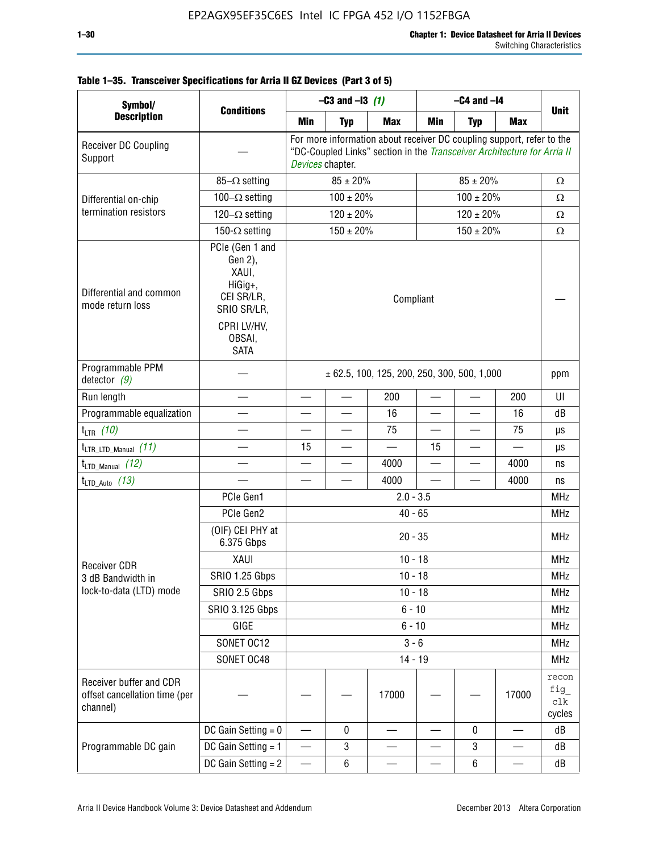| Symbol/                                                              |                                                                                                                     | $-C3$ and $-13$ (1)                                                                                                                                                  |                |            | $-C4$ and $-I4$ |                |            |                               |
|----------------------------------------------------------------------|---------------------------------------------------------------------------------------------------------------------|----------------------------------------------------------------------------------------------------------------------------------------------------------------------|----------------|------------|-----------------|----------------|------------|-------------------------------|
| <b>Description</b>                                                   | <b>Conditions</b>                                                                                                   | Min                                                                                                                                                                  | <b>Typ</b>     | <b>Max</b> | Min             | <b>Typ</b>     | <b>Max</b> | <b>Unit</b>                   |
| Receiver DC Coupling<br>Support                                      |                                                                                                                     | For more information about receiver DC coupling support, refer to the<br>"DC-Coupled Links" section in the Transceiver Architecture for Arria II<br>Devices chapter. |                |            |                 |                |            |                               |
|                                                                      | $85-\Omega$ setting                                                                                                 | $85 \pm 20\%$<br>$85 \pm 20\%$                                                                                                                                       |                |            |                 |                |            | Ω                             |
| Differential on-chip                                                 | 100 $-\Omega$ setting                                                                                               | $100 \pm 20\%$                                                                                                                                                       |                |            |                 | $100 \pm 20\%$ |            |                               |
| termination resistors                                                | 120 $-\Omega$ setting                                                                                               |                                                                                                                                                                      | $120 \pm 20\%$ |            | $120 \pm 20\%$  |                |            | $\Omega$                      |
|                                                                      | 150- $\Omega$ setting                                                                                               | $150 \pm 20\%$<br>$150 \pm 20\%$                                                                                                                                     |                |            |                 |                |            | $\Omega$                      |
| Differential and common<br>mode return loss                          | PCIe (Gen 1 and<br>Gen 2),<br>XAUI,<br>HiGig+,<br>CEI SR/LR,<br>SRIO SR/LR,<br>CPRI LV/HV,<br>OBSAI,<br><b>SATA</b> | Compliant                                                                                                                                                            |                |            |                 |                |            |                               |
| Programmable PPM<br>detector $(9)$                                   |                                                                                                                     | $\pm$ 62.5, 100, 125, 200, 250, 300, 500, 1,000                                                                                                                      |                |            |                 |                |            | ppm                           |
| Run length                                                           |                                                                                                                     | —                                                                                                                                                                    |                | 200        |                 |                | 200        | UI                            |
| Programmable equalization                                            |                                                                                                                     |                                                                                                                                                                      |                | 16         |                 |                | 16         | dB                            |
| $t_{LTR}$ (10)                                                       |                                                                                                                     |                                                                                                                                                                      |                | 75         |                 |                | 75         | μs                            |
| $t_{\text{LTR\_LTD\_Manual}}$ (11)                                   |                                                                                                                     | 15                                                                                                                                                                   |                |            | 15              |                |            | μs                            |
| $t_{\text{LTD\_Manual}}$ (12)                                        |                                                                                                                     |                                                                                                                                                                      |                | 4000       |                 |                | 4000       | ns                            |
| $t_{LTD\_Auto}$ (13)                                                 |                                                                                                                     |                                                                                                                                                                      |                | 4000       |                 |                | 4000       | ns                            |
|                                                                      | PCIe Gen1                                                                                                           | $2.0 - 3.5$                                                                                                                                                          |                |            |                 |                |            |                               |
|                                                                      | PCIe Gen2                                                                                                           |                                                                                                                                                                      |                | $40 - 65$  |                 |                |            | <b>MHz</b>                    |
|                                                                      | (OIF) CEI PHY at<br>6.375 Gbps                                                                                      |                                                                                                                                                                      |                | $20 - 35$  |                 |                |            | <b>MHz</b>                    |
| <b>Receiver CDR</b>                                                  | XAUI                                                                                                                |                                                                                                                                                                      |                | $10 - 18$  |                 |                |            | <b>MHz</b>                    |
| 3 dB Bandwidth in                                                    | <b>SRIO 1.25 Gbps</b>                                                                                               |                                                                                                                                                                      |                | $10 - 18$  |                 |                |            | MHz                           |
| lock-to-data (LTD) mode                                              | SRIO 2.5 Gbps                                                                                                       |                                                                                                                                                                      |                | $10 - 18$  |                 |                |            | <b>MHz</b>                    |
|                                                                      | SRIO 3.125 Gbps                                                                                                     |                                                                                                                                                                      |                | $6 - 10$   |                 |                |            | <b>MHz</b>                    |
|                                                                      | GIGE                                                                                                                |                                                                                                                                                                      |                | $6 - 10$   |                 |                |            | <b>MHz</b>                    |
|                                                                      | SONET OC12                                                                                                          |                                                                                                                                                                      |                | $3 - 6$    |                 |                |            | <b>MHz</b>                    |
|                                                                      | SONET OC48                                                                                                          |                                                                                                                                                                      |                | $14 - 19$  |                 |                |            | <b>MHz</b>                    |
| Receiver buffer and CDR<br>offset cancellation time (per<br>channel) |                                                                                                                     |                                                                                                                                                                      |                | 17000      |                 |                | 17000      | recon<br>fig<br>clk<br>cycles |
|                                                                      | DC Gain Setting $= 0$                                                                                               |                                                                                                                                                                      | 0              |            |                 | $\bf{0}$       |            | dB                            |
| Programmable DC gain                                                 | DC Gain Setting = 1                                                                                                 | $\overline{\phantom{0}}$                                                                                                                                             | 3              |            |                 | 3              |            | dB                            |
|                                                                      | DC Gain Setting $= 2$                                                                                               |                                                                                                                                                                      | $\,6\,$        |            |                 | $\,6\,$        |            | dB                            |

# **Table 1–35. Transceiver Specifications for Arria II GZ Devices (Part 3 of 5)**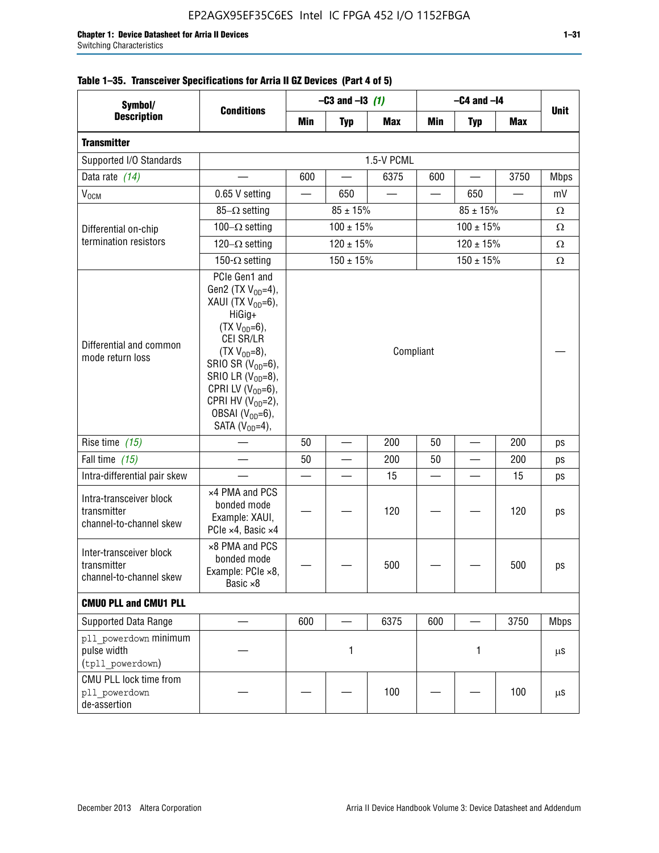| Symbol/                                                           |                                                                                                                                                                                                                                                                                              | $-C3$ and $-13$ (1)            |                          |            | $-C4$ and $-I4$ |            |                          |             |
|-------------------------------------------------------------------|----------------------------------------------------------------------------------------------------------------------------------------------------------------------------------------------------------------------------------------------------------------------------------------------|--------------------------------|--------------------------|------------|-----------------|------------|--------------------------|-------------|
| <b>Description</b>                                                | <b>Conditions</b>                                                                                                                                                                                                                                                                            | Min                            | <b>Typ</b>               | <b>Max</b> | Min             | <b>Typ</b> | <b>Max</b>               | <b>Unit</b> |
| <b>Transmitter</b>                                                |                                                                                                                                                                                                                                                                                              |                                |                          |            |                 |            |                          |             |
| Supported I/O Standards                                           |                                                                                                                                                                                                                                                                                              | 1.5-V PCML                     |                          |            |                 |            |                          |             |
| Data rate (14)                                                    |                                                                                                                                                                                                                                                                                              | 600                            | $\overline{\phantom{0}}$ | 6375       | 600             |            | 3750                     | <b>Mbps</b> |
| V <sub>OCM</sub>                                                  | 0.65 V setting                                                                                                                                                                                                                                                                               |                                | 650                      |            |                 | 650        | $\overline{\phantom{0}}$ | mV          |
|                                                                   | $85-\Omega$ setting                                                                                                                                                                                                                                                                          | $85 \pm 15\%$<br>$85 \pm 15\%$ |                          |            |                 |            |                          | Ω           |
| Differential on-chip                                              | 100 $-\Omega$ setting                                                                                                                                                                                                                                                                        |                                | $100 \pm 15\%$           |            | $100 \pm 15\%$  |            |                          | Ω           |
| termination resistors                                             | 120 $-\Omega$ setting                                                                                                                                                                                                                                                                        |                                | $120 \pm 15\%$           |            | $120 \pm 15\%$  |            |                          | Ω           |
|                                                                   | 150- $\Omega$ setting                                                                                                                                                                                                                                                                        |                                | $150 \pm 15%$            |            | $150 \pm 15%$   |            |                          | Ω           |
| Differential and common<br>mode return loss                       | PCIe Gen1 and<br>Gen2 (TX $V_{OD} = 4$ ),<br>XAUI (TX $V_{OD} = 6$ ),<br>HiGig+<br>$(TX V_{OD} = 6)$ ,<br>CEI SR/LR<br>$(TX V_{OD} = 8),$<br>SRIO SR $(V_{OD}=6)$ ,<br>SRIO LR $(V_{OD} = 8)$ ,<br>CPRI LV $(V_{OD}=6)$ ,<br>CPRI HV $(V_{OD}=2)$ ,<br>OBSAI $(VOD=6)$ ,<br>SATA $(VOD=4)$ , | Compliant                      |                          |            |                 |            |                          |             |
| Rise time $(15)$                                                  |                                                                                                                                                                                                                                                                                              | 50                             |                          | 200        | 50              |            | 200                      | ps          |
| Fall time (15)                                                    |                                                                                                                                                                                                                                                                                              | 50                             |                          | 200        | 50              |            | 200                      | ps          |
| Intra-differential pair skew                                      |                                                                                                                                                                                                                                                                                              |                                |                          | 15         |                 |            | 15                       | ps          |
| Intra-transceiver block<br>transmitter<br>channel-to-channel skew | x4 PMA and PCS<br>bonded mode<br>Example: XAUI,<br>PCIe ×4, Basic ×4                                                                                                                                                                                                                         |                                |                          | 120        |                 |            | 120                      | ps          |
| Inter-transceiver block<br>transmitter<br>channel-to-channel skew | ×8 PMA and PCS<br>bonded mode<br>Example: PCle ×8,<br>Basic ×8                                                                                                                                                                                                                               |                                |                          | 500        |                 |            | 500                      | ps          |
| <b>CMUO PLL and CMU1 PLL</b>                                      |                                                                                                                                                                                                                                                                                              |                                |                          |            |                 |            |                          |             |
| Supported Data Range                                              |                                                                                                                                                                                                                                                                                              | 600                            |                          | 6375       | 600             |            | 3750                     | <b>Mbps</b> |
| pll powerdown minimum<br>pulse width<br>(tpll powerdown)          |                                                                                                                                                                                                                                                                                              | 1                              |                          | 1          |                 |            | μS                       |             |
| CMU PLL lock time from<br>pll powerdown<br>de-assertion           |                                                                                                                                                                                                                                                                                              |                                |                          | 100        |                 |            | 100                      | μS          |

# **Table 1–35. Transceiver Specifications for Arria II GZ Devices (Part 4 of 5)**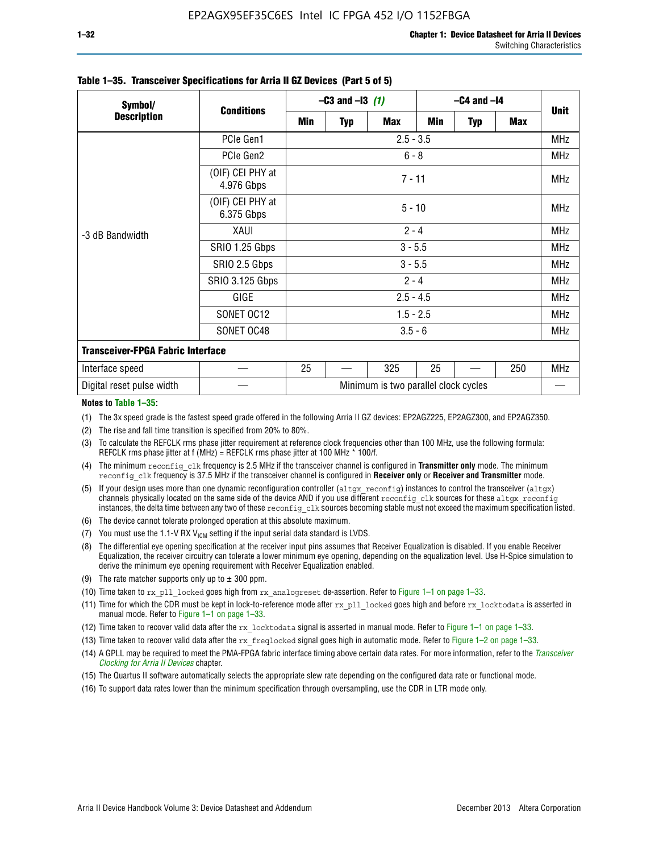| Symbol/                                  | <b>Conditions</b>              | $-C3$ and $-13$ (1)                  |            |            | $-C4$ and $-I4$ |            |            |             |  |
|------------------------------------------|--------------------------------|--------------------------------------|------------|------------|-----------------|------------|------------|-------------|--|
| <b>Description</b>                       |                                | Min                                  | <b>Typ</b> | <b>Max</b> | Min             | <b>Typ</b> | <b>Max</b> | <b>Unit</b> |  |
| -3 dB Bandwidth                          | PCIe Gen1                      | $2.5 - 3.5$                          |            |            |                 |            |            |             |  |
|                                          | PCIe Gen2                      | $6 - 8$                              |            |            |                 |            |            |             |  |
|                                          | (OIF) CEI PHY at<br>4.976 Gbps | $7 - 11$                             |            |            |                 |            |            |             |  |
|                                          | (OIF) CEI PHY at<br>6.375 Gbps | $5 - 10$                             |            |            |                 |            |            |             |  |
|                                          | XAUI                           | $2 - 4$                              |            |            |                 |            |            |             |  |
|                                          | SRIO 1.25 Gbps                 | $3 - 5.5$                            |            |            |                 |            |            |             |  |
|                                          | SRIO 2.5 Gbps                  | $3 - 5.5$                            |            |            |                 |            |            |             |  |
|                                          | <b>SRIO 3.125 Gbps</b>         | $2 - 4$                              |            |            |                 |            |            |             |  |
|                                          | GIGE                           | $2.5 - 4.5$                          |            |            |                 |            |            |             |  |
|                                          | SONET OC12                     | $1.5 - 2.5$                          |            |            |                 |            |            | <b>MHz</b>  |  |
|                                          | SONET OC48                     | $3.5 - 6$                            |            |            |                 |            |            |             |  |
| <b>Transceiver-FPGA Fabric Interface</b> |                                |                                      |            |            |                 |            |            |             |  |
| Interface speed                          |                                | 25                                   |            | 325        | 25              |            | 250        | MHz         |  |
| Digital reset pulse width                |                                | Minimum is two parallel clock cycles |            |            |                 |            |            |             |  |

#### **Table 1–35. Transceiver Specifications for Arria II GZ Devices (Part 5 of 5)**

#### **Notes to Table 1–35:**

(1) The 3x speed grade is the fastest speed grade offered in the following Arria II GZ devices: EP2AGZ225, EP2AGZ300, and EP2AGZ350.

- (2) The rise and fall time transition is specified from 20% to 80%.
- (3) To calculate the REFCLK rms phase jitter requirement at reference clock frequencies other than 100 MHz, use the following formula: REFCLK rms phase jitter at f (MHz) = REFCLK rms phase jitter at 100 MHz  $*$  100/f.
- (4) The minimum reconfig clk frequency is 2.5 MHz if the transceiver channel is configured in **Transmitter only** mode. The minimum reconfig clk frequency is 37.5 MHz if the transceiver channel is configured in **Receiver only** or **Receiver and Transmitter** mode.
- (5) If your design uses more than one dynamic reconfiguration controller (altgx reconfig) instances to control the transceiver (altgx) channels physically located on the same side of the device AND if you use different reconfig clk sources for these altgx reconfig instances, the delta time between any two of these reconfig clk sources becoming stable must not exceed the maximum specification listed.
- (6) The device cannot tolerate prolonged operation at this absolute maximum.
- (7) You must use the 1.1-V RX  $V_{ICM}$  setting if the input serial data standard is LVDS.
- (8) The differential eye opening specification at the receiver input pins assumes that Receiver Equalization is disabled. If you enable Receiver Equalization, the receiver circuitry can tolerate a lower minimum eye opening, depending on the equalization level. Use H-Spice simulation to derive the minimum eye opening requirement with Receiver Equalization enabled.
- (9) The rate matcher supports only up to  $\pm$  300 ppm.
- (10) Time taken to rx\_pll\_locked goes high from rx\_analogreset de-assertion. Refer to Figure 1–1 on page 1–33.
- (11) Time for which the CDR must be kept in lock-to-reference mode after rx pll\_locked goes high and before rx\_locktodata is asserted in manual mode. Refer to Figure 1–1 on page 1–33.
- (12) Time taken to recover valid data after the rx locktodata signal is asserted in manual mode. Refer to Figure 1–1 on page 1–33.
- (13) Time taken to recover valid data after the rx\_freqlocked signal goes high in automatic mode. Refer to Figure 1–2 on page 1–33.
- (14) A GPLL may be required to meet the PMA-FPGA fabric interface timing above certain data rates. For more information, refer to the *[Transceiver](http://www.altera.com/literature/hb/arria-ii-gx/aiigx_52002.pdf)  [Clocking for Arria II Devices](http://www.altera.com/literature/hb/arria-ii-gx/aiigx_52002.pdf)* chapter.
- (15) The Quartus II software automatically selects the appropriate slew rate depending on the configured data rate or functional mode.
- (16) To support data rates lower than the minimum specification through oversampling, use the CDR in LTR mode only.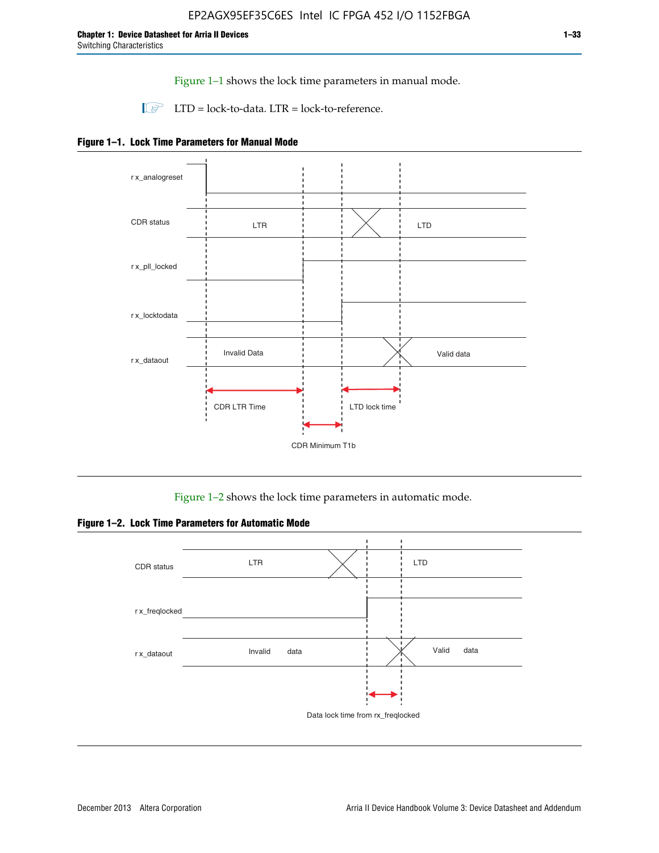Figure 1–1 shows the lock time parameters in manual mode.

 $\Box$  LTD = lock-to-data. LTR = lock-to-reference.





Figure 1–2 shows the lock time parameters in automatic mode.

**Figure 1–2. Lock Time Parameters for Automatic Mode**

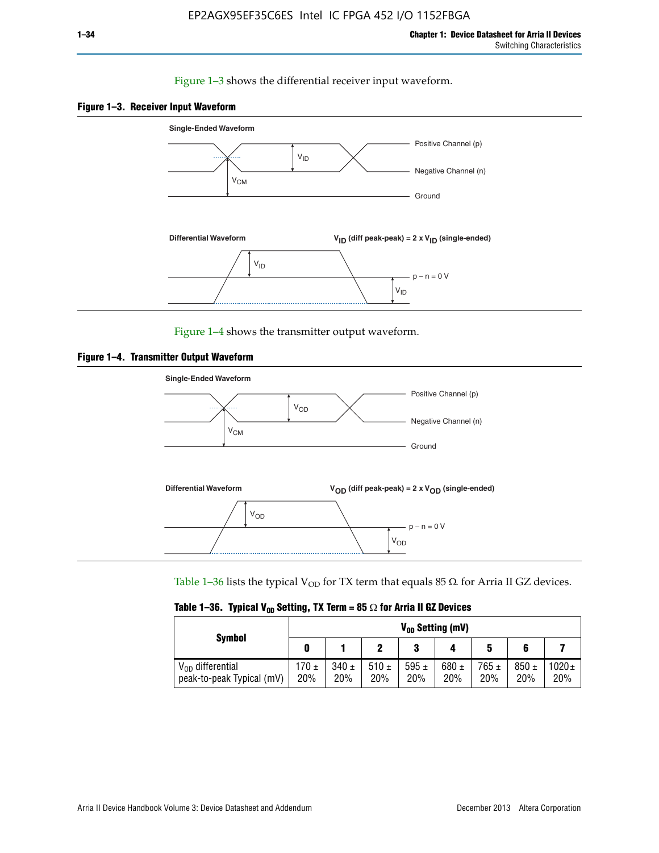### Figure 1–3 shows the differential receiver input waveform.





Figure 1–4 shows the transmitter output waveform.





Table 1–36 lists the typical V<sub>OD</sub> for TX term that equals 85  $\Omega$  for Arria II GZ devices.

|  |  |  | Table 1–36. Typical V <sub>op</sub> Setting, TX Term = 85 $\Omega$ for Arria II GZ Devices |
|--|--|--|--------------------------------------------------------------------------------------------|
|--|--|--|--------------------------------------------------------------------------------------------|

|                                                    | $V_{0D}$ Setting (mV) |                  |             |                  |                  |                  |                  |                   |  |  |
|----------------------------------------------------|-----------------------|------------------|-------------|------------------|------------------|------------------|------------------|-------------------|--|--|
| <b>Symbol</b>                                      |                       |                  |             | 2<br>J           |                  | 5                |                  |                   |  |  |
| $V_{OD}$ differential<br>peak-to-peak Typical (mV) | $170 \pm$<br>20%      | $340 \pm$<br>20% | 510±<br>20% | 595 $\pm$<br>20% | 680 $\pm$<br>20% | $765 \pm$<br>20% | $850 \pm$<br>20% | $1020 \pm$<br>20% |  |  |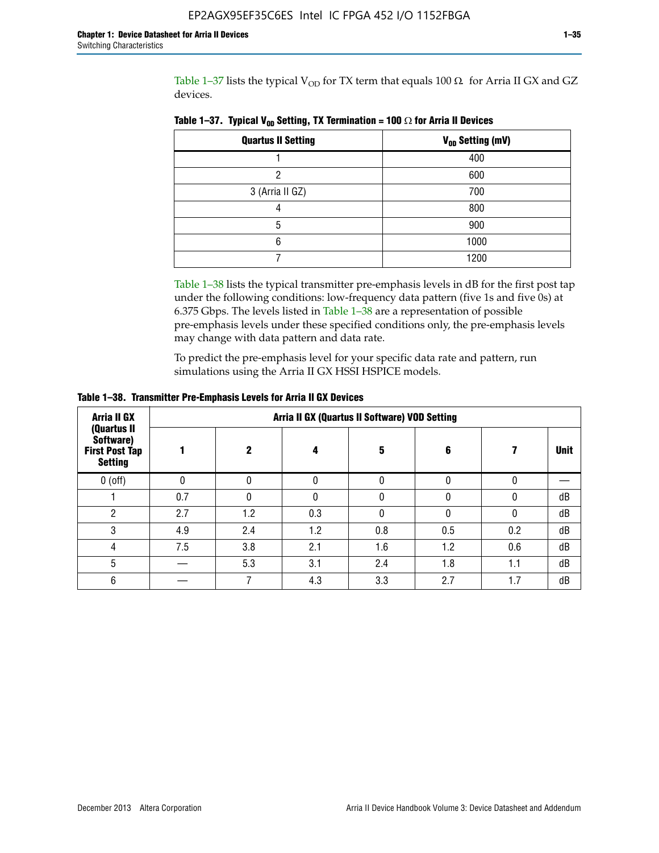Table 1–37 lists the typical  $V_{OD}$  for TX term that equals 100  $\Omega$  for Arria II GX and GZ devices.

| <b>Quartus II Setting</b> | V <sub>OD</sub> Setting (mV) |
|---------------------------|------------------------------|
|                           | 400                          |
|                           | 600                          |
| 3 (Arria II GZ)           | 700                          |
|                           | 800                          |
| 5                         | 900                          |
| հ                         | 1000                         |
|                           | 1200                         |

**Table 1–37. Typical V<sub>OD</sub> Setting, TX Termination = 100**  $\Omega$  for Arria II Devices

Table 1–38 lists the typical transmitter pre-emphasis levels in dB for the first post tap under the following conditions: low-frequency data pattern (five 1s and five 0s) at 6.375 Gbps. The levels listed in Table 1–38 are a representation of possible pre-emphasis levels under these specified conditions only, the pre-emphasis levels may change with data pattern and data rate.

To predict the pre-emphasis level for your specific data rate and pattern, run simulations using the Arria II GX HSSI HSPICE models.

| <b>Arria II GX</b><br>(Quartus II                    | Arria II GX (Quartus II Software) VOD Setting |     |     |     |     |     |             |  |  |  |  |
|------------------------------------------------------|-----------------------------------------------|-----|-----|-----|-----|-----|-------------|--|--|--|--|
| Software)<br><b>First Post Tap</b><br><b>Setting</b> |                                               | 2   | 4   | 5   | 6   |     | <b>Unit</b> |  |  |  |  |
| $0$ (off)                                            | 0                                             |     | U   |     |     |     |             |  |  |  |  |
|                                                      | 0.7                                           |     | U   |     |     |     | dB          |  |  |  |  |
| ŋ                                                    | 2.7                                           | 1.2 | 0.3 |     |     |     | dB          |  |  |  |  |
| 3                                                    | 4.9                                           | 2.4 | 1.2 | 0.8 | 0.5 | 0.2 | dB          |  |  |  |  |
| 4                                                    | 7.5                                           | 3.8 | 2.1 | 1.6 | 1.2 | 0.6 | dB          |  |  |  |  |
| 5                                                    |                                               | 5.3 | 3.1 | 2.4 | 1.8 | 1.1 | dB          |  |  |  |  |
| 6                                                    |                                               |     | 4.3 | 3.3 | 2.7 | 1.7 | dB          |  |  |  |  |

**Table 1–38. Transmitter Pre-Emphasis Levels for Arria II GX Devices**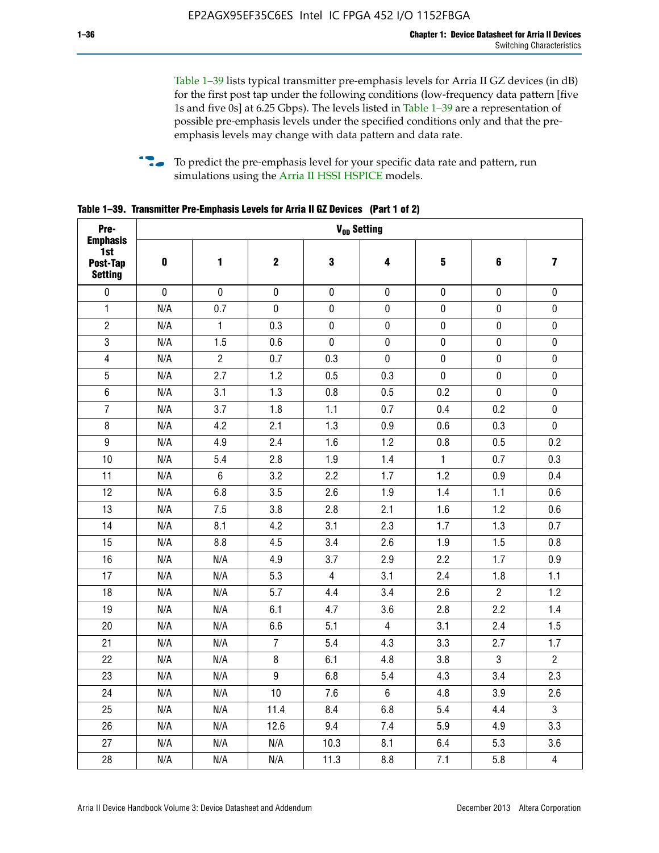Table 1–39 lists typical transmitter pre-emphasis levels for Arria II GZ devices (in dB) for the first post tap under the following conditions (low-frequency data pattern [five 1s and five 0s] at 6.25 Gbps). The levels listed in Table 1–39 are a representation of possible pre-emphasis levels under the specified conditions only and that the preemphasis levels may change with data pattern and data rate.

**follow** To predict the pre-emphasis level for your specific data rate and pattern, run simulations using the [Arria II HSSI HSPICE](http://www.altera.com/support/software/download/hspice/hsp-index.html) models.

| Pre-                                                 |           |                |                  |                | V <sub>op</sub> Setting |              |                |                         |
|------------------------------------------------------|-----------|----------------|------------------|----------------|-------------------------|--------------|----------------|-------------------------|
| <b>Emphasis</b><br>1st<br>Post-Tap<br><b>Setting</b> | $\pmb{0}$ | 1              | $\boldsymbol{2}$ | $\bf{3}$       | 4                       | 5            | 6              | $\overline{\mathbf{z}}$ |
| $\pmb{0}$                                            | $\pmb{0}$ | $\pmb{0}$      | $\pmb{0}$        | $\pmb{0}$      | $\pmb{0}$               | $\pmb{0}$    | $\pmb{0}$      | $\pmb{0}$               |
| $\mathbf{1}$                                         | N/A       | 0.7            | $\pmb{0}$        | $\pmb{0}$      | $\pmb{0}$               | $\pmb{0}$    | 0              | $\pmb{0}$               |
| $\overline{2}$                                       | N/A       | $\mathbf{1}$   | 0.3              | $\pmb{0}$      | $\pmb{0}$               | $\pmb{0}$    | $\pmb{0}$      | $\pmb{0}$               |
| $\sqrt{3}$                                           | N/A       | 1.5            | 0.6              | $\pmb{0}$      | $\pmb{0}$               | $\pmb{0}$    | $\pmb{0}$      | $\pmb{0}$               |
| $\overline{\mathbf{4}}$                              | N/A       | $\overline{2}$ | 0.7              | 0.3            | $\mathbf 0$             | $\pmb{0}$    | $\pmb{0}$      | $\pmb{0}$               |
| $\overline{5}$                                       | N/A       | 2.7            | 1.2              | 0.5            | 0.3                     | $\pmb{0}$    | $\pmb{0}$      | $\pmb{0}$               |
| $\,6\,$                                              | N/A       | 3.1            | 1.3              | 0.8            | 0.5                     | 0.2          | $\mathbf 0$    | $\pmb{0}$               |
| $\overline{7}$                                       | N/A       | 3.7            | 1.8              | 1.1            | 0.7                     | 0.4          | 0.2            | $\pmb{0}$               |
| 8                                                    | N/A       | 4.2            | 2.1              | 1.3            | 0.9                     | 0.6          | 0.3            | $\pmb{0}$               |
| $\boldsymbol{9}$                                     | N/A       | 4.9            | 2.4              | 1.6            | 1.2                     | 0.8          | 0.5            | 0.2                     |
| 10                                                   | N/A       | 5.4            | 2.8              | 1.9            | 1.4                     | $\mathbf{1}$ | 0.7            | 0.3                     |
| 11                                                   | N/A       | $\,6\,$        | 3.2              | 2.2            | 1.7                     | 1.2          | 0.9            | 0.4                     |
| 12                                                   | N/A       | 6.8            | 3.5              | 2.6            | 1.9                     | 1.4          | 1.1            | 0.6                     |
| 13                                                   | N/A       | 7.5            | 3.8              | 2.8            | 2.1                     | 1.6          | 1.2            | 0.6                     |
| 14                                                   | N/A       | 8.1            | 4.2              | 3.1            | 2.3                     | 1.7          | 1.3            | 0.7                     |
| 15                                                   | N/A       | 8.8            | 4.5              | 3.4            | 2.6                     | 1.9          | 1.5            | 0.8                     |
| 16                                                   | N/A       | N/A            | 4.9              | 3.7            | 2.9                     | 2.2          | 1.7            | 0.9                     |
| 17                                                   | N/A       | N/A            | 5.3              | $\overline{4}$ | 3.1                     | 2.4          | 1.8            | 1.1                     |
| 18                                                   | N/A       | N/A            | 5.7              | 4.4            | 3.4                     | 2.6          | $\overline{c}$ | 1.2                     |
| 19                                                   | N/A       | N/A            | 6.1              | 4.7            | 3.6                     | 2.8          | 2.2            | 1.4                     |
| 20                                                   | N/A       | N/A            | 6.6              | 5.1            | $\overline{4}$          | 3.1          | 2.4            | 1.5                     |
| 21                                                   | N/A       | N/A            | $\overline{7}$   | 5.4            | 4.3                     | 3.3          | 2.7            | 1.7                     |
| 22                                                   | N/A       | N/A            | 8                | 6.1            | 4.8                     | 3.8          | 3              | $\overline{2}$          |
| 23                                                   | N/A       | N/A            | $\boldsymbol{9}$ | 6.8            | 5.4                     | 4.3          | 3.4            | 2.3                     |
| 24                                                   | N/A       | N/A            | 10               | 7.6            | $\,6\,$                 | 4.8          | 3.9            | 2.6                     |
| 25                                                   | N/A       | N/A            | 11.4             | 8.4            | 6.8                     | 5.4          | 4.4            | $\overline{3}$          |
| 26                                                   | N/A       | N/A            | 12.6             | 9.4            | 7.4                     | 5.9          | 4.9            | 3.3                     |
| 27                                                   | N/A       | N/A            | N/A              | 10.3           | 8.1                     | 6.4          | 5.3            | 3.6                     |
| 28                                                   | N/A       | N/A            | N/A              | 11.3           | 8.8                     | 7.1          | 5.8            | $\overline{4}$          |

**Table 1–39. Transmitter Pre-Emphasis Levels for Arria II GZ Devices (Part 1 of 2)**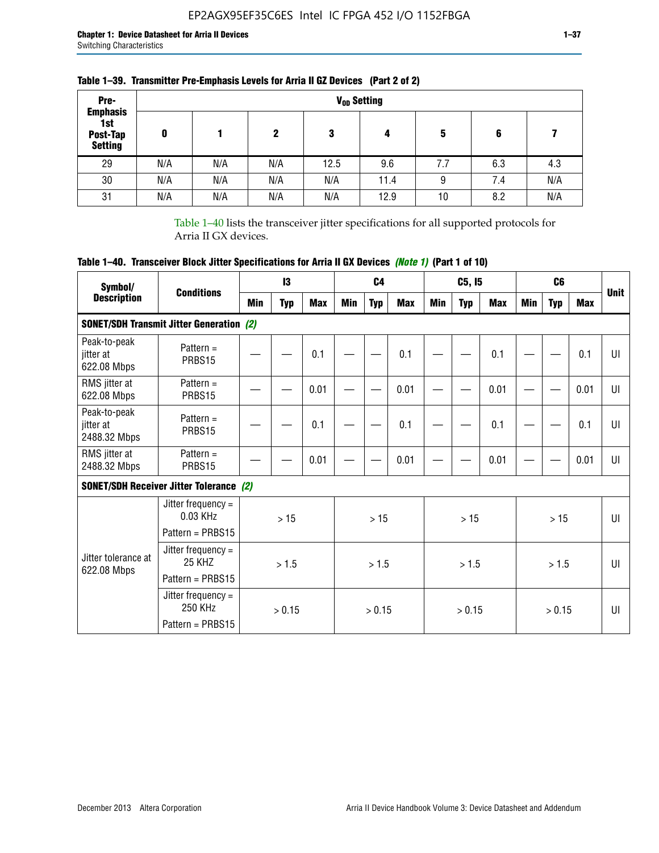| Pre-                                                 |     |     |     |      | V <sub>op</sub> Setting |     |     |     |
|------------------------------------------------------|-----|-----|-----|------|-------------------------|-----|-----|-----|
| <b>Emphasis</b><br>1st<br>Post-Tap<br><b>Setting</b> | 0   |     | 2   | 3    | 4                       | 5   | 6   |     |
| 29                                                   | N/A | N/A | N/A | 12.5 | 9.6                     | 7.7 | 6.3 | 4.3 |
| 30                                                   | N/A | N/A | N/A | N/A  | 11.4                    | 9   | 7.4 | N/A |
| 31                                                   | N/A | N/A | N/A | N/A  | 12.9                    | 10  | 8.2 | N/A |

## **Table 1–39. Transmitter Pre-Emphasis Levels for Arria II GZ Devices (Part 2 of 2)**

Table 1–40 lists the transceiver jitter specifications for all supported protocols for Arria II GX devices.

# **Table 1–40. Transceiver Block Jitter Specifications for Arria II GX Devices** *(Note 1)* **(Part 1 of 10)**

| Symbol/                                   |                                                              |     | 13         |            |     | C <sub>4</sub> |            |     | C5, I5     |            |     | C <sub>6</sub> |            |              |
|-------------------------------------------|--------------------------------------------------------------|-----|------------|------------|-----|----------------|------------|-----|------------|------------|-----|----------------|------------|--------------|
| <b>Description</b>                        | <b>Conditions</b>                                            | Min | <b>Typ</b> | <b>Max</b> | Min | <b>Typ</b>     | <b>Max</b> | Min | <b>Typ</b> | <b>Max</b> | Min | <b>Typ</b>     | <b>Max</b> | <b>Unit</b>  |
|                                           | <b>SONET/SDH Transmit Jitter Generation (2)</b>              |     |            |            |     |                |            |     |            |            |     |                |            |              |
| Peak-to-peak<br>jitter at<br>622.08 Mbps  | Pattern $=$<br>PRBS15                                        |     |            | 0.1        |     |                | 0.1        |     |            | 0.1        |     |                | 0.1        | UI           |
| RMS jitter at<br>622.08 Mbps              | Pattern $=$<br>PRBS15                                        |     |            | 0.01       |     |                | 0.01       |     |            | 0.01       |     |                | 0.01       | UI           |
| Peak-to-peak<br>jitter at<br>2488.32 Mbps | Pattern $=$<br>PRBS15                                        |     |            | 0.1        |     |                | 0.1        |     |            | 0.1        |     |                | 0.1        | UI           |
| RMS jitter at<br>2488.32 Mbps             | Pattern $=$<br>PRBS15                                        |     |            | 0.01       |     |                | 0.01       |     |            | 0.01       |     |                | 0.01       | UI           |
|                                           | <b>SONET/SDH Receiver Jitter Tolerance (2)</b>               |     |            |            |     |                |            |     |            |            |     |                |            |              |
|                                           | Jitter frequency $=$<br>$0.03$ KHz<br>Pattern = PRBS15       |     | >15        |            |     | >15            |            |     | >15        |            |     | >15            |            | $\mathbf{U}$ |
| Jitter tolerance at<br>622.08 Mbps        | Jitter frequency =<br>25 KH <sub>7</sub><br>Pattern = PRBS15 |     | > 1.5      |            |     | > 1.5          |            |     | > 1.5      |            |     | > 1.5          |            | $\mathbf{U}$ |
|                                           | Jitter frequency $=$<br>250 KHz<br>Pattern = PRBS15          |     | > 0.15     |            |     | > 0.15         |            |     | > 0.15     |            |     | > 0.15         |            | $\mathbf{U}$ |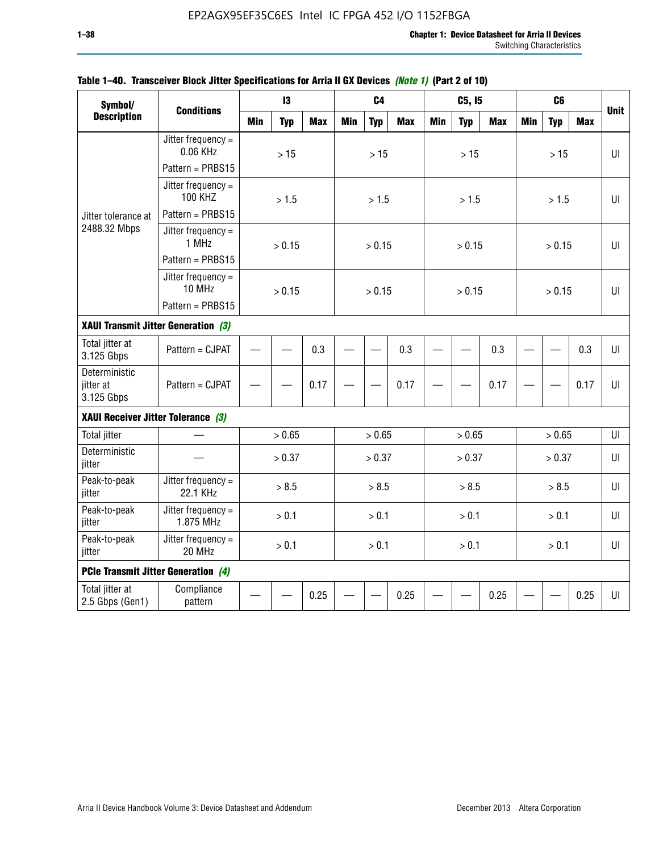| Symbol/<br><b>Description</b>              |                                        |            | 13         |            |            | C <sub>4</sub> |            |            | C5, I5     |            |            | C <sub>6</sub> |            |              |
|--------------------------------------------|----------------------------------------|------------|------------|------------|------------|----------------|------------|------------|------------|------------|------------|----------------|------------|--------------|
|                                            | <b>Conditions</b>                      | <b>Min</b> | <b>Typ</b> | <b>Max</b> | <b>Min</b> | <b>Typ</b>     | <b>Max</b> | <b>Min</b> | <b>Typ</b> | <b>Max</b> | <b>Min</b> | <b>Typ</b>     | <b>Max</b> | <b>Unit</b>  |
|                                            | Jitter frequency $=$<br>0.06 KHz       |            | $>15$      |            |            | $>15$          |            |            | $>15$      |            |            | $>15$          |            | $U\Gamma$    |
|                                            | Pattern = PRBS15                       |            |            |            |            |                |            |            |            |            |            |                |            |              |
|                                            | Jitter frequency $=$<br><b>100 KHZ</b> |            | > 1.5      |            |            | > 1.5          |            |            | > 1.5      |            |            | > 1.5          |            | UI           |
| Jitter tolerance at                        | Pattern = PRBS15                       |            |            |            |            |                |            |            |            |            |            |                |            |              |
| 2488.32 Mbps                               | Jitter frequency =<br>1 MHz            |            | > 0.15     |            |            | > 0.15         |            |            | > 0.15     |            |            | > 0.15         |            | UI           |
|                                            | Pattern = PRBS15                       |            |            |            |            |                |            |            |            |            |            |                |            |              |
|                                            | Jitter frequency $=$<br>10 MHz         |            | > 0.15     |            |            | > 0.15         |            |            | > 0.15     |            |            | > 0.15         |            | $\mathbf{U}$ |
|                                            | Pattern = PRBS15                       |            |            |            |            |                |            |            |            |            |            |                |            |              |
| XAUI Transmit Jitter Generation (3)        |                                        | 0.3        |            |            |            |                |            |            |            |            |            |                |            |              |
| Total jitter at<br>3.125 Gbps              | Pattern = CJPAT                        |            |            |            |            |                | 0.3        |            |            | 0.3        |            |                | 0.3        | UI           |
| Deterministic<br>jitter at<br>3.125 Gbps   | Pattern = CJPAT                        |            |            | 0.17       |            |                | 0.17       |            |            | 0.17       |            |                | 0.17       | U            |
| XAUI Receiver Jitter Tolerance (3)         |                                        |            |            |            |            |                |            |            |            |            |            |                |            |              |
| <b>Total jitter</b>                        |                                        |            | > 0.65     |            |            | > 0.65         |            |            | > 0.65     |            |            | > 0.65         |            | UI           |
| Deterministic<br>jitter                    |                                        |            | > 0.37     |            |            | > 0.37         |            |            | > 0.37     |            |            | > 0.37         |            | UI           |
| Peak-to-peak<br>jitter                     | Jitter frequency $=$<br>22.1 KHz       |            | > 8.5      |            |            | > 8.5          |            |            | > 8.5      |            |            | > 8.5          |            | UI           |
| Peak-to-peak<br>jitter                     | Jitter frequency $=$<br>1.875 MHz      |            | > 0.1      |            |            | > 0.1          |            |            | > 0.1      |            |            | > 0.1          |            | U            |
| Peak-to-peak<br>jitter                     | Jitter frequency $=$<br>20 MHz         | > 0.1      |            |            |            | > 0.1          |            |            | > 0.1      |            |            | > 0.1          |            | UI           |
| <b>PCIe Transmit Jitter Generation (4)</b> |                                        |            |            |            |            |                |            |            |            |            |            |                |            |              |
| Total jitter at<br>2.5 Gbps (Gen1)         | Compliance<br>pattern                  |            |            | 0.25       |            |                | 0.25       |            |            | 0.25       |            |                | 0.25       | $U\Gamma$    |

### **Table 1–40. Transceiver Block Jitter Specifications for Arria II GX Devices** *(Note 1)* **(Part 2 of 10)**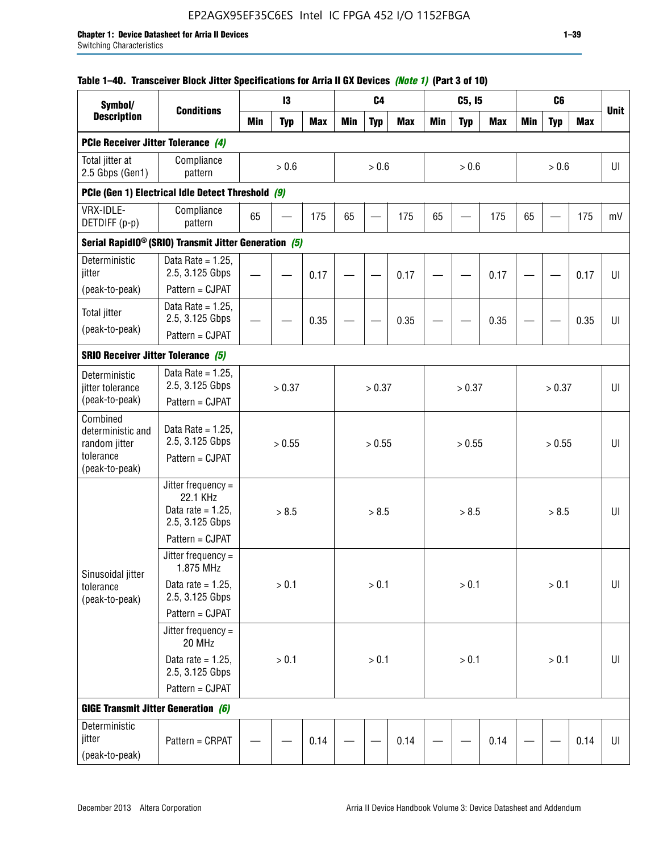# EP2AGX95EF35C6ES Intel IC FPGA 452 I/O 1152FBGA

### **Table 1–40. Transceiver Block Jitter Specifications for Arria II GX Devices** *(Note 1)* **(Part 3 of 10)**

| Symbol/                                                                       |                                                                             |            | 13         |            |            | C <sub>4</sub> |            |            | C5, I5     |            |            | C <sub>6</sub> |            |             |
|-------------------------------------------------------------------------------|-----------------------------------------------------------------------------|------------|------------|------------|------------|----------------|------------|------------|------------|------------|------------|----------------|------------|-------------|
| <b>Description</b>                                                            | <b>Conditions</b>                                                           | <b>Min</b> | <b>Typ</b> | <b>Max</b> | <b>Min</b> | <b>Typ</b>     | <b>Max</b> | <b>Min</b> | <b>Typ</b> | <b>Max</b> | <b>Min</b> | <b>Typ</b>     | <b>Max</b> | <b>Unit</b> |
| PCIe Receiver Jitter Tolerance (4)                                            |                                                                             |            |            |            |            |                |            |            |            |            |            |                |            |             |
| Total jitter at<br>2.5 Gbps (Gen1)                                            | Compliance<br>pattern                                                       |            | $> 0.6$    |            |            | > 0.6          |            |            | > 0.6      |            |            | > 0.6          |            | UI          |
|                                                                               | PCIe (Gen 1) Electrical Idle Detect Threshold (9)                           |            |            |            |            |                |            |            |            |            |            |                |            |             |
| VRX-IDLE-<br>DETDIFF (p-p)                                                    | Compliance<br>pattern                                                       | 65         |            | 175        | 65         | <u>—</u>       | 175        | 65         |            | 175        | 65         |                | 175        | mV          |
|                                                                               | Serial RapidIO <sup>®</sup> (SRIO) Transmit Jitter Generation (5)           |            |            |            |            |                |            |            |            |            |            |                |            |             |
| Deterministic<br>jitter<br>(peak-to-peak)                                     | Data Rate = $1.25$ ,<br>2.5, 3.125 Gbps<br>Pattern = CJPAT                  |            |            | 0.17       |            |                | 0.17       |            |            | 0.17       |            |                | 0.17       | UI          |
| <b>Total jitter</b><br>(peak-to-peak)                                         | Data Rate = $1.25$ ,<br>2.5, 3.125 Gbps<br>Pattern = CJPAT                  |            |            | 0.35       |            |                | 0.35       |            |            | 0.35       |            |                | 0.35       | UI          |
| <b>SRIO Receiver Jitter Tolerance (5)</b>                                     |                                                                             |            |            |            |            |                |            |            |            |            |            |                |            |             |
| Deterministic<br>jitter tolerance<br>(peak-to-peak)                           | Data Rate = $1.25$ ,<br>2.5, 3.125 Gbps<br>Pattern = CJPAT                  | > 0.37     |            |            |            | > 0.37         |            |            | > 0.37     |            |            | > 0.37         |            | UI          |
| Combined<br>deterministic and<br>random jitter<br>tolerance<br>(peak-to-peak) | Data Rate = $1.25$ ,<br>2.5, 3.125 Gbps<br>Pattern = CJPAT                  | > 0.55     |            |            |            | > 0.55         |            |            | > 0.55     |            |            | > 0.55         |            | U           |
|                                                                               | Jitter frequency $=$<br>22.1 KHz<br>Data rate = $1.25$ .<br>2.5, 3.125 Gbps |            | > 8.5      |            |            | > 8.5          |            |            | > 8.5      |            |            | > 8.5          |            | UI          |
|                                                                               | Pattern = CJPAT                                                             |            |            |            |            |                |            |            |            |            |            |                |            |             |
| Sinusoidal jitter                                                             | Jitter frequency $=$<br>1.875 MHz                                           |            |            |            |            |                |            |            |            |            |            |                |            |             |
| tolerance<br>(peak-to-peak)                                                   | Data rate = $1.25$ ,<br>2.5, 3.125 Gbps                                     |            | > 0.1      |            |            | > 0.1          |            |            | > 0.1      |            |            | > 0.1          |            | UI          |
|                                                                               | Pattern = CJPAT                                                             |            |            |            |            |                |            |            |            |            |            |                |            |             |
|                                                                               | Jitter frequency $=$<br>20 MHz                                              |            |            |            |            |                |            |            |            |            |            |                |            |             |
|                                                                               | Data rate = $1.25$ ,<br>2.5, 3.125 Gbps                                     | $> 0.1$    |            |            |            | > 0.1          |            |            | > 0.1      |            |            | $> 0.1$        |            | UI          |
|                                                                               | Pattern = CJPAT                                                             |            |            |            |            |                |            |            |            |            |            |                |            |             |
| <b>GIGE Transmit Jitter Generation (6)</b>                                    |                                                                             |            |            |            |            |                |            |            |            |            |            |                |            |             |
| Deterministic<br>jitter<br>(peak-to-peak)                                     | Pattern = CRPAT                                                             |            |            | 0.14       |            |                | 0.14       |            |            | 0.14       |            |                | 0.14       | UI          |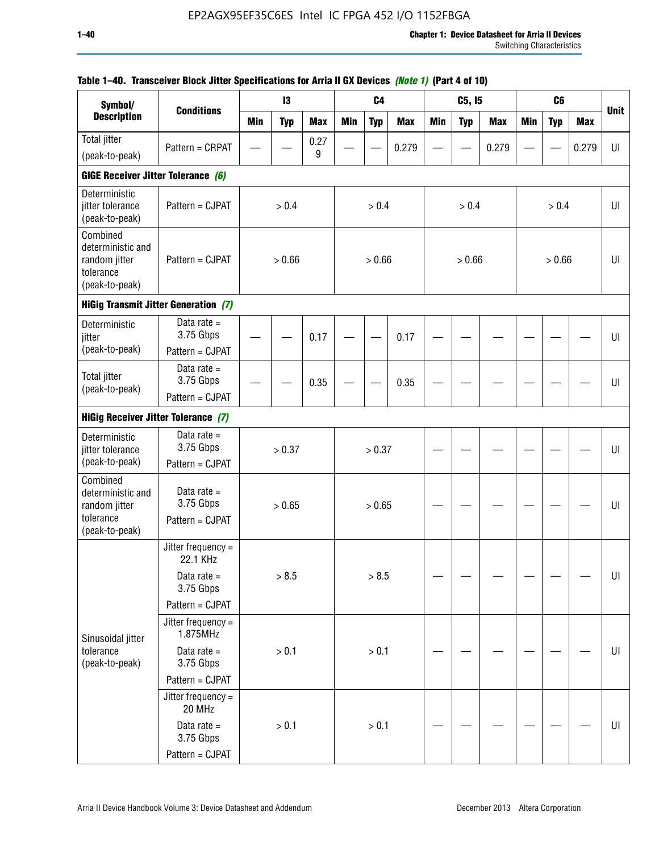| Symbol/                                                                       |                                               |            | 13         |            |            | C <sub>4</sub> |            |     | C5, I5     |            |            | C <sub>6</sub> |            |             |
|-------------------------------------------------------------------------------|-----------------------------------------------|------------|------------|------------|------------|----------------|------------|-----|------------|------------|------------|----------------|------------|-------------|
| <b>Description</b>                                                            | <b>Conditions</b>                             | <b>Min</b> | <b>Typ</b> | <b>Max</b> | <b>Min</b> | <b>Typ</b>     | <b>Max</b> | Min | <b>Typ</b> | <b>Max</b> | <b>Min</b> | <b>Typ</b>     | <b>Max</b> | <b>Unit</b> |
| Total jitter                                                                  | Pattern = CRPAT                               |            |            | 0.27       |            |                | 0.279      |     |            | 0.279      |            |                | 0.279      | UI          |
| (peak-to-peak)                                                                |                                               |            |            | 9          |            |                |            |     |            |            |            |                |            |             |
| GIGE Receiver Jitter Tolerance (6)                                            |                                               |            |            |            |            |                |            |     |            |            |            |                |            |             |
| Deterministic<br>jitter tolerance<br>(peak-to-peak)                           | Pattern = CJPAT                               |            | > 0.4      |            |            | > 0.4          |            |     | > 0.4      |            |            | > 0.4          |            | UI          |
| Combined<br>deterministic and<br>random jitter<br>tolerance<br>(peak-to-peak) | Pattern = CJPAT                               |            | > 0.66     |            |            | > 0.66         |            |     | > 0.66     |            |            | > 0.66         |            | UI          |
|                                                                               | <b>HiGig Transmit Jitter Generation (7)</b>   |            |            |            |            |                |            |     |            |            |            |                |            |             |
| Deterministic<br>jitter                                                       | Data rate $=$<br>3.75 Gbps                    |            |            | 0.17       |            |                | 0.17       |     |            |            |            |                |            | UI          |
| (peak-to-peak)                                                                | Pattern = CJPAT                               |            |            |            |            |                |            |     |            |            |            |                |            |             |
| <b>Total jitter</b><br>(peak-to-peak)                                         | Data rate $=$<br>3.75 Gbps                    |            |            | 0.35       |            |                | 0.35       |     |            |            |            |                |            | UI          |
|                                                                               | Pattern = CJPAT                               |            |            |            |            |                |            |     |            |            |            |                |            |             |
| <b>HiGig Receiver Jitter Tolerance (7)</b>                                    |                                               |            |            |            |            |                |            |     |            |            |            |                |            |             |
| Deterministic<br>jitter tolerance                                             | Data rate $=$<br>3.75 Gbps                    |            | > 0.37     |            |            | > 0.37         |            |     |            |            |            |                |            | UI          |
| (peak-to-peak)                                                                | Pattern = CJPAT                               |            |            |            |            |                |            |     |            |            |            |                |            |             |
| Combined<br>deterministic and<br>random jitter<br>tolerance                   | Data rate $=$<br>3.75 Gbps<br>Pattern = CJPAT |            | > 0.65     |            |            | > 0.65         |            |     |            |            |            |                |            | UI          |
| (peak-to-peak)                                                                |                                               |            |            |            |            |                |            |     |            |            |            |                |            |             |
|                                                                               | Jitter frequency =<br>22.1 KHz                |            |            |            |            |                |            |     |            |            |            |                |            |             |
|                                                                               | Data rate $=$<br>3.75 Gbps                    |            | > 8.5      |            |            | > 8.5          |            |     |            |            |            |                |            | UI          |
|                                                                               | Pattern = CJPAT                               |            |            |            |            |                |            |     |            |            |            |                |            |             |
| Sinusoidal jitter                                                             | Jitter frequency =<br>1.875MHz                |            |            |            |            |                |            |     |            |            |            |                |            |             |
| tolerance<br>(peak-to-peak)                                                   | Data rate $=$<br>3.75 Gbps                    |            | > 0.1      |            |            | > 0.1          |            |     |            |            |            |                |            | UI          |
|                                                                               | Pattern = CJPAT                               |            |            |            |            |                |            |     |            |            |            |                |            |             |
|                                                                               | Jitter frequency $=$<br>20 MHz                |            |            |            |            |                |            |     |            |            |            |                |            |             |
|                                                                               | Data rate $=$<br>3.75 Gbps                    |            | > 0.1      |            |            | > 0.1          |            |     |            |            |            |                |            | UI          |
|                                                                               | Pattern = CJPAT                               |            |            |            |            |                |            |     |            |            |            |                |            |             |

## **Table 1–40. Transceiver Block Jitter Specifications for Arria II GX Devices** *(Note 1)* **(Part 4 of 10)**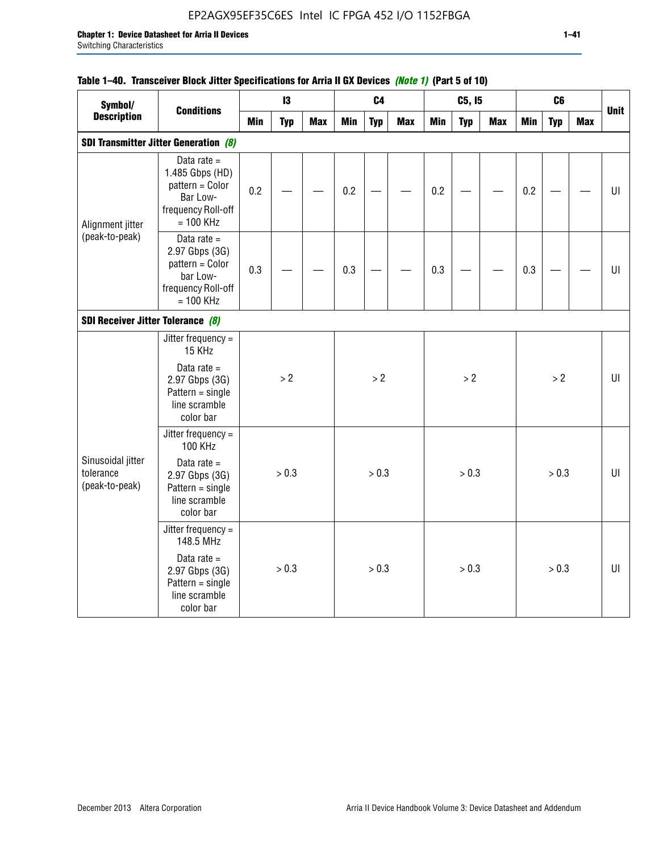# EP2AGX95EF35C6ES Intel IC FPGA 452 I/O 1152FBGA

### **Table 1–40. Transceiver Block Jitter Specifications for Arria II GX Devices** *(Note 1)* **(Part 5 of 10)**

| Symbol/                                          |                                                                                                      |            | 13         |            |            | C <sub>4</sub> |            |            | C5, I5     |            |            | C <sub>6</sub> |            |             |
|--------------------------------------------------|------------------------------------------------------------------------------------------------------|------------|------------|------------|------------|----------------|------------|------------|------------|------------|------------|----------------|------------|-------------|
| <b>Description</b>                               | <b>Conditions</b>                                                                                    | <b>Min</b> | <b>Typ</b> | <b>Max</b> | <b>Min</b> | <b>Typ</b>     | <b>Max</b> | <b>Min</b> | <b>Typ</b> | <b>Max</b> | <b>Min</b> | <b>Typ</b>     | <b>Max</b> | <b>Unit</b> |
|                                                  | <b>SDI Transmitter Jitter Generation (8)</b>                                                         |            |            |            |            |                |            |            |            |            |            |                |            |             |
| Alignment jitter                                 | Data rate $=$<br>1.485 Gbps (HD)<br>pattern = Color<br>Bar Low-<br>frequency Roll-off<br>$= 100$ KHz | 0.2        |            |            | 0.2        |                |            | 0.2        |            |            | 0.2        |                |            | U           |
| (peak-to-peak)                                   | Data rate $=$<br>2.97 Gbps (3G)<br>pattern = Color<br>bar Low-<br>frequency Roll-off<br>$= 100$ KHz  | 0.3        |            |            | 0.3        |                |            | 0.3        |            |            | 0.3        |                |            | U           |
| SDI Receiver Jitter Tolerance (8)                |                                                                                                      |            |            |            |            |                |            |            |            |            |            |                |            |             |
|                                                  | Jitter frequency $=$<br>15 KHz<br>Data rate $=$                                                      |            |            |            |            |                |            |            |            |            |            |                |            |             |
|                                                  | 2.97 Gbps (3G)<br>$Pattern = single$<br>line scramble<br>color bar                                   |            | > 2        |            |            | > 2            |            |            | >2         |            |            | >2             |            | $U\Gamma$   |
|                                                  | Jitter frequency =<br><b>100 KHz</b>                                                                 |            |            |            |            |                |            |            |            |            |            |                |            |             |
| Sinusoidal jitter<br>tolerance<br>(peak-to-peak) | Data rate $=$<br>2.97 Gbps (3G)<br>$Pattern = single$<br>line scramble<br>color bar                  |            | > 0.3      |            |            | > 0.3          |            |            | > 0.3      |            |            | > 0.3          |            | UI          |
|                                                  | Jitter frequency =<br>148.5 MHz                                                                      |            |            |            |            |                |            |            |            |            |            |                |            |             |
|                                                  | Data rate $=$<br>2.97 Gbps (3G)<br>$Pattern = single$<br>line scramble<br>color bar                  |            | > 0.3      |            |            | > 0.3          |            |            | > 0.3      |            |            | > 0.3          |            | UI          |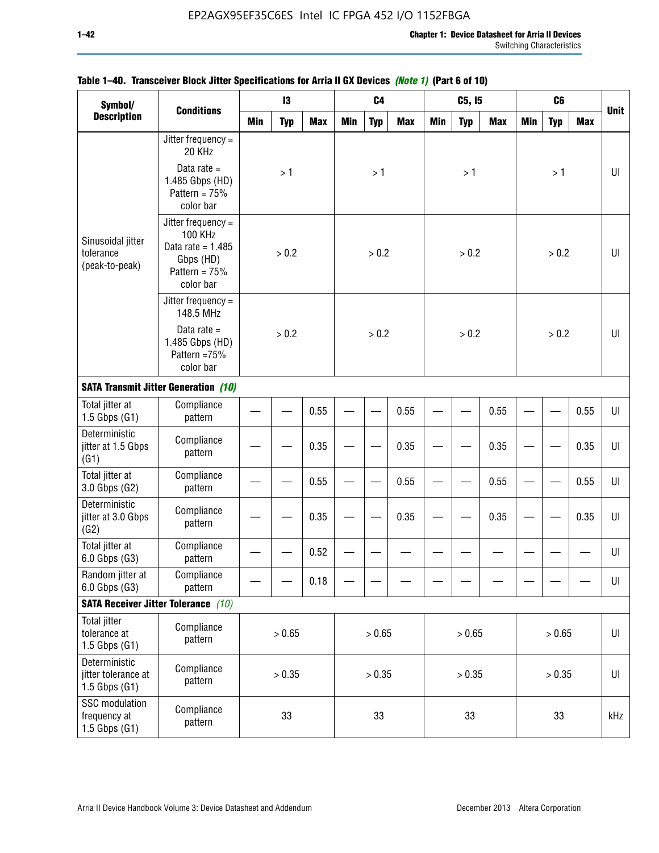| Symbol/                                                  |                                                                                                            |            | 13         |            |     | C <sub>4</sub> |            |     | C5, I5     |            |            | C <sub>6</sub> |            |             |
|----------------------------------------------------------|------------------------------------------------------------------------------------------------------------|------------|------------|------------|-----|----------------|------------|-----|------------|------------|------------|----------------|------------|-------------|
| <b>Description</b>                                       | <b>Conditions</b>                                                                                          | <b>Min</b> | <b>Typ</b> | <b>Max</b> | Min | <b>Typ</b>     | <b>Max</b> | Min | <b>Typ</b> | <b>Max</b> | <b>Min</b> | <b>Typ</b>     | <b>Max</b> | <b>Unit</b> |
|                                                          | Jitter frequency $=$<br>20 KHz                                                                             |            |            |            |     |                |            |     |            |            |            |                |            |             |
|                                                          | Data rate $=$<br>1.485 Gbps (HD)<br>Pattern = $75%$<br>color bar                                           |            | >1         |            |     | >1             |            |     | >1         |            |            | >1             |            | UI          |
| Sinusoidal jitter<br>tolerance<br>(peak-to-peak)         | Jitter frequency $=$<br><b>100 KHz</b><br>Data rate = $1.485$<br>Gbps (HD)<br>Pattern = $75%$<br>color bar |            | > 0.2      |            |     | > 0.2          |            |     | > 0.2      |            |            | > 0.2          |            | $U\Gamma$   |
|                                                          | Jitter frequency $=$<br>148.5 MHz                                                                          |            |            |            |     |                |            |     |            |            |            |                |            |             |
|                                                          | Data rate $=$<br>1.485 Gbps (HD)<br>Pattern =75%<br>color bar                                              |            | > 0.2      |            |     | > 0.2          |            |     | > 0.2      |            |            | > 0.2          |            | UI          |
|                                                          | <b>SATA Transmit Jitter Generation (10)</b>                                                                |            |            |            |     |                |            |     |            |            |            |                |            |             |
| Total jitter at<br>$1.5$ Gbps $(G1)$                     | Compliance<br>pattern                                                                                      | 0.55       |            |            |     |                | 0.55       |     |            | 0.55       |            |                | 0.55       | UI          |
| Deterministic<br>jitter at 1.5 Gbps<br>(G1)              | Compliance<br>pattern                                                                                      | 0.35       |            |            |     |                | 0.35       |     |            | 0.35       |            |                | 0.35       | UI          |
| Total jitter at<br>3.0 Gbps (G2)                         | Compliance<br>pattern                                                                                      |            |            | 0.55       |     |                | 0.55       |     |            | 0.55       |            |                | 0.55       | UI          |
| Deterministic<br>jitter at 3.0 Gbps<br>(G2)              | Compliance<br>pattern                                                                                      |            |            | 0.35       |     |                | 0.35       |     |            | 0.35       |            |                | 0.35       | UI          |
| Total jitter at<br>6.0 Gbps (G3)                         | Compliance<br>pattern                                                                                      |            |            | 0.52       |     |                |            |     |            |            |            |                |            | UI          |
| Random jitter at<br>6.0 Gbps (G3)                        | Compliance<br>pattern                                                                                      |            |            | 0.18       |     |                |            |     |            |            |            |                |            | UI          |
|                                                          | <b>SATA Receiver Jitter Tolerance</b> (10)                                                                 |            |            |            |     |                |            |     |            |            |            |                |            |             |
| <b>Total jitter</b><br>tolerance at<br>$1.5$ Gbps $(G1)$ | Compliance<br>pattern                                                                                      | > 0.65     |            |            |     | > 0.65         |            |     | > 0.65     |            |            | > 0.65         |            | $U\vert$    |
| Deterministic<br>jitter tolerance at<br>1.5 Gbps $(G1)$  | Compliance<br>pattern                                                                                      | > 0.35     |            |            |     | > 0.35         |            |     | > 0.35     |            |            | > 0.35         |            | $U\vert$    |
| SSC modulation<br>frequency at<br>$1.5$ Gbps $(G1)$      | Compliance<br>pattern                                                                                      |            | 33         |            |     | 33             |            |     | 33         |            |            | 33             |            | kHz         |

## **Table 1–40. Transceiver Block Jitter Specifications for Arria II GX Devices** *(Note 1)* **(Part 6 of 10)**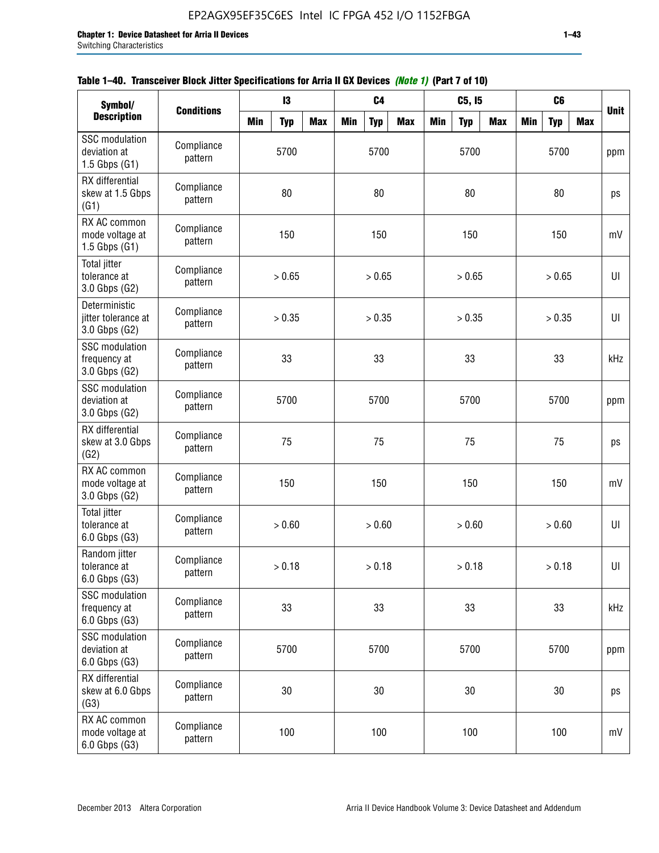|  | Table 1–40. Transceiver Block Jitter Specifications for Arria II GX Devices (Note 1) (Part 7 of 10) |  |
|--|-----------------------------------------------------------------------------------------------------|--|
|  |                                                                                                     |  |

| Symbol/                                                    | <b>Conditions</b>     |            | 13         |            |            | C <sub>4</sub> |            |            | C5, I5     |            |            | C <sub>6</sub> |            | <b>Unit</b> |
|------------------------------------------------------------|-----------------------|------------|------------|------------|------------|----------------|------------|------------|------------|------------|------------|----------------|------------|-------------|
| <b>Description</b>                                         |                       | <b>Min</b> | <b>Typ</b> | <b>Max</b> | <b>Min</b> | <b>Typ</b>     | <b>Max</b> | <b>Min</b> | <b>Typ</b> | <b>Max</b> | <b>Min</b> | <b>Typ</b>     | <b>Max</b> |             |
| <b>SSC</b> modulation<br>deviation at<br>$1.5$ Gbps $(G1)$ | Compliance<br>pattern |            | 5700       |            |            | 5700           |            |            | 5700       |            |            | 5700           |            | ppm         |
| RX differential<br>skew at 1.5 Gbps<br>(G1)                | Compliance<br>pattern |            | 80         |            |            | 80             |            |            | 80         |            |            | 80             |            | ps          |
| RX AC common<br>mode voltage at<br>$1.5$ Gbps $(G1)$       | Compliance<br>pattern |            | 150        |            |            | 150            |            |            | 150        |            |            | 150            |            | mV          |
| <b>Total jitter</b><br>tolerance at<br>3.0 Gbps (G2)       | Compliance<br>pattern |            | > 0.65     |            |            | > 0.65         |            |            | > 0.65     |            |            | > 0.65         |            | UI          |
| Deterministic<br>jitter tolerance at<br>3.0 Gbps (G2)      | Compliance<br>pattern |            | > 0.35     |            |            | > 0.35         |            |            | > 0.35     |            |            | > 0.35         |            | U           |
| <b>SSC</b> modulation<br>frequency at<br>3.0 Gbps (G2)     | Compliance<br>pattern |            | 33         |            |            | 33             |            |            | 33         |            |            | 33             |            | kHz         |
| <b>SSC</b> modulation<br>deviation at<br>3.0 Gbps (G2)     | Compliance<br>pattern |            | 5700       |            |            | 5700           |            |            | 5700       |            |            | 5700           |            | ppm         |
| RX differential<br>skew at 3.0 Gbps<br>(G2)                | Compliance<br>pattern |            | 75         |            |            | 75             |            |            | 75         |            |            | 75             |            | ps          |
| RX AC common<br>mode voltage at<br>3.0 Gbps (G2)           | Compliance<br>pattern |            | 150        |            |            | 150            |            |            | 150        |            |            | 150            |            | mV          |
| <b>Total jitter</b><br>tolerance at<br>$6.0$ Gbps $(G3)$   | Compliance<br>pattern |            | > 0.60     |            |            | > 0.60         |            |            | > 0.60     |            |            | > 0.60         |            | U           |
| Random jitter<br>tolerance at<br>6.0 Gbps (G3)             | Compliance<br>pattern |            | > 0.18     |            |            | > 0.18         |            |            | > 0.18     |            |            | > 0.18         |            | UI          |
| <b>SSC</b> modulation<br>frequency at<br>6.0 Gbps (G3)     | Compliance<br>pattern |            | 33         |            |            | 33             |            |            | 33         |            |            | 33             |            | kHz         |
| <b>SSC</b> modulation<br>deviation at<br>6.0 Gbps (G3)     | Compliance<br>pattern | 5700       |            |            |            | 5700           |            |            | 5700       |            |            | 5700           |            | ppm         |
| RX differential<br>skew at 6.0 Gbps<br>(G3)                | Compliance<br>pattern |            | 30         |            |            | 30             |            |            | 30         |            |            | 30             |            | ps          |
| RX AC common<br>mode voltage at<br>6.0 Gbps (G3)           | Compliance<br>pattern |            | 100        |            |            | 100            |            |            | 100        |            |            | 100            |            | mV          |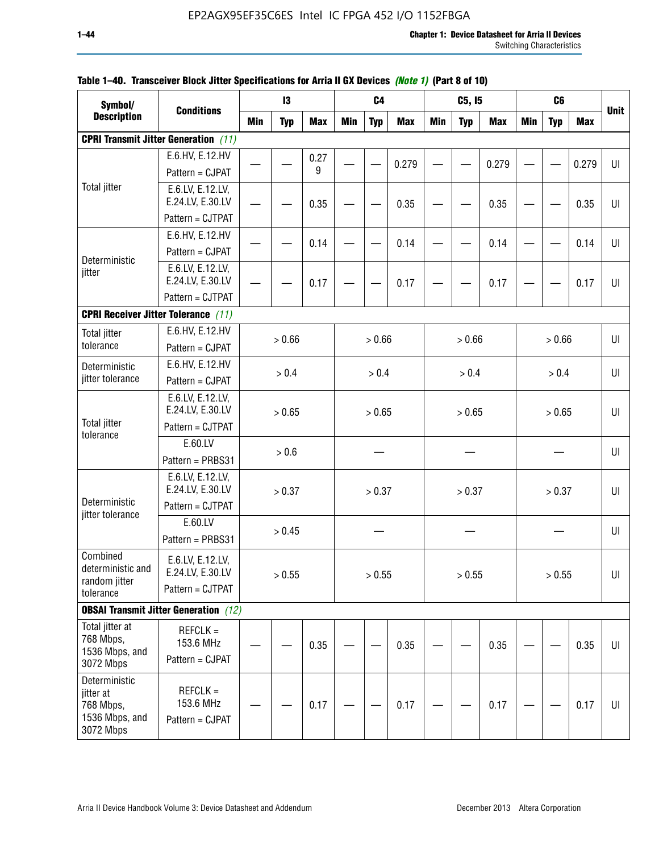| Symbol/                                                                |                                              |            | 13         |            |            | C <sub>4</sub> |            |            | C5, I5     |            |            | C <sub>6</sub> |            |             |
|------------------------------------------------------------------------|----------------------------------------------|------------|------------|------------|------------|----------------|------------|------------|------------|------------|------------|----------------|------------|-------------|
| <b>Description</b>                                                     | <b>Conditions</b>                            | <b>Min</b> | <b>Typ</b> | <b>Max</b> | <b>Min</b> | <b>Typ</b>     | <b>Max</b> | <b>Min</b> | <b>Typ</b> | <b>Max</b> | <b>Min</b> | <b>Typ</b>     | <b>Max</b> | <b>Unit</b> |
|                                                                        | <b>CPRI Transmit Jitter Generation</b> (11)  |            |            |            |            |                |            |            |            |            |            |                |            |             |
|                                                                        | E.6.HV, E.12.HV                              |            |            | 0.27       |            |                | 0.279      |            |            | 0.279      |            |                | 0.279      | U           |
|                                                                        | Pattern = CJPAT                              |            |            | 9          |            |                |            |            |            |            |            |                |            |             |
| <b>Total jitter</b>                                                    | E.6.LV, E.12.LV,<br>E.24.LV, E.30.LV         |            |            | 0.35       |            |                | 0.35       |            |            | 0.35       |            |                | 0.35       | U           |
|                                                                        | Pattern = CJTPAT                             |            |            |            |            |                |            |            |            |            |            |                |            |             |
|                                                                        | E.6.HV, E.12.HV                              |            |            | 0.14       |            |                | 0.14       |            |            | 0.14       |            |                | 0.14       | UI          |
| Deterministic                                                          | Pattern = CJPAT                              |            |            |            |            |                |            |            |            |            |            |                |            |             |
| jitter                                                                 | E.6.LV, E.12.LV,<br>E.24.LV, E.30.LV         |            |            | 0.17       |            |                | 0.17       |            |            | 0.17       |            |                | 0.17       | UI          |
|                                                                        | Pattern = CJTPAT                             |            |            |            |            |                |            |            |            |            |            |                |            |             |
|                                                                        | <b>CPRI Receiver Jitter Tolerance (11)</b>   |            |            |            |            |                |            |            |            |            |            |                |            |             |
| <b>Total jitter</b>                                                    | E.6.HV, E.12.HV                              |            | > 0.66     |            |            | > 0.66         |            |            | > 0.66     |            |            | > 0.66         |            | UI          |
| tolerance                                                              | Pattern = CJPAT                              |            |            |            |            |                |            |            |            |            |            |                |            |             |
| Deterministic                                                          | E.6.HV, E.12.HV                              |            | > 0.4      |            |            | > 0.4          |            |            | > 0.4      |            |            | > 0.4          |            | UI          |
| jitter tolerance                                                       | Pattern = CJPAT                              |            |            |            |            |                |            |            |            |            |            |                |            |             |
|                                                                        | E.6.LV, E.12.LV,<br>E.24.LV, E.30.LV         |            | > 0.65     |            |            | > 0.65         |            |            | > 0.65     |            |            | > 0.65         |            | UI          |
| <b>Total jitter</b><br>tolerance                                       | Pattern = CJTPAT                             |            |            |            |            |                |            |            |            |            |            |                |            |             |
|                                                                        | E.60.LV                                      |            | > 0.6      |            |            |                |            |            |            |            |            |                |            | UI          |
|                                                                        | Pattern = PRBS31                             |            |            |            |            |                |            |            |            |            |            |                |            |             |
|                                                                        | E.6.LV, E.12.LV,<br>E.24.LV, E.30.LV         |            | > 0.37     |            |            | > 0.37         |            |            | > 0.37     |            |            | > 0.37         |            | UI          |
| Deterministic<br>jitter tolerance                                      | Pattern = CJTPAT                             |            |            |            |            |                |            |            |            |            |            |                |            |             |
|                                                                        | E.60.LV<br>Pattern = PRBS31                  |            | > 0.45     |            |            |                |            |            |            |            |            |                |            | UI          |
| Combined<br>deterministic and<br>random jitter                         | E.6.LV, E.12.LV,<br>E.24.LV, E.30.LV         |            | > 0.55     |            |            | > 0.55         |            |            | > 0.55     |            |            | > 0.55         |            | UI          |
| tolerance                                                              | Pattern = CJTPAT                             |            |            |            |            |                |            |            |            |            |            |                |            |             |
|                                                                        | <b>OBSAI Transmit Jitter Generation</b> (12) |            |            |            |            |                |            |            |            |            |            |                |            |             |
| Total jitter at<br>768 Mbps,<br>1536 Mbps, and<br>3072 Mbps            | $REFCLK =$<br>153.6 MHz<br>Pattern = CJPAT   |            |            | 0.35       |            |                | 0.35       |            |            | 0.35       |            |                | 0.35       | UI          |
| Deterministic<br>jitter at<br>768 Mbps,<br>1536 Mbps, and<br>3072 Mbps | $REFCLK =$<br>153.6 MHz<br>Pattern = CJPAT   |            |            | 0.17       |            |                | 0.17       |            |            | 0.17       |            |                | 0.17       | UI          |

### **Table 1–40. Transceiver Block Jitter Specifications for Arria II GX Devices** *(Note 1)* **(Part 8 of 10)**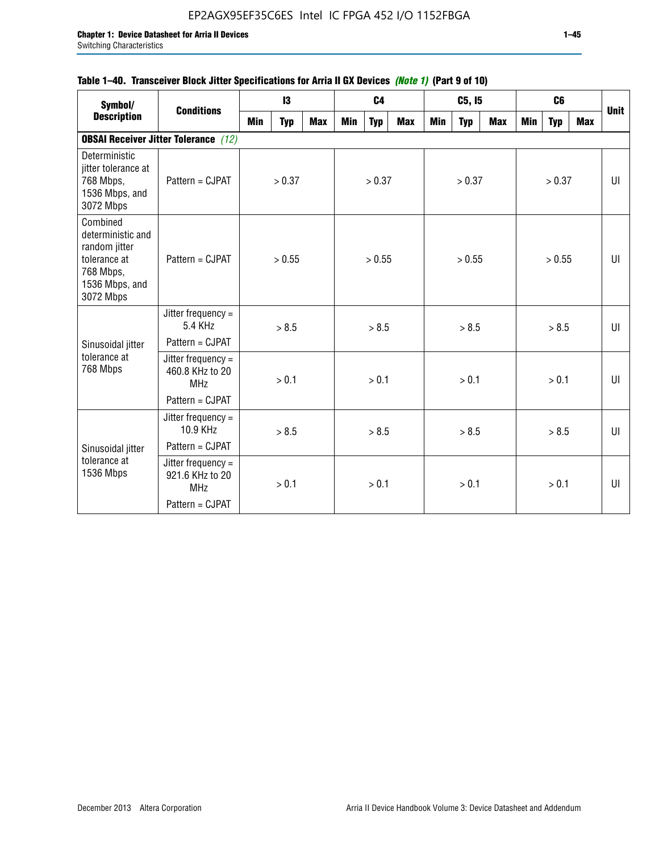## **Table 1–40. Transceiver Block Jitter Specifications for Arria II GX Devices** *(Note 1)* **(Part 9 of 10)**

| Symbol/<br><b>Description</b>                                                                              | <b>Conditions</b>                                     |            | 13         |            |     | C <sub>4</sub> |            |     | C5, I5     |            |     | C <sub>6</sub> |            |             |
|------------------------------------------------------------------------------------------------------------|-------------------------------------------------------|------------|------------|------------|-----|----------------|------------|-----|------------|------------|-----|----------------|------------|-------------|
|                                                                                                            |                                                       | <b>Min</b> | <b>Typ</b> | <b>Max</b> | Min | <b>Typ</b>     | <b>Max</b> | Min | <b>Typ</b> | <b>Max</b> | Min | <b>Typ</b>     | <b>Max</b> | <b>Unit</b> |
|                                                                                                            | <b>OBSAI Receiver Jitter Tolerance</b> (12)           |            |            |            |     |                |            |     |            |            |     |                |            |             |
| Deterministic<br>jitter tolerance at<br>768 Mbps,<br>1536 Mbps, and<br>3072 Mbps                           | Pattern = CJPAT                                       |            | > 0.37     |            |     | > 0.37         |            |     | > 0.37     |            |     | > 0.37         |            | UI          |
| Combined<br>deterministic and<br>random jitter<br>tolerance at<br>768 Mbps,<br>1536 Mbps, and<br>3072 Mbps | Pattern = CJPAT                                       |            | > 0.55     |            |     | > 0.55         |            |     | > 0.55     |            |     | > 0.55         |            | UI          |
|                                                                                                            | Jitter frequency $=$<br>5.4 KHz                       |            | > 8.5      |            |     | > 8.5          |            |     | > 8.5      |            |     | > 8.5          |            | UI          |
| Sinusoidal jitter                                                                                          | Pattern = CJPAT                                       |            |            |            |     |                |            |     |            |            |     |                |            |             |
| tolerance at<br>768 Mbps                                                                                   | Jitter frequency $=$<br>460.8 KHz to 20<br><b>MHz</b> |            | > 0.1      |            |     | > 0.1          |            |     | > 0.1      |            |     | > 0.1          |            | UI          |
|                                                                                                            | Pattern = CJPAT                                       |            |            |            |     |                |            |     |            |            |     |                |            |             |
|                                                                                                            | Jitter frequency $=$<br>10.9 KHz                      |            | > 8.5      |            |     | > 8.5          |            |     | > 8.5      |            |     | > 8.5          |            | UI          |
| Sinusoidal jitter                                                                                          | Pattern = CJPAT                                       |            |            |            |     |                |            |     |            |            |     |                |            |             |
| tolerance at<br>1536 Mbps                                                                                  | Jitter frequency $=$<br>921.6 KHz to 20<br><b>MHz</b> |            | > 0.1      |            |     | > 0.1          |            |     | > 0.1      |            |     | > 0.1          |            | UI          |
|                                                                                                            | Pattern = CJPAT                                       |            |            |            |     |                |            |     |            |            |     |                |            |             |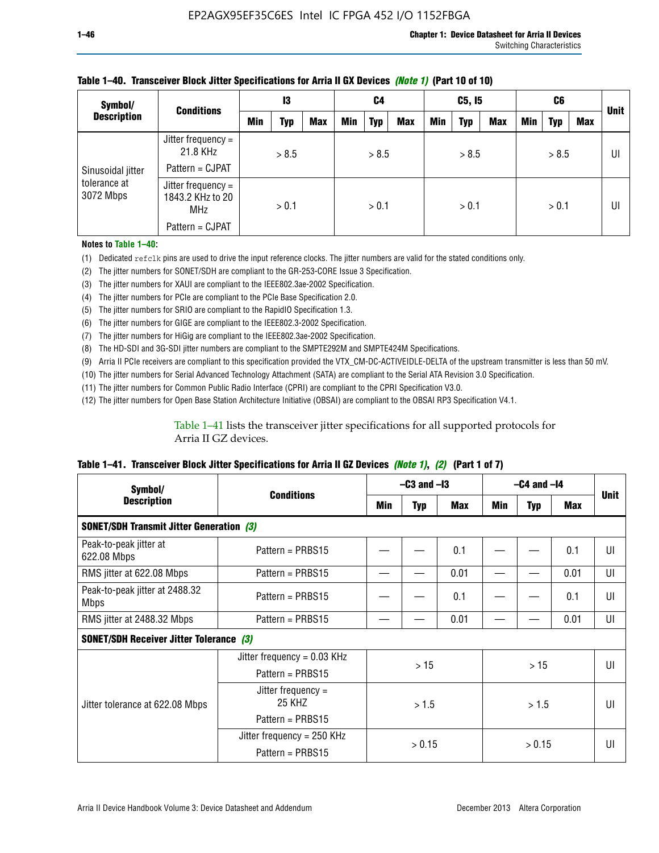| Symbol/<br><b>Conditions</b> |                                                        | 13 |            | C4         |     | C5, I5     |            |            | C6         |     |     | <b>Unit</b> |     |    |
|------------------------------|--------------------------------------------------------|----|------------|------------|-----|------------|------------|------------|------------|-----|-----|-------------|-----|----|
| <b>Description</b>           |                                                        |    | <b>Typ</b> | <b>Max</b> | Min | <b>Typ</b> | <b>Max</b> | <b>Min</b> | <b>Typ</b> | Max | Min | <b>Typ</b>  | Max |    |
|                              | Jitter frequency =<br>21.8 KHz                         |    | > 8.5      |            |     | > 8.5      |            |            | > 8.5      |     |     | > 8.5       |     | UI |
| Sinusoidal jitter            | Pattern = CJPAT                                        |    |            |            |     |            |            |            |            |     |     |             |     |    |
| tolerance at<br>3072 Mbps    | Jitter frequency $=$<br>1843.2 KHz to 20<br><b>MHz</b> |    | > 0.1      |            |     | > 0.1      |            |            | > 0.1      |     |     | > 0.1       |     | UI |
|                              | Pattern = CJPAT                                        |    |            |            |     |            |            |            |            |     |     |             |     |    |

### **Table 1–40. Transceiver Block Jitter Specifications for Arria II GX Devices** *(Note 1)* **(Part 10 of 10)**

**Notes to Table 1–40:**

(1) Dedicated refclk pins are used to drive the input reference clocks. The jitter numbers are valid for the stated conditions only.

(2) The jitter numbers for SONET/SDH are compliant to the GR-253-CORE Issue 3 Specification.

(3) The jitter numbers for XAUI are compliant to the IEEE802.3ae-2002 Specification.

(4) The jitter numbers for PCIe are compliant to the PCIe Base Specification 2.0.

(5) The jitter numbers for SRIO are compliant to the RapidIO Specification 1.3.

(6) The jitter numbers for GIGE are compliant to the IEEE802.3-2002 Specification.

(7) The jitter numbers for HiGig are compliant to the IEEE802.3ae-2002 Specification.

(8) The HD-SDI and 3G-SDI jitter numbers are compliant to the SMPTE292M and SMPTE424M Specifications.

(9) Arria II PCIe receivers are compliant to this specification provided the VTX\_CM-DC-ACTIVEIDLE-DELTA of the upstream transmitter is less than 50 mV.

(10) The jitter numbers for Serial Advanced Technology Attachment (SATA) are compliant to the Serial ATA Revision 3.0 Specification.

(11) The jitter numbers for Common Public Radio Interface (CPRI) are compliant to the CPRI Specification V3.0.

(12) The jitter numbers for Open Base Station Architecture Initiative (OBSAI) are compliant to the OBSAI RP3 Specification V4.1.

Table 1–41 lists the transceiver jitter specifications for all supported protocols for Arria II GZ devices.

### **Table 1–41. Transceiver Block Jitter Specifications for Arria II GZ Devices** *(Note 1)***,** *(2)* **(Part 1 of 7)**

| Symbol/                                         |                                | $-C3$ and $-I3$                 |        |      | $-C4$ and $-I4$ |        |      | <b>Unit</b> |
|-------------------------------------------------|--------------------------------|---------------------------------|--------|------|-----------------|--------|------|-------------|
| <b>Description</b>                              | <b>Conditions</b>              | <b>Max</b><br>Min<br><b>Typ</b> |        | Min  | <b>Typ</b>      | Max    |      |             |
| <b>SONET/SDH Transmit Jitter Generation (3)</b> |                                |                                 |        |      |                 |        |      |             |
| Peak-to-peak jitter at<br>622.08 Mbps           | Pattern = $PRBS15$             |                                 |        | 0.1  |                 |        | 0.1  | UI          |
| RMS jitter at 622.08 Mbps                       | Pattern = PRBS15               |                                 |        | 0.01 |                 |        | 0.01 | UI          |
| Peak-to-peak jitter at 2488.32<br><b>Mbps</b>   | Pattern = $PRBS15$             |                                 |        | 0.1  |                 |        | 0.1  | UI          |
| RMS jitter at 2488.32 Mbps                      | Pattern = PRBS15               |                                 |        | 0.01 |                 |        | 0.01 | UI          |
| <b>SONET/SDH Receiver Jitter Tolerance (3)</b>  |                                |                                 |        |      |                 |        |      |             |
|                                                 | Jitter frequency = $0.03$ KHz  |                                 | >15    |      |                 |        |      | UI          |
|                                                 | Pattern = $PRBS15$             |                                 |        |      | $>15$           |        |      |             |
| Jitter tolerance at 622.08 Mbps                 | Jitter frequency $=$<br>25 KHZ |                                 | >1.5   |      | > 1.5           |        |      | UI          |
|                                                 | Pattern = $PRBS15$             |                                 |        |      |                 |        |      |             |
|                                                 | Jitter frequency = 250 KHz     |                                 | > 0.15 |      |                 | > 0.15 |      | UI          |
|                                                 | Pattern = PRBS15               |                                 |        |      |                 |        |      |             |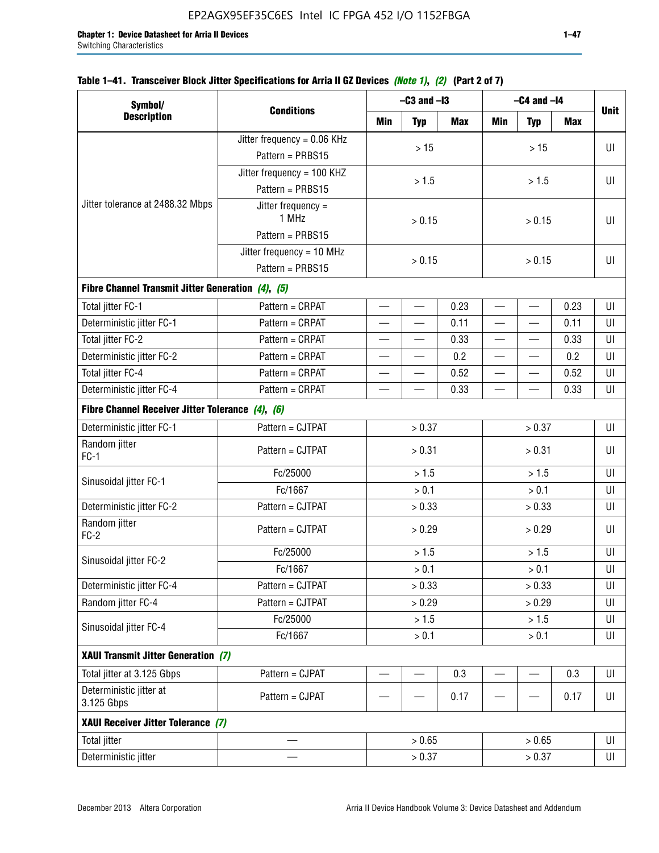|  | Table 1–41. Transceiver Block Jitter Specifications for Arria II GZ Devices <i>(Note 1), (2)</i> (Part 2 of 7) |  |  |  |
|--|----------------------------------------------------------------------------------------------------------------|--|--|--|
|  |                                                                                                                |  |  |  |

| Symbol/                                           |                               |                          | $-C3$ and $-I3$          |      | $-C4$ and $-I4$          |                          |            |             |  |
|---------------------------------------------------|-------------------------------|--------------------------|--------------------------|------|--------------------------|--------------------------|------------|-------------|--|
| <b>Description</b>                                | <b>Conditions</b>             | Min                      | <b>Typ</b>               | Max  | <b>Min</b>               | <b>Typ</b>               | <b>Max</b> | <b>Unit</b> |  |
|                                                   | Jitter frequency = $0.06$ KHz |                          | $>15$                    |      |                          | >15                      |            | UI          |  |
|                                                   | Pattern = PRBS15              |                          |                          |      |                          |                          |            |             |  |
|                                                   | Jitter frequency = 100 KHZ    |                          | > 1.5                    |      |                          | > 1.5                    |            | UI          |  |
|                                                   | Pattern = PRBS15              |                          |                          |      |                          |                          |            |             |  |
| Jitter tolerance at 2488.32 Mbps                  | Jitter frequency $=$<br>1 MHz |                          | > 0.15                   |      |                          | > 0.15                   |            | UI          |  |
|                                                   | Pattern = PRBS15              |                          |                          |      |                          |                          |            |             |  |
|                                                   | Jitter frequency = $10$ MHz   |                          | > 0.15                   |      |                          | UI                       |            |             |  |
|                                                   | Pattern = PRBS15              | > 0.15                   |                          |      |                          |                          |            |             |  |
| Fibre Channel Transmit Jitter Generation (4), (5) |                               |                          |                          |      |                          |                          |            |             |  |
| Total jitter FC-1                                 | Pattern = CRPAT               | $\qquad \qquad$          | $\overline{\phantom{0}}$ | 0.23 | $\overline{\phantom{0}}$ | $\overline{\phantom{0}}$ | 0.23       | UI          |  |
| Deterministic jitter FC-1                         | Pattern = CRPAT               | $\overline{\phantom{0}}$ | $\equiv$                 | 0.11 | $\overline{\phantom{0}}$ | $\overline{\phantom{0}}$ | 0.11       | UI          |  |
| Total jitter FC-2                                 | Pattern = CRPAT               | $\overline{\phantom{0}}$ | $\overline{\phantom{0}}$ | 0.33 | $\overline{\phantom{0}}$ |                          | 0.33       | UI          |  |
| Deterministic jitter FC-2                         | Pattern = CRPAT               | $\equiv$                 | —                        | 0.2  | $\overline{\phantom{0}}$ | —                        | 0.2        | UI          |  |
| Total jitter FC-4                                 | Pattern = CRPAT               |                          |                          | 0.52 |                          |                          | 0.52       | UI          |  |
| Deterministic jitter FC-4                         | Pattern = CRPAT               |                          |                          | 0.33 | $\overline{\phantom{0}}$ |                          | 0.33       | UI          |  |
| Fibre Channel Receiver Jitter Tolerance (4), (6)  |                               |                          |                          |      |                          |                          |            |             |  |
| Deterministic jitter FC-1                         | Pattern = CJTPAT              |                          | > 0.37                   |      |                          | > 0.37                   |            | UI          |  |
| Random jitter<br>$FC-1$                           | Pattern = CJTPAT              |                          | > 0.31                   |      | > 0.31                   |                          |            | UI          |  |
| Sinusoidal jitter FC-1                            | Fc/25000                      |                          | > 1.5                    |      | > 1.5                    |                          |            | UI          |  |
|                                                   | Fc/1667                       |                          | > 0.1                    |      |                          | > 0.1                    |            |             |  |
| Deterministic jitter FC-2                         | Pattern = CJTPAT              |                          | > 0.33                   |      |                          | > 0.33                   |            | UI          |  |
| Random jitter<br>$FC-2$                           | Pattern = CJTPAT              |                          | > 0.29                   |      |                          | > 0.29                   |            | UI          |  |
|                                                   | Fc/25000                      |                          | > 1.5                    |      |                          | > 1.5                    |            | UI          |  |
| Sinusoidal jitter FC-2                            | Fc/1667                       |                          | > 0.1                    |      |                          | > 0.1                    |            | UI          |  |
| Deterministic jitter FC-4                         | Pattern = CJTPAT              |                          | > 0.33                   |      |                          | > 0.33                   |            | UI          |  |
| Random jitter FC-4                                | Pattern = CJTPAT              |                          | > 0.29                   |      |                          | > 0.29                   |            | UI          |  |
| Sinusoidal jitter FC-4                            | Fc/25000                      |                          | > 1.5                    |      |                          | > 1.5                    |            | UI          |  |
|                                                   | Fc/1667                       |                          | > 0.1                    |      |                          | $> 0.1$                  |            | UI          |  |
| XAUI Transmit Jitter Generation (7)               |                               |                          |                          |      |                          |                          |            |             |  |
| Total jitter at 3.125 Gbps                        | Pattern = CJPAT               |                          |                          | 0.3  |                          | $\overline{\phantom{0}}$ | 0.3        | UI          |  |
| Deterministic jitter at<br>3.125 Gbps             | Pattern = CJPAT               |                          |                          | 0.17 |                          |                          | 0.17       | UI          |  |
| XAUI Receiver Jitter Tolerance (7)                |                               |                          |                          |      |                          |                          |            |             |  |
| <b>Total jitter</b>                               |                               |                          | > 0.65                   |      |                          | > 0.65                   |            | UI          |  |
| Deterministic jitter                              | $\overline{\phantom{0}}$      |                          | > 0.37                   |      |                          | > 0.37                   |            | UI          |  |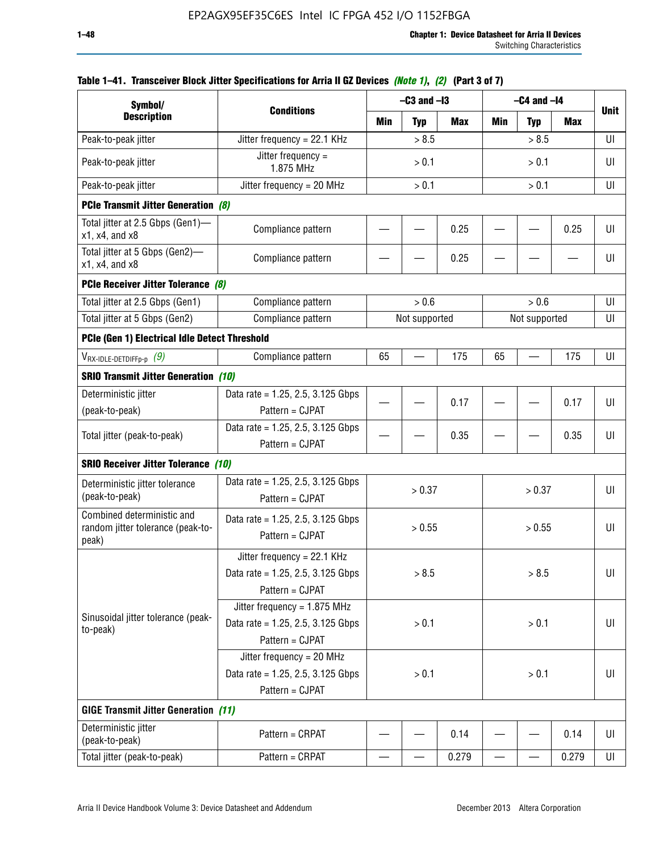| Symbol/                                                                       |                                                                                           |                                 | $-C3$ and $-I3$ |       |            | $-C4$ and $-I4$ |             |    |
|-------------------------------------------------------------------------------|-------------------------------------------------------------------------------------------|---------------------------------|-----------------|-------|------------|-----------------|-------------|----|
| <b>Description</b>                                                            | <b>Conditions</b>                                                                         | Min<br><b>Typ</b><br><b>Max</b> |                 | Min   | <b>Typ</b> | <b>Max</b>      | <b>Unit</b> |    |
| Peak-to-peak jitter                                                           | Jitter frequency = 22.1 KHz                                                               |                                 | > 8.5           |       |            | > 8.5           |             | UI |
| Peak-to-peak jitter                                                           | Jitter frequency =<br>1.875 MHz                                                           |                                 | > 0.1           |       |            | > 0.1           |             | UI |
| Peak-to-peak jitter                                                           | Jitter frequency = $20$ MHz                                                               | > 0.1<br>> 0.1                  |                 |       |            | UI              |             |    |
| <b>PCIe Transmit Jitter Generation (8)</b>                                    |                                                                                           |                                 |                 |       |            |                 |             |    |
| Total jitter at 2.5 Gbps (Gen1)—<br>$x1$ , $x4$ , and $x8$                    | Compliance pattern                                                                        |                                 |                 | 0.25  |            |                 | 0.25        | UI |
| Total jitter at 5 Gbps (Gen2)-<br>x1, x4, and x8                              | Compliance pattern                                                                        |                                 |                 | 0.25  |            |                 |             | UI |
| PCIe Receiver Jitter Tolerance (8)                                            |                                                                                           |                                 |                 |       |            |                 |             |    |
| Total jitter at 2.5 Gbps (Gen1)                                               | Compliance pattern                                                                        |                                 | > 0.6           |       |            | > 0.6           |             | UI |
| Total jitter at 5 Gbps (Gen2)                                                 | Compliance pattern                                                                        |                                 | Not supported   |       |            | Not supported   |             | UI |
| PCIe (Gen 1) Electrical Idle Detect Threshold                                 |                                                                                           |                                 |                 |       |            |                 |             |    |
| $V_{\mathsf{RX}\text{-}\mathsf{IDLE}\text{-}\mathsf{DETDIFFp\text{-}p}$ $(9)$ | Compliance pattern                                                                        | 65                              |                 | 175   | 65         |                 | 175         | UI |
| <b>SRIO Transmit Jitter Generation (10)</b>                                   |                                                                                           |                                 |                 |       |            |                 |             |    |
| Deterministic jitter                                                          | Data rate = 1.25, 2.5, 3.125 Gbps                                                         |                                 |                 | 0.17  |            |                 | 0.17        | UI |
| (peak-to-peak)                                                                | Pattern = CJPAT                                                                           |                                 |                 |       |            |                 |             |    |
| Total jitter (peak-to-peak)                                                   | Data rate = $1.25$ , 2.5, 3.125 Gbps<br>Pattern = CJPAT                                   |                                 |                 | 0.35  |            |                 | 0.35        | U  |
| <b>SRIO Receiver Jitter Tolerance (10)</b>                                    |                                                                                           |                                 |                 |       |            |                 |             |    |
| Deterministic jitter tolerance<br>(peak-to-peak)                              | Data rate = $1.25$ , 2.5, 3.125 Gbps<br>Pattern = CJPAT                                   |                                 | > 0.37          |       |            | > 0.37          |             | UI |
| Combined deterministic and<br>random jitter tolerance (peak-to-<br>peak)      | Data rate = $1.25$ , 2.5, 3.125 Gbps<br>Pattern = CJPAT                                   |                                 | > 0.55          |       |            | > 0.55          |             | UI |
|                                                                               | Jitter frequency = 22.1 KHz<br>Data rate = $1.25$ , 2.5, 3.125 Gbps<br>Pattern = CJPAT    |                                 | > 8.5           |       |            | > 8.5           |             | UI |
| Sinusoidal jitter tolerance (peak-<br>to-peak)                                | Jitter frequency = $1.875$ MHz<br>Data rate = $1.25$ , 2.5, 3.125 Gbps<br>Pattern = CJPAT |                                 | > 0.1           |       |            | > 0.1           |             | UI |
|                                                                               | Jitter frequency = $20$ MHz<br>Data rate = 1.25, 2.5, 3.125 Gbps<br>Pattern = CJPAT       | > 0.1<br>> 0.1                  |                 |       |            | UI              |             |    |
| <b>GIGE Transmit Jitter Generation (11)</b>                                   |                                                                                           |                                 |                 |       |            |                 |             |    |
| Deterministic jitter<br>(peak-to-peak)                                        | Pattern = CRPAT                                                                           |                                 |                 | 0.14  |            |                 | 0.14        | UI |
| Total jitter (peak-to-peak)                                                   | Pattern = CRPAT                                                                           |                                 |                 | 0.279 | —          |                 | 0.279       | UI |

## **Table 1–41. Transceiver Block Jitter Specifications for Arria II GZ Devices** *(Note 1)***,** *(2)* **(Part 3 of 7)**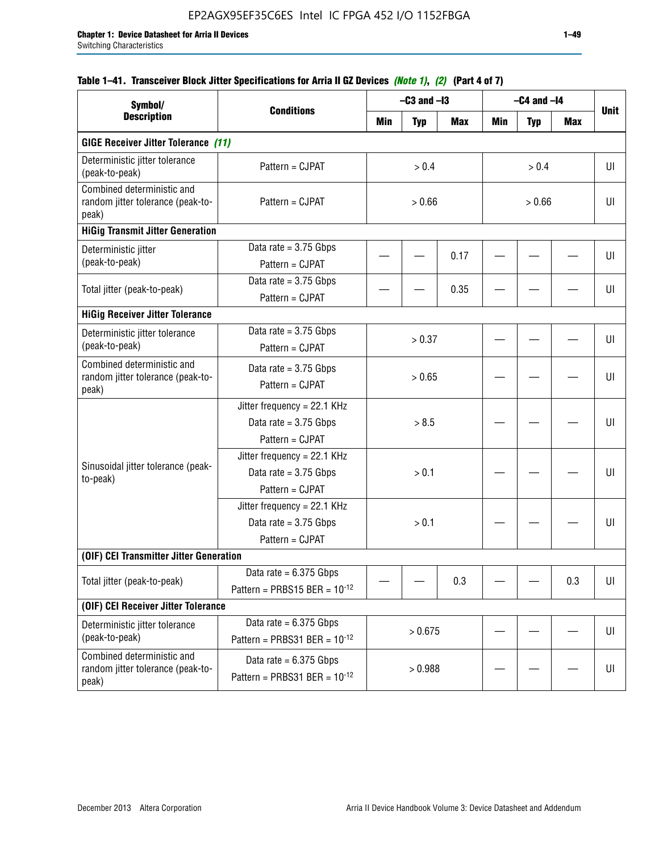## **Table 1–41. Transceiver Block Jitter Specifications for Arria II GZ Devices** *(Note 1)***,** *(2)* **(Part 4 of 7)**

| Symbol/                                                                  |                                                                           |        | $-C3$ and $-I3$ |            |            | $-C4$ and $-I4$ |            |             |
|--------------------------------------------------------------------------|---------------------------------------------------------------------------|--------|-----------------|------------|------------|-----------------|------------|-------------|
| <b>Description</b>                                                       | <b>Conditions</b>                                                         | Min    | <b>Typ</b>      | <b>Max</b> | <b>Min</b> | <b>Typ</b>      | <b>Max</b> | <b>Unit</b> |
| <b>GIGE Receiver Jitter Tolerance (11)</b>                               |                                                                           |        |                 |            |            |                 |            |             |
| Deterministic jitter tolerance<br>(peak-to-peak)                         | Pattern = CJPAT                                                           | > 0.4  |                 |            |            | > 0.4           |            | UI          |
| Combined deterministic and<br>random jitter tolerance (peak-to-<br>peak) | Pattern = CJPAT                                                           | > 0.66 |                 |            |            | > 0.66          |            |             |
| <b>HiGig Transmit Jitter Generation</b>                                  |                                                                           |        |                 |            |            |                 |            |             |
| Deterministic jitter<br>(peak-to-peak)                                   | Data rate = $3.75$ Gbps<br>Pattern = CJPAT                                |        |                 | 0.17       |            |                 |            | UI          |
| Total jitter (peak-to-peak)                                              | Data rate = $3.75$ Gbps<br>Pattern = CJPAT                                |        |                 | 0.35       |            |                 |            | UI          |
| <b>HiGig Receiver Jitter Tolerance</b>                                   |                                                                           |        |                 |            |            |                 |            |             |
| Deterministic jitter tolerance<br>(peak-to-peak)                         | Data rate = $3.75$ Gbps<br>Pattern = CJPAT                                |        | > 0.37          |            |            |                 |            | UI          |
| Combined deterministic and<br>random jitter tolerance (peak-to-<br>peak) | Data rate = $3.75$ Gbps<br>Pattern = CJPAT                                |        | > 0.65          |            |            |                 |            | UI          |
|                                                                          | Jitter frequency = 22.1 KHz<br>Data rate = $3.75$ Gbps<br>Pattern = CJPAT | > 8.5  |                 |            |            |                 | UI         |             |
| Sinusoidal jitter tolerance (peak-<br>to-peak)                           | Jitter frequency = 22.1 KHz<br>Data rate = $3.75$ Gbps<br>Pattern = CJPAT |        | > 0.1           |            |            |                 |            | UI          |
|                                                                          | Jitter frequency = 22.1 KHz<br>Data rate = $3.75$ Gbps<br>Pattern = CJPAT |        | > 0.1           |            |            |                 |            | UI          |
| (OIF) CEI Transmitter Jitter Generation                                  |                                                                           |        |                 |            |            |                 |            |             |
| Total jitter (peak-to-peak)                                              | Data rate = $6.375$ Gbps<br>Pattern = PRBS15 BER = $10^{-12}$             |        |                 | 0.3        |            |                 | 0.3        | U           |
| (OIF) CEI Receiver Jitter Tolerance                                      |                                                                           |        |                 |            |            |                 |            |             |
| Deterministic jitter tolerance<br>(peak-to-peak)                         | Data rate = $6.375$ Gbps<br>Pattern = PRBS31 BER = $10^{-12}$             |        | > 0.675         |            |            |                 |            | UI          |
| Combined deterministic and<br>random jitter tolerance (peak-to-<br>peak) | Data rate = $6.375$ Gbps<br>Pattern = PRBS31 BER = $10^{-12}$             |        | > 0.988         |            |            |                 |            | U           |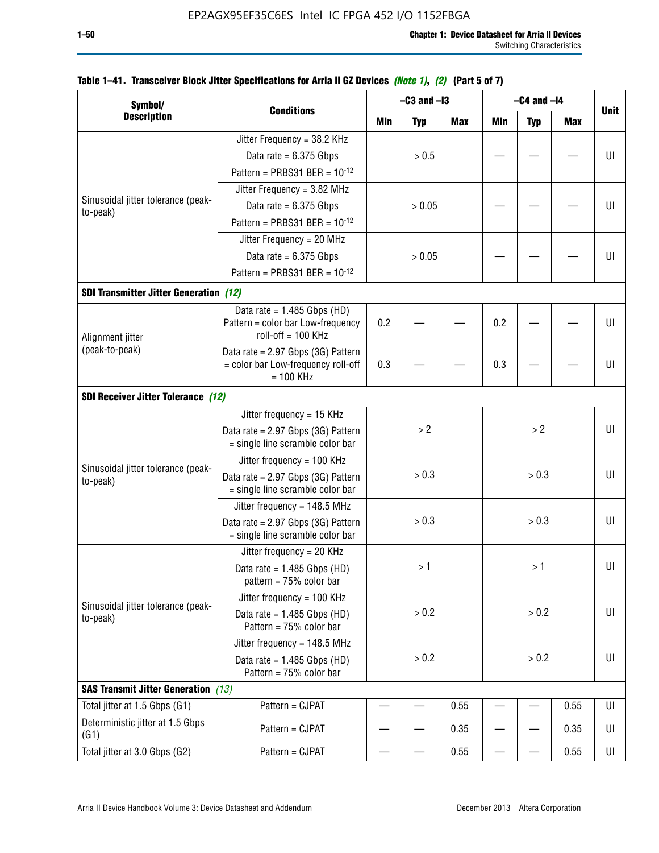| Symbol/                                        |                                                                        |     | $-C3$ and $-I3$ |            |            | $-C4$ and $-I4$ |            |             |
|------------------------------------------------|------------------------------------------------------------------------|-----|-----------------|------------|------------|-----------------|------------|-------------|
| <b>Description</b>                             | <b>Conditions</b>                                                      | Min | <b>Typ</b>      | <b>Max</b> | <b>Min</b> | <b>Typ</b>      | <b>Max</b> | <b>Unit</b> |
|                                                | Jitter Frequency = 38.2 KHz                                            |     |                 |            |            |                 |            |             |
|                                                | Data rate = $6.375$ Gbps                                               |     | > 0.5           |            |            |                 |            | UI          |
|                                                | Pattern = PRBS31 BER = $10^{-12}$                                      |     |                 |            |            |                 |            |             |
|                                                | Jitter Frequency = $3.82$ MHz                                          |     |                 |            |            |                 |            |             |
| Sinusoidal jitter tolerance (peak-<br>to-peak) | Data rate = $6.375$ Gbps                                               |     | > 0.05          |            |            |                 |            | UI          |
|                                                | Pattern = PRBS31 BER = $10^{-12}$                                      |     |                 |            |            |                 |            |             |
|                                                | Jitter Frequency = 20 MHz                                              |     |                 |            |            |                 |            |             |
|                                                | Data rate = $6.375$ Gbps                                               |     | > 0.05          |            |            |                 |            | UI          |
|                                                | Pattern = PRBS31 BER = $10^{-12}$                                      |     |                 |            |            |                 |            |             |
| <b>SDI Transmitter Jitter Generation (12)</b>  |                                                                        |     |                 |            |            |                 |            |             |
|                                                | Data rate = $1.485$ Gbps (HD)                                          |     |                 |            |            |                 |            |             |
| Alignment jitter                               | Pattern = color bar Low-frequency<br>$roll-off = 100 KHz$              | 0.2 |                 |            | 0.2        |                 |            | UI          |
| (peak-to-peak)                                 | Data rate = 2.97 Gbps (3G) Pattern                                     |     |                 |            |            |                 |            |             |
|                                                | = color bar Low-frequency roll-off<br>$= 100$ KHz                      | 0.3 |                 |            | 0.3        |                 |            | UI          |
| <b>SDI Receiver Jitter Tolerance (12)</b>      |                                                                        |     |                 |            |            |                 |            |             |
|                                                | Jitter frequency = 15 KHz                                              |     |                 |            |            |                 |            |             |
|                                                | Data rate = 2.97 Gbps (3G) Pattern<br>= single line scramble color bar |     | > 2             |            |            | >2              |            |             |
|                                                | Jitter frequency = $100$ KHz                                           |     |                 |            |            |                 |            |             |
| Sinusoidal jitter tolerance (peak-<br>to-peak) | Data rate = 2.97 Gbps (3G) Pattern<br>= single line scramble color bar |     | > 0.3           |            |            | > 0.3           |            | UI          |
|                                                | Jitter frequency = $148.5$ MHz                                         |     |                 |            |            |                 |            |             |
|                                                | Data rate = 2.97 Gbps (3G) Pattern<br>= single line scramble color bar |     | > 0.3           |            |            | > 0.3           |            | UI          |
|                                                | Jitter frequency = $20$ KHz                                            |     |                 |            |            |                 |            |             |
|                                                | Data rate = $1.485$ Gbps (HD)<br>pattern = $75%$ color bar             |     | >1              |            |            | >1              |            | UI          |
|                                                | Jitter frequency = $100$ KHz                                           |     |                 |            |            |                 |            |             |
| Sinusoidal jitter tolerance (peak-<br>to-peak) | Data rate = $1.485$ Gbps (HD)<br>Pattern = 75% color bar               |     | > 0.2           |            |            | > 0.2           |            | UI          |
|                                                | Jitter frequency = 148.5 MHz                                           |     |                 |            |            |                 |            |             |
|                                                | Data rate = $1.485$ Gbps (HD)<br>Pattern = 75% color bar               |     | > 0.2           |            |            | > 0.2           |            | UI          |
| <b>SAS Transmit Jitter Generation</b> (13)     |                                                                        |     |                 |            |            |                 |            |             |
| Total jitter at 1.5 Gbps (G1)                  | Pattern = CJPAT                                                        |     |                 | 0.55       |            |                 | 0.55       | UI          |
| Deterministic jitter at 1.5 Gbps<br>(G1)       | Pattern = CJPAT                                                        |     |                 | 0.35       |            |                 | 0.35       | UI          |
| Total jitter at 3.0 Gbps (G2)                  | Pattern = CJPAT                                                        |     |                 | 0.55       |            |                 | 0.55       | UI          |

### **Table 1–41. Transceiver Block Jitter Specifications for Arria II GZ Devices** *(Note 1)***,** *(2)* **(Part 5 of 7)**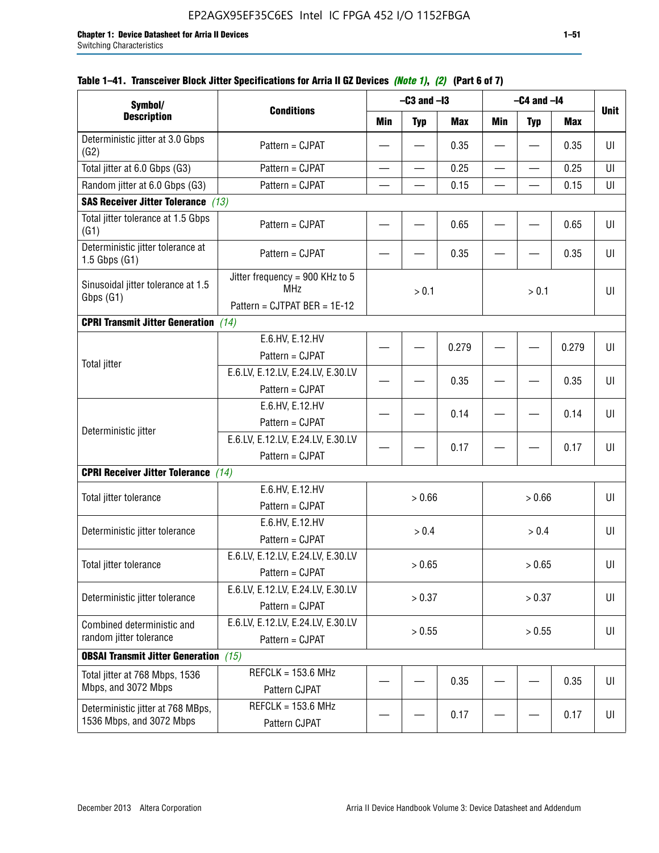| Symbol/                                                       |                                                                               |                          | $-C3$ and $-I3$ |            |                          | $-C4$ and $-I4$          |            |             |
|---------------------------------------------------------------|-------------------------------------------------------------------------------|--------------------------|-----------------|------------|--------------------------|--------------------------|------------|-------------|
| <b>Description</b>                                            | <b>Conditions</b>                                                             | Min                      | <b>Typ</b>      | <b>Max</b> | Min                      | <b>Typ</b>               | <b>Max</b> | <b>Unit</b> |
| Deterministic jitter at 3.0 Gbps<br>(G2)                      | Pattern = CJPAT                                                               |                          |                 | 0.35       |                          |                          | 0.35       | UI          |
| Total jitter at 6.0 Gbps (G3)                                 | Pattern = CJPAT                                                               | $\overline{\phantom{0}}$ |                 | 0.25       | $\overline{\phantom{0}}$ | $\overline{\phantom{0}}$ | 0.25       | UI          |
| Random jitter at 6.0 Gbps (G3)                                | Pattern = CJPAT                                                               |                          |                 | 0.15       |                          |                          | 0.15       | UI          |
| <b>SAS Receiver Jitter Tolerance (13)</b>                     |                                                                               |                          |                 |            |                          |                          |            |             |
| Total jitter tolerance at 1.5 Gbps<br>(G1)                    | Pattern = CJPAT                                                               |                          |                 | 0.65       |                          |                          | 0.65       | U           |
| Deterministic jitter tolerance at<br>$1.5$ Gbps $(G1)$        | Pattern = CJPAT                                                               |                          |                 | 0.35       |                          |                          | 0.35       | UI          |
| Sinusoidal jitter tolerance at 1.5<br>Gbps (G1)               | Jitter frequency = 900 KHz to 5<br><b>MHz</b><br>Pattern = CJTPAT BER = 1E-12 |                          | > 0.1           |            |                          | > 0.1                    |            | UI          |
| <b>CPRI Transmit Jitter Generation</b>                        | (14)                                                                          |                          |                 |            |                          |                          |            |             |
|                                                               | E.6.HV, E.12.HV<br>Pattern = CJPAT                                            |                          |                 | 0.279      |                          |                          | 0.279      | U           |
| <b>Total jitter</b>                                           | E.6.LV, E.12.LV, E.24.LV, E.30.LV<br>Pattern = CJPAT                          |                          |                 | 0.35       |                          |                          | 0.35       | UI          |
|                                                               | E.6.HV, E.12.HV<br>Pattern = CJPAT                                            |                          |                 | 0.14       |                          |                          | 0.14       | UI          |
| Deterministic jitter                                          | E.6.LV, E.12.LV, E.24.LV, E.30.LV<br>Pattern = CJPAT                          |                          |                 | 0.17       |                          |                          | 0.17       | UI          |
| <b>CPRI Receiver Jitter Tolerance</b> (14)                    |                                                                               |                          |                 |            |                          |                          |            |             |
| Total jitter tolerance                                        | E.6.HV, E.12.HV<br>Pattern = CJPAT                                            |                          | > 0.66          |            |                          | > 0.66                   |            | UI          |
| Deterministic jitter tolerance                                | E.6.HV, E.12.HV<br>Pattern = CJPAT                                            |                          | > 0.4           |            |                          | > 0.4                    |            | UI          |
| Total jitter tolerance                                        | E.6.LV, E.12.LV, E.24.LV, E.30.LV<br>Pattern = CJPAT                          |                          | > 0.65          |            |                          | > 0.65                   |            | UI          |
| Deterministic jitter tolerance                                | E.6.LV, E.12.LV, E.24.LV, E.30.LV<br>Pattern = CJPAT                          |                          | > 0.37          |            |                          | > 0.37                   |            | UI          |
| Combined deterministic and<br>random jitter tolerance         | E.6.LV, E.12.LV, E.24.LV, E.30.LV<br>Pattern = CJPAT                          | > 0.55<br>> 0.55         |                 |            |                          | UI                       |            |             |
| <b>OBSAI Transmit Jitter Generation</b> (15)                  |                                                                               |                          |                 |            |                          |                          |            |             |
| Total jitter at 768 Mbps, 1536<br>Mbps, and 3072 Mbps         | $REFCLK = 153.6 MHz$<br>Pattern CJPAT                                         |                          |                 | 0.35       |                          |                          | 0.35       | UI          |
| Deterministic jitter at 768 MBps,<br>1536 Mbps, and 3072 Mbps | $REFCLK = 153.6 MHz$<br>Pattern CJPAT                                         |                          |                 | 0.17       |                          |                          | 0.17       | UI          |

# **Table 1–41. Transceiver Block Jitter Specifications for Arria II GZ Devices** *(Note 1)***,** *(2)* **(Part 6 of 7)**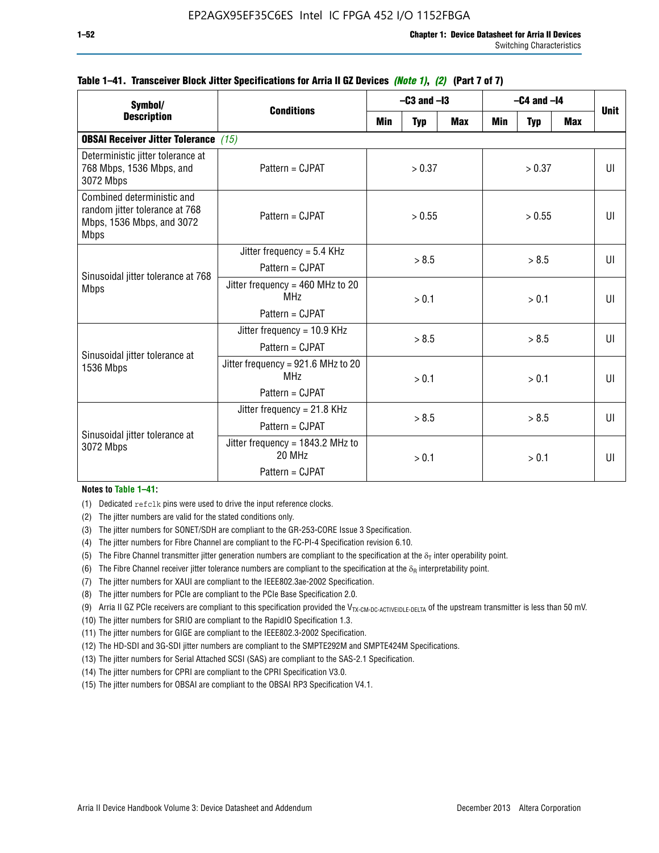| Symbol/                                                                                                  |                                                                              | $-C3$ and $-I3$ |            |            | $-C4$ and $-I4$ | <b>Unit</b> |              |    |
|----------------------------------------------------------------------------------------------------------|------------------------------------------------------------------------------|-----------------|------------|------------|-----------------|-------------|--------------|----|
| <b>Description</b>                                                                                       | <b>Conditions</b>                                                            | Min             | <b>Typ</b> | <b>Max</b> | Min             | <b>Typ</b>  | <b>Max</b>   |    |
| <b>OBSAI Receiver Jitter Tolerance</b> (15)                                                              |                                                                              |                 |            |            |                 |             |              |    |
| Deterministic jitter tolerance at<br>768 Mbps, 1536 Mbps, and<br>3072 Mbps                               | Pattern = CJPAT                                                              | > 0.37          |            | > 0.37     |                 |             | $\mathbf{U}$ |    |
| Combined deterministic and<br>random jitter tolerance at 768<br>Mbps, 1536 Mbps, and 3072<br><b>Mbps</b> | Pattern = CJPAT                                                              | > 0.55          |            | > 0.55     |                 |             | UI           |    |
| Sinusoidal jitter tolerance at 768<br><b>Mbps</b>                                                        | Jitter frequency = $5.4$ KHz<br>$Pattern = CJPATH$                           | > 8.5           |            | > 8.5      |                 |             | $\mathsf{U}$ |    |
|                                                                                                          | Jitter frequency = $460$ MHz to 20<br><b>MHz</b><br>Pattern = CJPAT          |                 | > 0.1      |            |                 | > 0.1       |              | UI |
| Sinusoidal jitter tolerance at                                                                           | Jitter frequency = $10.9$ KHz<br>$Pattern = CJPATH$                          | > 8.5           |            |            |                 | > 8.5       |              | UI |
| 1536 Mbps                                                                                                | Jitter frequency = 921.6 MHz to 20<br>MH <sub>7</sub><br>$Pattern = C.IPATH$ |                 | > 0.1      |            | > 0.1           |             |              | UI |
| Sinusoidal jitter tolerance at                                                                           | Jitter frequency = $21.8$ KHz<br>$Pattern = CJPATH$                          |                 | > 8.5      |            |                 | > 8.5       |              | UI |
| 3072 Mbps                                                                                                | Jitter frequency = $1843.2$ MHz to<br>20 MHz<br>Pattern = CJPAT              | > 0.1           |            | > 0.1      |                 |             | UI           |    |

### **Table 1–41. Transceiver Block Jitter Specifications for Arria II GZ Devices** *(Note 1)***,** *(2)* **(Part 7 of 7)**

### **Notes to Table 1–41:**

(1) Dedicated refclk pins were used to drive the input reference clocks.

- (2) The jitter numbers are valid for the stated conditions only.
- (3) The jitter numbers for SONET/SDH are compliant to the GR-253-CORE Issue 3 Specification.
- (4) The jitter numbers for Fibre Channel are compliant to the FC-PI-4 Specification revision 6.10.
- (5) The Fibre Channel transmitter jitter generation numbers are compliant to the specification at the  $\delta_T$  inter operability point.
- (6) The Fibre Channel receiver jitter tolerance numbers are compliant to the specification at the  $\delta_R$  interpretability point.
- (7) The jitter numbers for XAUI are compliant to the IEEE802.3ae-2002 Specification.
- (8) The jitter numbers for PCIe are compliant to the PCIe Base Specification 2.0.
- (9) Arria II GZ PCIe receivers are compliant to this specification provided the V<sub>TX-CM-DC-ACTIVEIDLE-DELTA</sub> of the upstream transmitter is less than 50 mV.
- (10) The jitter numbers for SRIO are compliant to the RapidIO Specification 1.3.
- (11) The jitter numbers for GIGE are compliant to the IEEE802.3-2002 Specification.
- (12) The HD-SDI and 3G-SDI jitter numbers are compliant to the SMPTE292M and SMPTE424M Specifications.
- (13) The jitter numbers for Serial Attached SCSI (SAS) are compliant to the SAS-2.1 Specification.
- (14) The jitter numbers for CPRI are compliant to the CPRI Specification V3.0.
- (15) The jitter numbers for OBSAI are compliant to the OBSAI RP3 Specification V4.1.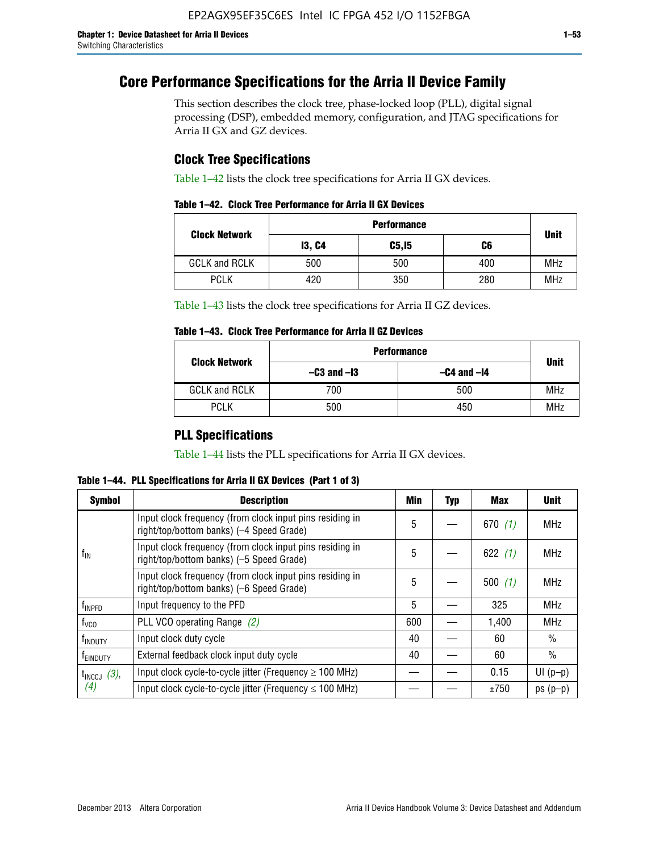# **Core Performance Specifications for the Arria II Device Family**

This section describes the clock tree, phase-locked loop (PLL), digital signal processing (DSP), embedded memory, configuration, and JTAG specifications for Arria II GX and GZ devices.

# **Clock Tree Specifications**

Table 1–42 lists the clock tree specifications for Arria II GX devices.

|                      | <b>Performance</b> |        |     |             |  |  |  |
|----------------------|--------------------|--------|-----|-------------|--|--|--|
| <b>Clock Network</b> | <b>13, C4</b>      | C5, I5 | C6  | <b>Unit</b> |  |  |  |
| <b>GCLK and RCLK</b> | 500                | 500    | 400 | <b>MHz</b>  |  |  |  |
| <b>PCLK</b>          | 420                | 350    | 280 | <b>MHz</b>  |  |  |  |

Table 1–43 lists the clock tree specifications for Arria II GZ devices.

### **Table 1–43. Clock Tree Performance for Arria II GZ Devices**

| <b>Clock Network</b> | <b>Performance</b> |                 |             |  |  |  |
|----------------------|--------------------|-----------------|-------------|--|--|--|
|                      | $-C3$ and $-I3$    | $-C4$ and $-I4$ | <b>Unit</b> |  |  |  |
| <b>GCLK and RCLK</b> | 700                | 500             | <b>MHz</b>  |  |  |  |
| <b>PCLK</b>          | 500                | 450             | MHz         |  |  |  |

# **PLL Specifications**

Table 1–44 lists the PLL specifications for Arria II GX devices.

**Table 1–44. PLL Specifications for Arria II GX Devices (Part 1 of 3)**

| <b>Symbol</b>              | <b>Description</b>                                                                                   | Min | <b>Typ</b> | Max       | <b>Unit</b>   |
|----------------------------|------------------------------------------------------------------------------------------------------|-----|------------|-----------|---------------|
|                            | Input clock frequency (from clock input pins residing in<br>right/top/bottom banks) (-4 Speed Grade) | 5   |            | 670(1)    | <b>MHz</b>    |
| $f_{\parallel N}$          | Input clock frequency (from clock input pins residing in<br>right/top/bottom banks) (-5 Speed Grade) | 5   |            | 622 $(1)$ | <b>MHz</b>    |
|                            | Input clock frequency (from clock input pins residing in<br>right/top/bottom banks) (-6 Speed Grade) |     |            | 500(1)    | <b>MHz</b>    |
| f <sub>INPFD</sub>         | Input frequency to the PFD                                                                           |     |            | 325       | <b>MHz</b>    |
| $f_{\rm VCO}$              | PLL VCO operating Range (2)                                                                          |     |            | 1,400     | <b>MHz</b>    |
| <b>f</b> <sub>INDUTY</sub> | Input clock duty cycle                                                                               |     |            | 60        | $\frac{0}{0}$ |
| T <sub>EINDUTY</sub>       | External feedback clock input duty cycle                                                             |     |            | 60        | $\frac{0}{0}$ |
| $t_{\text{INCCJ}}$ (3),    | Input clock cycle-to-cycle jitter (Frequency $\geq$ 100 MHz)                                         |     |            | 0.15      | $UI(p-p)$     |
| (4)                        | Input clock cycle-to-cycle jitter (Frequency $\leq 100$ MHz)                                         |     |            | ±750      | $ps(p-p)$     |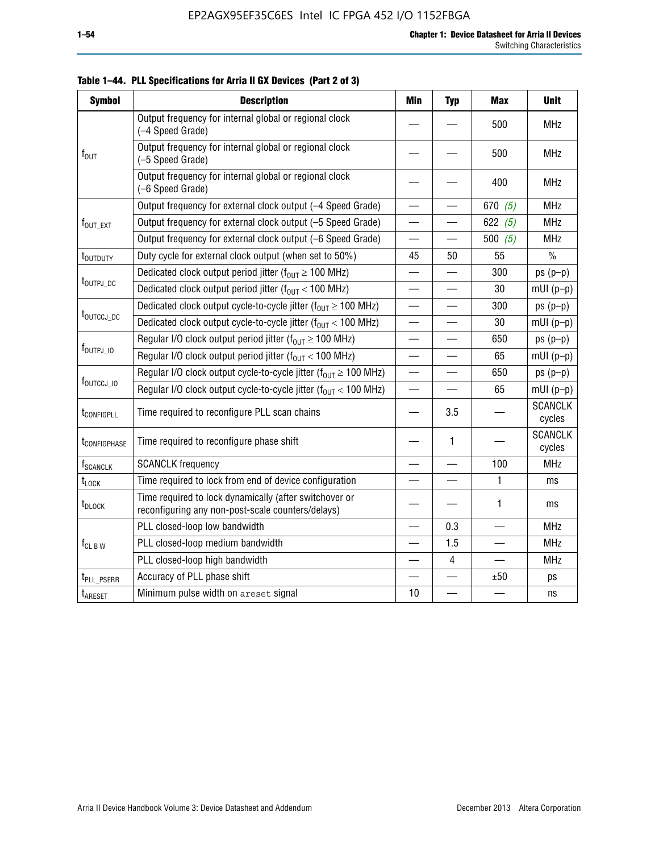| <b>Symbol</b>                                                   | <b>Description</b>                                                                                          |                          | <b>Typ</b>               | <b>Max</b> | <b>Unit</b>              |
|-----------------------------------------------------------------|-------------------------------------------------------------------------------------------------------------|--------------------------|--------------------------|------------|--------------------------|
|                                                                 | Output frequency for internal global or regional clock<br>(-4 Speed Grade)                                  |                          |                          | 500        | <b>MHz</b>               |
| $f_{\text{OUT}}$                                                | Output frequency for internal global or regional clock<br>(-5 Speed Grade)                                  |                          |                          | 500        | <b>MHz</b>               |
|                                                                 | Output frequency for internal global or regional clock<br>(-6 Speed Grade)                                  |                          |                          | 400        | <b>MHz</b>               |
|                                                                 | Output frequency for external clock output (-4 Speed Grade)                                                 | $\overline{\phantom{0}}$ |                          | 670 $(5)$  | <b>MHz</b>               |
| $f_{\text{OUT EXT}}$                                            | Output frequency for external clock output (-5 Speed Grade)                                                 |                          |                          | 622 $(5)$  | <b>MHz</b>               |
|                                                                 | Output frequency for external clock output (-6 Speed Grade)                                                 | $\overline{\phantom{0}}$ |                          | 500 $(5)$  | <b>MHz</b>               |
| t <sub>outduty</sub>                                            | Duty cycle for external clock output (when set to 50%)                                                      | 45                       | 50                       | 55         | $\%$                     |
|                                                                 | Dedicated clock output period jitter ( $f_{OUT} \ge 100$ MHz)                                               |                          |                          | 300        | $ps(p-p)$                |
|                                                                 | t <sub>outpj_dc</sub><br>Dedicated clock output period jitter ( $f_{OUT}$ < 100 MHz)                        |                          |                          | 30         | $mUI(p-p)$               |
|                                                                 | Dedicated clock output cycle-to-cycle jitter ( $f_{OUT} \ge 100$ MHz)                                       |                          |                          | 300        | $ps(p-p)$                |
| t <sub>outccj_dc</sub>                                          | Dedicated clock output cycle-to-cycle jitter ( $f_{OUT}$ < 100 MHz)                                         |                          | —                        | 30         | $mUI(p-p)$               |
| Regular I/O clock output period jitter ( $f_{OUT} \ge 100$ MHz) |                                                                                                             |                          |                          | 650        | $ps(p-p)$                |
| $f_{\text{OUTPJ\_10}}$                                          | Regular I/O clock output period jitter ( $f_{OUT}$ < 100 MHz)                                               |                          |                          | 65         | $mUI(p-p)$               |
|                                                                 | Regular I/O clock output cycle-to-cycle jitter ( $f_{OUT} \ge 100$ MHz)                                     | $\equiv$                 |                          | 650        | $ps(p-p)$                |
| f <sub>outccj_io</sub>                                          | Regular I/O clock output cycle-to-cycle jitter ( $f_{OUT}$ < 100 MHz)                                       |                          |                          | 65         | $mUI(p-p)$               |
| t <sub>configpll</sub>                                          | Time required to reconfigure PLL scan chains                                                                |                          | 3.5                      |            | <b>SCANCLK</b><br>cycles |
| t <sub>configphase</sub>                                        | Time required to reconfigure phase shift                                                                    |                          | 1                        |            | <b>SCANCLK</b><br>cycles |
| f <sub>SCANCLK</sub>                                            | <b>SCANCLK</b> frequency                                                                                    |                          |                          | 100        | <b>MHz</b>               |
| $t_{\text{LOCK}}$                                               | Time required to lock from end of device configuration                                                      | $\overline{\phantom{0}}$ | $\overline{\phantom{0}}$ | 1          | ms                       |
| t <sub>DLOCK</sub>                                              | Time required to lock dynamically (after switchover or<br>reconfiguring any non-post-scale counters/delays) |                          |                          | 1          | ms                       |
|                                                                 | PLL closed-loop low bandwidth                                                                               |                          | 0.3                      |            | <b>MHz</b>               |
| $f_{CL\,B\,W}$                                                  | PLL closed-loop medium bandwidth                                                                            | $\overline{\phantom{0}}$ | 1.5                      |            | <b>MHz</b>               |
|                                                                 | PLL closed-loop high bandwidth                                                                              |                          | 4                        |            | <b>MHz</b>               |
| t <sub>PLL_PSERR</sub>                                          | Accuracy of PLL phase shift                                                                                 |                          |                          | ±50        | ps                       |
| t <sub>ARESET</sub>                                             | Minimum pulse width on areset signal                                                                        | 10                       |                          |            | ns                       |

**Table 1–44. PLL Specifications for Arria II GX Devices (Part 2 of 3)**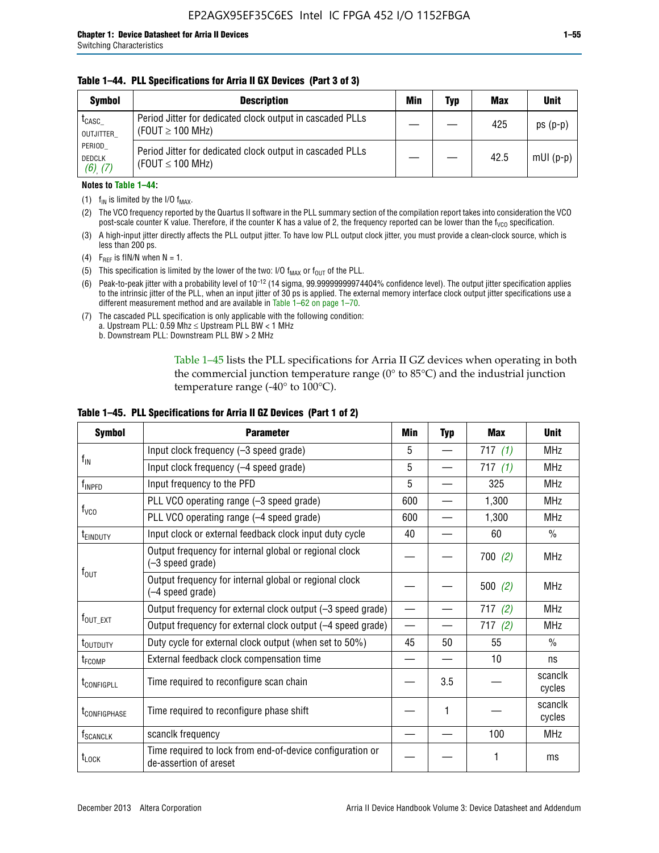### **Table 1–44. PLL Specifications for Arria II GX Devices (Part 3 of 3)**

| <b>Symbol</b>                            | <b>Description</b>                                                                 | Min | Typ | <b>Max</b> | <b>Unit</b> |
|------------------------------------------|------------------------------------------------------------------------------------|-----|-----|------------|-------------|
| t <sub>CASC</sub><br>OUTJITTER           | Period Jitter for dedicated clock output in cascaded PLLs<br>(FOUT $\geq$ 100 MHz) |     |     | 425        | $ps(p-p)$   |
| PERIOD<br><b>DEDCLK</b><br>$(6)$ , $(7)$ | Period Jitter for dedicated clock output in cascaded PLLs<br>(FOUT $\leq$ 100 MHz) |     |     | 42.5       | $mUI(p-p)$  |

### **Notes to Table 1–44:**

- (1)  $f_{IN}$  is limited by the I/O  $f_{MAX}$ .
- (2) The VCO frequency reported by the Quartus II software in the PLL summary section of the compilation report takes into consideration the VCO post-scale counter K value. Therefore, if the counter K has a value of 2, the frequency reported can be lower than the f<sub>VCO</sub> specification.
- (3) A high-input jitter directly affects the PLL output jitter. To have low PLL output clock jitter, you must provide a clean-clock source, which is less than 200 ps.
- (4) F<sub>REF</sub> is fIN/N when N = 1.
- (5) This specification is limited by the lower of the two: I/O  $f_{MAX}$  or  $f_{OUT}$  of the PLL.
- (6) Peak-to-peak jitter with a probability level of 10–12 (14 sigma, 99.99999999974404% confidence level). The output jitter specification applies to the intrinsic jitter of the PLL, when an input jitter of 30 ps is applied. The external memory interface clock output jitter specifications use a different measurement method and are available in Table 1–62 on page 1–70.
- (7) The cascaded PLL specification is only applicable with the following condition: a. Upstream PLL:  $0.59$  Mhz  $\leq$  Upstream PLL BW  $<$  1 MHz
	- b. Downstream PLL: Downstream PLL BW > 2 MHz

Table 1–45 lists the PLL specifications for Arria II GZ devices when operating in both the commercial junction temperature range (0° to 85°C) and the industrial junction temperature range (-40 $\degree$  to 100 $\degree$ C).

| <b>Symbol</b>              | <b>Parameter</b>                                                                    |                          | <b>Typ</b> | <b>Max</b> | <b>Unit</b>       |
|----------------------------|-------------------------------------------------------------------------------------|--------------------------|------------|------------|-------------------|
|                            | Input clock frequency (-3 speed grade)                                              |                          |            | 717(1)     | <b>MHz</b>        |
| $f_{\text{IN}}$            | Input clock frequency (-4 speed grade)                                              | 5                        |            | 717(1)     | <b>MHz</b>        |
| $f_{\mathsf{INPPD}}$       | Input frequency to the PFD                                                          | 5                        |            | 325        | <b>MHz</b>        |
|                            | PLL VCO operating range (-3 speed grade)                                            | 600                      |            | 1,300      | <b>MHz</b>        |
| $f_{\rm VCO}$              | PLL VCO operating range (-4 speed grade)                                            | 600                      |            | 1,300      | <b>MHz</b>        |
| <b>TEINDUTY</b>            | Input clock or external feedback clock input duty cycle                             | 40                       |            | 60         | $\frac{0}{0}$     |
|                            | Output frequency for internal global or regional clock<br>(-3 speed grade)          |                          |            | 700(2)     | <b>MHz</b>        |
| $f_{\text{OUT}}$           | Output frequency for internal global or regional clock<br>(-4 speed grade)          |                          |            | 500(2)     | <b>MHz</b>        |
|                            | Output frequency for external clock output (-3 speed grade)                         | $\overline{\phantom{0}}$ |            | 717(2)     | <b>MHz</b>        |
| $f_{\text{OUT\_EXT}}$      | Output frequency for external clock output (-4 speed grade)                         |                          |            | 717(2)     | <b>MHz</b>        |
| t <sub>outduty</sub>       | Duty cycle for external clock output (when set to 50%)                              | 45                       | 50         | 55         | $\frac{0}{0}$     |
| t <sub>FCOMP</sub>         | External feedback clock compensation time                                           |                          |            | 10         | ns                |
| t <sub>configpll</sub>     | Time required to reconfigure scan chain                                             |                          | 3.5        |            | scanclk<br>cycles |
| <b><i>LCONFIGPHASE</i></b> | Time required to reconfigure phase shift                                            |                          | 1          |            | scanclk<br>cycles |
| f <sub>SCANCLK</sub>       | scanclk frequency                                                                   |                          |            | 100        | <b>MHz</b>        |
| t <sub>LOCK</sub>          | Time required to lock from end-of-device configuration or<br>de-assertion of areset |                          |            |            | ms                |

### **Table 1–45. PLL Specifications for Arria II GZ Devices (Part 1 of 2)**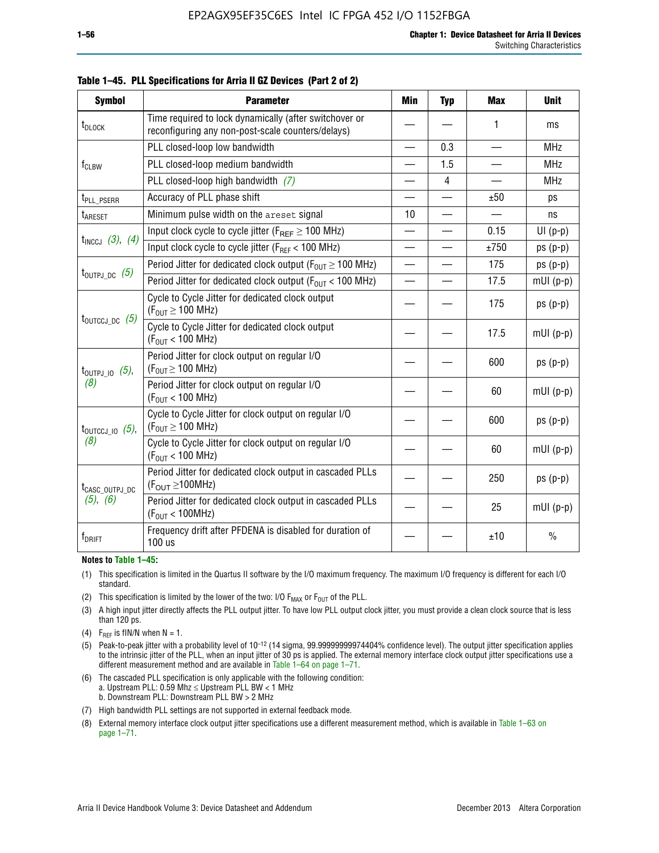| <b>Symbol</b>                | <b>Parameter</b>                                                                                                                                                   | <b>Min</b> | <b>Typ</b>               | <b>Max</b> | <b>Unit</b>   |
|------------------------------|--------------------------------------------------------------------------------------------------------------------------------------------------------------------|------------|--------------------------|------------|---------------|
| t <sub>DLOCK</sub>           | Time required to lock dynamically (after switchover or<br>reconfiguring any non-post-scale counters/delays)                                                        |            |                          | 1          | ms            |
|                              | PLL closed-loop low bandwidth                                                                                                                                      |            | 0.3                      |            | <b>MHz</b>    |
| $f_{CLBW}$                   | PLL closed-loop medium bandwidth                                                                                                                                   |            | 1.5                      |            | <b>MHz</b>    |
|                              | PLL closed-loop high bandwidth (7)                                                                                                                                 |            | $\overline{4}$           |            | <b>MHz</b>    |
| t <sub>PLL_PSERR</sub>       | Accuracy of PLL phase shift                                                                                                                                        |            |                          | ±50        | ps            |
| t <sub>ARESET</sub>          | Minimum pulse width on the areset signal                                                                                                                           | 10         | $\overline{\phantom{0}}$ |            | ns            |
|                              | Input clock cycle to cycle jitter ( $F_{REF} \ge 100$ MHz)                                                                                                         |            |                          | 0.15       | $UI(p-p)$     |
| $t_{INCCJ}$ (3), (4)         | Input clock cycle to cycle jitter (F <sub>REF</sub> < 100 MHz)                                                                                                     |            |                          | ±750       | $ps(p-p)$     |
|                              | Period Jitter for dedicated clock output ( $F_{OUT} \ge 100$ MHz)<br>$t_{\text{OUTPJ\_DC}}$ (5)<br>Period Jitter for dedicated clock output ( $F_{OUT}$ < 100 MHz) |            |                          | 175        | $ps(p-p)$     |
|                              |                                                                                                                                                                    |            |                          | 17.5       | $mUI(p-p)$    |
| $t_{\text{OUTCCJ\_DC}}$ (5)  | Cycle to Cycle Jitter for dedicated clock output<br>$(F_{OUT} \ge 100$ MHz)                                                                                        |            |                          | 175        | $ps(p-p)$     |
|                              | Cycle to Cycle Jitter for dedicated clock output<br>$(F_{OUT}$ < 100 MHz)                                                                                          |            |                          | 17.5       | $mUI(p-p)$    |
| $t_{\text{OUTPJ\_IO}}$ (5),  | Period Jitter for clock output on regular I/O<br>$(F_{OUT} \geq 100$ MHz)                                                                                          |            |                          | 600        | $ps(p-p)$     |
| (8)                          | Period Jitter for clock output on regular I/O<br>$(F_{OUT}$ < 100 MHz)                                                                                             |            |                          | 60         | $mUI(p-p)$    |
| $t_{\text{OUTCCJ\_IO}}$ (5), | Cycle to Cycle Jitter for clock output on regular I/O<br>$(F_{OUT} \ge 100$ MHz)                                                                                   |            |                          | 600        | $ps(p-p)$     |
| (8)                          | Cycle to Cycle Jitter for clock output on regular I/O<br>$(F_{OUT}$ < 100 MHz)                                                                                     |            |                          | 60         | $mUI(p-p)$    |
| t <sub>CASC_OUTPJ_DC</sub>   | Period Jitter for dedicated clock output in cascaded PLLs<br>$(F_{\text{OUT}} \ge 100 \text{MHz})$                                                                 |            |                          | 250        | $ps(p-p)$     |
| (5), (6)                     | Period Jitter for dedicated clock output in cascaded PLLs<br>(F <sub>OUT</sub> < 100MHz)                                                                           |            |                          | 25         | $mUI(p-p)$    |
| $f_{DRIFT}$                  | Frequency drift after PFDENA is disabled for duration of<br>100 us                                                                                                 |            |                          | ±10        | $\frac{0}{0}$ |

**Table 1–45. PLL Specifications for Arria II GZ Devices (Part 2 of 2)**

#### **Notes to Table 1–45:**

- (1) This specification is limited in the Quartus II software by the I/O maximum frequency. The maximum I/O frequency is different for each I/O standard.
- (2) This specification is limited by the lower of the two: I/O  $F_{MAX}$  or  $F_{OUT}$  of the PLL.
- (3) A high input jitter directly affects the PLL output jitter. To have low PLL output clock jitter, you must provide a clean clock source that is less than 120 ps.
- (4) F<sub>REF</sub> is fIN/N when  $N = 1$ .
- (5) Peak-to-peak jitter with a probability level of 10–12 (14 sigma, 99.99999999974404% confidence level). The output jitter specification applies to the intrinsic jitter of the PLL, when an input jitter of 30 ps is applied. The external memory interface clock output jitter specifications use a different measurement method and are available in Table 1–64 on page 1–71.
- (6) The cascaded PLL specification is only applicable with the following condition: a. Upstream PLL: 0.59 Mhz  $\leq$  Upstream PLL BW  $<$  1 MHz b. Downstream PLL: Downstream PLL BW > 2 MHz
- (7) High bandwidth PLL settings are not supported in external feedback mode.
- (8) External memory interface clock output jitter specifications use a different measurement method, which is available in Table 1–63 on page 1–71.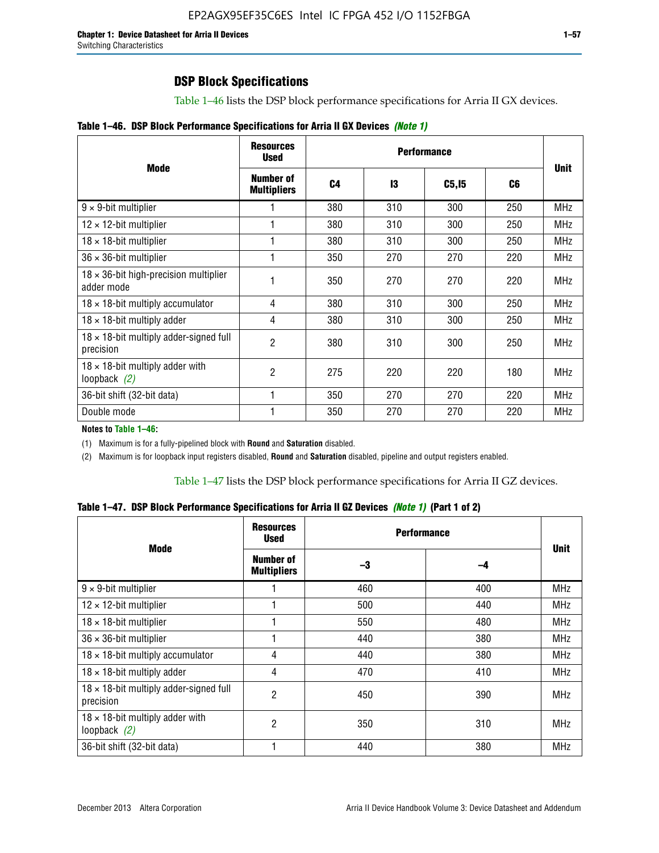# **DSP Block Specifications**

Table 1–46 lists the DSP block performance specifications for Arria II GX devices.

| Table 1-46. DSP Block Performance Specifications for Arria II GX Devices (Note 1) |
|-----------------------------------------------------------------------------------|
|-----------------------------------------------------------------------------------|

|                                                             | <b>Resources</b><br><b>Used</b>        |     |     |              |     |             |
|-------------------------------------------------------------|----------------------------------------|-----|-----|--------------|-----|-------------|
| <b>Mode</b>                                                 | <b>Number of</b><br><b>Multipliers</b> | C4  | 13  | <b>C5,15</b> | C6  | <b>Unit</b> |
| $9 \times 9$ -bit multiplier                                |                                        | 380 | 310 | 300          | 250 | <b>MHz</b>  |
| $12 \times 12$ -bit multiplier                              |                                        | 380 | 310 | 300          | 250 | <b>MHz</b>  |
| $18 \times 18$ -bit multiplier                              |                                        | 380 | 310 | 300          | 250 | <b>MHz</b>  |
| $36 \times 36$ -bit multiplier                              |                                        | 350 | 270 | 270          | 220 | <b>MHz</b>  |
| $18 \times 36$ -bit high-precision multiplier<br>adder mode |                                        | 350 | 270 | 270          | 220 | <b>MHz</b>  |
| $18 \times 18$ -bit multiply accumulator                    | 4                                      | 380 | 310 | 300          | 250 | <b>MHz</b>  |
| $18 \times 18$ -bit multiply adder                          | 4                                      | 380 | 310 | 300          | 250 | <b>MHz</b>  |
| $18 \times 18$ -bit multiply adder-signed full<br>precision | 2                                      | 380 | 310 | 300          | 250 | <b>MHz</b>  |
| $18 \times 18$ -bit multiply adder with<br>loopback $(2)$   | 2                                      | 275 | 220 | 220          | 180 | <b>MHz</b>  |
| 36-bit shift (32-bit data)                                  |                                        | 350 | 270 | 270          | 220 | <b>MHz</b>  |
| Double mode                                                 |                                        | 350 | 270 | 270          | 220 | <b>MHz</b>  |

**Notes to Table 1–46:**

(1) Maximum is for a fully-pipelined block with **Round** and **Saturation** disabled.

(2) Maximum is for loopback input registers disabled, **Round** and **Saturation** disabled, pipeline and output registers enabled.

Table 1–47 lists the DSP block performance specifications for Arria II GZ devices.

| Table 1-47. DSP Block Performance Specifications for Arria II GZ Devices (Note 1) (Part 1 of 2) |  |  |
|-------------------------------------------------------------------------------------------------|--|--|
|-------------------------------------------------------------------------------------------------|--|--|

| <b>Mode</b>                                                 | <b>Resources</b><br><b>Used</b>        | <b>Performance</b> |     | <b>Unit</b> |
|-------------------------------------------------------------|----------------------------------------|--------------------|-----|-------------|
|                                                             | <b>Number of</b><br><b>Multipliers</b> | -3                 | -4  |             |
| $9 \times 9$ -bit multiplier                                |                                        | 460                | 400 | <b>MHz</b>  |
| $12 \times 12$ -bit multiplier                              |                                        | 500                | 440 | <b>MHz</b>  |
| $18 \times 18$ -bit multiplier                              |                                        | 550                | 480 | <b>MHz</b>  |
| $36 \times 36$ -bit multiplier                              |                                        | 440                | 380 | <b>MHz</b>  |
| $18 \times 18$ -bit multiply accumulator                    | 4                                      | 440                | 380 | <b>MHz</b>  |
| $18 \times 18$ -bit multiply adder                          | 4                                      | 470                | 410 | <b>MHz</b>  |
| $18 \times 18$ -bit multiply adder-signed full<br>precision | 2                                      | 450                | 390 | <b>MHz</b>  |
| $18 \times 18$ -bit multiply adder with<br>loopback $(2)$   | 2                                      | 350                | 310 | <b>MHz</b>  |
| 36-bit shift (32-bit data)                                  |                                        | 440                | 380 | <b>MHz</b>  |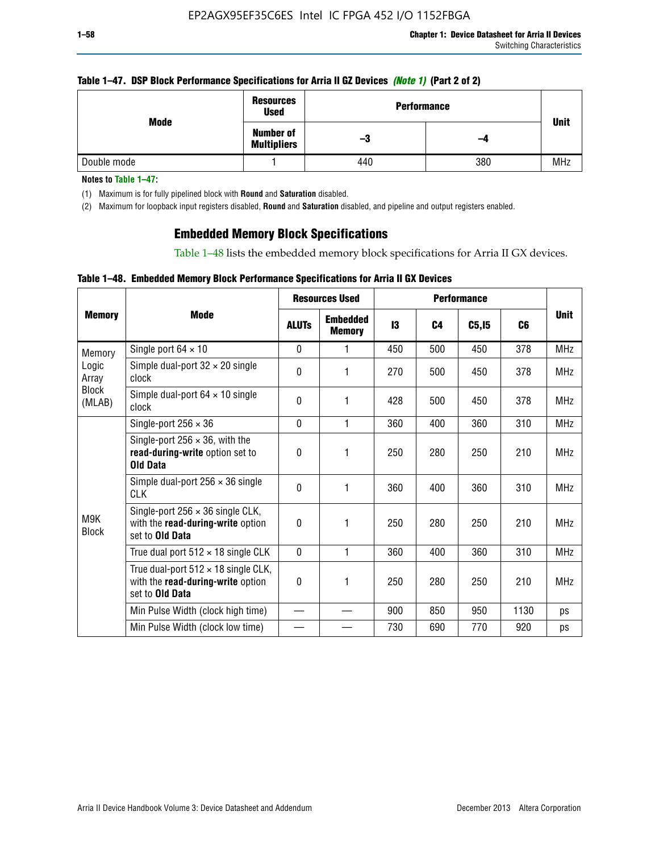### **Table 1–47. DSP Block Performance Specifications for Arria II GZ Devices** *(Note 1)* **(Part 2 of 2)**

| Mode        | <b>Resources</b><br><b>Used</b>        | <b>Performance</b> |     |             |  |  |
|-------------|----------------------------------------|--------------------|-----|-------------|--|--|
|             | <b>Number of</b><br><b>Multipliers</b> | -3                 | -4  | <b>Unit</b> |  |  |
| Double mode |                                        | 440                | 380 | <b>MHz</b>  |  |  |

**Notes to Table 1–47:**

(1) Maximum is for fully pipelined block with **Round** and **Saturation** disabled.

(2) Maximum for loopback input registers disabled, **Round** and **Saturation** disabled, and pipeline and output registers enabled.

# **Embedded Memory Block Specifications**

Table 1–48 lists the embedded memory block specifications for Arria II GX devices.

### **Table 1–48. Embedded Memory Block Performance Specifications for Arria II GX Devices**

|                                          |                                                                                                           | <b>Resources Used</b> |                                  |     |                |        |      |             |
|------------------------------------------|-----------------------------------------------------------------------------------------------------------|-----------------------|----------------------------------|-----|----------------|--------|------|-------------|
| <b>Memory</b>                            | Mode                                                                                                      | <b>ALUTs</b>          | <b>Embedded</b><br><b>Memory</b> | 13  | C <sub>4</sub> | C5, I5 | C6   | <b>Unit</b> |
| Memory                                   | Single port $64 \times 10$                                                                                | $\Omega$              | 1                                | 450 | 500            | 450    | 378  | <b>MHz</b>  |
| Logic<br>Array<br><b>Block</b><br>(MLAB) | Simple dual-port $32 \times 20$ single<br>clock                                                           | 0                     | 1                                | 270 | 500            | 450    | 378  | <b>MHz</b>  |
|                                          | Simple dual-port $64 \times 10$ single<br>clock                                                           | $\Omega$              | 1                                | 428 | 500            | 450    | 378  | <b>MHz</b>  |
| M9K<br><b>Block</b>                      | Single-port $256 \times 36$                                                                               | $\Omega$              | 1                                | 360 | 400            | 360    | 310  | <b>MHz</b>  |
|                                          | Single-port $256 \times 36$ , with the<br>read-during-write option set to<br><b>Old Data</b>              | $\theta$              | 1                                | 250 | 280            | 250    | 210  | <b>MHz</b>  |
|                                          | Simple dual-port $256 \times 36$ single<br><b>CLK</b>                                                     | 0                     | 1                                | 360 | 400            | 360    | 310  | <b>MHz</b>  |
|                                          | Single-port $256 \times 36$ single CLK,<br>with the read-during-write option<br>set to <b>Old Data</b>    | $\Omega$              | 1                                | 250 | 280            | 250    | 210  | <b>MHz</b>  |
|                                          | True dual port $512 \times 18$ single CLK                                                                 | $\Omega$              | 1                                | 360 | 400            | 360    | 310  | <b>MHz</b>  |
|                                          | True dual-port $512 \times 18$ single CLK,<br>with the read-during-write option<br>set to <b>Old Data</b> | 0                     | 1                                | 250 | 280            | 250    | 210  | <b>MHz</b>  |
|                                          | Min Pulse Width (clock high time)                                                                         |                       |                                  | 900 | 850            | 950    | 1130 | ps          |
|                                          | Min Pulse Width (clock low time)                                                                          |                       |                                  | 730 | 690            | 770    | 920  | ps          |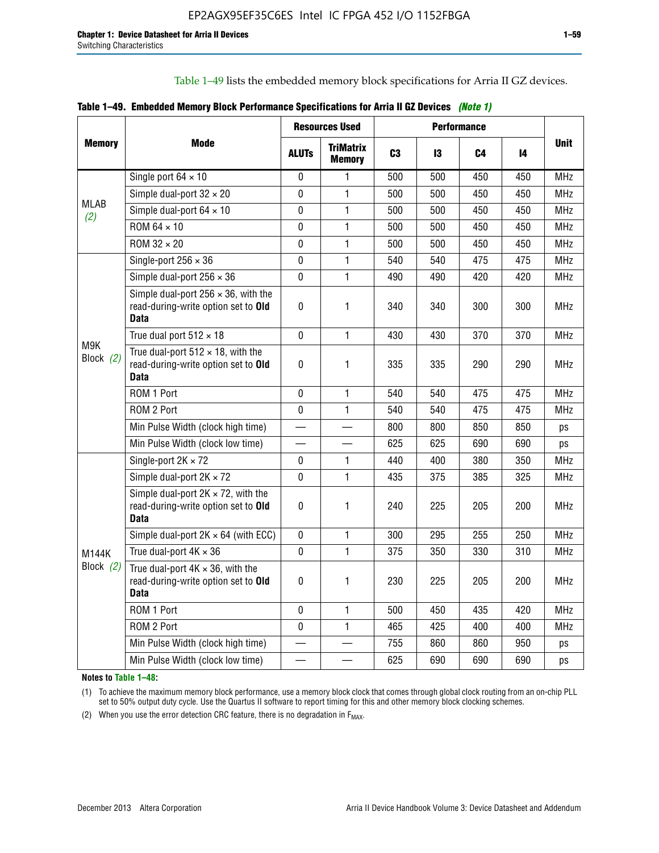Table 1–49 lists the embedded memory block specifications for Arria II GZ devices.

|  | Table 1–49. Embedded Memory Block Performance Specifications for Arria II GZ Devices (Note 1) |  |  |  |  |
|--|-----------------------------------------------------------------------------------------------|--|--|--|--|
|--|-----------------------------------------------------------------------------------------------|--|--|--|--|

|                  |                                                                                                   |              | <b>Resources Used</b>             |                |     | <b>Performance</b> |     |             |
|------------------|---------------------------------------------------------------------------------------------------|--------------|-----------------------------------|----------------|-----|--------------------|-----|-------------|
| <b>Memory</b>    | <b>Mode</b>                                                                                       | <b>ALUTS</b> | <b>TriMatrix</b><br><b>Memory</b> | C <sub>3</sub> | 13  | C4                 | 14  | <b>Unit</b> |
|                  | Single port $64 \times 10$                                                                        | $\mathbf 0$  | 1                                 | 500            | 500 | 450                | 450 | <b>MHz</b>  |
|                  | Simple dual-port $32 \times 20$                                                                   | 0            | 1                                 | 500            | 500 | 450                | 450 | <b>MHz</b>  |
| MLAB<br>(2)      | Simple dual-port $64 \times 10$                                                                   | $\mathbf 0$  | 1                                 | 500            | 500 | 450                | 450 | <b>MHz</b>  |
|                  | ROM 64 × 10                                                                                       | 0            | 1                                 | 500            | 500 | 450                | 450 | <b>MHz</b>  |
|                  | $ROM 32 \times 20$                                                                                | 0            | 1                                 | 500            | 500 | 450                | 450 | <b>MHz</b>  |
|                  | Single-port $256 \times 36$                                                                       | 0            | 1                                 | 540            | 540 | 475                | 475 | <b>MHz</b>  |
|                  | Simple dual-port $256 \times 36$                                                                  | $\mathbf 0$  | 1                                 | 490            | 490 | 420                | 420 | <b>MHz</b>  |
|                  | Simple dual-port $256 \times 36$ , with the<br>read-during-write option set to Old<br><b>Data</b> | $\pmb{0}$    | 1                                 | 340            | 340 | 300                | 300 | <b>MHz</b>  |
|                  | True dual port $512 \times 18$                                                                    | $\mathbf{0}$ | 1                                 | 430            | 430 | 370                | 370 | <b>MHz</b>  |
| M9K<br>Block (2) | True dual-port $512 \times 18$ , with the<br>read-during-write option set to Old<br><b>Data</b>   | $\mathbf 0$  | 1                                 | 335            | 335 | 290                | 290 | <b>MHz</b>  |
|                  | ROM 1 Port                                                                                        | $\mathbf 0$  | 1                                 | 540            | 540 | 475                | 475 | <b>MHz</b>  |
|                  | ROM 2 Port                                                                                        | 0            | 1                                 | 540            | 540 | 475                | 475 | <b>MHz</b>  |
|                  | Min Pulse Width (clock high time)                                                                 |              |                                   | 800            | 800 | 850                | 850 | ps          |
|                  | Min Pulse Width (clock low time)                                                                  |              |                                   | 625            | 625 | 690                | 690 | ps          |
|                  | Single-port $2K \times 72$                                                                        | 0            | 1                                 | 440            | 400 | 380                | 350 | <b>MHz</b>  |
|                  | Simple dual-port $2K \times 72$                                                                   | $\mathbf 0$  | 1                                 | 435            | 375 | 385                | 325 | <b>MHz</b>  |
|                  | Simple dual-port $2K \times 72$ , with the<br>read-during-write option set to Old<br><b>Data</b>  | 0            | 1.                                | 240            | 225 | 205                | 200 | <b>MHz</b>  |
|                  | Simple dual-port $2K \times 64$ (with ECC)                                                        | $\mathbf 0$  | 1                                 | 300            | 295 | 255                | 250 | <b>MHz</b>  |
| M144K            | True dual-port $4K \times 36$                                                                     | $\Omega$     | 1                                 | 375            | 350 | 330                | 310 | <b>MHz</b>  |
| Block $(2)$      | True dual-port $4K \times 36$ , with the<br>read-during-write option set to Old<br><b>Data</b>    | $\pmb{0}$    | 1                                 | 230            | 225 | 205                | 200 | <b>MHz</b>  |
|                  | ROM 1 Port                                                                                        | $\mathbf 0$  | $\mathbf{1}$                      | 500            | 450 | 435                | 420 | <b>MHz</b>  |
|                  | ROM 2 Port                                                                                        | 0            | $\mathbf{1}$                      | 465            | 425 | 400                | 400 | <b>MHz</b>  |
|                  | Min Pulse Width (clock high time)                                                                 |              |                                   | 755            | 860 | 860                | 950 | ps          |
|                  | Min Pulse Width (clock low time)                                                                  |              |                                   | 625            | 690 | 690                | 690 | ps          |

**Notes to Table 1–48:**

(1) To achieve the maximum memory block performance, use a memory block clock that comes through global clock routing from an on-chip PLL set to 50% output duty cycle. Use the Quartus II software to report timing for this and other memory block clocking schemes.

(2) When you use the error detection CRC feature, there is no degradation in  $F_{MAX}$ .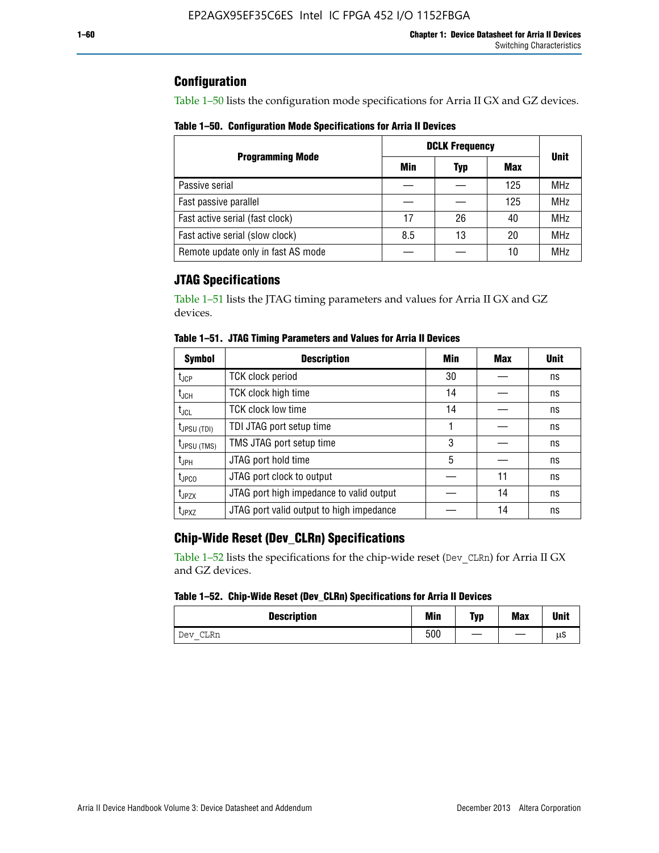# **Configuration**

Table 1–50 lists the configuration mode specifications for Arria II GX and GZ devices.

**Table 1–50. Configuration Mode Specifications for Arria II Devices**

|                                    | <b>DCLK Frequency</b> | <b>Unit</b> |     |            |
|------------------------------------|-----------------------|-------------|-----|------------|
| <b>Programming Mode</b>            | Min                   | Typ         | Max |            |
| Passive serial                     |                       |             | 125 | <b>MHz</b> |
| Fast passive parallel              |                       |             | 125 | <b>MHz</b> |
| Fast active serial (fast clock)    | 17                    | 26          | 40  | <b>MHz</b> |
| Fast active serial (slow clock)    | 8.5                   | 13          | 20  | <b>MHz</b> |
| Remote update only in fast AS mode |                       |             | 10  | <b>MHz</b> |

# **JTAG Specifications**

Table 1–51 lists the JTAG timing parameters and values for Arria II GX and GZ devices.

| <b>Symbol</b>     | <b>Description</b>                       | Min | Max | <b>Unit</b> |
|-------------------|------------------------------------------|-----|-----|-------------|
| t <sub>JCP</sub>  | <b>TCK clock period</b>                  | 30  |     | ns          |
| t <sub>JCH</sub>  | TCK clock high time                      | 14  |     | ns          |
| $t_{\sf JCL}$     | <b>TCK clock low time</b>                | 14  |     | ns          |
| $t_{JPSU(TDI)}$   | TDI JTAG port setup time                 |     |     | ns          |
| $t_{JPSU (TMS)}$  | TMS JTAG port setup time                 | 3   |     | ns          |
| $t_{JPH}$         | JTAG port hold time                      | 5   |     | ns          |
| $t_{\text{JPCO}}$ | JTAG port clock to output                |     | 11  | ns          |
| $t_{JPZX}$        | JTAG port high impedance to valid output |     | 14  | ns          |
| t <sub>JPXZ</sub> | JTAG port valid output to high impedance |     | 14  | ns          |

**Table 1–51. JTAG Timing Parameters and Values for Arria II Devices**

# **Chip-Wide Reset (Dev\_CLRn) Specifications**

Table 1–52 lists the specifications for the chip-wide reset (Dev\_CLRn) for Arria II GX and GZ devices.

### **Table 1–52. Chip-Wide Reset (Dev\_CLRn) Specifications for Arria II Devices**

| <b>Description</b> | <b>Min</b> | Typ | <b>Max</b> | <b>Unit</b> |
|--------------------|------------|-----|------------|-------------|
| CLRn<br>Dev        | 500        | __  |            | μS          |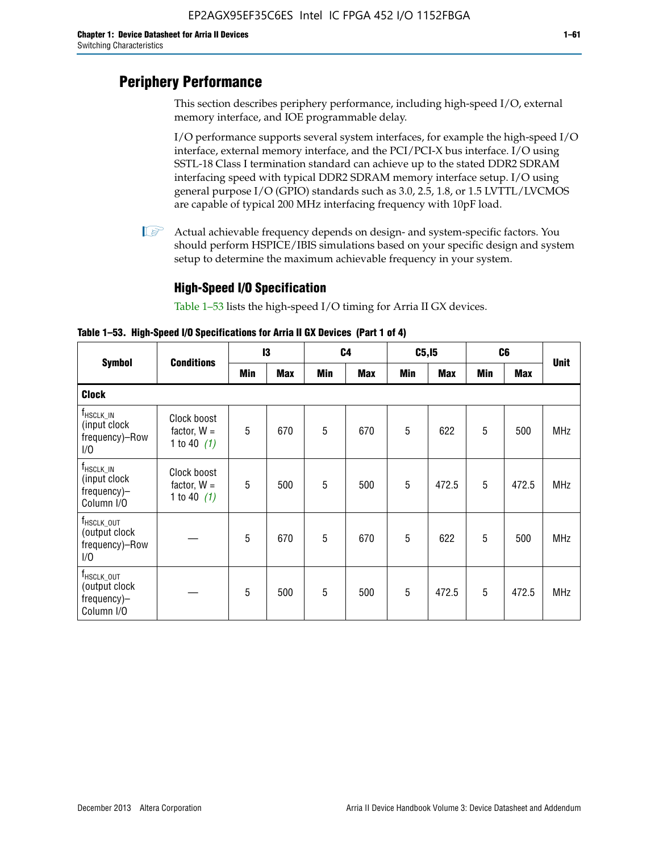# **Periphery Performance**

This section describes periphery performance, including high-speed I/O, external memory interface, and IOE programmable delay.

I/O performance supports several system interfaces, for example the high-speed I/O interface, external memory interface, and the PCI/PCI-X bus interface. I/O using SSTL-18 Class I termination standard can achieve up to the stated DDR2 SDRAM interfacing speed with typical DDR2 SDRAM memory interface setup. I/O using general purpose I/O (GPIO) standards such as 3.0, 2.5, 1.8, or 1.5 LVTTL/LVCMOS are capable of typical 200 MHz interfacing frequency with 10pF load.

 $\mathbb{I}$  Actual achievable frequency depends on design- and system-specific factors. You should perform HSPICE/IBIS simulations based on your specific design and system setup to determine the maximum achievable frequency in your system.

# **High-Speed I/O Specification**

Table 1–53 lists the high-speed I/O timing for Arria II GX devices.

**Table 1–53. High-Speed I/O Specifications for Arria II GX Devices (Part 1 of 4)**

|                                                                              | <b>Conditions</b>                             |     | 13         |     | C <sub>4</sub> |            | C5, I5     |            | C <sub>6</sub> |             |
|------------------------------------------------------------------------------|-----------------------------------------------|-----|------------|-----|----------------|------------|------------|------------|----------------|-------------|
| <b>Symbol</b>                                                                |                                               | Min | <b>Max</b> | Min | <b>Max</b>     | <b>Min</b> | <b>Max</b> | <b>Min</b> | <b>Max</b>     | <b>Unit</b> |
| <b>Clock</b>                                                                 |                                               |     |            |     |                |            |            |            |                |             |
| f <sub>HSCLK_IN</sub><br>(input clock<br>frequency)-Row<br>1/0               | Clock boost<br>factor, $W =$<br>1 to 40 $(1)$ | 5   | 670        | 5   | 670            | 5          | 622        | 5          | 500            | <b>MHz</b>  |
| $f_{HSCLK\_IN}$<br>(input clock<br>frequency)-<br>Column I/O                 | Clock boost<br>factor, $W =$<br>1 to 40 $(1)$ | 5   | 500        | 5   | 500            | 5          | 472.5      | 5          | 472.5          | <b>MHz</b>  |
| T <sub>HSCLK_OUT</sub><br>(output clock<br>frequency)-Row<br>1/0             |                                               | 5   | 670        | 5   | 670            | 5          | 622        | 5          | 500            | <b>MHz</b>  |
| $f_{\text{HSCLK}\_\text{OUT}}$<br>(output clock<br>frequency)-<br>Column I/O |                                               | 5   | 500        | 5   | 500            | 5          | 472.5      | 5          | 472.5          | <b>MHz</b>  |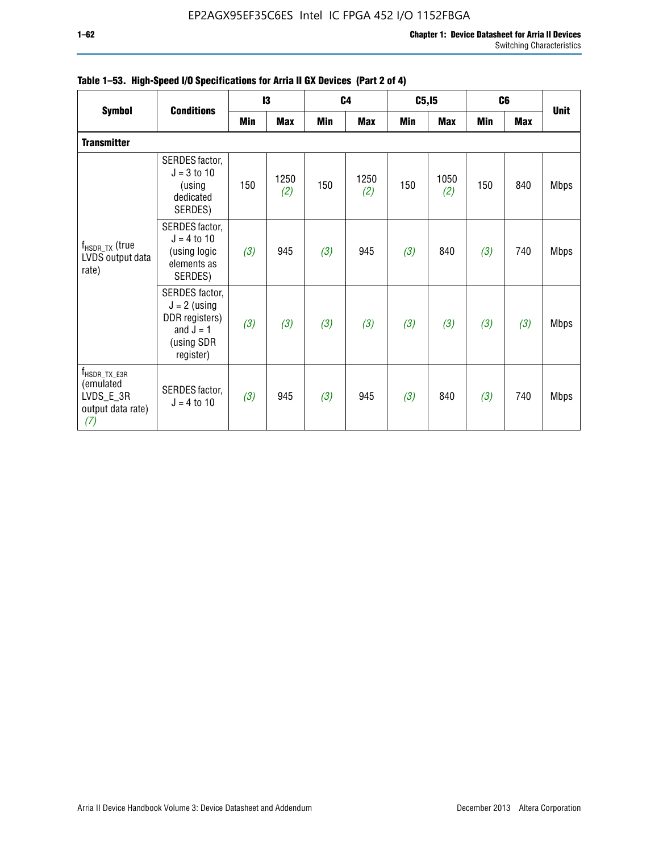| <b>Symbol</b>                                                                    |                                                                                              |     | 13          |     | C <sub>4</sub> | C5, I5     |             |            | C <sub>6</sub> |             |
|----------------------------------------------------------------------------------|----------------------------------------------------------------------------------------------|-----|-------------|-----|----------------|------------|-------------|------------|----------------|-------------|
|                                                                                  | <b>Conditions</b>                                                                            | Min | <b>Max</b>  | Min | <b>Max</b>     | <b>Min</b> | <b>Max</b>  | <b>Min</b> | <b>Max</b>     | <b>Unit</b> |
| <b>Transmitter</b>                                                               |                                                                                              |     |             |     |                |            |             |            |                |             |
|                                                                                  | SERDES factor,<br>$J = 3$ to 10<br>(using<br>dedicated<br>SERDES)                            | 150 | 1250<br>(2) | 150 | 1250<br>(2)    | 150        | 1050<br>(2) | 150        | 840            | <b>Mbps</b> |
| $f_{\sf{HSDR\_TX}}$ (true<br>LVDS output data<br>rate)                           | SERDES factor,<br>$J = 4$ to 10<br>(using logic<br>elements as<br>SERDES)                    | (3) | 945         | (3) | 945            | (3)        | 840         | (3)        | 740            | <b>Mbps</b> |
|                                                                                  | SERDES factor,<br>$J = 2$ (using<br>DDR registers)<br>and $J = 1$<br>(using SDR<br>register) | (3) | (3)         | (3) | (3)            | (3)        | (3)         | (3)        | (3)            | <b>Mbps</b> |
| $f_{\text{HSDR\_TX\_E3R}}$<br>(emulated<br>LVDS_E_3R<br>output data rate)<br>(7) | SERDES factor,<br>$J = 4$ to 10                                                              | (3) | 945         | (3) | 945            | (3)        | 840         | (3)        | 740            | <b>Mbps</b> |

|  |  | Table 1–53. High-Speed I/O Specifications for Arria II GX Devices (Part 2 of 4) |  |  |
|--|--|---------------------------------------------------------------------------------|--|--|
|--|--|---------------------------------------------------------------------------------|--|--|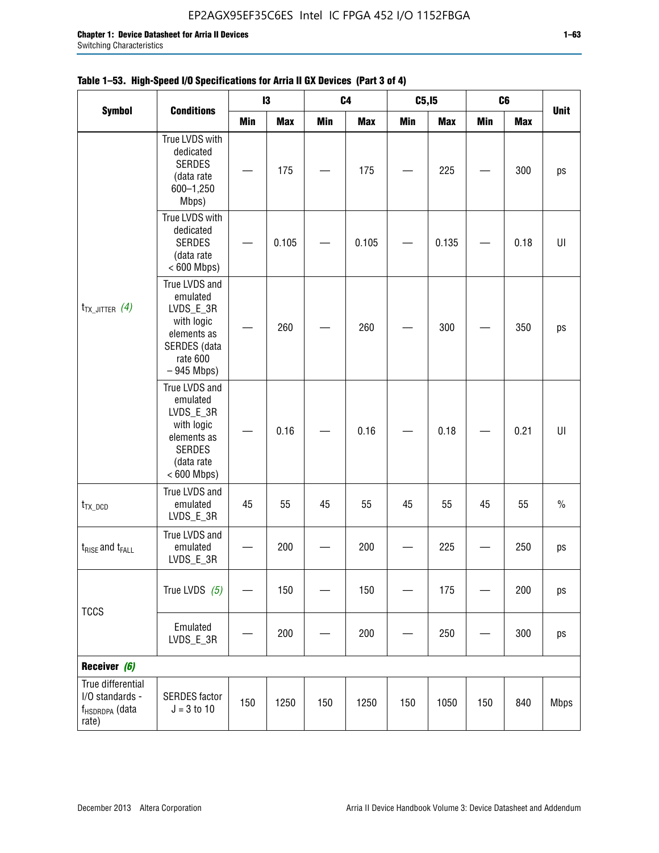| <b>Symbol</b>                                                      |                                                                                                                     |            | 13         |     | C <sub>4</sub> | C5, I5     |            | C <sub>6</sub> |            |             |
|--------------------------------------------------------------------|---------------------------------------------------------------------------------------------------------------------|------------|------------|-----|----------------|------------|------------|----------------|------------|-------------|
|                                                                    | <b>Conditions</b>                                                                                                   | <b>Min</b> | <b>Max</b> | Min | <b>Max</b>     | <b>Min</b> | <b>Max</b> | Min            | <b>Max</b> | <b>Unit</b> |
| $t_{TX\_JITTER}$ (4)                                               | True LVDS with<br>dedicated<br><b>SERDES</b><br>(data rate<br>600-1,250<br>Mbps)                                    |            | 175        |     | 175            |            | 225        |                | 300        | ps          |
|                                                                    | True LVDS with<br>dedicated<br><b>SERDES</b><br>(data rate<br>$< 600$ Mbps)                                         |            | 0.105      |     | 0.105          |            | 0.135      |                | 0.18       | UI          |
|                                                                    | True LVDS and<br>emulated<br>LVDS_E_3R<br>with logic<br>elements as<br>SERDES (data<br>rate 600<br>$-945$ Mbps)     |            | 260        |     | 260            |            | 300        |                | 350        | ps          |
|                                                                    | True LVDS and<br>emulated<br>LVDS_E_3R<br>with logic<br>elements as<br><b>SERDES</b><br>(data rate<br>$< 600$ Mbps) |            | 0.16       |     | 0.16           |            | 0.18       |                | 0.21       | U           |
| $t_{TX\_DCD}$                                                      | True LVDS and<br>emulated<br>LVDS_E_3R                                                                              | 45         | 55         | 45  | 55             | 45         | 55         | 45             | 55         | $\%$        |
| $t_{RISE}$ and $t_{FALL}$                                          | True LVDS and<br>emulated<br>LVDS_E_3R                                                                              |            | 200        |     | 200            |            | 225        |                | 250        | ps          |
| <b>TCCS</b>                                                        | True LVDS $(5)$                                                                                                     |            | 150        |     | 150            |            | 175        |                | 200        | ps          |
|                                                                    | Emulated<br>LVDS_E_3R                                                                                               |            | 200        |     | 200            |            | 250        |                | 300        | ps          |
| Receiver (6)                                                       |                                                                                                                     |            |            |     |                |            |            |                |            |             |
| True differential<br>I/O standards -<br>f <sub>HSDRDPA</sub> (data | <b>SERDES</b> factor<br>$J = 3 to 10$                                                                               | 150        | 1250       | 150 | 1250           | 150        | 1050       | 150            | 840        | <b>Mbps</b> |

## **Table 1–53. High-Speed I/O Specifications for Arria II GX Devices (Part 3 of 4)**

rate)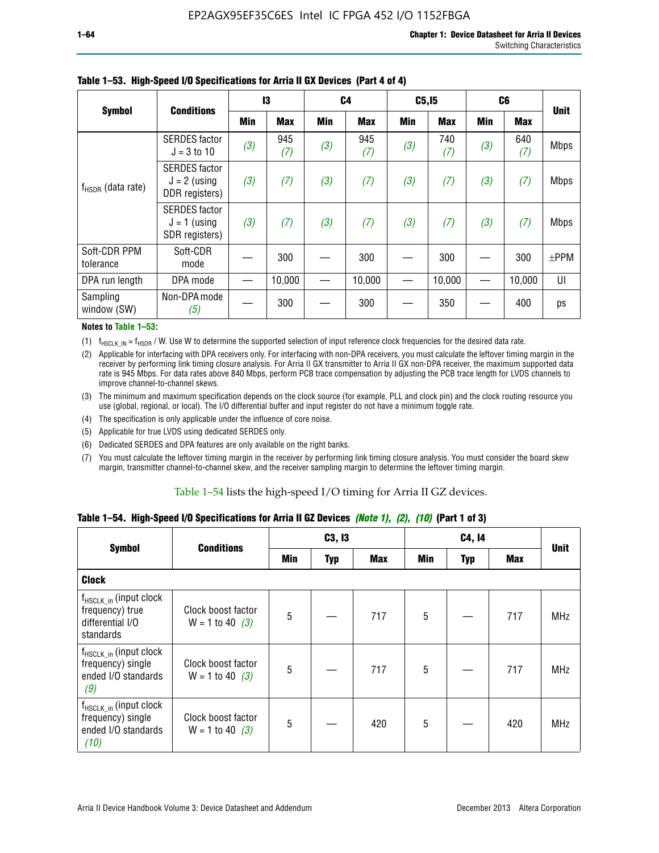|                           |                                                          |     | 13         |            | C <sub>4</sub> | C5, I5     |            | C <sub>6</sub> |            |             |
|---------------------------|----------------------------------------------------------|-----|------------|------------|----------------|------------|------------|----------------|------------|-------------|
| <b>Symbol</b>             | <b>Conditions</b>                                        | Min | <b>Max</b> | <b>Min</b> | <b>Max</b>     | <b>Min</b> | <b>Max</b> | <b>Min</b>     | <b>Max</b> | <b>Unit</b> |
|                           | <b>SERDES</b> factor<br>$J = 3$ to 10                    | (3) | 945<br>(7) | (3)        | 945<br>(7)     | (3)        | 740<br>(7) | (3)            | 640<br>(7) | <b>Mbps</b> |
| $f_{HSDR}$ (data rate)    | <b>SERDES</b> factor<br>$J = 2$ (using<br>DDR registers) | (3) | (7)        | (3)        | (7)            | (3)        | (7)        | (3)            | (7)        | <b>Mbps</b> |
|                           | <b>SERDES</b> factor<br>$J = 1$ (using<br>SDR registers) | (3) | (7)        | (3)        | (7)            | (3)        | (7)        | (3)            | (7)        | <b>Mbps</b> |
| Soft-CDR PPM<br>tolerance | Soft-CDR<br>mode                                         |     | 300        |            | 300            |            | 300        |                | 300        | $\pm$ PPM   |
| DPA run length            | DPA mode                                                 |     | 10,000     |            | 10,000         |            | 10,000     |                | 10,000     | UI          |
| Sampling<br>window (SW)   | Non-DPA mode<br>(5)                                      |     | 300        |            | 300            |            | 350        |                | 400        | ps          |

### **Table 1–53. High-Speed I/O Specifications for Arria II GX Devices (Part 4 of 4)**

### **Notes to Table 1–53:**

(1)  $f_{HSCLK\_IN} = f_{HSDR}$  / W. Use W to determine the supported selection of input reference clock frequencies for the desired data rate.

(2) Applicable for interfacing with DPA receivers only. For interfacing with non-DPA receivers, you must calculate the leftover timing margin in the receiver by performing link timing closure analysis. For Arria II GX transmitter to Arria II GX non-DPA receiver, the maximum supported data rate is 945 Mbps. For data rates above 840 Mbps, perform PCB trace compensation by adjusting the PCB trace length for LVDS channels to improve channel-to-channel skews.

- (3) The minimum and maximum specification depends on the clock source (for example, PLL and clock pin) and the clock routing resource you use (global, regional, or local). The I/O differential buffer and input register do not have a minimum toggle rate.
- (4) The specification is only applicable under the influence of core noise.
- (5) Applicable for true LVDS using dedicated SERDES only.
- (6) Dedicated SERDES and DPA features are only available on the right banks.
- (7) You must calculate the leftover timing margin in the receiver by performing link timing closure analysis. You must consider the board skew margin, transmitter channel-to-channel skew, and the receiver sampling margin to determine the leftover timing margin.

### Table 1–54 lists the high-speed I/O timing for Arria II GZ devices.

### **Table 1–54. High-Speed I/O Specifications for Arria II GZ Devices** *(Note 1), (2), (10)* **(Part 1 of 3)**

|                                                                                        | <b>Conditions</b>                       |     | C3, I3     |            |     |     |     |             |
|----------------------------------------------------------------------------------------|-----------------------------------------|-----|------------|------------|-----|-----|-----|-------------|
| <b>Symbol</b>                                                                          |                                         | Min | <b>Typ</b> | <b>Max</b> | Min | Typ | Max | <b>Unit</b> |
| <b>Clock</b>                                                                           |                                         |     |            |            |     |     |     |             |
| f <sub>HSCLK_in</sub> (input clock<br>frequency) true<br>differential I/O<br>standards | Clock boost factor<br>$W = 1$ to 40 (3) | 5   |            | 717        | 5   |     | 717 | <b>MHz</b>  |
| $f_{HSCLK_in}$ (input clock<br>frequency) single<br>ended I/O standards<br>(9)         | Clock boost factor<br>$W = 1$ to 40 (3) | 5   |            | 717        | 5   |     | 717 | <b>MHz</b>  |
| $f_{HSCLK_in}$ (input clock<br>frequency) single<br>ended I/O standards<br>(10)        | Clock boost factor<br>$W = 1$ to 40 (3) | 5   |            | 420        | 5   |     | 420 | <b>MHz</b>  |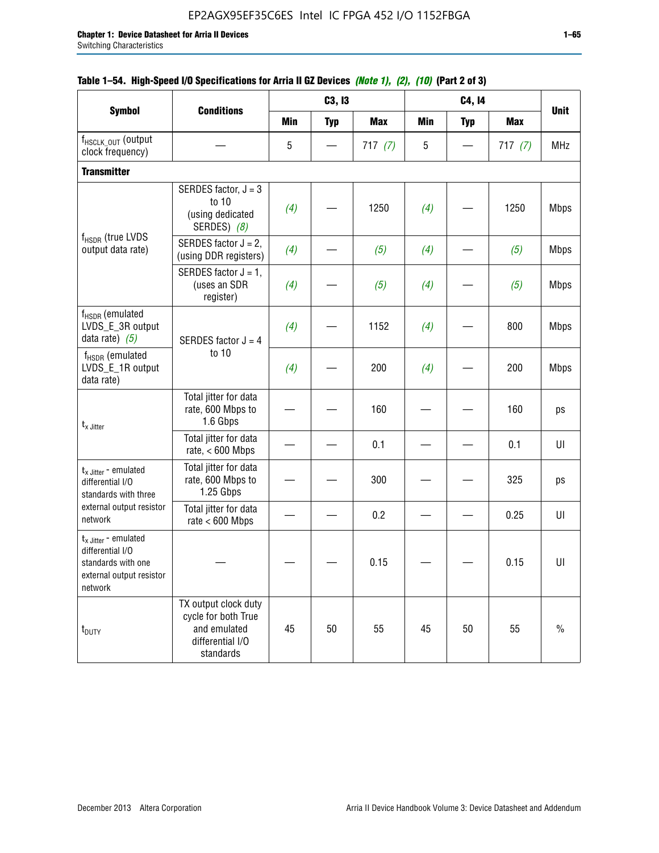|                                                                                                                    |                                                                                              |            | C3, I3     |            |            | C4, 14     |            |             |
|--------------------------------------------------------------------------------------------------------------------|----------------------------------------------------------------------------------------------|------------|------------|------------|------------|------------|------------|-------------|
| <b>Symbol</b>                                                                                                      | <b>Conditions</b>                                                                            | <b>Min</b> | <b>Typ</b> | <b>Max</b> | <b>Min</b> | <b>Typ</b> | <b>Max</b> | <b>Unit</b> |
| f <sub>HSCLK_OUT</sub> (output<br>clock frequency)                                                                 |                                                                                              | 5          |            | 717(7)     | 5          |            | 717(7)     | <b>MHz</b>  |
| <b>Transmitter</b>                                                                                                 |                                                                                              |            |            |            |            |            |            |             |
| $f_{HSDR}$ (true LVDS<br>output data rate)                                                                         | SERDES factor, $J = 3$<br>to 10<br>(using dedicated<br>SERDES) (8)                           | (4)        |            | 1250       | (4)        |            | 1250       | <b>Mbps</b> |
|                                                                                                                    | SERDES factor $J = 2$ ,<br>(using DDR registers)                                             | (4)        |            | (5)        | (4)        |            | (5)        | <b>Mbps</b> |
|                                                                                                                    | SERDES factor $J = 1$ ,<br>(uses an SDR<br>register)                                         | (4)        |            | (5)        | (4)        |            | (5)        | <b>Mbps</b> |
| f <sub>HSDR</sub> (emulated<br>LVDS_E_3R output<br>data rate) $(5)$                                                | SERDES factor $J = 4$                                                                        | (4)        |            | 1152       | (4)        |            | 800        | <b>Mbps</b> |
| $f_{\rm HSDR}$ (emulated<br>LVDS_E_1R output<br>data rate)                                                         | to 10                                                                                        | (4)        |            | 200        | (4)        |            | 200        | <b>Mbps</b> |
| $t_{x}$ Jitter                                                                                                     | Total jitter for data<br>rate, 600 Mbps to<br>1.6 Gbps                                       |            |            | 160        |            |            | 160        | ps          |
|                                                                                                                    | Total jitter for data<br>rate, $< 600$ Mbps                                                  |            |            | 0.1        |            |            | 0.1        | U           |
| $t_x$ Jitter - emulated<br>differential I/O<br>standards with three                                                | Total jitter for data<br>rate, 600 Mbps to<br>1.25 Gbps                                      |            |            | 300        |            |            | 325        | ps          |
| external output resistor<br>network                                                                                | Total jitter for data<br>rate $< 600$ Mbps                                                   |            |            | 0.2        |            |            | 0.25       | U           |
| $t_{x\text{-}}$ Jitter - emulated<br>differential I/O<br>standards with one<br>external output resistor<br>network |                                                                                              |            |            | 0.15       |            |            | 0.15       | U           |
| t <sub>DUTY</sub>                                                                                                  | TX output clock duty<br>cycle for both True<br>and emulated<br>differential I/O<br>standards | 45         | 50         | 55         | 45         | 50         | 55         | $\%$        |

## **Table 1–54. High-Speed I/O Specifications for Arria II GZ Devices** *(Note 1), (2), (10)* **(Part 2 of 3)**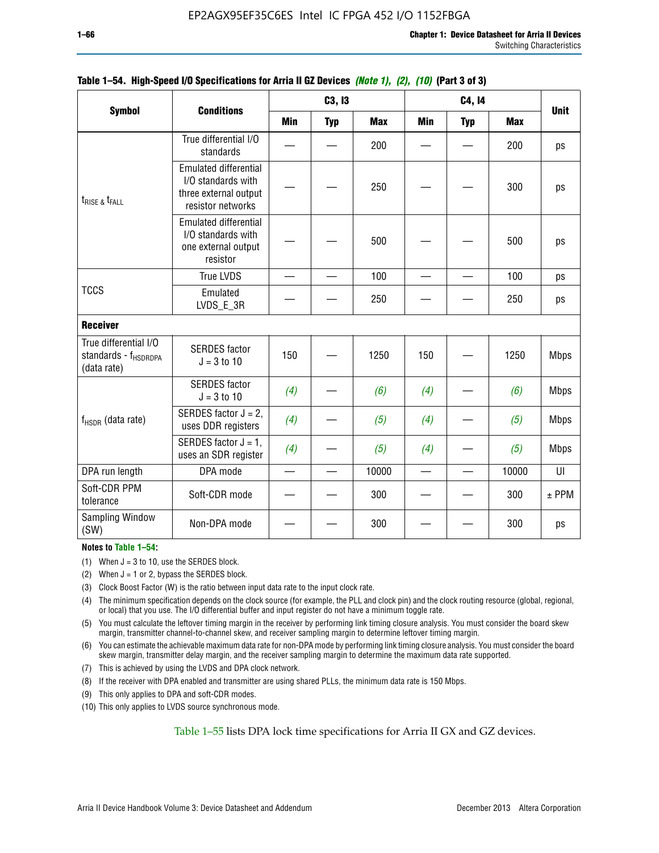|                                                                          |                                                                                                  |                          | C3, I3     |            |            | C4, 14                   |            | <b>Unit</b> |
|--------------------------------------------------------------------------|--------------------------------------------------------------------------------------------------|--------------------------|------------|------------|------------|--------------------------|------------|-------------|
| <b>Symbol</b>                                                            | <b>Conditions</b>                                                                                | <b>Min</b>               | <b>Typ</b> | <b>Max</b> | <b>Min</b> | <b>Typ</b>               | <b>Max</b> |             |
|                                                                          | True differential I/O<br>standards                                                               |                          |            | 200        |            |                          | 200        | ps          |
| t <sub>rise &amp;</sub> t <sub>rall</sub>                                | <b>Emulated differential</b><br>I/O standards with<br>three external output<br>resistor networks |                          |            | 250        |            |                          | 300        | ps          |
|                                                                          | <b>Emulated differential</b><br>I/O standards with<br>one external output<br>resistor            |                          |            | 500        |            |                          | 500        | ps          |
|                                                                          | <b>True LVDS</b>                                                                                 |                          |            | 100        |            |                          | 100        | ps          |
| <b>TCCS</b>                                                              | Emulated<br>LVDS_E_3R                                                                            |                          |            | 250        |            |                          | 250        | ps          |
| <b>Receiver</b>                                                          |                                                                                                  |                          |            |            |            |                          |            |             |
| True differential I/O<br>standards - f <sub>HSDRDPA</sub><br>(data rate) | <b>SERDES</b> factor<br>$J = 3$ to 10                                                            | 150                      |            | 1250       | 150        |                          | 1250       | <b>Mbps</b> |
|                                                                          | <b>SERDES</b> factor<br>$J = 3$ to 10                                                            | (4)                      |            | (6)        | (4)        |                          | (6)        | <b>Mbps</b> |
| f <sub>HSDR</sub> (data rate)                                            | SERDES factor $J = 2$ ,<br>uses DDR registers                                                    | (4)                      |            | (5)        | (4)        |                          | (5)        | <b>Mbps</b> |
|                                                                          | SERDES factor $J = 1$ ,<br>uses an SDR register                                                  | (4)                      |            | (5)        | (4)        |                          | (5)        | <b>Mbps</b> |
| DPA run length                                                           | DPA mode                                                                                         | $\overline{\phantom{0}}$ |            | 10000      |            | $\overline{\phantom{0}}$ | 10000      | UI          |
| Soft-CDR PPM<br>tolerance                                                | Soft-CDR mode                                                                                    |                          |            | 300        |            |                          | 300        | $±$ PPM     |
| Sampling Window<br>(SW)                                                  | Non-DPA mode                                                                                     |                          |            | 300        |            |                          | 300        | ps          |

### **Table 1–54. High-Speed I/O Specifications for Arria II GZ Devices** *(Note 1), (2), (10)* **(Part 3 of 3)**

#### **Notes to Table 1–54:**

(1) When  $J = 3$  to 10, use the SERDES block.

- (2) When  $J = 1$  or 2, bypass the SERDES block.
- (3) Clock Boost Factor (W) is the ratio between input data rate to the input clock rate.
- (4) The minimum specification depends on the clock source (for example, the PLL and clock pin) and the clock routing resource (global, regional, or local) that you use. The I/O differential buffer and input register do not have a minimum toggle rate.
- (5) You must calculate the leftover timing margin in the receiver by performing link timing closure analysis. You must consider the board skew margin, transmitter channel-to-channel skew, and receiver sampling margin to determine leftover timing margin.
- (6) You can estimate the achievable maximum data rate for non-DPA mode by performing link timing closure analysis. You must consider the board skew margin, transmitter delay margin, and the receiver sampling margin to determine the maximum data rate supported.
- (7) This is achieved by using the LVDS and DPA clock network.
- (8) If the receiver with DPA enabled and transmitter are using shared PLLs, the minimum data rate is 150 Mbps.
- (9) This only applies to DPA and soft-CDR modes.
- (10) This only applies to LVDS source synchronous mode.

Table 1–55 lists DPA lock time specifications for Arria II GX and GZ devices.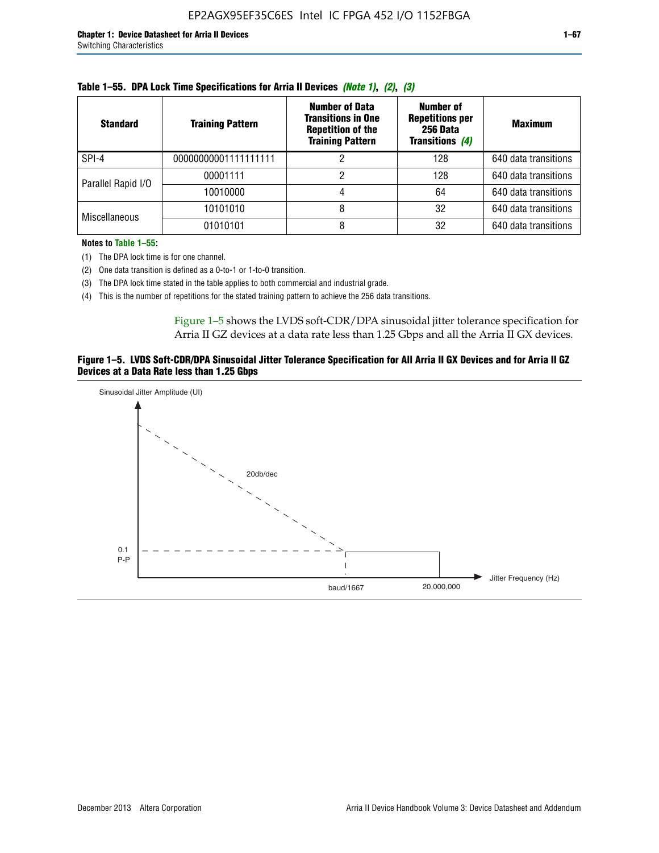| <b>Standard</b>      | <b>Training Pattern</b> | <b>Number of Data</b><br><b>Transitions in One</b><br><b>Repetition of the</b><br><b>Training Pattern</b> | Number of<br><b>Repetitions per</b><br>256 Data<br>Transitions (4) | <b>Maximum</b>       |
|----------------------|-------------------------|-----------------------------------------------------------------------------------------------------------|--------------------------------------------------------------------|----------------------|
| SPI-4                | 00000000001111111111    |                                                                                                           | 128                                                                | 640 data transitions |
| Parallel Rapid I/O   | 00001111                |                                                                                                           | 128                                                                | 640 data transitions |
|                      | 10010000                |                                                                                                           | 64                                                                 | 640 data transitions |
|                      | 10101010                |                                                                                                           | 32                                                                 | 640 data transitions |
| <b>Miscellaneous</b> | 01010101                |                                                                                                           | 32                                                                 | 640 data transitions |

| Table 1–55. DPA Lock Time Specifications for Arria II Devices (Note 1), (2), (3) |  |  |
|----------------------------------------------------------------------------------|--|--|
|----------------------------------------------------------------------------------|--|--|

**Notes to Table 1–55:**

- (1) The DPA lock time is for one channel.
- (2) One data transition is defined as a 0-to-1 or 1-to-0 transition.
- (3) The DPA lock time stated in the table applies to both commercial and industrial grade.
- (4) This is the number of repetitions for the stated training pattern to achieve the 256 data transitions.

Figure 1–5 shows the LVDS soft-CDR/DPA sinusoidal jitter tolerance specification for Arria II GZ devices at a data rate less than 1.25 Gbps and all the Arria II GX devices.

### **Figure 1–5. LVDS Soft-CDR/DPA Sinusoidal Jitter Tolerance Specification for All Arria II GX Devices and for Arria II GZ Devices at a Data Rate less than 1.25 Gbps**

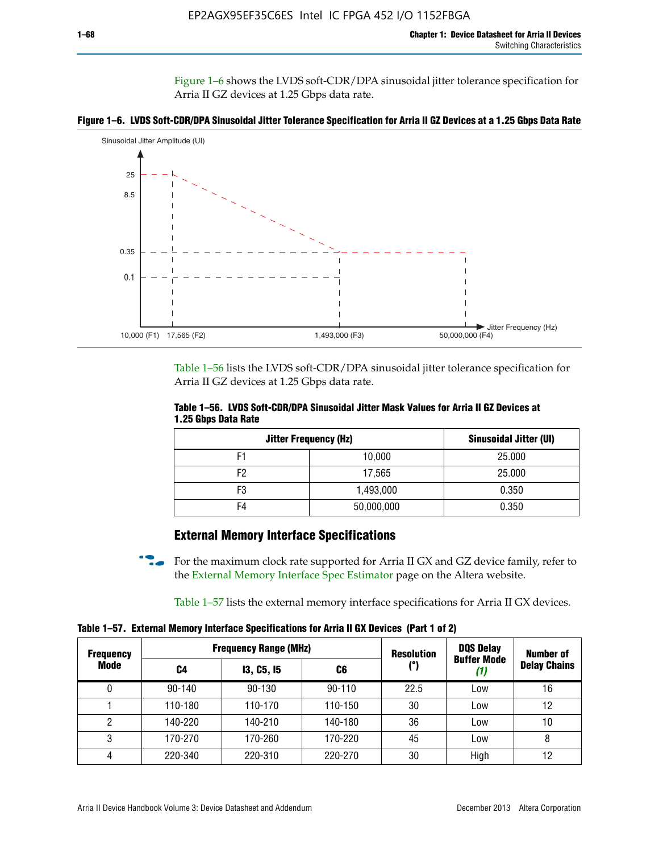Figure 1–6 shows the LVDS soft-CDR/DPA sinusoidal jitter tolerance specification for Arria II GZ devices at 1.25 Gbps data rate.





Table 1–56 lists the LVDS soft-CDR/DPA sinusoidal jitter tolerance specification for Arria II GZ devices at 1.25 Gbps data rate.

|                     | Table 1–56. LVDS Soft-CDR/DPA Sinusoidal Jitter Mask Values for Arria II GZ Devices at |  |  |
|---------------------|----------------------------------------------------------------------------------------|--|--|
| 1.25 Gbps Data Rate |                                                                                        |  |  |

| <b>Jitter Frequency (Hz)</b> | <b>Sinusoidal Jitter (UI)</b> |        |
|------------------------------|-------------------------------|--------|
| F1                           | 10,000                        | 25.000 |
| F <sub>2</sub>               | 17,565                        | 25.000 |
| F3                           | 1,493,000                     | 0.350  |
| F4                           | 50,000,000                    | 0.350  |

## **External Memory Interface Specifications**

For the maximum clock rate supported for Arria II GX and GZ device family, refer to the [External Memory Interface Spec Estimator](http://www.altera.com/technology/memory/estimator/mem-emif-index.html) page on the Altera website.

Table 1–57 lists the external memory interface specifications for Arria II GX devices.

**Table 1–57. External Memory Interface Specifications for Arria II GX Devices (Part 1 of 2)**

| <b>Frequency</b> |            | <b>Frequency Range (MHz)</b> | <b>Resolution</b> | <b>DQS Delay</b> | <b>Number of</b>   |                     |
|------------------|------------|------------------------------|-------------------|------------------|--------------------|---------------------|
| Mode             | C4         | <b>13, C5, 15</b>            | C6                | (°)              | <b>Buffer Mode</b> | <b>Delay Chains</b> |
| 0                | $90 - 140$ | 90-130                       | $90 - 110$        | 22.5             | Low                | 16                  |
|                  | 110-180    | 110-170                      | 110-150           | 30               | Low                | 12                  |
| 2                | 140-220    | 140-210                      | 140-180           | 36               | Low                | 10                  |
| 3                | 170-270    | 170-260                      | 170-220           | 45               | Low                | 8                   |
| 4                | 220-340    | 220-310                      | 220-270           | 30               | High               | 12                  |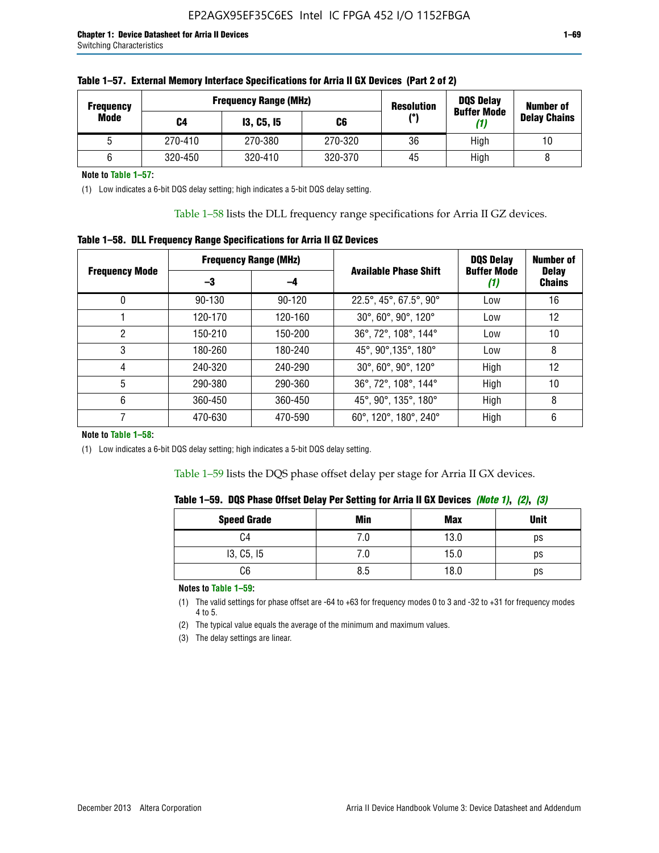| <b>Frequency</b> |         | <b>Frequency Range (MHz)</b> | <b>Resolution</b> | <b>DQS Delay</b><br><b>Buffer Mode</b> | <b>Number of</b> |                     |  |
|------------------|---------|------------------------------|-------------------|----------------------------------------|------------------|---------------------|--|
| Mode             | C4      | <b>13, C5, 15</b>            | C6                | (°)                                    | (1)              | <b>Delay Chains</b> |  |
|                  | 270-410 | 270-380                      | 270-320           | 36                                     | High             | 10                  |  |
|                  | 320-450 | 320-410                      | 320-370           | 45                                     | High             |                     |  |

**Note to Table 1–57:**

(1) Low indicates a 6-bit DQS delay setting; high indicates a 5-bit DQS delay setting.

Table 1–58 lists the DLL frequency range specifications for Arria II GZ devices.

### **Table 1–58. DLL Frequency Range Specifications for Arria II GZ Devices**

|                       | <b>Frequency Range (MHz)</b> |         |                              | <b>DQS Delay</b>   | <b>Number of</b>              |  |
|-----------------------|------------------------------|---------|------------------------------|--------------------|-------------------------------|--|
| <b>Frequency Mode</b> | -3                           | -4      | <b>Available Phase Shift</b> | <b>Buffer Mode</b> | <b>Delay</b><br><b>Chains</b> |  |
| 0                     | $90 - 130$                   | 90-120  | 22.5°, 45°, 67.5°, 90°       | Low                | 16                            |  |
|                       | 120-170                      | 120-160 | 30°, 60°, 90°, 120°          | Low                | 12                            |  |
| 2                     | 150-210                      | 150-200 | 36°, 72°, 108°, 144°         | Low                | 10                            |  |
| 3                     | 180-260                      | 180-240 | 45°, 90°, 135°, 180°         | Low                | 8                             |  |
| 4                     | 240-320                      | 240-290 | 30°, 60°, 90°, 120°          | High               | 12                            |  |
| 5                     | 290-380                      | 290-360 | 36°, 72°, 108°, 144°         | High               | 10                            |  |
| 6                     | 360-450                      | 360-450 | 45°, 90°, 135°, 180°         | High               | 8                             |  |
|                       | 470-630                      | 470-590 | 60°, 120°, 180°, 240°        | High               | 6                             |  |

### **Note to Table 1–58:**

(1) Low indicates a 6-bit DQS delay setting; high indicates a 5-bit DQS delay setting.

Table 1–59 lists the DQS phase offset delay per stage for Arria II GX devices.

|  | Table 1–59.  DQS Phase Offset Delay Per Setting for Arria II GX Devices <i>(Note 1), (2), (3)</i> |  |  |
|--|---------------------------------------------------------------------------------------------------|--|--|
|  |                                                                                                   |  |  |

| <b>Speed Grade</b> | Min  | Max  | <b>Unit</b> |
|--------------------|------|------|-------------|
| C4                 | ن. ا | 13.0 | ps          |
| 13, C5, I5         | 7.U  | 15.0 | ps          |
| C6                 | 8.5  | 18.0 | ps          |

**Notes to Table 1–59:**

(1) The valid settings for phase offset are -64 to +63 for frequency modes 0 to 3 and -32 to +31 for frequency modes 4 to 5.

(2) The typical value equals the average of the minimum and maximum values.

(3) The delay settings are linear.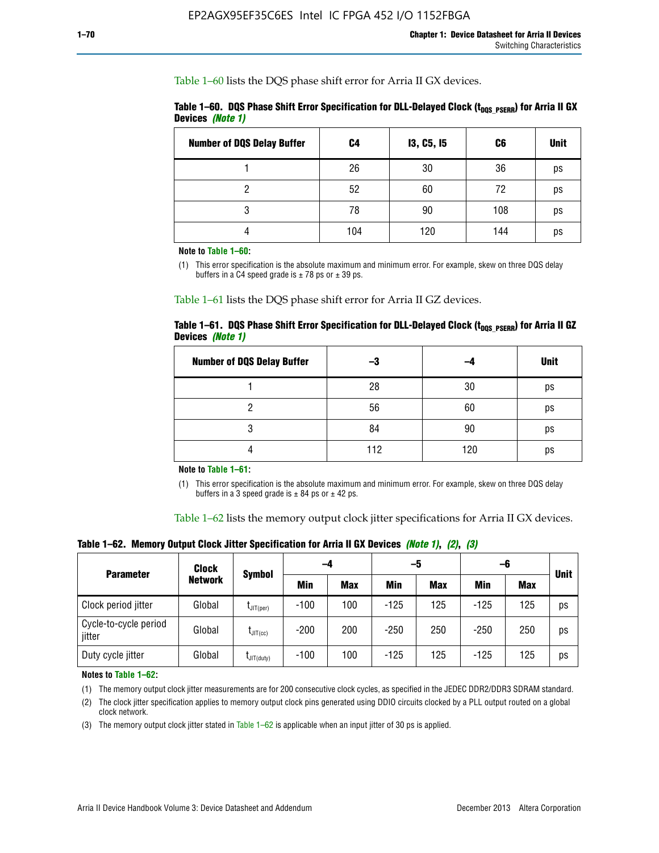Table 1–60 lists the DQS phase shift error for Arria II GX devices.

|                  | Table 1–60. DQS Phase Shift Error Specification for DLL-Delayed Clock ( $t_{\text{DOS PSERR}}$ ) for Arria II GX |  |
|------------------|------------------------------------------------------------------------------------------------------------------|--|
| Devices (Note 1) |                                                                                                                  |  |

| <b>Number of DQS Delay Buffer</b> | C4  | <b>13, C5, 15</b> | C6  | <b>Unit</b> |
|-----------------------------------|-----|-------------------|-----|-------------|
|                                   | 26  | 30                | 36  | ps          |
| າ                                 | 52  | 60                | 72  | ps          |
| 3                                 | 78  | 90                | 108 | ps          |
|                                   | 104 | 120               | 144 | ps          |

**Note to Table 1–60:**

(1) This error specification is the absolute maximum and minimum error. For example, skew on three DQS delay buffers in a C4 speed grade is  $\pm$  78 ps or  $\pm$  39 ps.

Table 1–61 lists the DQS phase shift error for Arria II GZ devices.

|                         |  |  | Table 1–61.DQS Phase Shift Error Specification for DLL-Delayed Clock (t <sub>oos PSERR</sub> ) for Arria II GZ |
|-------------------------|--|--|----------------------------------------------------------------------------------------------------------------|
| Devices <i>(Note 1)</i> |  |  |                                                                                                                |

| <b>Number of DQS Delay Buffer</b> | -3  |     | <b>Unit</b> |
|-----------------------------------|-----|-----|-------------|
|                                   | 28  | 30  | ps          |
|                                   | 56  | 60  | ps          |
| O                                 | 84  | 90  | ps          |
|                                   | 112 | 120 | ps          |

**Note to Table 1–61:**

(1) This error specification is the absolute maximum and minimum error. For example, skew on three DQS delay buffers in a 3 speed grade is  $\pm$  84 ps or  $\pm$  42 ps.

Table 1–62 lists the memory output clock jitter specifications for Arria II GX devices.

**Table 1–62. Memory Output Clock Jitter Specification for Arria II GX Devices** *(Note 1)***,** *(2)***,** *(3)*

| <b>Parameter</b>                | Clock          |                  | -4     |            | -5         |            | -6         |            | <b>Unit</b> |
|---------------------------------|----------------|------------------|--------|------------|------------|------------|------------|------------|-------------|
|                                 | <b>Network</b> | Symbol           | Min    | <b>Max</b> | <b>Min</b> | <b>Max</b> | <b>Min</b> | <b>Max</b> |             |
| Clock period jitter             | Global         | $L$ JIT(per)     | $-100$ | 100        | $-125$     | 125        | $-125$     | 125        | ps          |
| Cycle-to-cycle period<br>jitter | Global         | $L$ JIT $(cc)$   | $-200$ | 200        | $-250$     | 250        | $-250$     | 250        | ps          |
| Duty cycle jitter               | Global         | $L$ JIT $(duty)$ | $-100$ | 100        | $-125$     | 125        | $-125$     | 125        | ps          |

**Notes to Table 1–62:**

(1) The memory output clock jitter measurements are for 200 consecutive clock cycles, as specified in the JEDEC DDR2/DDR3 SDRAM standard.

(2) The clock jitter specification applies to memory output clock pins generated using DDIO circuits clocked by a PLL output routed on a global clock network.

(3) The memory output clock jitter stated in Table  $1-62$  is applicable when an input jitter of 30 ps is applied.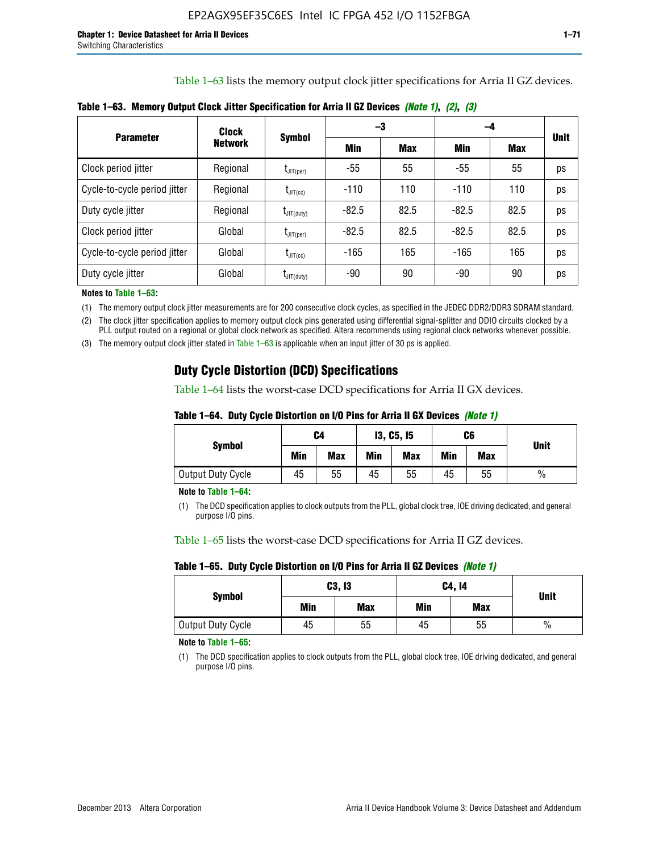Table 1–63 lists the memory output clock jitter specifications for Arria II GZ devices.

|                              | Clock          | <b>Symbol</b>                    |         | -3         | -4      |            |             |
|------------------------------|----------------|----------------------------------|---------|------------|---------|------------|-------------|
| <b>Parameter</b>             | <b>Network</b> |                                  | Min     | <b>Max</b> | Min     | <b>Max</b> | <b>Unit</b> |
| Clock period jitter          | Regional       | $\mathsf{I}_{\mathsf{JIT}(per)}$ | -55     | 55         | $-55$   | 55         | ps          |
| Cycle-to-cycle period jitter | Regional       | $t_{\text{JIT(cc)}}$             | $-110$  | 110        | $-110$  | 110        | ps          |
| Duty cycle jitter            | Regional       | $t_{\text{JIT(duty)}}$           | $-82.5$ | 82.5       | $-82.5$ | 82.5       | ps          |
| Clock period jitter          | Global         | $L_{\text{JIT(per)}}$            | $-82.5$ | 82.5       | $-82.5$ | 82.5       | ps          |
| Cycle-to-cycle period jitter | Global         | $I_{\text{JIT(cc)}}$             | $-165$  | 165        | $-165$  | 165        | ps          |
| Duty cycle jitter            | Global         | $t_{\text{JIT(duty)}}$           | -90     | 90         | -90     | 90         | ps          |

**Table 1–63. Memory Output Clock Jitter Specification for Arria II GZ Devices** *(Note 1)***,** *(2)***,** *(3)*

**Notes to Table 1–63:**

(1) The memory output clock jitter measurements are for 200 consecutive clock cycles, as specified in the JEDEC DDR2/DDR3 SDRAM standard.

(2) The clock jitter specification applies to memory output clock pins generated using differential signal-splitter and DDIO circuits clocked by a PLL output routed on a regional or global clock network as specified. Altera recommends using regional clock networks whenever possible.

(3) The memory output clock jitter stated in Table 1–63 is applicable when an input jitter of 30 ps is applied.

# **Duty Cycle Distortion (DCD) Specifications**

Table 1–64 lists the worst-case DCD specifications for Arria II GX devices.

| Table 1–64.  Duty Cycle Distortion on I/O Pins for Arria II GX Devices <i>(Note 1)</i> |  |  |
|----------------------------------------------------------------------------------------|--|--|
|----------------------------------------------------------------------------------------|--|--|

| <b>Symbol</b>     | C4  |            | <b>13, C5, 15</b> |            | C6  |            | <b>Unit</b>   |  |
|-------------------|-----|------------|-------------------|------------|-----|------------|---------------|--|
|                   | Min | <b>Max</b> | Min               | <b>Max</b> | Min | <b>Max</b> |               |  |
| Output Duty Cycle | 45  | 55         | 45                | 55         | 45  | 55         | $\frac{0}{0}$ |  |

**Note to Table 1–64:**

(1) The DCD specification applies to clock outputs from the PLL, global clock tree, IOE driving dedicated, and general purpose I/O pins.

Table 1–65 lists the worst-case DCD specifications for Arria II GZ devices.

**Table 1–65. Duty Cycle Distortion on I/O Pins for Arria II GZ Devices** *(Note 1)*

| <b>Symbol</b>            |     | C3, I3     | C4, 14 | <b>Unit</b> |      |  |
|--------------------------|-----|------------|--------|-------------|------|--|
|                          | Min | <b>Max</b> | Min    | <b>Max</b>  |      |  |
| <b>Output Duty Cycle</b> | 45  | 55         | 45     | 55          | $\%$ |  |

**Note to Table 1–65:**

(1) The DCD specification applies to clock outputs from the PLL, global clock tree, IOE driving dedicated, and general purpose I/O pins.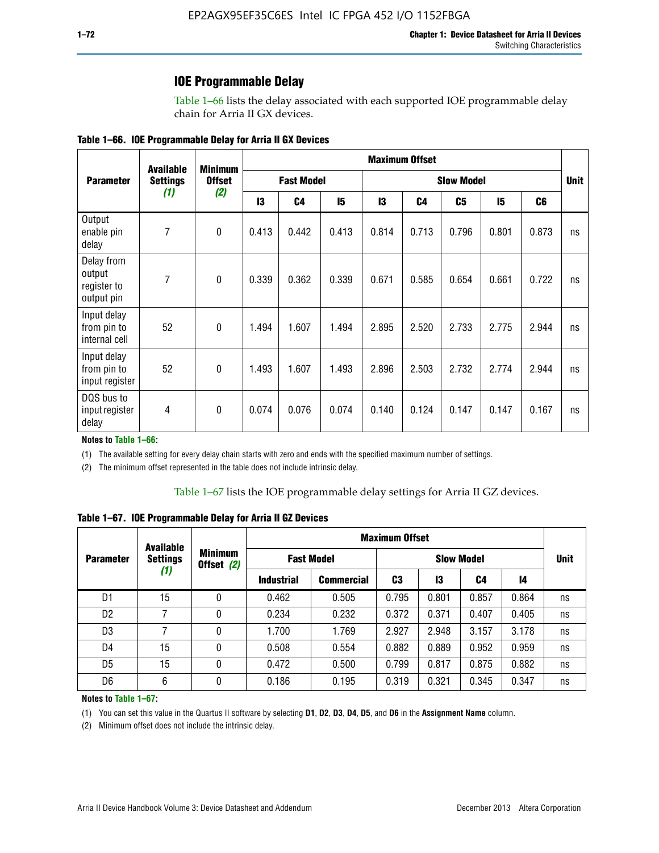### **IOE Programmable Delay**

Table 1–66 lists the delay associated with each supported IOE programmable delay chain for Arria II GX devices.

| Table 1–66. IOE Programmable Delay for Arria II GX Devices |
|------------------------------------------------------------|
|------------------------------------------------------------|

|                                                   | <b>Available</b><br><b>Settings</b><br>(1) | <b>Minimum</b><br><b>Offset</b><br>(2) | <b>Maximum Offset</b> |                |                   |       |                |       |             |                |    |
|---------------------------------------------------|--------------------------------------------|----------------------------------------|-----------------------|----------------|-------------------|-------|----------------|-------|-------------|----------------|----|
| <b>Parameter</b>                                  |                                            |                                        | <b>Fast Model</b>     |                | <b>Slow Model</b> |       |                |       | <b>Unit</b> |                |    |
|                                                   |                                            |                                        | 13                    | C <sub>4</sub> | 15                | 13    | C <sub>4</sub> | C5    | 15          | C <sub>6</sub> |    |
| Output<br>enable pin<br>delay                     | 7                                          | $\mathbf 0$                            | 0.413                 | 0.442          | 0.413             | 0.814 | 0.713          | 0.796 | 0.801       | 0.873          | ns |
| Delay from<br>output<br>register to<br>output pin | 7                                          | $\mathbf 0$                            | 0.339                 | 0.362          | 0.339             | 0.671 | 0.585          | 0.654 | 0.661       | 0.722          | ns |
| Input delay<br>from pin to<br>internal cell       | 52                                         | $\mathbf{0}$                           | 1.494                 | 1.607          | 1.494             | 2.895 | 2.520          | 2.733 | 2.775       | 2.944          | ns |
| Input delay<br>from pin to<br>input register      | 52                                         | $\mathbf{0}$                           | 1.493                 | 1.607          | 1.493             | 2.896 | 2.503          | 2.732 | 2.774       | 2.944          | ns |
| DQS bus to<br>input register<br>delay             | 4                                          | $\mathbf 0$                            | 0.074                 | 0.076          | 0.074             | 0.140 | 0.124          | 0.147 | 0.147       | 0.167          | ns |

**Notes to Table 1–66:**

(1) The available setting for every delay chain starts with zero and ends with the specified maximum number of settings.

(2) The minimum offset represented in the table does not include intrinsic delay.

**Table 1–67. IOE Programmable Delay for Arria II GZ Devices**

|                                                                     | <b>Available</b> |                   | <b>Maximum Offset</b> |                   |       |       |       |             |    |
|---------------------------------------------------------------------|------------------|-------------------|-----------------------|-------------------|-------|-------|-------|-------------|----|
| <b>Minimum</b><br><b>Settings</b><br><b>Parameter</b><br>Offset (2) |                  | <b>Fast Model</b> |                       | <b>Slow Model</b> |       |       |       | <b>Unit</b> |    |
|                                                                     | (1)              |                   | <b>Industrial</b>     | <b>Commercial</b> | C3    | 13    | C4    | 14          |    |
| D1                                                                  | 15               | 0                 | 0.462                 | 0.505             | 0.795 | 0.801 | 0.857 | 0.864       | ns |
| D <sub>2</sub>                                                      | 7                | 0                 | 0.234                 | 0.232             | 0.372 | 0.371 | 0.407 | 0.405       | ns |
| D <sub>3</sub>                                                      | 7                | 0                 | 1.700                 | 1.769             | 2.927 | 2.948 | 3.157 | 3.178       | ns |
| D4                                                                  | 15               | 0                 | 0.508                 | 0.554             | 0.882 | 0.889 | 0.952 | 0.959       | ns |
| D <sub>5</sub>                                                      | 15               | 0                 | 0.472                 | 0.500             | 0.799 | 0.817 | 0.875 | 0.882       | ns |
| D <sub>6</sub>                                                      | 6                | 0                 | 0.186                 | 0.195             | 0.319 | 0.321 | 0.345 | 0.347       | ns |

#### **Notes to Table 1–67:**

(1) You can set this value in the Quartus II software by selecting **D1**, **D2**, **D3**, **D4**, **D5**, and **D6** in the **Assignment Name** column.

(2) Minimum offset does not include the intrinsic delay.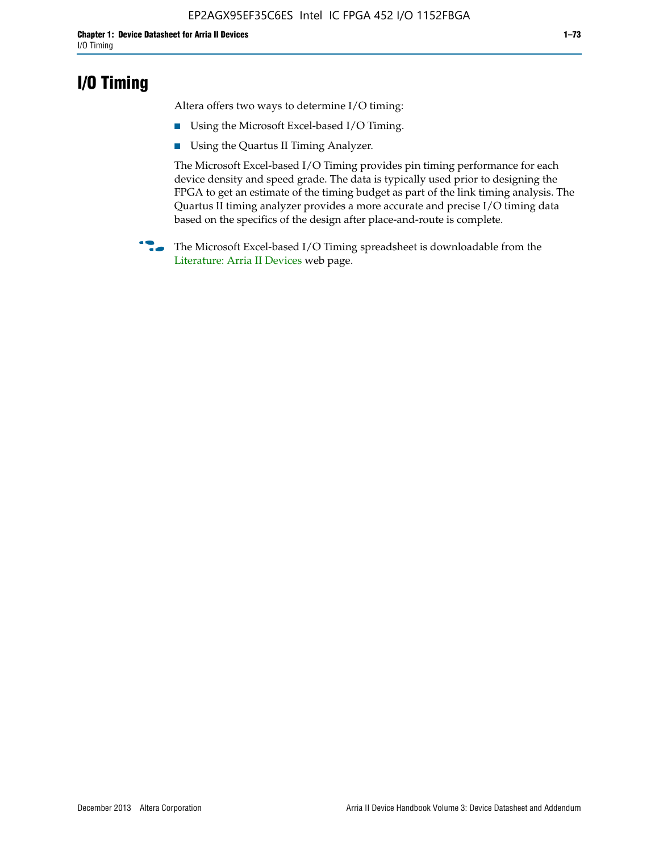## **I/O Timing**

Altera offers two ways to determine I/O timing:

- Using the Microsoft Excel-based I/O Timing.
- Using the Quartus II Timing Analyzer.

The Microsoft Excel-based I/O Timing provides pin timing performance for each device density and speed grade. The data is typically used prior to designing the FPGA to get an estimate of the timing budget as part of the link timing analysis. The Quartus II timing analyzer provides a more accurate and precise I/O timing data based on the specifics of the design after place-and-route is complete.

**f The Microsoft Excel-based I/O Timing spreadsheet is downloadable from the** [Literature: Arria II Devices](http://www.altera.com/literature/lit-arria-ii-gx.jsp) web page.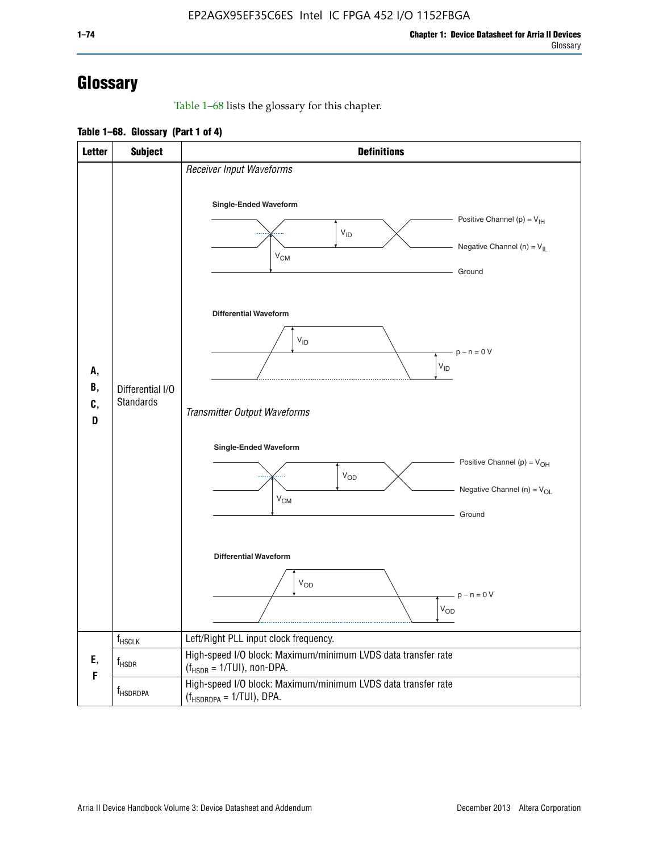# **Glossary**

Table 1–68 lists the glossary for this chapter.

**Table 1–68. Glossary (Part 1 of 4)**

| <b>Letter</b>       | <b>Subject</b>                       | <b>Definitions</b>                                                                                                                         |
|---------------------|--------------------------------------|--------------------------------------------------------------------------------------------------------------------------------------------|
| А,<br>В,<br>C,<br>D |                                      | Receiver Input Waveforms<br>Single-Ended Waveform<br>Positive Channel (p) = $V_{\text{IH}}$<br>$V_{ID}$<br>Negative Channel (n) = $V_{IL}$ |
|                     |                                      | $V_{CM}$<br>Ground<br><b>Differential Waveform</b>                                                                                         |
|                     | Differential I/O<br><b>Standards</b> | $V_{ID}$<br>$-p - n = 0 V$<br>$\rm V_{ID}$<br>Transmitter Output Waveforms                                                                 |
|                     |                                      | Single-Ended Waveform<br>Positive Channel (p) = $V_{OH}$<br>$V_{OD}$<br>Negative Channel (n) = $V_{OL}$<br>$V_{CM}$<br>Ground              |
|                     |                                      | <b>Differential Waveform</b><br>$V_{OD}$<br>$p - n = 0 V$<br>$V_{OD}$                                                                      |
|                     | $f_{\rm HSCLK}$                      | Left/Right PLL input clock frequency.                                                                                                      |
| Ε,<br>F             | f <sub>HSDR</sub>                    | High-speed I/O block: Maximum/minimum LVDS data transfer rate<br>$(f_{HSDR} = 1/TUI)$ , non-DPA.                                           |
|                     | f <sub>HSDRDPA</sub>                 | High-speed I/O block: Maximum/minimum LVDS data transfer rate<br>$(f_{HSDRDPA} = 1/TUI)$ , DPA.                                            |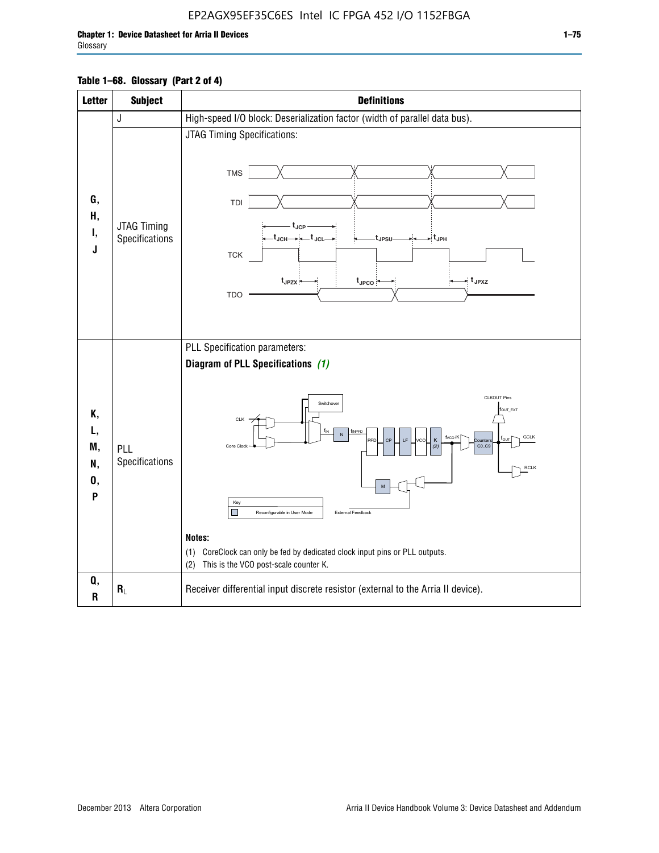## EP2AGX95EF35C6ES Intel IC FPGA 452 I/O 1152FBGA

### **Table 1–68. Glossary (Part 2 of 4)**

| <b>Letter</b>                   | <b>Subject</b>                | <b>Definitions</b>                                                                                                                                                                                                                                                                                                                                                                                                                                                                  |  |
|---------------------------------|-------------------------------|-------------------------------------------------------------------------------------------------------------------------------------------------------------------------------------------------------------------------------------------------------------------------------------------------------------------------------------------------------------------------------------------------------------------------------------------------------------------------------------|--|
|                                 | J                             | High-speed I/O block: Deserialization factor (width of parallel data bus).                                                                                                                                                                                                                                                                                                                                                                                                          |  |
| G,<br>Н,<br>Ι,<br>J             | JTAG Timing<br>Specifications | JTAG Timing Specifications:<br><b>TMS</b><br>TDI<br>$t_{\rm JCP}$<br>t <sub>JCH</sub> → ← t <sub>JCL</sub><br>- t <sub>JPH</sub><br>t <sub>JPSU</sub><br><b>TCK</b><br>→ t <sub>JPXZ</sub><br>t <sub>JPZX</sub><br>$t_{\text{JPCO}}$<br><b>TDO</b>                                                                                                                                                                                                                                  |  |
| Κ,<br>L,<br>M,<br>N,<br>0,<br>P | PLL<br>Specifications         | PLL Specification parameters:<br>Diagram of PLL Specifications (1)<br><b>CLKOUT Pins</b><br>Switchover<br>fout_ext<br>CLK<br>TINPFD<br>N<br>f <sub>vco</sub> /K<br><b>GCLK</b><br>LF<br>foun<br>PFD<br>CP<br>VCO<br>κ<br>punter<br>Core Clock<br>CO.C9<br>(2)<br><b>RCLK</b><br>Key<br>External Feedback<br>Reconfigurable in User Mode<br>Notes:<br>CoreClock can only be fed by dedicated clock input pins or PLL outputs.<br>(1)<br>This is the VCO post-scale counter K.<br>(2) |  |
| Q,<br>$\mathsf R$               | $R_L$                         | Receiver differential input discrete resistor (external to the Arria II device).                                                                                                                                                                                                                                                                                                                                                                                                    |  |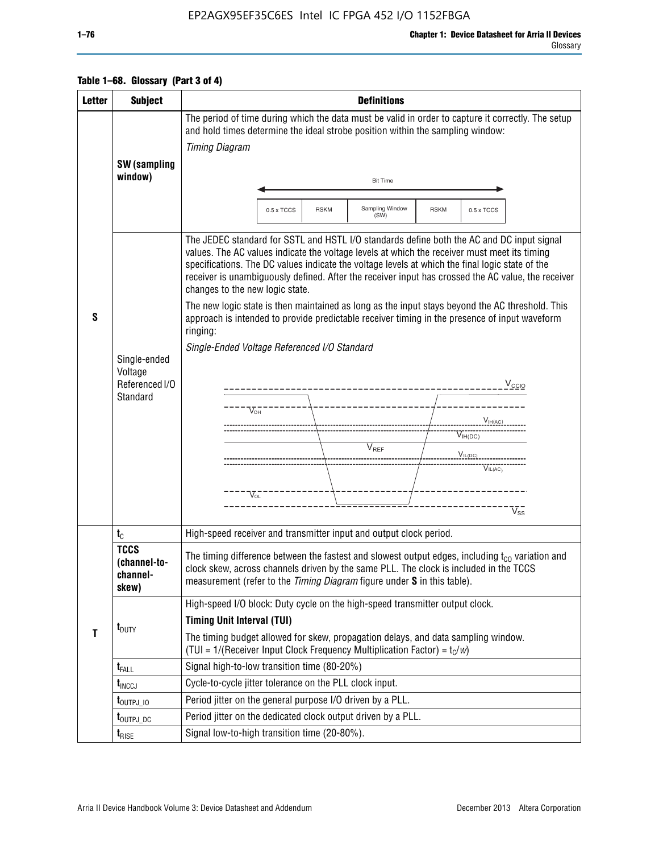### EP2AGX95EF35C6ES Intel IC FPGA 452 I/O 1152FBGA

#### Glossary

|  | Table 1–68. Glossary (Part 3 of 4) |
|--|------------------------------------|
|  |                                    |

| <b>Letter</b> | <b>Subject</b>                                        | <b>Definitions</b>                                                                                                                                                                                                                                                                                                                                                                                                                                                                                                                                                                                                                                                                                                                                                                                                                                                                                  |  |  |  |  |
|---------------|-------------------------------------------------------|-----------------------------------------------------------------------------------------------------------------------------------------------------------------------------------------------------------------------------------------------------------------------------------------------------------------------------------------------------------------------------------------------------------------------------------------------------------------------------------------------------------------------------------------------------------------------------------------------------------------------------------------------------------------------------------------------------------------------------------------------------------------------------------------------------------------------------------------------------------------------------------------------------|--|--|--|--|
|               |                                                       | The period of time during which the data must be valid in order to capture it correctly. The setup<br>and hold times determine the ideal strobe position within the sampling window:<br><b>Timing Diagram</b>                                                                                                                                                                                                                                                                                                                                                                                                                                                                                                                                                                                                                                                                                       |  |  |  |  |
|               | SW (sampling<br>window)                               | <b>Bit Time</b>                                                                                                                                                                                                                                                                                                                                                                                                                                                                                                                                                                                                                                                                                                                                                                                                                                                                                     |  |  |  |  |
|               |                                                       | Sampling Window<br><b>RSKM</b><br>0.5 x TCCS<br><b>RSKM</b><br>0.5 x TCCS<br>(SW)                                                                                                                                                                                                                                                                                                                                                                                                                                                                                                                                                                                                                                                                                                                                                                                                                   |  |  |  |  |
| S             | Single-ended<br>Voltage<br>Referenced I/O<br>Standard | The JEDEC standard for SSTL and HSTL I/O standards define both the AC and DC input signal<br>values. The AC values indicate the voltage levels at which the receiver must meet its timing<br>specifications. The DC values indicate the voltage levels at which the final logic state of the<br>receiver is unambiguously defined. After the receiver input has crossed the AC value, the receiver<br>changes to the new logic state.<br>The new logic state is then maintained as long as the input stays beyond the AC threshold. This<br>approach is intended to provide predictable receiver timing in the presence of input waveform<br>ringing:<br>Single-Ended Voltage Referenced I/O Standard<br>$V_{\text{CCIO}}$<br>----------------------------<br>$V_{OH}$<br>$V_{H(AC)}$<br>$V_{IH(DC)}$<br>V <sub>REF</sub><br>$V_{IL(DC)}$<br>$V^{\bullet\bullet\bullet}_{\mathsf{IL}(\mathsf{AC})}$ |  |  |  |  |
|               |                                                       | $V_{O1}$<br>$V_{ss}$                                                                                                                                                                                                                                                                                                                                                                                                                                                                                                                                                                                                                                                                                                                                                                                                                                                                                |  |  |  |  |
|               | $t_{\rm C}$                                           | High-speed receiver and transmitter input and output clock period.                                                                                                                                                                                                                                                                                                                                                                                                                                                                                                                                                                                                                                                                                                                                                                                                                                  |  |  |  |  |
|               | <b>TCCS</b><br>(channel-to-<br>channel-<br>skew)      | The timing difference between the fastest and slowest output edges, including $t_{c0}$ variation and<br>clock skew, across channels driven by the same PLL. The clock is included in the TCCS<br>measurement (refer to the Timing Diagram figure under S in this table).                                                                                                                                                                                                                                                                                                                                                                                                                                                                                                                                                                                                                            |  |  |  |  |
| $\mathbf{T}$  | $t_{\text{DUTY}}$                                     | High-speed I/O block: Duty cycle on the high-speed transmitter output clock.<br><b>Timing Unit Interval (TUI)</b><br>The timing budget allowed for skew, propagation delays, and data sampling window.                                                                                                                                                                                                                                                                                                                                                                                                                                                                                                                                                                                                                                                                                              |  |  |  |  |
|               |                                                       | (TUI = $1/($ Receiver Input Clock Frequency Multiplication Factor) = $t_c/w$ )<br>Signal high-to-low transition time (80-20%)                                                                                                                                                                                                                                                                                                                                                                                                                                                                                                                                                                                                                                                                                                                                                                       |  |  |  |  |
|               | $t_{\text{FALL}}$<br>$t_{\text{INCCJ}}$               | Cycle-to-cycle jitter tolerance on the PLL clock input.                                                                                                                                                                                                                                                                                                                                                                                                                                                                                                                                                                                                                                                                                                                                                                                                                                             |  |  |  |  |
|               | $t_{\text{OUTPJ\_10}}$                                | Period jitter on the general purpose I/O driven by a PLL.                                                                                                                                                                                                                                                                                                                                                                                                                                                                                                                                                                                                                                                                                                                                                                                                                                           |  |  |  |  |
|               | t <sub>outpj_dc</sub>                                 | Period jitter on the dedicated clock output driven by a PLL.                                                                                                                                                                                                                                                                                                                                                                                                                                                                                                                                                                                                                                                                                                                                                                                                                                        |  |  |  |  |
|               | $t_{RISE}$                                            | Signal low-to-high transition time (20-80%).                                                                                                                                                                                                                                                                                                                                                                                                                                                                                                                                                                                                                                                                                                                                                                                                                                                        |  |  |  |  |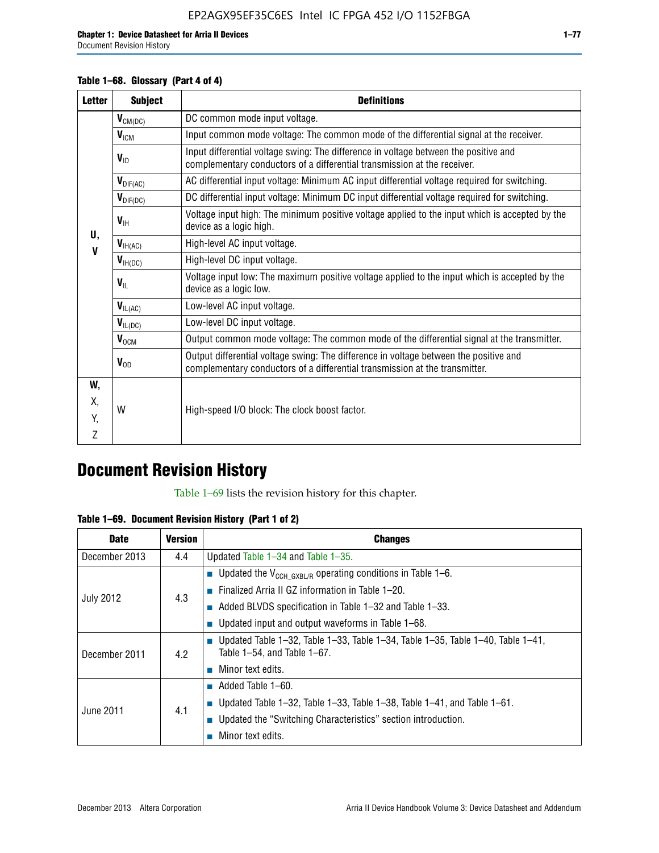### **Table 1–68. Glossary (Part 4 of 4)**

| <b>Letter</b> | <b>Subject</b>            | <b>Definitions</b>                                                                                                                                                   |
|---------------|---------------------------|----------------------------------------------------------------------------------------------------------------------------------------------------------------------|
|               | $V_{CM(DC)}$              | DC common mode input voltage.                                                                                                                                        |
|               | V <sub>ICM</sub>          | Input common mode voltage: The common mode of the differential signal at the receiver.                                                                               |
|               | $V_{ID}$                  | Input differential voltage swing: The difference in voltage between the positive and<br>complementary conductors of a differential transmission at the receiver.     |
|               | $\bm{V}_{\text{DIF(AC)}}$ | AC differential input voltage: Minimum AC input differential voltage required for switching.                                                                         |
|               | $V_{\text{DIF(DC)}}$      | DC differential input voltage: Minimum DC input differential voltage required for switching.                                                                         |
| U.            | $V_{\text{H}}$            | Voltage input high: The minimum positive voltage applied to the input which is accepted by the<br>device as a logic high.                                            |
| $\mathbf{V}$  | $V_{\text{IH(AC)}}$       | High-level AC input voltage.                                                                                                                                         |
|               | $V_{H(DC)}$               | High-level DC input voltage.                                                                                                                                         |
|               | $V_{\text{IL}}$           | Voltage input low: The maximum positive voltage applied to the input which is accepted by the<br>device as a logic low.                                              |
|               | $V_{IL(AC)}$              | Low-level AC input voltage.                                                                                                                                          |
|               | $V_{IL(DC)}$              | Low-level DC input voltage.                                                                                                                                          |
|               | $V_{OCM}$                 | Output common mode voltage: The common mode of the differential signal at the transmitter.                                                                           |
|               | $V_{OD}$                  | Output differential voltage swing: The difference in voltage between the positive and<br>complementary conductors of a differential transmission at the transmitter. |
| W,            |                           |                                                                                                                                                                      |
| Χ.            | W                         | High-speed I/O block: The clock boost factor.                                                                                                                        |
| Y.            |                           |                                                                                                                                                                      |
| Z             |                           |                                                                                                                                                                      |

# **Document Revision History**

Table 1–69 lists the revision history for this chapter.

**Table 1–69. Document Revision History (Part 1 of 2)**

| <b>Date</b>      | <b>Version</b> | <b>Changes</b>                                                                                                                      |
|------------------|----------------|-------------------------------------------------------------------------------------------------------------------------------------|
| December 2013    | 4.4            | Updated Table $1-34$ and Table $1-35$ .                                                                                             |
|                  |                | ■ Updated the $V_{CCH GXBL/R}$ operating conditions in Table 1–6.                                                                   |
| <b>July 2012</b> | 4.3            | <b>Example 1-20.</b> Finalized Arria II GZ information in Table 1-20.                                                               |
|                  |                | $\blacksquare$ Added BLVDS specification in Table 1-32 and Table 1-33.                                                              |
|                  |                | <b>Updated input and output waveforms in Table 1–68.</b>                                                                            |
| December 2011    | 4.2            | $\blacksquare$ Updated Table 1-32, Table 1-33, Table 1-34, Table 1-35, Table 1-40, Table 1-41,<br>Table $1-54$ , and Table $1-67$ . |
|                  |                | $\blacksquare$ Minor text edits.                                                                                                    |
|                  | 4.1            | $\blacksquare$ Added Table 1–60.                                                                                                    |
|                  |                | <b>Updated Table 1–32, Table 1–33, Table 1–38, Table 1–41, and Table 1–61.</b>                                                      |
| June 2011        |                | ■ Updated the "Switching Characteristics" section introduction.                                                                     |
|                  |                | Minor text edits.                                                                                                                   |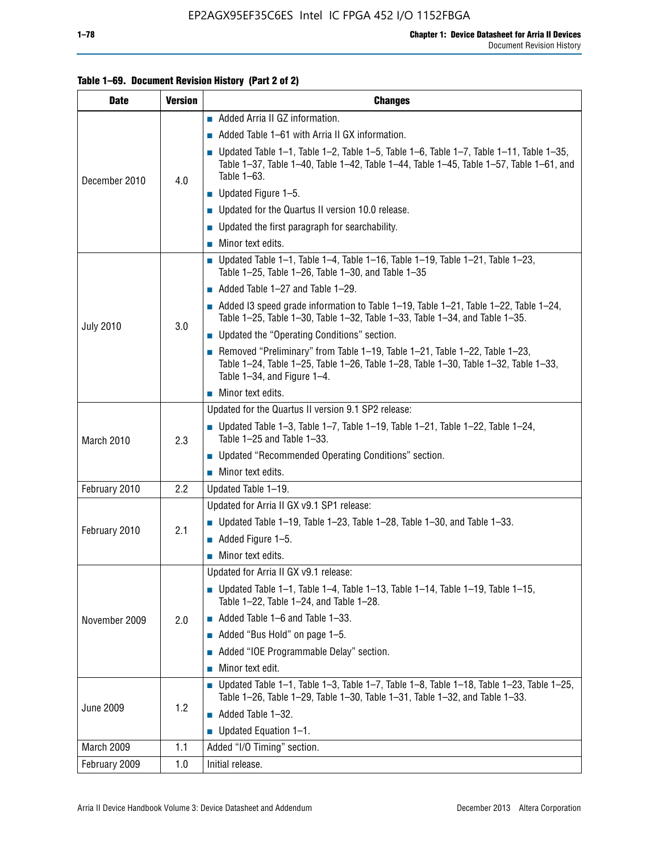### **Table 1–69. Document Revision History (Part 2 of 2)**

| <b>Date</b>      | <b>Version</b> | <b>Changes</b>                                                                                                                                                                                               |
|------------------|----------------|--------------------------------------------------------------------------------------------------------------------------------------------------------------------------------------------------------------|
|                  |                | Added Arria II GZ information.                                                                                                                                                                               |
| December 2010    |                | $\blacksquare$ Added Table 1–61 with Arria II GX information.                                                                                                                                                |
|                  | 4.0            | <b>Updated Table 1–1, Table 1–2, Table 1–5, Table 1–6, Table 1–7, Table 1–11, Table 1–35,</b><br>Table 1-37, Table 1-40, Table 1-42, Table 1-44, Table 1-45, Table 1-57, Table 1-61, and<br>Table 1-63.      |
|                  |                | $\blacksquare$ Updated Figure 1-5.                                                                                                                                                                           |
|                  |                | Updated for the Quartus II version 10.0 release.                                                                                                                                                             |
|                  |                | $\blacksquare$ Updated the first paragraph for searchability.                                                                                                                                                |
|                  |                | $\blacksquare$ Minor text edits.                                                                                                                                                                             |
|                  |                | Updated Table 1-1, Table 1-4, Table 1-16, Table 1-19, Table 1-21, Table 1-23,<br>Table 1-25, Table 1-26, Table 1-30, and Table 1-35                                                                          |
|                  |                | $\blacksquare$ Added Table 1-27 and Table 1-29.                                                                                                                                                              |
|                  |                | Added 13 speed grade information to Table 1-19, Table 1-21, Table 1-22, Table 1-24,<br>Table 1-25, Table 1-30, Table 1-32, Table 1-33, Table 1-34, and Table 1-35.                                           |
| <b>July 2010</b> | 3.0            | • Updated the "Operating Conditions" section.                                                                                                                                                                |
|                  |                | Removed "Preliminary" from Table $1-19$ , Table $1-21$ , Table $1-22$ , Table $1-23$ ,<br>Table 1-24, Table 1-25, Table 1-26, Table 1-28, Table 1-30, Table 1-32, Table 1-33,<br>Table 1-34, and Figure 1-4. |
|                  |                | Minor text edits.                                                                                                                                                                                            |
|                  | 2.3            | Updated for the Quartus II version 9.1 SP2 release:                                                                                                                                                          |
| March 2010       |                | $\blacksquare$ Updated Table 1-3, Table 1-7, Table 1-19, Table 1-21, Table 1-22, Table 1-24,<br>Table 1-25 and Table 1-33.                                                                                   |
|                  |                | • Updated "Recommended Operating Conditions" section.                                                                                                                                                        |
|                  |                | Minor text edits.                                                                                                                                                                                            |
| February 2010    | 2.2            | Updated Table 1-19.                                                                                                                                                                                          |
|                  |                | Updated for Arria II GX v9.1 SP1 release:                                                                                                                                                                    |
| February 2010    | 2.1            | Updated Table 1-19, Table 1-23, Table 1-28, Table 1-30, and Table 1-33.                                                                                                                                      |
|                  |                | $\blacksquare$ Added Figure 1-5.                                                                                                                                                                             |
|                  |                | $\blacksquare$ Minor text edits.                                                                                                                                                                             |
|                  |                | Updated for Arria II GX v9.1 release:                                                                                                                                                                        |
|                  |                | Updated Table 1–1, Table 1–4, Table 1–13, Table 1–14, Table 1–19, Table 1–15,<br>Table 1-22, Table 1-24, and Table 1-28.                                                                                     |
| November 2009    | 2.0            | $\blacksquare$ Added Table 1-6 and Table 1-33.                                                                                                                                                               |
|                  |                | Added "Bus Hold" on page 1-5.                                                                                                                                                                                |
|                  |                | Added "IOE Programmable Delay" section.                                                                                                                                                                      |
|                  |                | Minor text edit.                                                                                                                                                                                             |
| <b>June 2009</b> |                | $\blacksquare$ Updated Table 1-1, Table 1-3, Table 1-7, Table 1-8, Table 1-18, Table 1-23, Table 1-25,<br>Table 1-26, Table 1-29, Table 1-30, Table 1-31, Table 1-32, and Table 1-33.                        |
|                  | 1.2            | Added Table 1-32.                                                                                                                                                                                            |
|                  |                | $\blacksquare$ Updated Equation 1-1.                                                                                                                                                                         |
| March 2009       | 1.1            | Added "I/O Timing" section.                                                                                                                                                                                  |
| February 2009    | 1.0            | Initial release.                                                                                                                                                                                             |